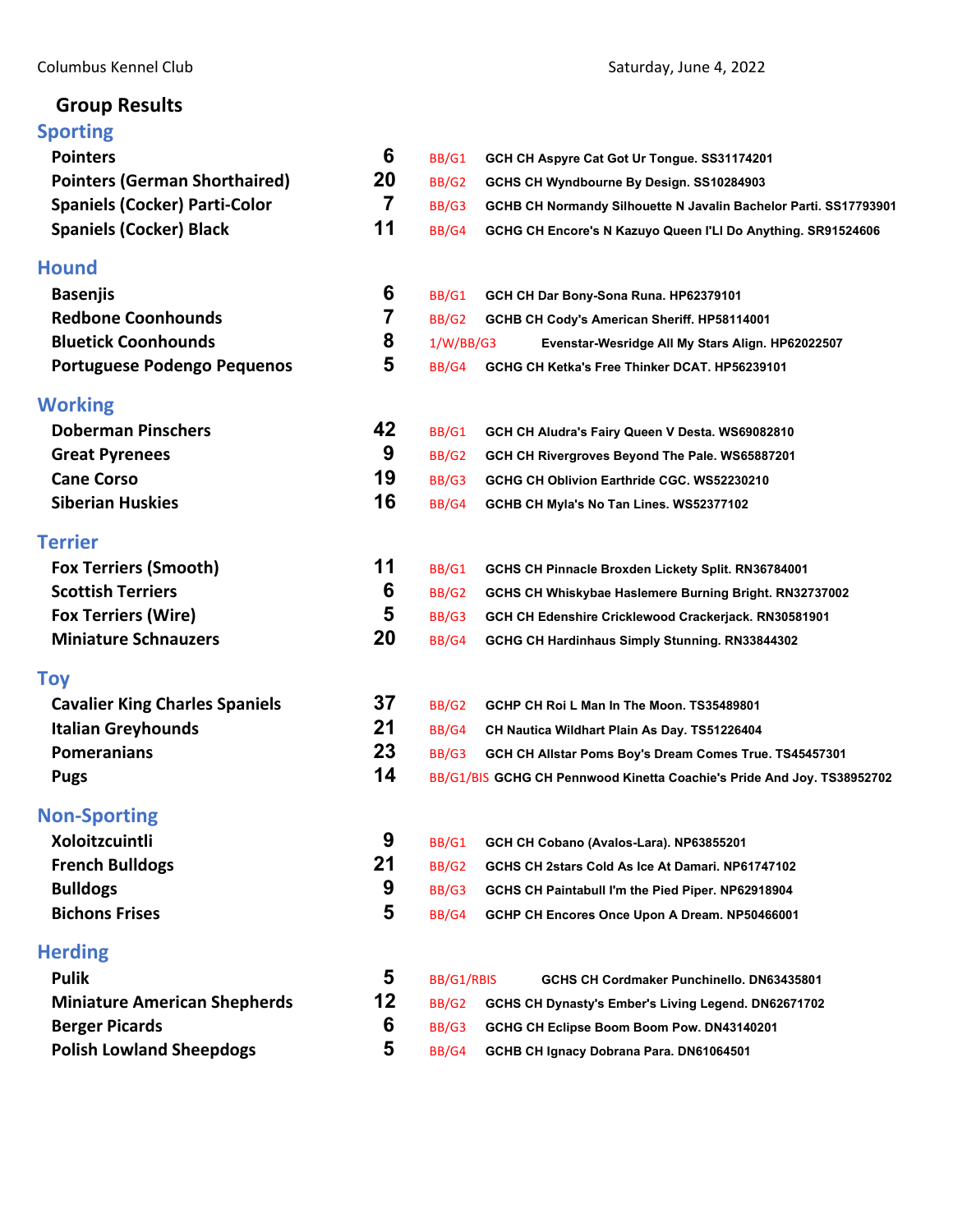# **Group Results**

| םיייי יטקט                            |    |              |                                                                        |
|---------------------------------------|----|--------------|------------------------------------------------------------------------|
| <b>Pointers</b>                       | 6  | BB/G1        | GCH CH Aspyre Cat Got Ur Tongue. SS31174201                            |
| <b>Pointers (German Shorthaired)</b>  | 20 | <b>BB/G2</b> | GCHS CH Wyndbourne By Design. SS10284903                               |
| <b>Spaniels (Cocker) Parti-Color</b>  | 7  | BB/G3        | GCHB CH Normandy Silhouette N Javalin Bachelor Parti. SS17793901       |
| <b>Spaniels (Cocker) Black</b>        | 11 | BB/G4        | GCHG CH Encore's N Kazuyo Queen I'LI Do Anything. SR91524606           |
| <b>Hound</b>                          |    |              |                                                                        |
| <b>Basenjis</b>                       | 6  | BB/G1        | GCH CH Dar Bony-Sona Runa. HP62379101                                  |
| <b>Redbone Coonhounds</b>             | 7  | BB/G2        | GCHB CH Cody's American Sheriff. HP58114001                            |
| <b>Bluetick Coonhounds</b>            | 8  | 1/W/BB/G3    | Evenstar-Wesridge All My Stars Align. HP62022507                       |
| Portuguese Podengo Pequenos           | 5  | BB/G4        | GCHG CH Ketka's Free Thinker DCAT. HP56239101                          |
| <b>Working</b>                        |    |              |                                                                        |
| <b>Doberman Pinschers</b>             | 42 | BB/G1        | GCH CH Aludra's Fairy Queen V Desta. WS69082810                        |
| <b>Great Pyrenees</b>                 | 9  | <b>BB/G2</b> | GCH CH Rivergroves Beyond The Pale. WS65887201                         |
| <b>Cane Corso</b>                     | 19 | BB/G3        | GCHG CH Oblivion Earthride CGC. WS52230210                             |
| <b>Siberian Huskies</b>               | 16 | BB/G4        | GCHB CH Myla's No Tan Lines. WS52377102                                |
| <b>Terrier</b>                        |    |              |                                                                        |
| <b>Fox Terriers (Smooth)</b>          | 11 | BB/G1        | GCHS CH Pinnacle Broxden Lickety Split. RN36784001                     |
| <b>Scottish Terriers</b>              | 6  | <b>BB/G2</b> | GCHS CH Whiskybae Haslemere Burning Bright. RN32737002                 |
| <b>Fox Terriers (Wire)</b>            | 5  | BB/G3        | GCH CH Edenshire Cricklewood Crackerjack. RN30581901                   |
| <b>Miniature Schnauzers</b>           | 20 | BB/G4        | GCHG CH Hardinhaus Simply Stunning. RN33844302                         |
| <b>Toy</b>                            |    |              |                                                                        |
| <b>Cavalier King Charles Spaniels</b> | 37 | <b>BB/G2</b> | GCHP CH Roi L Man In The Moon. TS35489801                              |
| <b>Italian Greyhounds</b>             | 21 | BB/G4        | CH Nautica Wildhart Plain As Day. TS51226404                           |
| <b>Pomeranians</b>                    | 23 | BB/G3        | GCH CH Allstar Poms Boy's Dream Comes True. TS45457301                 |
| <b>Pugs</b>                           | 14 |              | BB/G1/BIS GCHG CH Pennwood Kinetta Coachie's Pride And Joy. TS38952702 |
| <b>Non-Sporting</b>                   |    |              |                                                                        |
| Xoloitzcuintli                        | 9  | BB/G1        | GCH CH Cobano (Avalos-Lara). NP63855201                                |
| <b>French Bulldogs</b>                | 21 | BB/G2        | GCHS CH 2stars Cold As Ice At Damari. NP61747102                       |
| <b>Bulldogs</b>                       | 9  | BB/G3        | GCHS CH Paintabull I'm the Pied Piper. NP62918904                      |
| <b>Bichons Frises</b>                 | 5  | BB/G4        | GCHP CH Encores Once Upon A Dream. NP50466001                          |
| <b>Herding</b>                        |    |              |                                                                        |
| <b>Pulik</b>                          | 5  | BB/G1/RBIS   | GCHS CH Cordmaker Punchinello. DN63435801                              |
| <b>Miniature American Shepherds</b>   | 12 | BB/G2        | GCHS CH Dynasty's Ember's Living Legend. DN62671702                    |
| <b>Berger Picards</b>                 | 6  | BB/G3        | GCHG CH Eclipse Boom Boom Pow. DN43140201                              |
| <b>Polish Lowland Sheepdogs</b>       | 5  | BB/G4        | GCHB CH Ignacy Dobrana Para. DN61064501                                |
|                                       |    |              |                                                                        |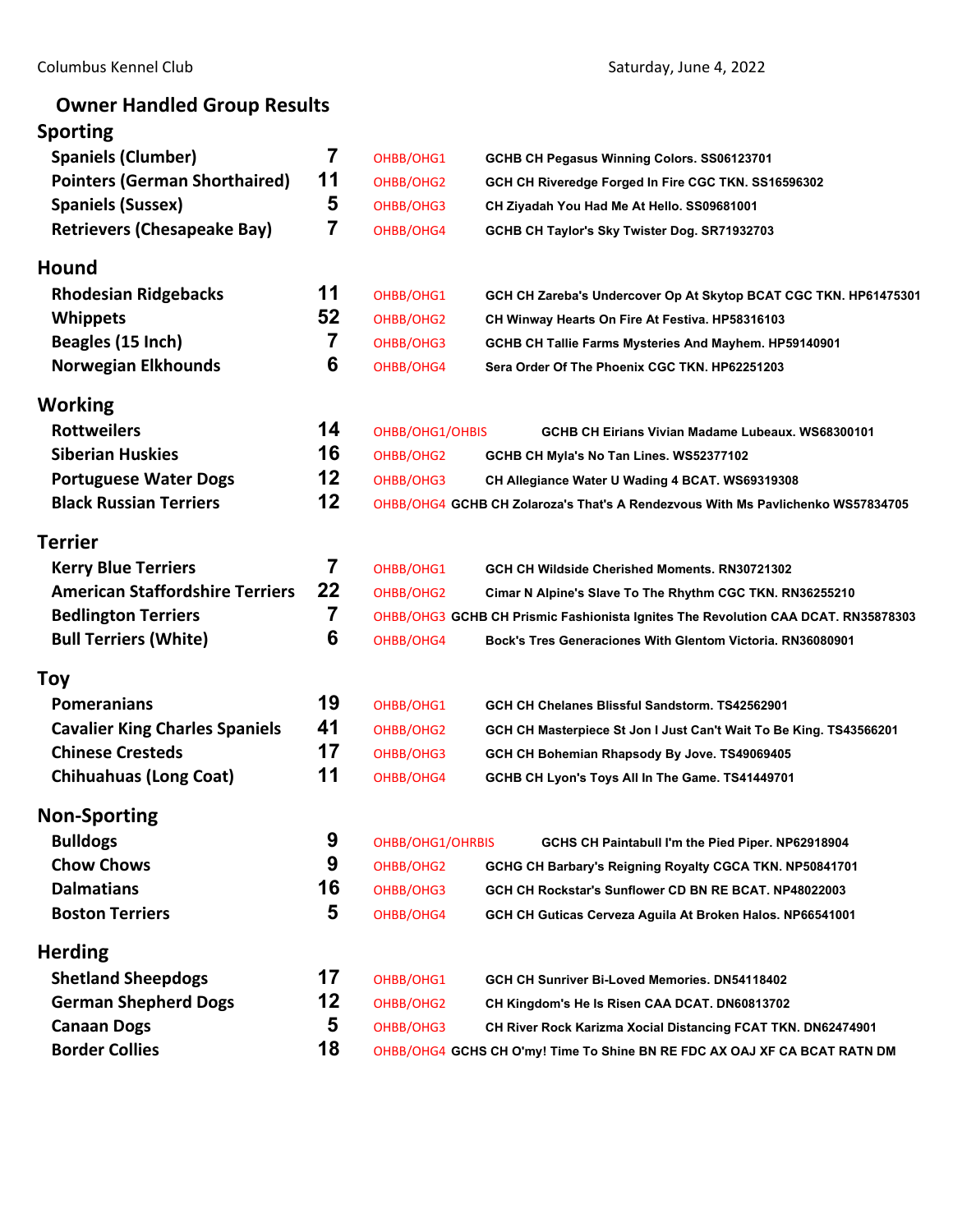# **Owner Handled Group Results**

# **Sporting**

| <b>Spaniels (Clumber)</b>              | 7  | OHBB/OHG1        | GCHB CH Pegasus Winning Colors. SS06123701                                        |
|----------------------------------------|----|------------------|-----------------------------------------------------------------------------------|
| <b>Pointers (German Shorthaired)</b>   | 11 | OHBB/OHG2        | GCH CH Riveredge Forged In Fire CGC TKN. SS16596302                               |
| <b>Spaniels (Sussex)</b>               | 5  | OHBB/OHG3        | CH Ziyadah You Had Me At Hello. SS09681001                                        |
| <b>Retrievers (Chesapeake Bay)</b>     | 7  | OHBB/OHG4        | GCHB CH Taylor's Sky Twister Dog. SR71932703                                      |
| Hound                                  |    |                  |                                                                                   |
| <b>Rhodesian Ridgebacks</b>            | 11 | OHBB/OHG1        | GCH CH Zareba's Undercover Op At Skytop BCAT CGC TKN. HP61475301                  |
| <b>Whippets</b>                        | 52 | OHBB/OHG2        | CH Winway Hearts On Fire At Festiva. HP58316103                                   |
| Beagles (15 Inch)                      | 7  | OHBB/OHG3        | GCHB CH Tallie Farms Mysteries And Mayhem. HP59140901                             |
| <b>Norwegian Elkhounds</b>             | 6  | OHBB/OHG4        | Sera Order Of The Phoenix CGC TKN. HP62251203                                     |
| Working                                |    |                  |                                                                                   |
| <b>Rottweilers</b>                     | 14 | OHBB/OHG1/OHBIS  | GCHB CH Eirians Vivian Madame Lubeaux. WS68300101                                 |
| <b>Siberian Huskies</b>                | 16 | OHBB/OHG2        | GCHB CH Myla's No Tan Lines. WS52377102                                           |
| <b>Portuguese Water Dogs</b>           | 12 | OHBB/OHG3        | CH Allegiance Water U Wading 4 BCAT. WS69319308                                   |
| <b>Black Russian Terriers</b>          | 12 |                  | OHBB/OHG4 GCHB CH Zolaroza's That's A Rendezvous With Ms Pavlichenko WS57834705   |
| Terrier                                |    |                  |                                                                                   |
| <b>Kerry Blue Terriers</b>             | 7  | OHBB/OHG1        | GCH CH Wildside Cherished Moments. RN30721302                                     |
| <b>American Staffordshire Terriers</b> | 22 | OHBB/OHG2        | Cimar N Alpine's Slave To The Rhythm CGC TKN. RN36255210                          |
| <b>Bedlington Terriers</b>             | 7  |                  | OHBB/OHG3 GCHB CH Prismic Fashionista Ignites The Revolution CAA DCAT. RN35878303 |
| <b>Bull Terriers (White)</b>           | 6  | OHBB/OHG4        | Bock's Tres Generaciones With Glentom Victoria. RN36080901                        |
| Toy                                    |    |                  |                                                                                   |
| <b>Pomeranians</b>                     | 19 | OHBB/OHG1        | GCH CH Chelanes Blissful Sandstorm. TS42562901                                    |
| <b>Cavalier King Charles Spaniels</b>  | 41 | OHBB/OHG2        | GCH CH Masterpiece St Jon I Just Can't Wait To Be King. TS43566201                |
| <b>Chinese Cresteds</b>                | 17 | OHBB/OHG3        | GCH CH Bohemian Rhapsody By Jove. TS49069405                                      |
| <b>Chihuahuas (Long Coat)</b>          | 11 | OHBB/OHG4        | GCHB CH Lyon's Toys All In The Game. TS41449701                                   |
| <b>Non-Sporting</b>                    |    |                  |                                                                                   |
| <b>Bulldogs</b>                        | 9  | OHBB/OHG1/OHRBIS | GCHS CH Paintabull I'm the Pied Piper. NP62918904                                 |
| <b>Chow Chows</b>                      | 9  | OHBB/OHG2        | GCHG CH Barbary's Reigning Royalty CGCA TKN. NP50841701                           |
| <b>Dalmatians</b>                      | 16 | OHBB/OHG3        | GCH CH Rockstar's Sunflower CD BN RE BCAT. NP48022003                             |
| <b>Boston Terriers</b>                 | 5  | OHBB/OHG4        | GCH CH Guticas Cerveza Aguila At Broken Halos. NP66541001                         |
| <b>Herding</b>                         |    |                  |                                                                                   |
| <b>Shetland Sheepdogs</b>              | 17 | OHBB/OHG1        | GCH CH Sunriver Bi-Loved Memories. DN54118402                                     |
| <b>German Shepherd Dogs</b>            | 12 | OHBB/OHG2        | CH Kingdom's He Is Risen CAA DCAT. DN60813702                                     |
| <b>Canaan Dogs</b>                     | 5  | OHBB/OHG3        | CH River Rock Karizma Xocial Distancing FCAT TKN. DN62474901                      |
| <b>Border Collies</b>                  | 18 |                  | OHBB/OHG4 GCHS CH O'my! Time To Shine BN RE FDC AX OAJ XF CA BCAT RATN DM         |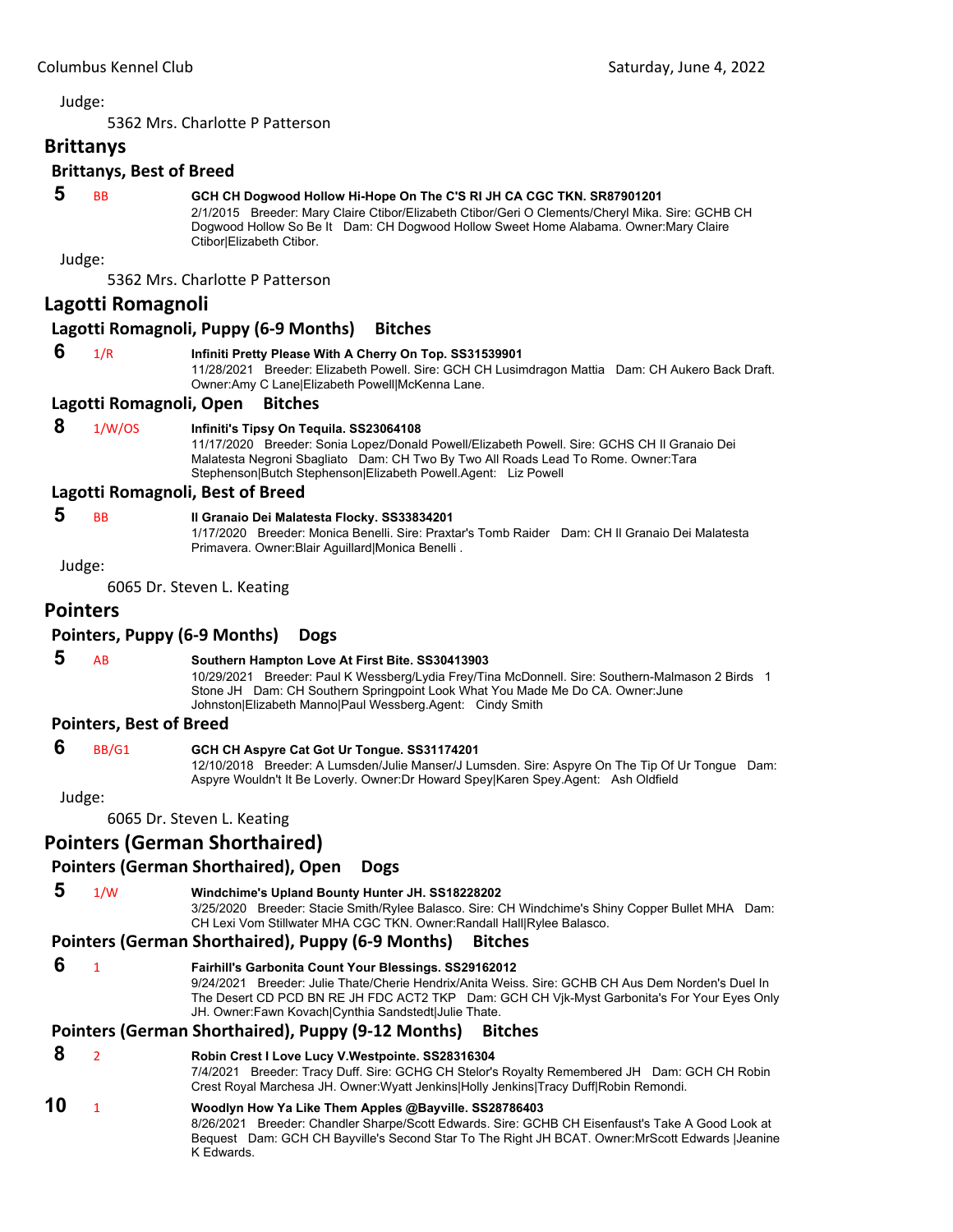5362 Mrs. Charlotte P Patterson

<span id="page-2-0"></span>**Brittanys**

# **Brittanys, Best of Breed**

# **5** BB **GCH CH Dogwood Hollow Hi-Hope On The C'S RI JH CA CGC TKN. SR87901201**

2/1/2015 Breeder: Mary Claire Ctibor/Elizabeth Ctibor/Geri O Clements/Cheryl Mika. Sire: GCHB CH Dogwood Hollow So Be It Dam: CH Dogwood Hollow Sweet Home Alabama. Owner:Mary Claire Ctibor|Elizabeth Ctibor.

Judge:

5362 Mrs. Charlotte P Patterson

#### **Lagotti Romagnoli**

#### **Lagotti Romagnoli, Puppy (6‐9 Months) Bitches**

# **6** 1/R **Infiniti Pretty Please With A Cherry On Top. SS31539901**

11/28/2021 Breeder: Elizabeth Powell. Sire: GCH CH Lusimdragon Mattia Dam: CH Aukero Back Draft. Owner:Amy C Lane|Elizabeth Powell|McKenna Lane.

#### **Lagotti Romagnoli, Open Bitches**

# **8** 1/W/OS **Infiniti's Tipsy On Tequila. SS23064108**

11/17/2020 Breeder: Sonia Lopez/Donald Powell/Elizabeth Powell. Sire: GCHS CH Il Granaio Dei Malatesta Negroni Sbagliato Dam: CH Two By Two All Roads Lead To Rome. Owner:Tara Stephenson|Butch Stephenson|Elizabeth Powell.Agent: Liz Powell

#### **Lagotti Romagnoli, Best of Breed**

# **5** BB **Il Granaio Dei Malatesta Flocky. SS33834201**

1/17/2020 Breeder: Monica Benelli. Sire: Praxtar's Tomb Raider Dam: CH Il Granaio Dei Malatesta Primavera. Owner:Blair Aguillard|Monica Benelli .

# Judge:

6065 Dr. Steven L. Keating

# **Pointers**

# **Pointers, Puppy (6‐9 Months) Dogs**

# **5** AB **Southern Hampton Love At First Bite. SS30413903**

10/29/2021 Breeder: Paul K Wessberg/Lydia Frey/Tina McDonnell. Sire: Southern-Malmason 2 Birds 1 Stone JH Dam: CH Southern Springpoint Look What You Made Me Do CA. Owner:June Johnston|Elizabeth Manno|Paul Wessberg.Agent: Cindy Smith

#### **Pointers, Best of Breed**

#### **6** BB/G1 **GCH CH Aspyre Cat Got Ur Tongue. SS31174201**

12/10/2018 Breeder: A Lumsden/Julie Manser/J Lumsden. Sire: Aspyre On The Tip Of Ur Tongue Dam: Aspyre Wouldn't It Be Loverly. Owner:Dr Howard Spey|Karen Spey.Agent: Ash Oldfield

Judge:

6065 Dr. Steven L. Keating

# **Pointers (German Shorthaired)**

# **Pointers (German Shorthaired), Open Dogs**

 **5** 1/W **Windchime's Upland Bounty Hunter JH. SS18228202** 3/25/2020 Breeder: Stacie Smith/Rylee Balasco. Sire: CH Windchime's Shiny Copper Bullet MHA Dam:

CH Lexi Vom Stillwater MHA CGC TKN. Owner:Randall Hall|Rylee Balasco.

#### **Pointers (German Shorthaired), Puppy (6‐9 Months) Bitches**

 **6** <sup>1</sup> **Fairhill's Garbonita Count Your Blessings. SS29162012** 9/24/2021 Breeder: Julie Thate/Cherie Hendrix/Anita Weiss. Sire: GCHB CH Aus Dem Norden's Duel In The Desert CD PCD BN RE JH FDC ACT2 TKP Dam: GCH CH Vjk-Myst Garbonita's For Your Eyes Only JH. Owner:Fawn Kovach|Cynthia Sandstedt|Julie Thate.

## **Pointers (German Shorthaired), Puppy (9‐12 Months) Bitches**

# **8** <sup>2</sup> **Robin Crest I Love Lucy V.Westpointe. SS28316304**

7/4/2021 Breeder: Tracy Duff. Sire: GCHG CH Stelor's Royalty Remembered JH Dam: GCH CH Robin Crest Royal Marchesa JH. Owner:Wyatt Jenkins|Holly Jenkins|Tracy Duff|Robin Remondi.

# **10** <sup>1</sup> **Woodlyn How Ya Like Them Apples @Bayville. SS28786403**

8/26/2021 Breeder: Chandler Sharpe/Scott Edwards. Sire: GCHB CH Eisenfaust's Take A Good Look at Bequest Dam: GCH CH Bayville's Second Star To The Right JH BCAT. Owner:MrScott Edwards |Jeanine K Edwards.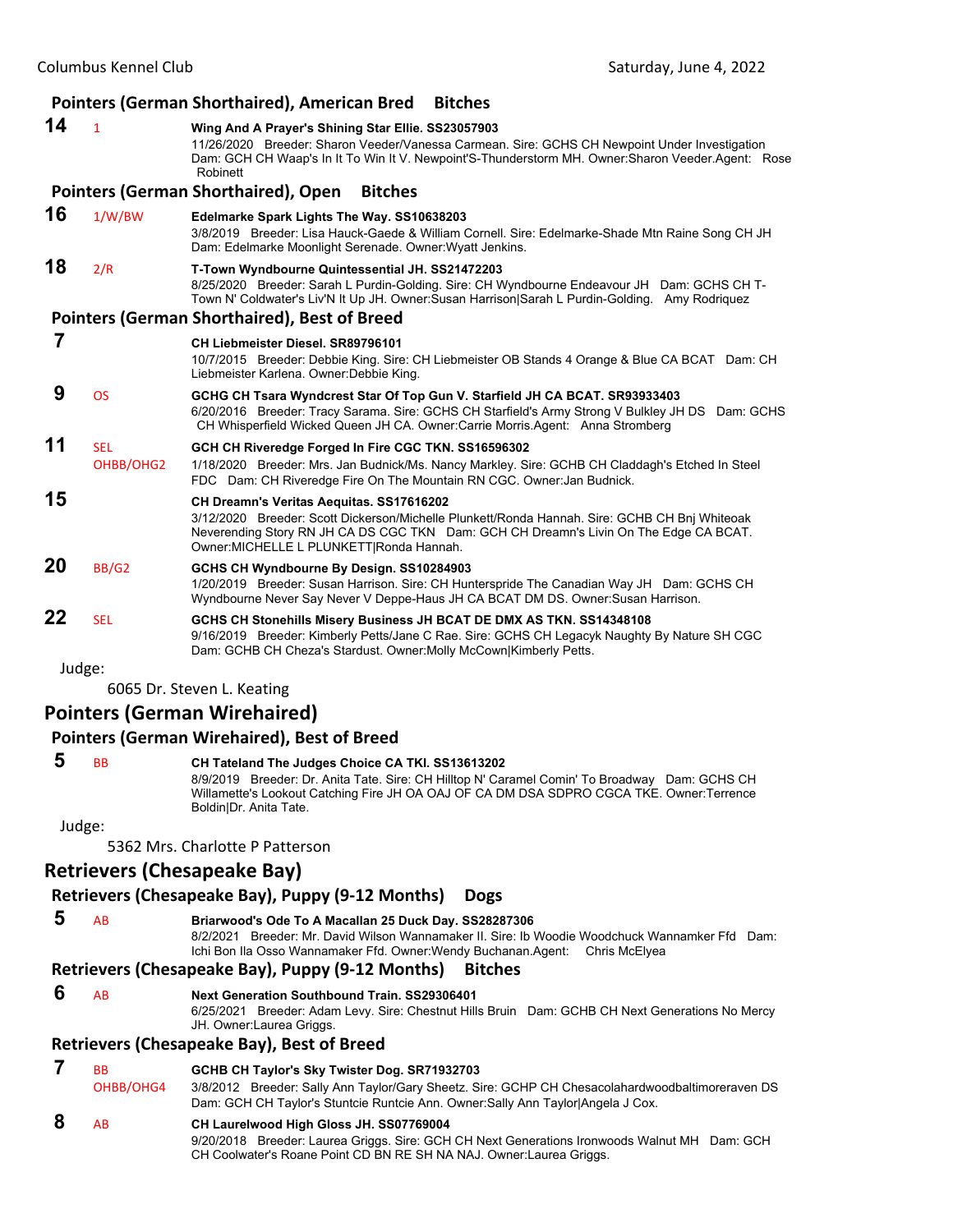|    |                         | Pointers (German Shorthaired), American Bred<br><b>Bitches</b>                                                                                                                                                                                                                 |
|----|-------------------------|--------------------------------------------------------------------------------------------------------------------------------------------------------------------------------------------------------------------------------------------------------------------------------|
| 14 | $\mathbf{1}$            | Wing And A Prayer's Shining Star Ellie. SS23057903<br>11/26/2020 Breeder: Sharon Veeder/Vanessa Carmean. Sire: GCHS CH Newpoint Under Investigation<br>Dam: GCH CH Waap's In It To Win It V. Newpoint'S-Thunderstorm MH. Owner: Sharon Veeder Agent: Rose<br>Robinett          |
|    |                         | <b>Pointers (German Shorthaired), Open</b><br><b>Bitches</b>                                                                                                                                                                                                                   |
| 16 | 1/W/BW                  | Edelmarke Spark Lights The Way. SS10638203<br>3/8/2019 Breeder: Lisa Hauck-Gaede & William Cornell. Sire: Edelmarke-Shade Mtn Raine Song CH JH<br>Dam: Edelmarke Moonlight Serenade. Owner: Wyatt Jenkins.                                                                     |
| 18 | 2/R                     | T-Town Wyndbourne Quintessential JH. SS21472203<br>8/25/2020 Breeder: Sarah L Purdin-Golding. Sire: CH Wyndbourne Endeavour JH Dam: GCHS CH T-<br>Town N' Coldwater's Liv'N It Up JH. Owner: Susan Harrison Sarah L Purdin-Golding. Amy Rodriquez                              |
|    |                         | <b>Pointers (German Shorthaired), Best of Breed</b>                                                                                                                                                                                                                            |
| 7  |                         | CH Liebmeister Diesel. SR89796101<br>10/7/2015 Breeder: Debbie King. Sire: CH Liebmeister OB Stands 4 Orange & Blue CA BCAT Dam: CH<br>Liebmeister Karlena. Owner: Debbie King.                                                                                                |
| 9  | <b>OS</b>               | GCHG CH Tsara Wyndcrest Star Of Top Gun V. Starfield JH CA BCAT. SR93933403<br>6/20/2016 Breeder: Tracy Sarama. Sire: GCHS CH Starfield's Army Strong V Bulkley JH DS Dam: GCHS<br>CH Whisperfield Wicked Queen JH CA. Owner:Carrie Morris.Agent: Anna Stromberg               |
| 11 | <b>SEL</b><br>OHBB/OHG2 | GCH CH Riveredge Forged In Fire CGC TKN. SS16596302<br>1/18/2020 Breeder: Mrs. Jan Budnick/Ms. Nancy Markley. Sire: GCHB CH Claddagh's Etched In Steel<br>FDC Dam: CH Riveredge Fire On The Mountain RN CGC. Owner: Jan Budnick.                                               |
| 15 |                         | CH Dreamn's Veritas Aequitas. SS17616202<br>3/12/2020 Breeder: Scott Dickerson/Michelle Plunkett/Ronda Hannah. Sire: GCHB CH Bnj Whiteoak<br>Neverending Story RN JH CA DS CGC TKN Dam: GCH CH Dreamn's Livin On The Edge CA BCAT.<br>Owner: MICHELLE L PLUNKETT Ronda Hannah. |
| 20 | <b>BB/G2</b>            | GCHS CH Wyndbourne By Design. SS10284903<br>1/20/2019 Breeder: Susan Harrison. Sire: CH Hunterspride The Canadian Way JH Dam: GCHS CH<br>Wyndbourne Never Say Never V Deppe-Haus JH CA BCAT DM DS. Owner: Susan Harrison.                                                      |
| 22 | <b>SEL</b>              | GCHS CH Stonehills Misery Business JH BCAT DE DMX AS TKN. SS14348108<br>9/16/2019 Breeder: Kimberly Petts/Jane C Rae. Sire: GCHS CH Legacyk Naughty By Nature SH CGC<br>Dam: GCHB CH Cheza's Stardust. Owner: Molly McCown Kimberly Petts.                                     |
|    | Judge:                  |                                                                                                                                                                                                                                                                                |
|    |                         | 6065 Dr. Steven L. Keating                                                                                                                                                                                                                                                     |
|    |                         | <b>Pointers (German Wirehaired)</b><br>Deintere (Cermen Wireheired), Deet of Dread                                                                                                                                                                                             |

#### **Pointers (German Wirehaired), Best of Breed**

 **5** BB **CH Tateland The Judges Choice CA TKI. SS13613202** 8/9/2019 Breeder: Dr. Anita Tate. Sire: CH Hilltop N' Caramel Comin' To Broadway Dam: GCHS CH Willamette's Lookout Catching Fire JH OA OAJ OF CA DM DSA SDPRO CGCA TKE. Owner:Terrence Boldin|Dr. Anita Tate.

Judge:

5362 Mrs. Charlotte P Patterson

# **Retrievers (Chesapeake Bay)**

# **Retrievers (Chesapeake Bay), Puppy (9‐12 Months) Dogs**

- 
- **5** AB **Briarwood's Ode To A Macallan 25 Duck Day. SS28287306**
	- 8/2/2021 Breeder: Mr. David Wilson Wannamaker II. Sire: Ib Woodie Woodchuck Wannamker Ffd Dam: Ichi Bon Ila Osso Wannamaker Ffd. Owner:Wendy Buchanan.Agent: Chris McElyea

# **Retrievers (Chesapeake Bay), Puppy (9‐12 Months) Bitches**

- 
- **6** AB **Next Generation Southbound Train. SS29306401**

6/25/2021 Breeder: Adam Levy. Sire: Chestnut Hills Bruin Dam: GCHB CH Next Generations No Mercy JH. Owner:Laurea Griggs.

#### **Retrievers (Chesapeake Bay), Best of Breed**

| <b>BB</b> | GCHB CH Taylor's Sky Twister Dog. SR71932703                                                                                                                                                                    |
|-----------|-----------------------------------------------------------------------------------------------------------------------------------------------------------------------------------------------------------------|
| OHBB/OHG4 | 3/8/2012 Breeder: Sally Ann Taylor/Gary Sheetz. Sire: GCHP CH Chesacolahardwoodbaltimoreraven DS<br>Dam: GCH CH Taylor's Stuntcie Runtcie Ann. Owner: Sally Ann Taylor Angela J Cox.                            |
| <b>AR</b> | CH Laurelwood High Gloss JH. SS07769004<br>9/20/2018 Breeder: Laurea Griggs. Sire: GCH CH Next Generations Ironwoods Walnut MH Dam: GCH<br>CH Coolwater's Roane Point CD BN RE SH NA NAJ. Owner: Laurea Griggs. |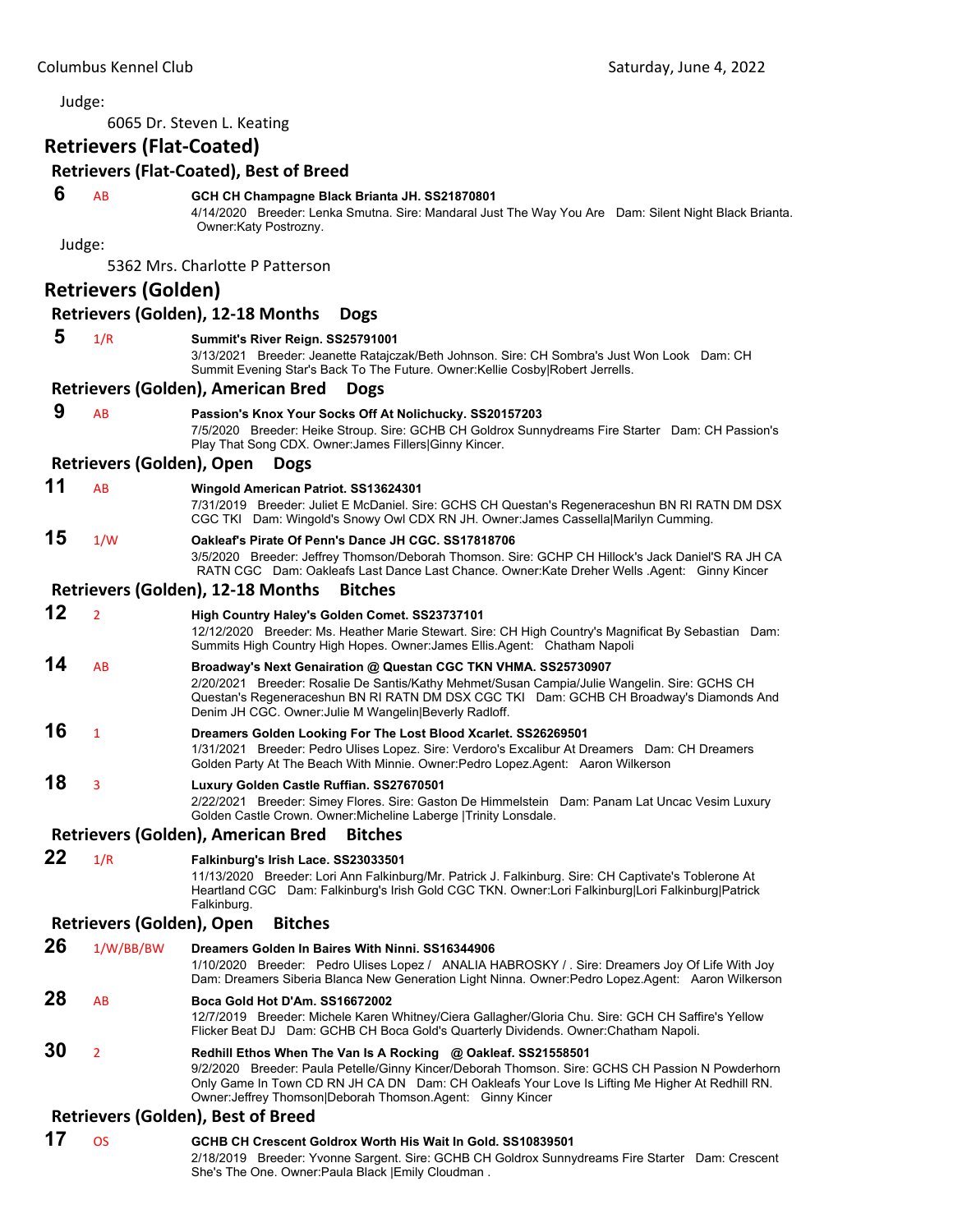6065 Dr. Steven L. Keating

# **Retrievers (Flat‐Coated)**

#### **Retrievers (Flat‐Coated), Best of Breed**

#### **6** AB **GCH CH Champagne Black Brianta JH. SS21870801**

4/14/2020 Breeder: Lenka Smutna. Sire: Mandaral Just The Way You Are Dam: Silent Night Black Brianta. Owner:Katy Postrozny.

Judge:

|    |                                  | 5362 Mrs. Charlotte P Patterson                                                                                                                                                                                                                                                                                     |
|----|----------------------------------|---------------------------------------------------------------------------------------------------------------------------------------------------------------------------------------------------------------------------------------------------------------------------------------------------------------------|
|    | <b>Retrievers (Golden)</b>       |                                                                                                                                                                                                                                                                                                                     |
|    |                                  | Retrievers (Golden), 12-18 Months<br><b>Dogs</b>                                                                                                                                                                                                                                                                    |
| 5  | 1/R                              | Summit's River Reign. SS25791001<br>3/13/2021 Breeder: Jeanette Ratajczak/Beth Johnson. Sire: CH Sombra's Just Won Look Dam: CH<br>Summit Evening Star's Back To The Future. Owner: Kellie Cosby   Robert Jerrells.                                                                                                 |
|    |                                  | Retrievers (Golden), American Bred<br><b>Dogs</b>                                                                                                                                                                                                                                                                   |
| 9  | AB                               | Passion's Knox Your Socks Off At Nolichucky. SS20157203<br>7/5/2020 Breeder: Heike Stroup. Sire: GCHB CH Goldrox Sunnydreams Fire Starter Dam: CH Passion's<br>Play That Song CDX. Owner: James Fillers Ginny Kincer.                                                                                               |
|    | <b>Retrievers (Golden), Open</b> | <b>Dogs</b>                                                                                                                                                                                                                                                                                                         |
| 11 | AB                               | Wingold American Patriot. SS13624301<br>7/31/2019 Breeder: Juliet E McDaniel. Sire: GCHS CH Questan's Regeneraceshun BN RI RATN DM DSX<br>CGC TKI Dam: Wingold's Snowy Owl CDX RN JH. Owner: James Cassella Marilyn Cumming.                                                                                        |
| 15 | 1/W                              | Oakleaf's Pirate Of Penn's Dance JH CGC, SS17818706<br>3/5/2020 Breeder: Jeffrey Thomson/Deborah Thomson. Sire: GCHP CH Hillock's Jack Daniel'S RA JH CA<br>RATN CGC Dam: Oakleafs Last Dance Last Chance. Owner: Kate Dreher Wells Agent: Ginny Kincer                                                             |
|    |                                  | Retrievers (Golden), 12-18 Months<br><b>Bitches</b>                                                                                                                                                                                                                                                                 |
| 12 | $\overline{2}$                   | High Country Haley's Golden Comet. SS23737101<br>12/12/2020 Breeder: Ms. Heather Marie Stewart. Sire: CH High Country's Magnificat By Sebastian Dam:<br>Summits High Country High Hopes. Owner: James Ellis. Agent: Chatham Napoli                                                                                  |
| 14 | AB                               | Broadway's Next Genairation @ Questan CGC TKN VHMA. SS25730907<br>2/20/2021 Breeder: Rosalie De Santis/Kathy Mehmet/Susan Campia/Julie Wangelin, Sire: GCHS CH<br>Questan's Regeneraceshun BN RI RATN DM DSX CGC TKI Dam: GCHB CH Broadway's Diamonds And<br>Denim JH CGC. Owner: Julie M Wangelin Beverly Radloff. |
| 16 | $\mathbf{1}$                     | Dreamers Golden Looking For The Lost Blood Xcarlet. SS26269501<br>1/31/2021 Breeder: Pedro Ulises Lopez. Sire: Verdoro's Excalibur At Dreamers Dam: CH Dreamers<br>Golden Party At The Beach With Minnie. Owner:Pedro Lopez.Agent: Aaron Wilkerson                                                                  |
| 18 | 3                                | Luxury Golden Castle Ruffian. SS27670501<br>2/22/2021 Breeder: Simey Flores. Sire: Gaston De Himmelstein Dam: Panam Lat Uncac Vesim Luxury<br>Golden Castle Crown. Owner: Micheline Laberge   Trinity Lonsdale.                                                                                                     |
|    |                                  | Retrievers (Golden), American Bred<br><b>Bitches</b>                                                                                                                                                                                                                                                                |
| 22 | 1/R                              | Falkinburg's Irish Lace. SS23033501<br>11/13/2020 Breeder: Lori Ann Falkinburg/Mr. Patrick J. Falkinburg. Sire: CH Captivate's Toblerone At<br>Heartland CGC Dam: Falkinburg's Irish Gold CGC TKN. Owner:Lori Falkinburg Lori Falkinburg Patrick<br>Falkinburg.                                                     |

#### **Retrievers (Golden), Open Bitches**

**26** 1/W/BB/BW **Dreamers Golden In Baires With Ninni. SS16344906** 1/10/2020 Breeder: Pedro Ulises Lopez / ANALIA HABROSKY / . Sire: Dreamers Joy Of Life With Joy Dam: Dreamers Siberia Blanca New Generation Light Ninna. Owner:Pedro Lopez.Agent: Aaron Wilkerson **28** AB **Boca Gold Hot D'Am. SS16672002** 12/7/2019 Breeder: Michele Karen Whitney/Ciera Gallagher/Gloria Chu. Sire: GCH CH Saffire's Yellow Flicker Beat DJ Dam: GCHB CH Boca Gold's Quarterly Dividends. Owner:Chatham Napoli. **30** <sup>2</sup> **Redhill Ethos When The Van Is A Rocking @ Oakleaf. SS21558501** 9/2/2020 Breeder: Paula Petelle/Ginny Kincer/Deborah Thomson. Sire: GCHS CH Passion N Powderhorn Only Game In Town CD RN JH CA DN Dam: CH Oakleafs Your Love Is Lifting Me Higher At Redhill RN. Owner:Jeffrey Thomson|Deborah Thomson.Agent: Ginny Kincer

#### **Retrievers (Golden), Best of Breed**

**17** OS **GCHB CH Crescent Goldrox Worth His Wait In Gold. SS10839501** 2/18/2019 Breeder: Yvonne Sargent. Sire: GCHB CH Goldrox Sunnydreams Fire Starter Dam: Crescent She's The One. Owner:Paula Black |Emily Cloudman .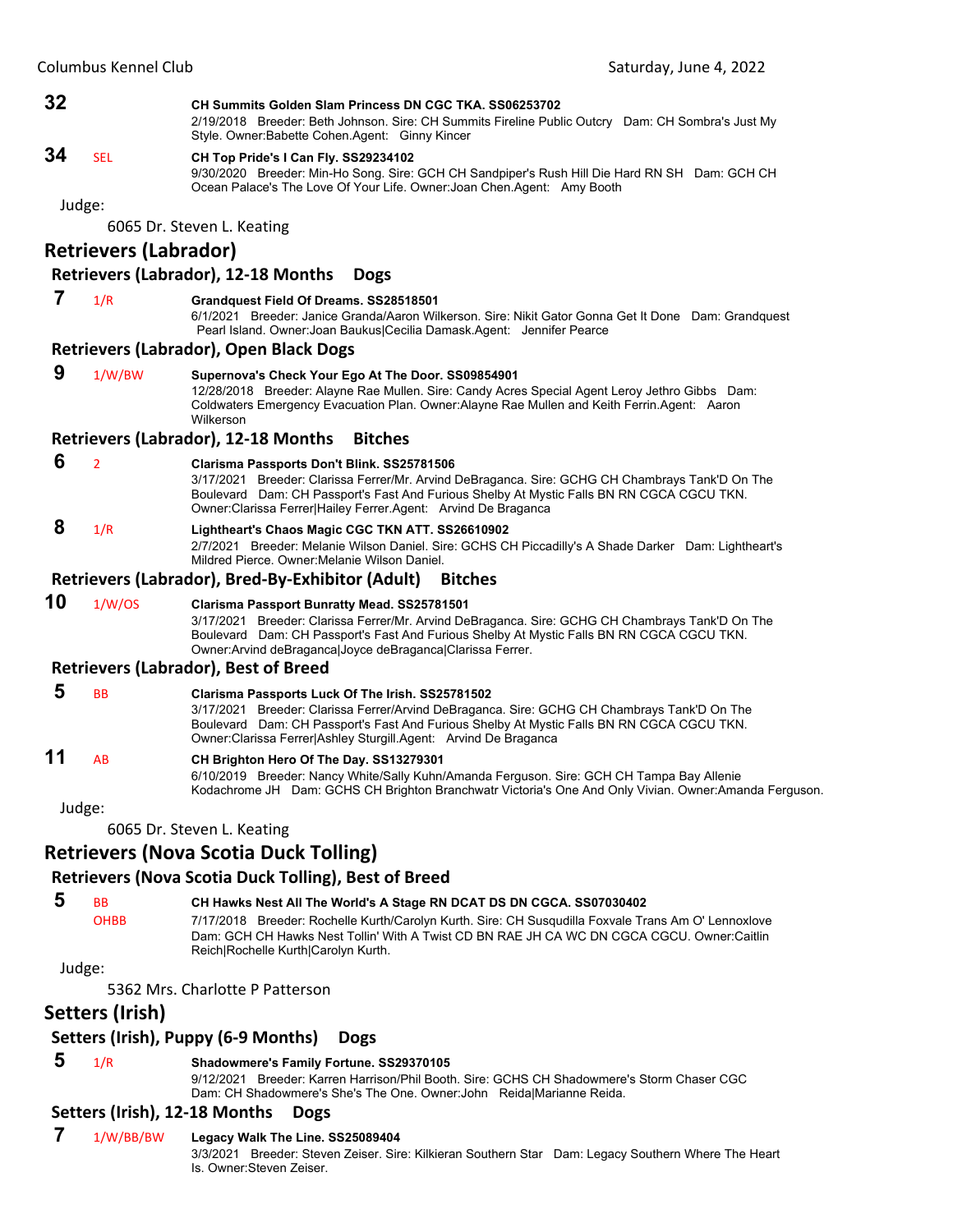#### **32 CH Summits Golden Slam Princess DN CGC TKA. SS06253702**

2/19/2018 Breeder: Beth Johnson. Sire: CH Summits Fireline Public Outcry Dam: CH Sombra's Just My Style. Owner:Babette Cohen.Agent: Ginny Kincer

# **34** SEL **CH Top Pride's I Can Fly. SS29234102**

9/30/2020 Breeder: Min-Ho Song. Sire: GCH CH Sandpiper's Rush Hill Die Hard RN SH Dam: GCH CH Ocean Palace's The Love Of Your Life. Owner:Joan Chen.Agent: Amy Booth

Judge:

6065 Dr. Steven L. Keating

# **Retrievers (Labrador)**

# **Retrievers (Labrador), 12‐18 Months Dogs**

#### **7** 1/R **Grandquest Field Of Dreams. SS28518501**

6/1/2021 Breeder: Janice Granda/Aaron Wilkerson. Sire: Nikit Gator Gonna Get It Done Dam: Grandquest Pearl Island. Owner:Joan Baukus|Cecilia Damask.Agent: Jennifer Pearce

#### **Retrievers (Labrador), Open Black Dogs**

 **9** 1/W/BW **Supernova's Check Your Ego At The Door. SS09854901** 12/28/2018 Breeder: Alayne Rae Mullen. Sire: Candy Acres Special Agent Leroy Jethro Gibbs Dam: Coldwaters Emergency Evacuation Plan. Owner:Alayne Rae Mullen and Keith Ferrin.Agent: Aaron Wilkerson

#### **Retrievers (Labrador), 12‐18 Months Bitches**

#### **6** <sup>2</sup> **Clarisma Passports Don't Blink. SS25781506**

3/17/2021 Breeder: Clarissa Ferrer/Mr. Arvind DeBraganca. Sire: GCHG CH Chambrays Tank'D On The Boulevard Dam: CH Passport's Fast And Furious Shelby At Mystic Falls BN RN CGCA CGCU TKN. Owner:Clarissa Ferrer|Hailey Ferrer.Agent: Arvind De Braganca

# **8** 1/R **Lightheart's Chaos Magic CGC TKN ATT. SS26610902**

2/7/2021 Breeder: Melanie Wilson Daniel. Sire: GCHS CH Piccadilly's A Shade Darker Dam: Lightheart's Mildred Pierce. Owner:Melanie Wilson Daniel.

#### **Retrievers (Labrador), Bred‐By‐Exhibitor (Adult) Bitches**

| 10 | 1/W/OS | Clarisma Passport Bunratty Mead. SS25781501                                                     |
|----|--------|-------------------------------------------------------------------------------------------------|
|    |        | 3/17/2021 Breeder: Clarissa Ferrer/Mr. Arvind DeBraganca. Sire: GCHG CH Chambrays Tank'D On The |
|    |        | Boulevard Dam: CH Passport's Fast And Furious Shelby At Mystic Falls BN RN CGCA CGCU TKN.       |
|    |        | Owner: Arvind de Bragancal Joyce de Bragancal Clarissa Ferrer.                                  |
|    |        |                                                                                                 |

#### **Retrievers (Labrador), Best of Breed**

 **5** BB **Clarisma Passports Luck Of The Irish. SS25781502** 3/17/2021 Breeder: Clarissa Ferrer/Arvind DeBraganca. Sire: GCHG CH Chambrays Tank'D On The Boulevard Dam: CH Passport's Fast And Furious Shelby At Mystic Falls BN RN CGCA CGCU TKN. Owner:Clarissa Ferrer|Ashley Sturgill.Agent: Arvind De Braganca

# **11** AB **CH Brighton Hero Of The Day. SS13279301**

6/10/2019 Breeder: Nancy White/Sally Kuhn/Amanda Ferguson. Sire: GCH CH Tampa Bay Allenie Kodachrome JH Dam: GCHS CH Brighton Branchwatr Victoria's One And Only Vivian. Owner:Amanda Ferguson.

Judge:

6065 Dr. Steven L. Keating

# **Retrievers (Nova Scotia Duck Tolling)**

## **Retrievers (Nova Scotia Duck Tolling), Best of Breed**

 **5** BB **CH Hawks Nest All The World's A Stage RN DCAT DS DN CGCA. SS07030402**

OHBB 7/17/2018 Breeder: Rochelle Kurth/Carolyn Kurth. Sire: CH Susqudilla Foxvale Trans Am O' Lennoxlove Dam: GCH CH Hawks Nest Tollin' With A Twist CD BN RAE JH CA WC DN CGCA CGCU. Owner:Caitlin Reich|Rochelle Kurth|Carolyn Kurth.

Judge:

5362 Mrs. Charlotte P Patterson

# **Setters (Irish)**

# **Setters (Irish), Puppy (6‐9 Months) Dogs**

# **5** 1/R **Shadowmere's Family Fortune. SS29370105**

9/12/2021 Breeder: Karren Harrison/Phil Booth. Sire: GCHS CH Shadowmere's Storm Chaser CGC Dam: CH Shadowmere's She's The One. Owner:John Reida|Marianne Reida.

# **Setters (Irish), 12‐18 Months Dogs**

# **7** 1/W/BB/BW **Legacy Walk The Line. SS25089404**

3/3/2021 Breeder: Steven Zeiser. Sire: Kilkieran Southern Star Dam: Legacy Southern Where The Heart Is. Owner:Steven Zeiser.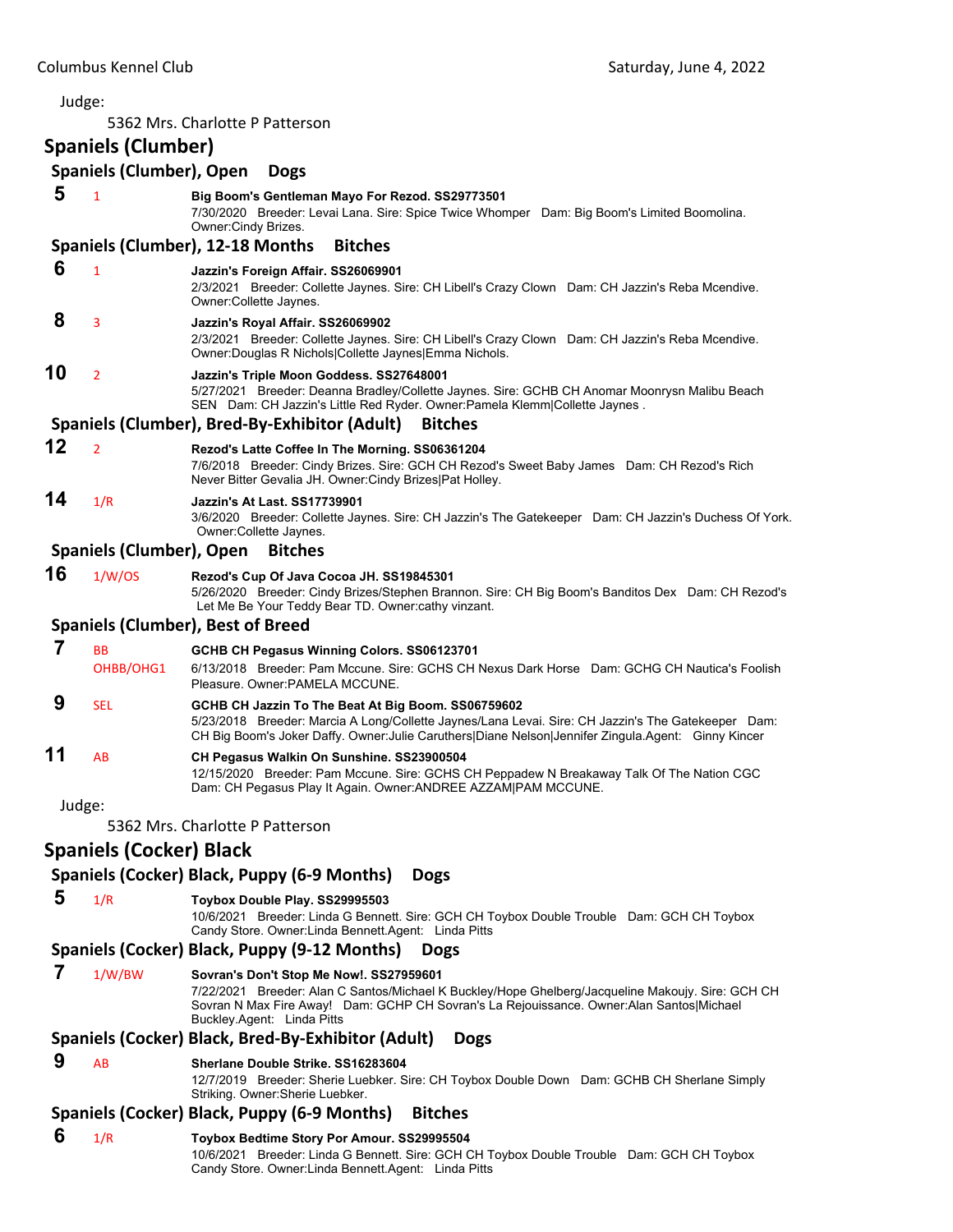#### Judge: 5362 Mrs. Charlotte P Patterson **Spaniels (Clumber) Spaniels (Clumber), Open Dogs 5** <sup>1</sup> **Big Boom's Gentleman Mayo For Rezod. SS29773501** 7/30/2020 Breeder: Levai Lana. Sire: Spice Twice Whomper Dam: Big Boom's Limited Boomolina. Owner:Cindy Brizes. **Spaniels (Clumber), 12‐18 Months Bitches 6** <sup>1</sup> **Jazzin's Foreign Affair. SS26069901** 2/3/2021 Breeder: Collette Jaynes. Sire: CH Libell's Crazy Clown Dam: CH Jazzin's Reba Mcendive. Owner:Collette Jaynes.  **8** <sup>3</sup> **Jazzin's Royal Affair. SS26069902** 2/3/2021 Breeder: Collette Jaynes. Sire: CH Libell's Crazy Clown Dam: CH Jazzin's Reba Mcendive. Owner:Douglas R Nichols|Collette Jaynes|Emma Nichols. **10** <sup>2</sup> **Jazzin's Triple Moon Goddess. SS27648001** 5/27/2021 Breeder: Deanna Bradley/Collette Jaynes. Sire: GCHB CH Anomar Moonrysn Malibu Beach SEN Dam: CH Jazzin's Little Red Ryder. Owner:Pamela Klemm|Collette Jaynes . **Spaniels (Clumber), Bred‐By‐Exhibitor (Adult) Bitches 12** <sup>2</sup> **Rezod's Latte Coffee In The Morning. SS06361204** 7/6/2018 Breeder: Cindy Brizes. Sire: GCH CH Rezod's Sweet Baby James Dam: CH Rezod's Rich Never Bitter Gevalia JH. Owner:Cindy Brizes|Pat Holley. **14** 1/R **Jazzin's At Last. SS17739901** 3/6/2020 Breeder: Collette Jaynes. Sire: CH Jazzin's The Gatekeeper Dam: CH Jazzin's Duchess Of York. Owner:Collette Jaynes. **Spaniels (Clumber), Open Bitches 16** 1/W/OS **Rezod's Cup Of Java Cocoa JH. SS19845301** 5/26/2020 Breeder: Cindy Brizes/Stephen Brannon. Sire: CH Big Boom's Banditos Dex Dam: CH Rezod's Let Me Be Your Teddy Bear TD. Owner:cathy vinzant. **Spaniels (Clumber), Best of Breed 7** BB **GCHB CH Pegasus Winning Colors. SS06123701** OHBB/OHG1 6/13/2018 Breeder: Pam Mccune. Sire: GCHS CH Nexus Dark Horse Dam: GCHG CH Nautica's Foolish Pleasure. Owner:PAMELA MCCUNE.  **9** SEL **GCHB CH Jazzin To The Beat At Big Boom. SS06759602** 5/23/2018 Breeder: Marcia A Long/Collette Jaynes/Lana Levai. Sire: CH Jazzin's The Gatekeeper Dam: CH Big Boom's Joker Daffy. Owner:Julie Caruthers|Diane Nelson|Jennifer Zingula.Agent: Ginny Kincer **11** AB **CH Pegasus Walkin On Sunshine. SS23900504** 12/15/2020 Breeder: Pam Mccune. Sire: GCHS CH Peppadew N Breakaway Talk Of The Nation CGC Dam: CH Pegasus Play It Again. Owner:ANDREE AZZAM|PAM MCCUNE. Judge: 5362 Mrs. Charlotte P Patterson **Spaniels (Cocker) Black Spaniels (Cocker) Black, Puppy (6‐9 Months) Dogs 5** 1/R **Toybox Double Play. SS29995503** 10/6/2021 Breeder: Linda G Bennett. Sire: GCH CH Toybox Double Trouble Dam: GCH CH Toybox Candy Store. Owner:Linda Bennett.Agent: Linda Pitts **Spaniels (Cocker) Black, Puppy (9‐12 Months) Dogs 7** 1/W/BW **Sovran's Don't Stop Me Now!. SS27959601** 7/22/2021 Breeder: Alan C Santos/Michael K Buckley/Hope Ghelberg/Jacqueline Makoujy. Sire: GCH CH Sovran N Max Fire Away! Dam: GCHP CH Sovran's La Rejouissance. Owner:Alan Santos|Michael Buckley.Agent: Linda Pitts

#### **Spaniels (Cocker) Black, Bred‐By‐Exhibitor (Adult) Dogs**

 **9** AB **Sherlane Double Strike. SS16283604**

12/7/2019 Breeder: Sherie Luebker. Sire: CH Toybox Double Down Dam: GCHB CH Sherlane Simply Striking. Owner:Sherie Luebker.

#### **Spaniels (Cocker) Black, Puppy (6‐9 Months) Bitches**

- **6** 1/R **Toybox Bedtime Story Por Amour. SS29995504**
	- 10/6/2021 Breeder: Linda G Bennett. Sire: GCH CH Toybox Double Trouble Dam: GCH CH Toybox Candy Store. Owner:Linda Bennett.Agent: Linda Pitts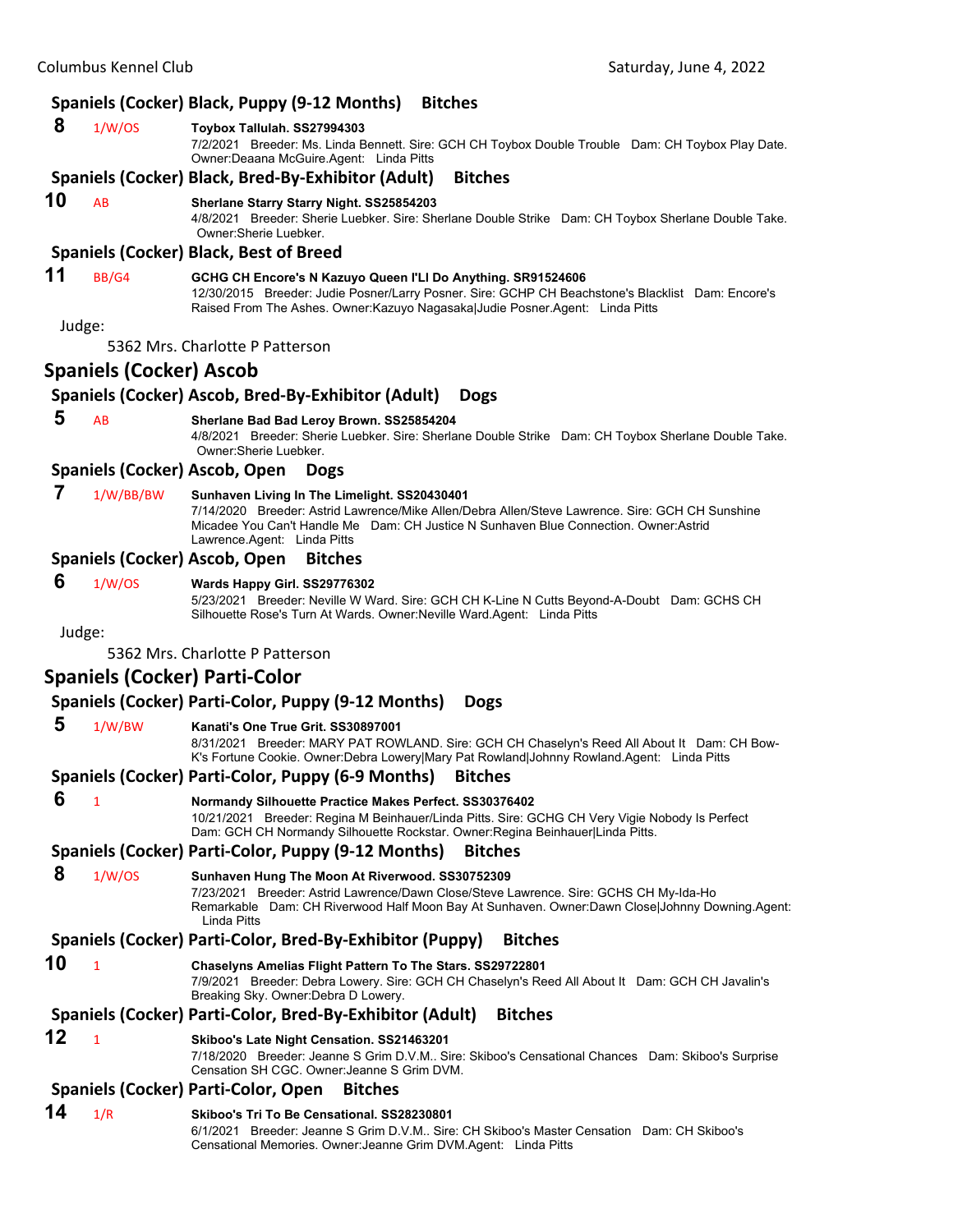# **Spaniels (Cocker) Black, Puppy (9‐12 Months) Bitches**

|        | shanneis (c                    | $\frac{1}{2}$                                                                                                                                                                                                                                                          |
|--------|--------------------------------|------------------------------------------------------------------------------------------------------------------------------------------------------------------------------------------------------------------------------------------------------------------------|
| 8      | 1/W/OS                         | Toybox Tallulah. SS27994303<br>7/2/2021 Breeder: Ms. Linda Bennett. Sire: GCH CH Toybox Double Trouble Dam: CH Toybox Play Date.<br>Owner: Deaana McGuire. Agent: Linda Pitts                                                                                          |
|        |                                | Spaniels (Cocker) Black, Bred-By-Exhibitor (Adult)<br><b>Bitches</b>                                                                                                                                                                                                   |
| 10     | AB                             | Sherlane Starry Starry Night. SS25854203<br>4/8/2021 Breeder: Sherie Luebker. Sire: Sherlane Double Strike Dam: CH Toybox Sherlane Double Take.<br>Owner: Sherie Luebker.                                                                                              |
|        |                                | <b>Spaniels (Cocker) Black, Best of Breed</b>                                                                                                                                                                                                                          |
| 11     | BB/G4                          | GCHG CH Encore's N Kazuyo Queen I'LI Do Anything. SR91524606<br>12/30/2015 Breeder: Judie Posner/Larry Posner. Sire: GCHP CH Beachstone's Blacklist Dam: Encore's<br>Raised From The Ashes. Owner: Kazuyo Nagasaka Judie Posner. Agent: Linda Pitts                    |
| Judge: |                                |                                                                                                                                                                                                                                                                        |
|        |                                | 5362 Mrs. Charlotte P Patterson                                                                                                                                                                                                                                        |
|        | <b>Spaniels (Cocker) Ascob</b> |                                                                                                                                                                                                                                                                        |
|        |                                | Spaniels (Cocker) Ascob, Bred-By-Exhibitor (Adult)<br><b>Dogs</b>                                                                                                                                                                                                      |
| 5      | AB                             | Sherlane Bad Bad Leroy Brown. SS25854204<br>4/8/2021 Breeder: Sherie Luebker. Sire: Sherlane Double Strike Dam: CH Toybox Sherlane Double Take.<br>Owner:Sherie Luebker.                                                                                               |
|        |                                | Spaniels (Cocker) Ascob, Open<br><b>Dogs</b>                                                                                                                                                                                                                           |
| 7      | 1/W/BB/BW                      | Sunhaven Living In The Limelight. SS20430401<br>7/14/2020 Breeder: Astrid Lawrence/Mike Allen/Debra Allen/Steve Lawrence. Sire: GCH CH Sunshine<br>Micadee You Can't Handle Me Dam: CH Justice N Sunhaven Blue Connection. Owner:Astrid<br>Lawrence.Agent: Linda Pitts |
|        |                                | Spaniels (Cocker) Ascob, Open<br><b>Bitches</b>                                                                                                                                                                                                                        |
| 6      | 1/W/OS                         | Wards Happy Girl. SS29776302<br>5/23/2021 Breeder: Neville W Ward. Sire: GCH CH K-Line N Cutts Beyond-A-Doubt Dam: GCHS CH<br>Silhouette Rose's Turn At Wards. Owner: Neville Ward. Agent: Linda Pitts                                                                 |
| Judge: |                                |                                                                                                                                                                                                                                                                        |
|        |                                | 5362 Mrs. Charlotte P Patterson                                                                                                                                                                                                                                        |
|        |                                | <b>Spaniels (Cocker) Parti-Color</b>                                                                                                                                                                                                                                   |
|        |                                | Spaniels (Cocker) Parti-Color, Puppy (9-12 Months)<br><b>Dogs</b>                                                                                                                                                                                                      |
| 5      | 1/W/BW                         | Kanati's One True Grit. SS30897001<br>8/31/2021 Breeder: MARY PAT ROWLAND. Sire: GCH CH Chaselyn's Reed All About It Dam: CH Bow-<br>K's Fortune Cookie. Owner:Debra Lowery Mary Pat Rowland Johnny Rowland.Agent: Linda Pitts                                         |
|        |                                | Spaniels (Cocker) Parti-Color, Puppy (6-9 Months)<br><b>Bitches</b>                                                                                                                                                                                                    |
| 6      | $\mathbf{1}$                   | Normandy Silhouette Practice Makes Perfect. SS30376402<br>10/21/2021 Breeder: Regina M Beinhauer/Linda Pitts. Sire: GCHG CH Very Vigie Nobody Is Perfect<br>Dam: GCH CH Normandy Silhouette Rockstar. Owner: Regina Beinhauer Linda Pitts.                             |
|        |                                | Spaniels (Cocker) Parti-Color, Puppy (9-12 Months)<br><b>Bitches</b>                                                                                                                                                                                                   |
| 8      | 1/W/OS                         | Sunhaven Hung The Moon At Riverwood. SS30752309<br>7/23/2021 Breeder: Astrid Lawrence/Dawn Close/Steve Lawrence. Sire: GCHS CH My-Ida-Ho<br>Remarkable Dam: CH Riverwood Half Moon Bay At Sunhaven. Owner:Dawn Close Johnny Downing.Agent:<br>Linda Pitts              |
|        |                                | Spaniels (Cocker) Parti-Color, Bred-By-Exhibitor (Puppy)<br><b>Bitches</b>                                                                                                                                                                                             |
| 10     | $\mathbf{1}$                   | Chaselyns Amelias Flight Pattern To The Stars. SS29722801<br>7/9/2021 Breeder: Debra Lowery. Sire: GCH CH Chaselyn's Reed All About It Dam: GCH CH Javalin's<br>Breaking Sky. Owner: Debra D Lowery.                                                                   |
|        |                                | Spaniels (Cocker) Parti-Color, Bred-By-Exhibitor (Adult)<br><b>Bitches</b>                                                                                                                                                                                             |
| 12     | $\mathbf{1}$                   | Skiboo's Late Night Censation. SS21463201<br>7/18/2020 Breeder: Jeanne S Grim D.V.M Sire: Skiboo's Censational Chances Dam: Skiboo's Surprise<br>Censation SH CGC, Owner Jeanne S Grim DVM.                                                                            |
|        |                                | Spaniels (Cocker) Parti-Color, Open<br><b>Bitches</b>                                                                                                                                                                                                                  |
| 14     | 1/R                            | Skiboo's Tri To Be Censational, SS28230801<br>6/1/2021 Breeder: Jeanne S Grim D.V.M Sire: CH Skiboo's Master Censation Dam: CH Skiboo's<br>Censational Memories. Owner: Jeanne Grim DVM.Agent: Linda Pitts                                                             |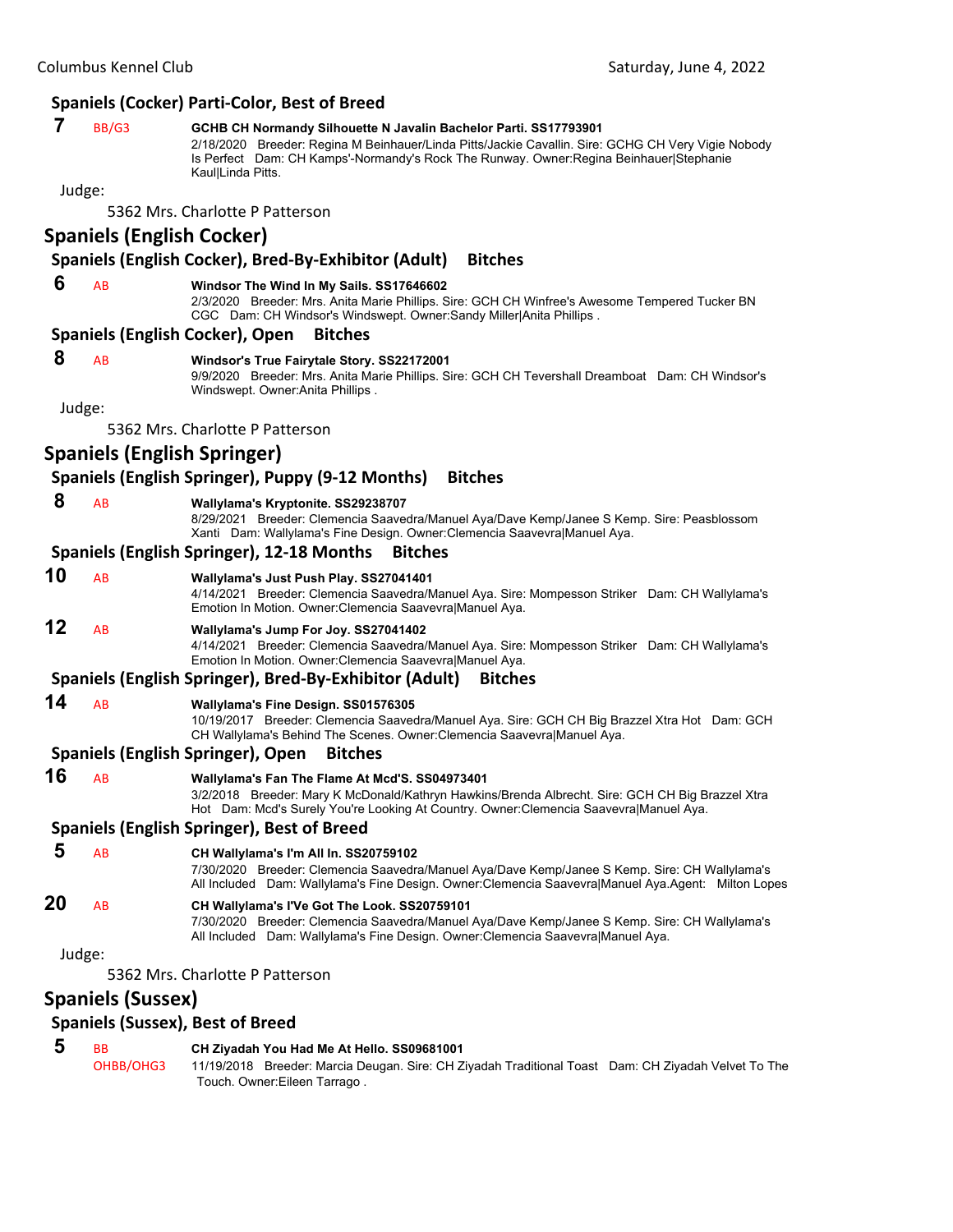#### **Spaniels (Cocker) Parti‐Color, Best of Breed**

# **7** BB/G3 **GCHB CH Normandy Silhouette N Javalin Bachelor Parti. SS17793901**

2/18/2020 Breeder: Regina M Beinhauer/Linda Pitts/Jackie Cavallin. Sire: GCHG CH Very Vigie Nobody Is Perfect Dam: CH Kamps'-Normandy's Rock The Runway. Owner:Regina Beinhauer|Stephanie Kaul|Linda Pitts.

#### Judge:

5362 Mrs. Charlotte P Patterson

# **Spaniels (English Cocker)**

#### **Spaniels (English Cocker), Bred‐By‐Exhibitor (Adult) Bitches**

#### **6** AB **Windsor The Wind In My Sails. SS17646602**

2/3/2020 Breeder: Mrs. Anita Marie Phillips. Sire: GCH CH Winfree's Awesome Tempered Tucker BN CGC Dam: CH Windsor's Windswept. Owner:Sandy Miller|Anita Phillips .

#### **Spaniels (English Cocker), Open Bitches**

#### **8** AB **Windsor's True Fairytale Story. SS22172001**

9/9/2020 Breeder: Mrs. Anita Marie Phillips. Sire: GCH CH Tevershall Dreamboat Dam: CH Windsor's Windswept. Owner:Anita Phillips .

Judge:

5362 Mrs. Charlotte P Patterson

# **Spaniels (English Springer)**

#### **Spaniels (English Springer), Puppy (9‐12 Months) Bitches**

 **8** AB **Wallylama's Kryptonite. SS29238707**

8/29/2021 Breeder: Clemencia Saavedra/Manuel Aya/Dave Kemp/Janee S Kemp. Sire: Peasblossom Xanti Dam: Wallylama's Fine Design. Owner:Clemencia Saavevra|Manuel Aya.

#### **Spaniels (English Springer), 12‐18 Months Bitches**

#### **10** AB **Wallylama's Just Push Play. SS27041401**

4/14/2021 Breeder: Clemencia Saavedra/Manuel Aya. Sire: Mompesson Striker Dam: CH Wallylama's Emotion In Motion. Owner:Clemencia Saavevra|Manuel Aya.

# **12** AB **Wallylama's Jump For Joy. SS27041402**

4/14/2021 Breeder: Clemencia Saavedra/Manuel Aya. Sire: Mompesson Striker Dam: CH Wallylama's Emotion In Motion. Owner:Clemencia Saavevra|Manuel Aya.

#### **Spaniels (English Springer), Bred‐By‐Exhibitor (Adult) Bitches**

#### **14** AB **Wallylama's Fine Design. SS01576305**

10/19/2017 Breeder: Clemencia Saavedra/Manuel Aya. Sire: GCH CH Big Brazzel Xtra Hot Dam: GCH CH Wallylama's Behind The Scenes. Owner:Clemencia Saavevra|Manuel Aya.

#### **Spaniels (English Springer), Open Bitches**

#### **16** AB **Wallylama's Fan The Flame At Mcd'S. SS04973401**

3/2/2018 Breeder: Mary K McDonald/Kathryn Hawkins/Brenda Albrecht. Sire: GCH CH Big Brazzel Xtra Hot Dam: Mcd's Surely You're Looking At Country. Owner:Clemencia Saavevra|Manuel Aya.

#### **Spaniels (English Springer), Best of Breed**

 **5** AB **CH Wallylama's I'm All In. SS20759102** 7/30/2020 Breeder: Clemencia Saavedra/Manuel Aya/Dave Kemp/Janee S Kemp. Sire: CH Wallylama's All Included Dam: Wallylama's Fine Design. Owner:Clemencia Saavevra|Manuel Aya.Agent: Milton Lopes

# **20** AB **CH Wallylama's I'Ve Got The Look. SS20759101**

7/30/2020 Breeder: Clemencia Saavedra/Manuel Aya/Dave Kemp/Janee S Kemp. Sire: CH Wallylama's All Included Dam: Wallylama's Fine Design. Owner:Clemencia Saavevra|Manuel Aya.

Judge:

#### 5362 Mrs. Charlotte P Patterson

#### **Spaniels (Sussex)**

#### **Spaniels (Sussex), Best of Breed**

# **5** BB **CH Ziyadah You Had Me At Hello. SS09681001**

OHBB/OHG3 11/19/2018 Breeder: Marcia Deugan. Sire: CH Ziyadah Traditional Toast Dam: CH Ziyadah Velvet To The Touch. Owner:Eileen Tarrago .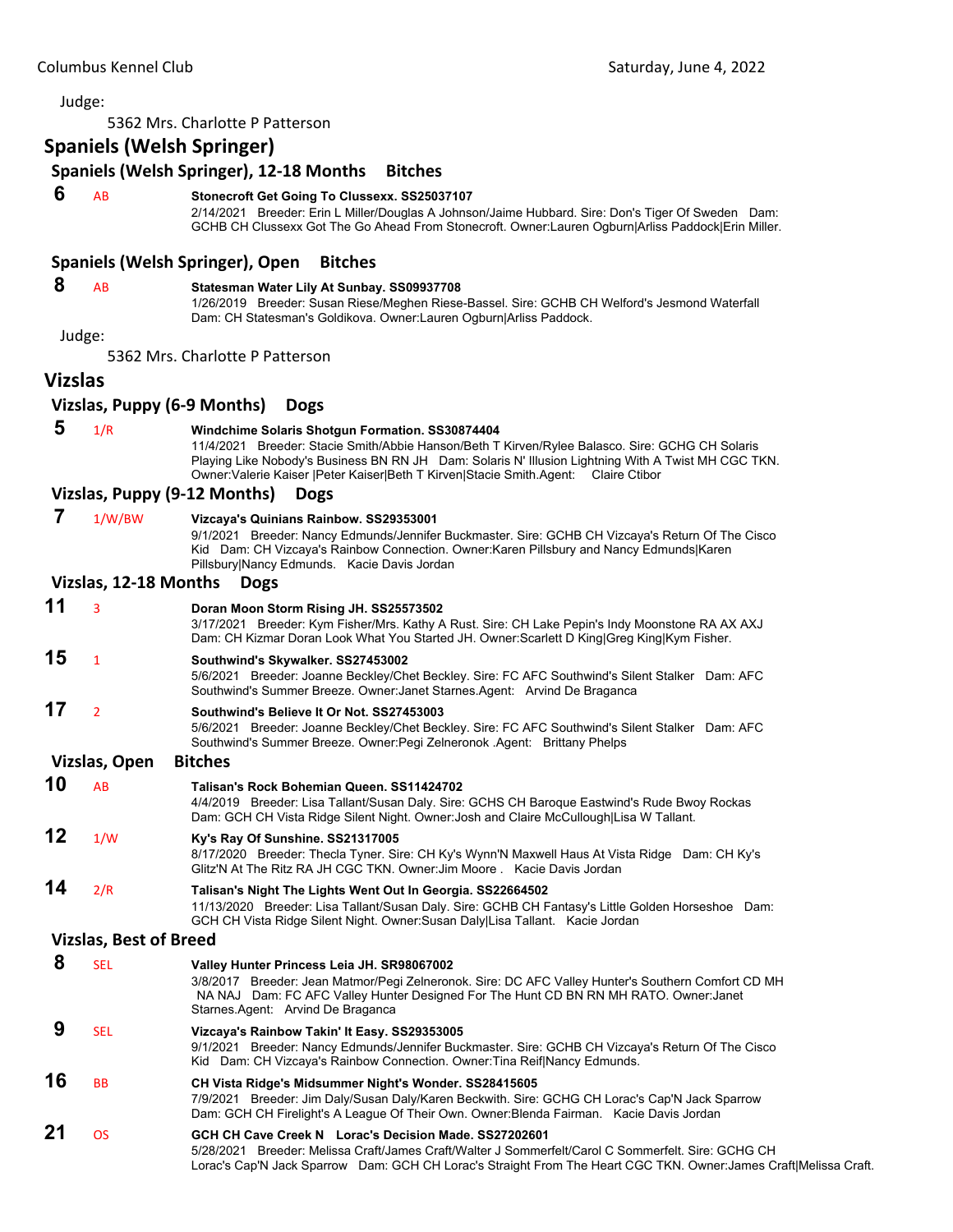5362 Mrs. Charlotte P Patterson

# **Spaniels (Welsh Springer)**

# **Spaniels (Welsh Springer), 12‐18 Months Bitches**

# **6** AB **Stonecroft Get Going To Clussexx. SS25037107**

2/14/2021 Breeder: Erin L Miller/Douglas A Johnson/Jaime Hubbard. Sire: Don's Tiger Of Sweden Dam: GCHB CH Clussexx Got The Go Ahead From Stonecroft. Owner:Lauren Ogburn|Arliss Paddock|Erin Miller.

#### **Spaniels (Welsh Springer), Open Bitches**

#### **8** AB **Statesman Water Lily At Sunbay. SS09937708**

1/26/2019 Breeder: Susan Riese/Meghen Riese-Bassel. Sire: GCHB CH Welford's Jesmond Waterfall Dam: CH Statesman's Goldikova. Owner:Lauren Ogburn|Arliss Paddock.

Judge:

5362 Mrs. Charlotte P Patterson

#### **Vizslas**

#### **Vizslas, Puppy (6‐9 Months) Dogs**

 **5** 1/R **Windchime Solaris Shotgun Formation. SS30874404** 11/4/2021 Breeder: Stacie Smith/Abbie Hanson/Beth T Kirven/Rylee Balasco. Sire: GCHG CH Solaris Playing Like Nobody's Business BN RN JH Dam: Solaris N' Illusion Lightning With A Twist MH CGC TKN. Owner:Valerie Kaiser |Peter Kaiser|Beth T Kirven|Stacie Smith.Agent: Claire Ctibor

#### **Vizslas, Puppy (9‐12 Months) Dogs**

 **7** 1/W/BW **Vizcaya's Quinians Rainbow. SS29353001** 9/1/2021 Breeder: Nancy Edmunds/Jennifer Buckmaster. Sire: GCHB CH Vizcaya's Return Of The Cisco Kid Dam: CH Vizcaya's Rainbow Connection. Owner:Karen Pillsbury and Nancy Edmunds|Karen Pillsbury|Nancy Edmunds. Kacie Davis Jordan **Vizslas, 12‐18 Months Dogs 11** <sup>3</sup> **Doran Moon Storm Rising JH. SS25573502** 3/17/2021 Breeder: Kym Fisher/Mrs. Kathy A Rust. Sire: CH Lake Pepin's Indy Moonstone RA AX AXJ Dam: CH Kizmar Doran Look What You Started JH. Owner:Scarlett D King|Greg King|Kym Fisher. **15** <sup>1</sup> **Southwind's Skywalker. SS27453002**

5/6/2021 Breeder: Joanne Beckley/Chet Beckley. Sire: FC AFC Southwind's Silent Stalker Dam: AFC Southwind's Summer Breeze. Owner:Janet Starnes.Agent: Arvind De Braganca

# **17** <sup>2</sup> **Southwind's Believe It Or Not. SS27453003**

5/6/2021 Breeder: Joanne Beckley/Chet Beckley. Sire: FC AFC Southwind's Silent Stalker Dam: AFC Southwind's Summer Breeze. Owner:Pegi Zelneronok .Agent: Brittany Phelps

#### **Vizslas, Open Bitches**

| 10 | AR  | Talisan's Rock Bohemian Queen. SS11424702<br>4/4/2019 Breeder: Lisa Tallant/Susan Daly. Sire: GCHS CH Baroque Eastwind's Rude Bwoy Rockas<br>Dam: GCH CH Vista Ridge Silent Night. Owner: Josh and Claire McCullough Lisa W Tallant.             |
|----|-----|--------------------------------------------------------------------------------------------------------------------------------------------------------------------------------------------------------------------------------------------------|
| 12 | 1/W | Ky's Ray Of Sunshine. SS21317005<br>8/17/2020 Breeder: Thecla Tyner. Sire: CH Ky's Wynn'N Maxwell Haus At Vista Ridge Dam: CH Ky's<br>Glitz'N At The Ritz RA JH CGC TKN, Owner: Jim Moore, Kacie Davis Jordan                                    |
| 14 | 2/R | Talisan's Night The Lights Went Out In Georgia. SS22664502<br>11/13/2020 Breeder: Lisa Tallant/Susan Daly. Sire: GCHB CH Fantasy's Little Golden Horseshoe Dam:<br>GCH CH Vista Ridge Silent Night. Owner: Susan Daly Lisa Tallant. Kacie Jordan |

#### **Vizslas, Best of Breed**

|    | <b>SEL</b> | Valley Hunter Princess Leia JH. SR98067002<br>3/8/2017 Breeder: Jean Matmor/Pegi Zelneronok. Sire: DC AFC Valley Hunter's Southern Comfort CD MH<br>Dam: FC AFC Valley Hunter Designed For The Hunt CD BN RN MH RATO. Owner: Janet<br>NA NAJ<br>Starnes Agent: Arvind De Braganca |
|----|------------|-----------------------------------------------------------------------------------------------------------------------------------------------------------------------------------------------------------------------------------------------------------------------------------|
|    | <b>SEL</b> | Vizcaya's Rainbow Takin' It Easy. SS29353005<br>9/1/2021 Breeder: Nancy Edmunds/Jennifer Buckmaster. Sire: GCHB CH Vizcaya's Return Of The Cisco<br>Kid Dam: CH Vizcaya's Rainbow Connection. Owner: Tina Reif Nancy Edmunds.                                                     |
| 16 | <b>BB</b>  | CH Vista Ridge's Midsummer Night's Wonder. SS28415605<br>7/9/2021 Breeder: Jim Daly/Susan Daly/Karen Beckwith. Sire: GCHG CH Lorac's Cap'N Jack Sparrow<br>Dam: GCH CH Firelight's A League Of Their Own. Owner: Blenda Fairman. Kacie Davis Jordan                               |
| 21 | 0S         | GCH CH Cave Creek N Lorac's Decision Made, SS27202601<br>5/28/2021 Breeder: Melissa Craft/James Craft/Walter J Sommerfelt/Carol C Sommerfelt, Sire: GCHG CH<br>Lorac's Cap'N Jack Sparrow Dam: GCH CH Lorac's Straight From The Heart CGC TKN. Owner:James Craft Melissa Craft.   |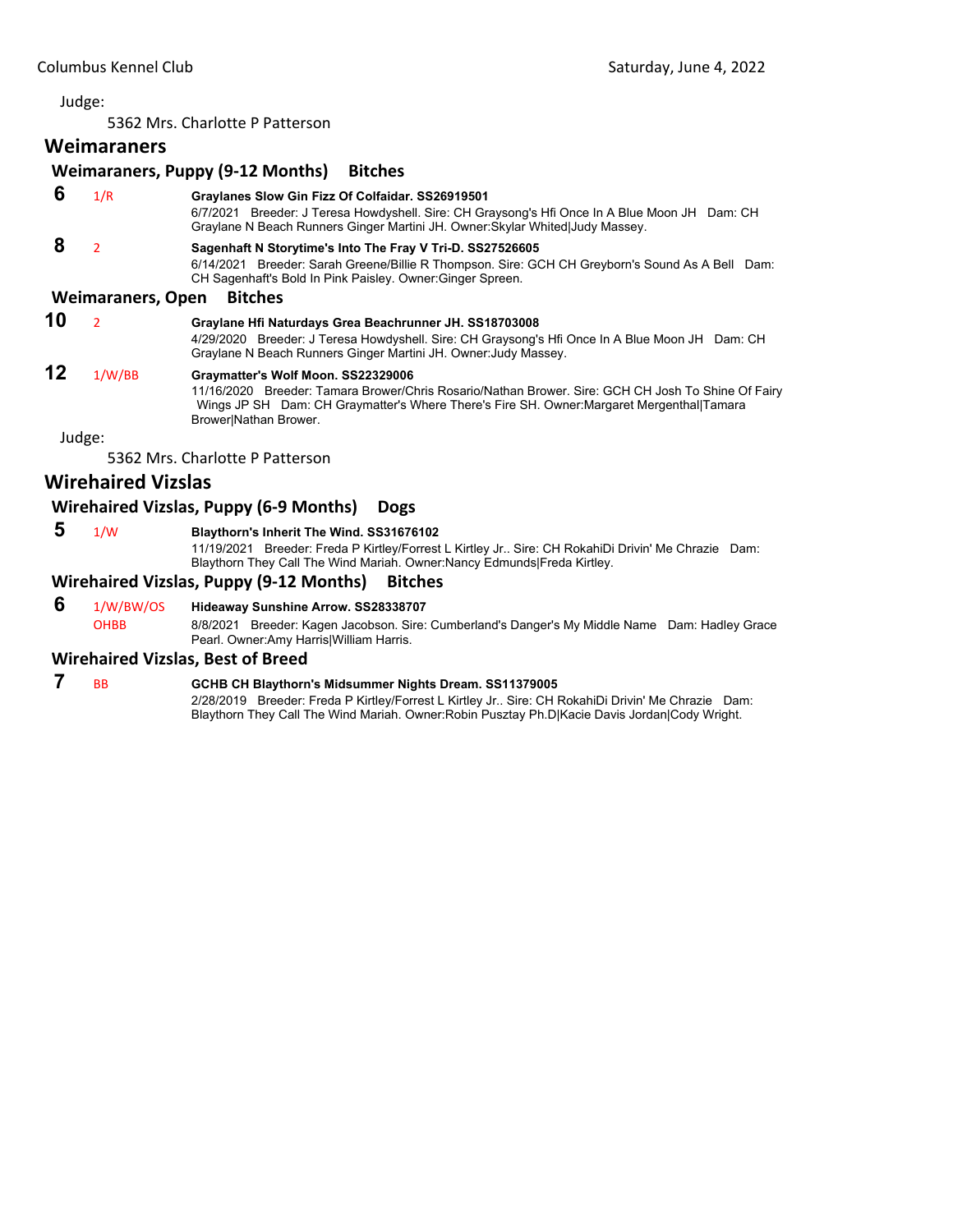5362 Mrs. Charlotte P Patterson

# **Weimaraners**

## **Weimaraners, Puppy (9‐12 Months) Bitches**

- **6** 1/R **Graylanes Slow Gin Fizz Of Colfaidar. SS26919501** 6/7/2021 Breeder: J Teresa Howdyshell. Sire: CH Graysong's Hfi Once In A Blue Moon JH Dam: CH Graylane N Beach Runners Ginger Martini JH. Owner:Skylar Whited|Judy Massey.  **8** <sup>2</sup> **Sagenhaft N Storytime's Into The Fray V Tri-D. SS27526605** 6/14/2021 Breeder: Sarah Greene/Billie R Thompson. Sire: GCH CH Greyborn's Sound As A Bell Dam: CH Sagenhaft's Bold In Pink Paisley. Owner:Ginger Spreen. **Weimaraners, Open Bitches 10** <sup>2</sup> **Graylane Hfi Naturdays Grea Beachrunner JH. SS18703008**
	- 4/29/2020 Breeder: J Teresa Howdyshell. Sire: CH Graysong's Hfi Once In A Blue Moon JH Dam: CH Graylane N Beach Runners Ginger Martini JH. Owner:Judy Massey.

# **12** 1/W/BB **Graymatter's Wolf Moon. SS22329006**

11/16/2020 Breeder: Tamara Brower/Chris Rosario/Nathan Brower. Sire: GCH CH Josh To Shine Of Fairy Wings JP SH Dam: CH Graymatter's Where There's Fire SH. Owner:Margaret Mergenthal|Tamara Brower|Nathan Brower.

Judge:

5362 Mrs. Charlotte P Patterson

# **Wirehaired Vizslas**

## **Wirehaired Vizslas, Puppy (6‐9 Months) Dogs**

- 
- **5** 1/W **Blaythorn's Inherit The Wind. SS31676102**

11/19/2021 Breeder: Freda P Kirtley/Forrest L Kirtley Jr.. Sire: CH RokahiDi Drivin' Me Chrazie Dam: Blaythorn They Call The Wind Mariah. Owner:Nancy Edmunds|Freda Kirtley.

#### **Wirehaired Vizslas, Puppy (9‐12 Months) Bitches**

 **6** 1/W/BW/OS **Hideaway Sunshine Arrow. SS28338707** OHBB 8/8/2021 Breeder: Kagen Jacobson. Sire: Cumberland's Danger's My Middle Name Dam: Hadley Grace Pearl. Owner:Amy Harris|William Harris.

#### **Wirehaired Vizslas, Best of Breed**

#### **7** BB **GCHB CH Blaythorn's Midsummer Nights Dream. SS11379005** 2/28/2019 Breeder: Freda P Kirtley/Forrest L Kirtley Jr.. Sire: CH RokahiDi Drivin' Me Chrazie Dam: Blaythorn They Call The Wind Mariah. Owner:Robin Pusztay Ph.D|Kacie Davis Jordan|Cody Wright.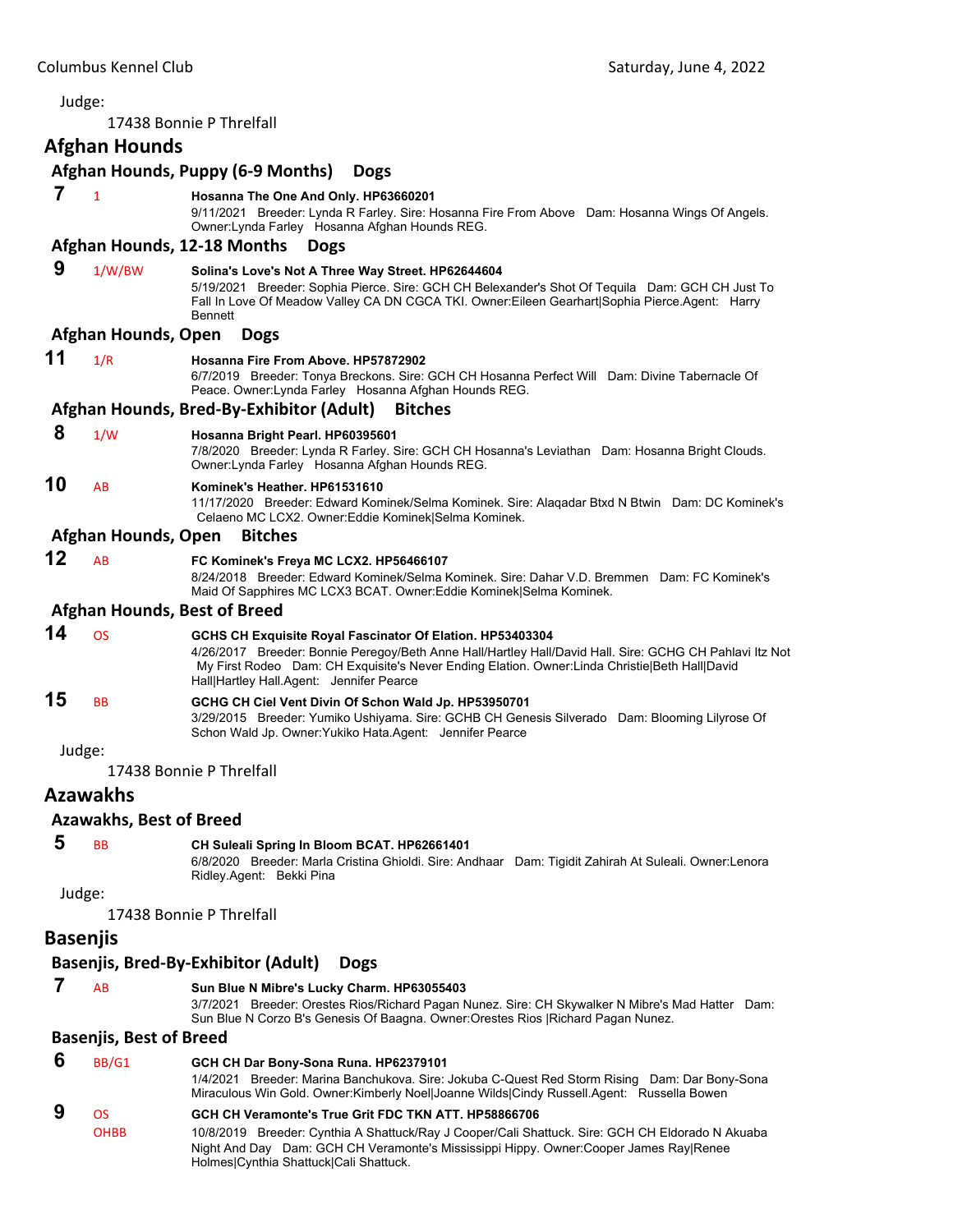<span id="page-11-0"></span>

|    | Judge:                         |                                                                                                                                                                                                                                                                                                                    |
|----|--------------------------------|--------------------------------------------------------------------------------------------------------------------------------------------------------------------------------------------------------------------------------------------------------------------------------------------------------------------|
|    |                                | 17438 Bonnie P Threlfall                                                                                                                                                                                                                                                                                           |
|    | <b>Afghan Hounds</b>           |                                                                                                                                                                                                                                                                                                                    |
|    |                                | Afghan Hounds, Puppy (6-9 Months)<br><b>Dogs</b>                                                                                                                                                                                                                                                                   |
| 7  | $\mathbf{1}$                   | Hosanna The One And Only. HP63660201                                                                                                                                                                                                                                                                               |
|    |                                | 9/11/2021 Breeder: Lynda R Farley. Sire: Hosanna Fire From Above Dam: Hosanna Wings Of Angels.<br>Owner: Lynda Farley Hosanna Afghan Hounds REG.                                                                                                                                                                   |
|    |                                | Afghan Hounds, 12-18 Months<br><b>Dogs</b>                                                                                                                                                                                                                                                                         |
| 9  | 1/W/BW                         | Solina's Love's Not A Three Way Street. HP62644604<br>5/19/2021 Breeder: Sophia Pierce. Sire: GCH CH Belexander's Shot Of Tequila Dam: GCH CH Just To<br>Fall In Love Of Meadow Valley CA DN CGCA TKI. Owner: Eileen Gearhart   Sophia Pierce. Agent: Harry<br><b>Bennett</b>                                      |
|    | Afghan Hounds, Open            | <b>Dogs</b>                                                                                                                                                                                                                                                                                                        |
| 11 | 1/R                            | Hosanna Fire From Above. HP57872902<br>6/7/2019 Breeder: Tonya Breckons. Sire: GCH CH Hosanna Perfect Will Dam: Divine Tabernacle Of<br>Peace. Owner: Lynda Farley Hosanna Afghan Hounds REG.                                                                                                                      |
|    |                                | Afghan Hounds, Bred-By-Exhibitor (Adult)<br><b>Bitches</b>                                                                                                                                                                                                                                                         |
| 8  | 1/W                            | Hosanna Bright Pearl. HP60395601<br>7/8/2020 Breeder: Lynda R Farley. Sire: GCH CH Hosanna's Leviathan Dam: Hosanna Bright Clouds.<br>Owner: Lynda Farley Hosanna Afghan Hounds REG.                                                                                                                               |
| 10 | AB                             | Kominek's Heather. HP61531610<br>11/17/2020 Breeder: Edward Kominek/Selma Kominek. Sire: Alaqadar Btxd N Btwin Dam: DC Kominek's<br>Celaeno MC LCX2. Owner:Eddie Kominek Selma Kominek.                                                                                                                            |
|    | Afghan Hounds, Open            | <b>Bitches</b>                                                                                                                                                                                                                                                                                                     |
| 12 | AB                             | FC Kominek's Freya MC LCX2. HP56466107<br>8/24/2018 Breeder: Edward Kominek/Selma Kominek. Sire: Dahar V.D. Bremmen Dam: FC Kominek's<br>Maid Of Sapphires MC LCX3 BCAT. Owner: Eddie Kominek Selma Kominek.                                                                                                       |
|    |                                | <b>Afghan Hounds, Best of Breed</b>                                                                                                                                                                                                                                                                                |
| 14 | <b>OS</b>                      | GCHS CH Exquisite Royal Fascinator Of Elation. HP53403304<br>4/26/2017 Breeder: Bonnie Peregoy/Beth Anne Hall/Hartley Hall/David Hall. Sire: GCHG CH Pahlavi Itz Not<br>My First Rodeo Dam: CH Exquisite's Never Ending Elation. Owner: Linda Christie Beth Hall David<br>Hall Hartley Hall.Agent: Jennifer Pearce |
| 15 | <b>BB</b>                      | GCHG CH Ciel Vent Divin Of Schon Wald Jp. HP53950701<br>3/29/2015 Breeder: Yumiko Ushiyama. Sire: GCHB CH Genesis Silverado Dam: Blooming Lilyrose Of<br>Schon Wald Jp. Owner: Yukiko Hata. Agent: Jennifer Pearce                                                                                                 |
|    | Judge:                         |                                                                                                                                                                                                                                                                                                                    |
|    |                                | 17438 Bonnie P Threlfall                                                                                                                                                                                                                                                                                           |
|    | <b>Azawakhs</b>                |                                                                                                                                                                                                                                                                                                                    |
|    | <b>Azawakhs, Best of Breed</b> |                                                                                                                                                                                                                                                                                                                    |
| 5  | <b>BB</b>                      | CH Suleali Spring In Bloom BCAT. HP62661401<br>6/8/2020 Breeder: Marla Cristina Ghioldi. Sire: Andhaar Dam: Tigidit Zahirah At Suleali. Owner:Lenora<br>Ridley Agent: Bekki Pina                                                                                                                                   |
|    | Judge:                         |                                                                                                                                                                                                                                                                                                                    |
|    |                                | 17438 Bonnie P Threlfall                                                                                                                                                                                                                                                                                           |
|    | <b>Basenjis</b>                |                                                                                                                                                                                                                                                                                                                    |
|    |                                | Basenjis, Bred-By-Exhibitor (Adult)<br><b>Dogs</b>                                                                                                                                                                                                                                                                 |
| 7  | AB                             | Sun Blue N Mibre's Lucky Charm. HP63055403<br>3/7/2021 Breeder: Orestes Rios/Richard Pagan Nunez. Sire: CH Skywalker N Mibre's Mad Hatter Dam:<br>Sun Blue N Corzo B's Genesis Of Baagna. Owner:Orestes Rios   Richard Pagan Nunez.                                                                                |
|    | <b>Basenjis, Best of Breed</b> |                                                                                                                                                                                                                                                                                                                    |
| 6  | BB/G1                          | GCH CH Dar Bony-Sona Runa. HP62379101<br>1/4/2021 Breeder: Marina Banchukova. Sire: Jokuba C-Quest Red Storm Rising Dam: Dar Bony-Sona<br>Miraculous Win Gold. Owner:Kimberly Noel Joanne Wilds Cindy Russell.Agent: Russella Bowen                                                                                |
| 9  | <b>OS</b>                      | GCH CH Veramonte's True Grit FDC TKN ATT. HP58866706                                                                                                                                                                                                                                                               |

OHBB 10/8/2019 Breeder: Cynthia A Shattuck/Ray J Cooper/Cali Shattuck. Sire: GCH CH Eldorado N Akuaba Night And Day Dam: GCH CH Veramonte's Mississippi Hippy. Owner:Cooper James Ray|Renee Holmes|Cynthia Shattuck|Cali Shattuck.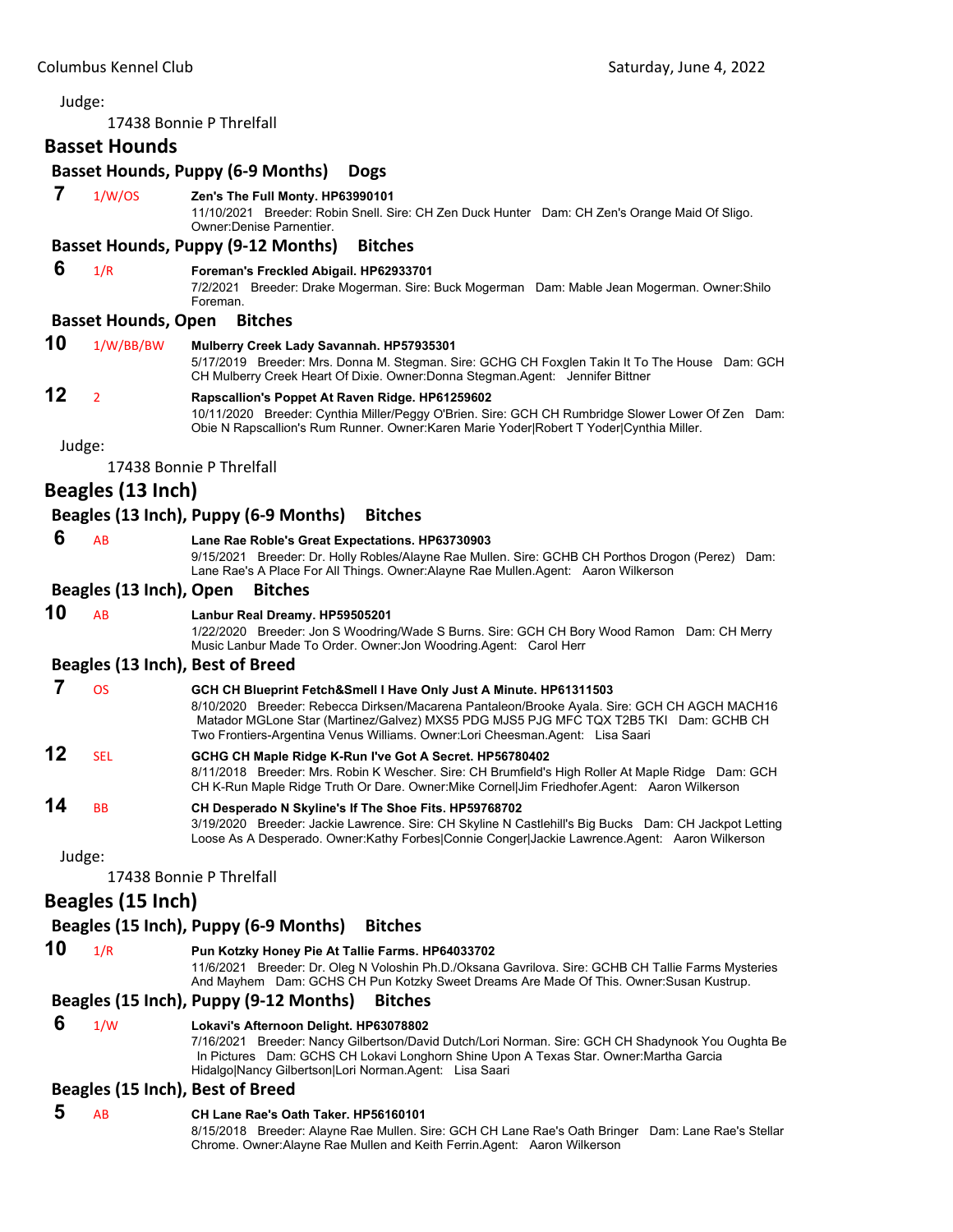Judge: 17438 Bonnie P Threlfall **Basset Hounds Basset Hounds, Puppy (6‐9 Months) Dogs 7** 1/W/OS **Zen's The Full Monty. HP63990101** 11/10/2021 Breeder: Robin Snell. Sire: CH Zen Duck Hunter Dam: CH Zen's Orange Maid Of Sligo. Owner:Denise Parnentier. **Basset Hounds, Puppy (9‐12 Months) Bitches 6** 1/R **Foreman's Freckled Abigail. HP62933701** 7/2/2021 Breeder: Drake Mogerman. Sire: Buck Mogerman Dam: Mable Jean Mogerman. Owner:Shilo Foreman. **Basset Hounds, Open Bitches 10** 1/W/BB/BW **Mulberry Creek Lady Savannah. HP57935301** 5/17/2019 Breeder: Mrs. Donna M. Stegman. Sire: GCHG CH Foxglen Takin It To The House Dam: GCH CH Mulberry Creek Heart Of Dixie. Owner:Donna Stegman.Agent: Jennifer Bittner **12** <sup>2</sup> **Rapscallion's Poppet At Raven Ridge. HP61259602** 10/11/2020 Breeder: Cynthia Miller/Peggy O'Brien. Sire: GCH CH Rumbridge Slower Lower Of Zen Dam: Obie N Rapscallion's Rum Runner. Owner:Karen Marie Yoder|Robert T Yoder|Cynthia Miller. Judge: 17438 Bonnie P Threlfall **Beagles (13 Inch) Beagles (13 Inch), Puppy (6‐9 Months) Bitches 6** AB **Lane Rae Roble's Great Expectations. HP63730903** 9/15/2021 Breeder: Dr. Holly Robles/Alayne Rae Mullen. Sire: GCHB CH Porthos Drogon (Perez) Dam: Lane Rae's A Place For All Things. Owner:Alayne Rae Mullen.Agent: Aaron Wilkerson **Beagles (13 Inch), Open Bitches 10** AB **Lanbur Real Dreamy. HP59505201** 1/22/2020 Breeder: Jon S Woodring/Wade S Burns. Sire: GCH CH Bory Wood Ramon Dam: CH Merry Music Lanbur Made To Order. Owner:Jon Woodring.Agent: Carol Herr **Beagles (13 Inch), Best of Breed 7** OS **GCH CH Blueprint Fetch&Smell I Have Only Just A Minute. HP61311503** 8/10/2020 Breeder: Rebecca Dirksen/Macarena Pantaleon/Brooke Ayala. Sire: GCH CH AGCH MACH16 Matador MGLone Star (Martinez/Galvez) MXS5 PDG MJS5 PJG MFC TQX T2B5 TKI Dam: GCHB CH Two Frontiers-Argentina Venus Williams. Owner:Lori Cheesman.Agent: Lisa Saari **12** SEL **GCHG CH Maple Ridge K-Run I've Got A Secret. HP56780402** 8/11/2018 Breeder: Mrs. Robin K Wescher. Sire: CH Brumfield's High Roller At Maple Ridge Dam: GCH CH K-Run Maple Ridge Truth Or Dare. Owner:Mike Cornel|Jim Friedhofer.Agent: Aaron Wilkerson **14** BB **CH Desperado N Skyline's If The Shoe Fits. HP59768702** 3/19/2020 Breeder: Jackie Lawrence. Sire: CH Skyline N Castlehill's Big Bucks Dam: CH Jackpot Letting Loose As A Desperado. Owner:Kathy Forbes|Connie Conger|Jackie Lawrence.Agent: Aaron Wilkerson Judge: 17438 Bonnie P Threlfall **Beagles (15 Inch) Beagles (15 Inch), Puppy (6‐9 Months) Bitches 10** 1/R **Pun Kotzky Honey Pie At Tallie Farms. HP64033702** 11/6/2021 Breeder: Dr. Oleg N Voloshin Ph.D./Oksana Gavrilova. Sire: GCHB CH Tallie Farms Mysteries And Mayhem Dam: GCHS CH Pun Kotzky Sweet Dreams Are Made Of This. Owner:Susan Kustrup. **Beagles (15 Inch), Puppy (9‐12 Months) Bitches 6** 1/W **Lokavi's Afternoon Delight. HP63078802** 7/16/2021 Breeder: Nancy Gilbertson/David Dutch/Lori Norman. Sire: GCH CH Shadynook You Oughta Be In Pictures Dam: GCHS CH Lokavi Longhorn Shine Upon A Texas Star. Owner:Martha Garcia Hidalgo|Nancy Gilbertson|Lori Norman.Agent: Lisa Saari **Beagles (15 Inch), Best of Breed 5** AB **CH Lane Rae's Oath Taker. HP56160101** 8/15/2018 Breeder: Alayne Rae Mullen. Sire: GCH CH Lane Rae's Oath Bringer Dam: Lane Rae's Stellar Chrome. Owner:Alayne Rae Mullen and Keith Ferrin.Agent: Aaron Wilkerson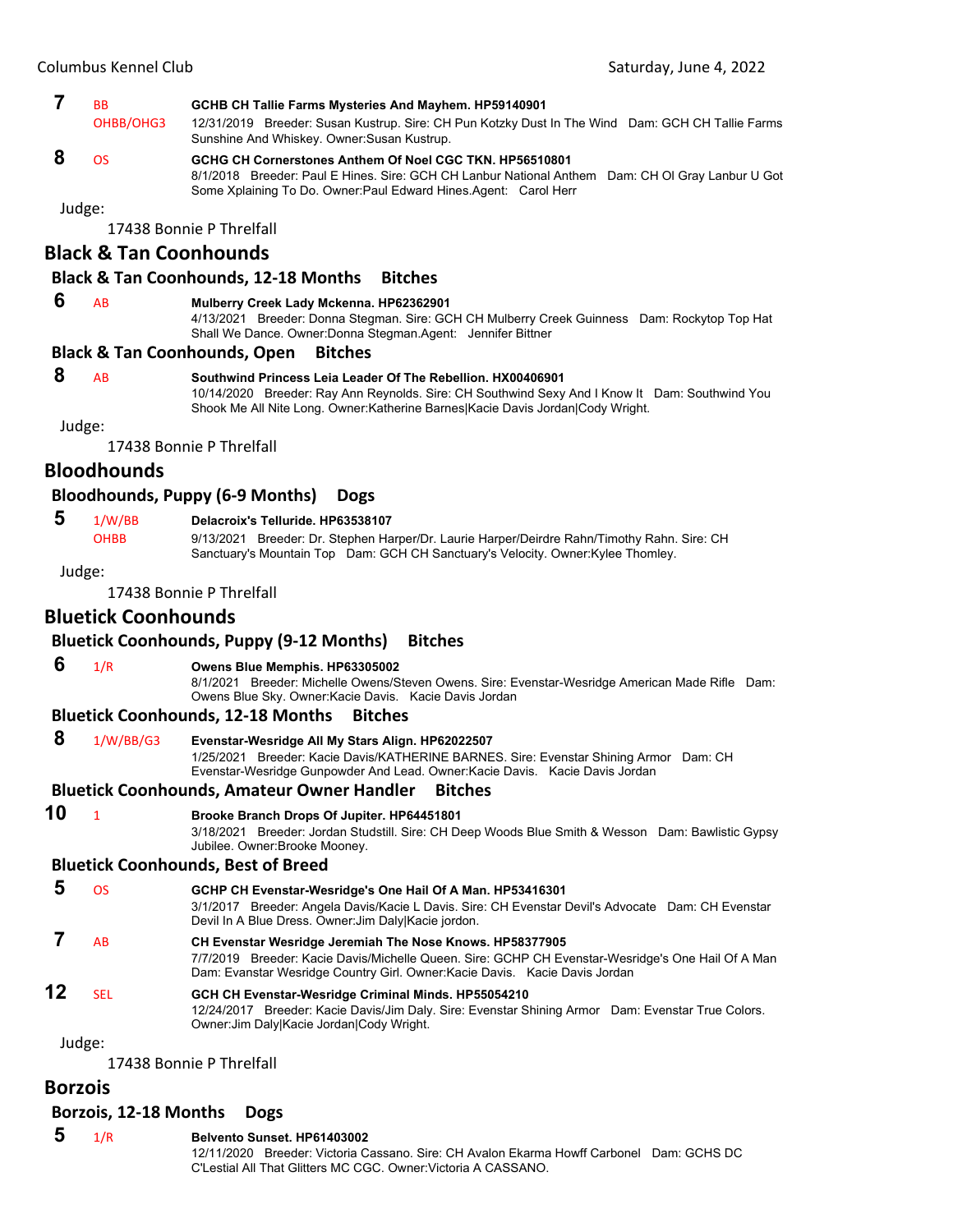- **7** BB **GCHB CH Tallie Farms Mysteries And Mayhem. HP59140901** OHBB/OHG3 12/31/2019 Breeder: Susan Kustrup. Sire: CH Pun Kotzky Dust In The Wind Dam: GCH CH Tallie Farms Sunshine And Whiskey. Owner:Susan Kustrup.
- **8** OS **GCHG CH Cornerstones Anthem Of Noel CGC TKN. HP56510801** 8/1/2018 Breeder: Paul E Hines. Sire: GCH CH Lanbur National Anthem Dam: CH Ol Gray Lanbur U Got Some Xplaining To Do. Owner:Paul Edward Hines.Agent: Carol Herr

17438 Bonnie P Threlfall

# **Black & Tan Coonhounds**

#### **Black & Tan Coonhounds, 12‐18 Months Bitches**

#### **6** AB **Mulberry Creek Lady Mckenna. HP62362901**

4/13/2021 Breeder: Donna Stegman. Sire: GCH CH Mulberry Creek Guinness Dam: Rockytop Top Hat Shall We Dance. Owner:Donna Stegman.Agent: Jennifer Bittner

#### **Black & Tan Coonhounds, Open Bitches**

# **8** AB **Southwind Princess Leia Leader Of The Rebellion. HX00406901**

10/14/2020 Breeder: Ray Ann Reynolds. Sire: CH Southwind Sexy And I Know It Dam: Southwind You Shook Me All Nite Long. Owner:Katherine Barnes|Kacie Davis Jordan|Cody Wright.

Judge:

17438 Bonnie P Threlfall

# **Bloodhounds**

#### **Bloodhounds, Puppy (6‐9 Months) Dogs**

#### **5** 1/W/BB **Delacroix's Telluride. HP63538107**

OHBB 9/13/2021 Breeder: Dr. Stephen Harper/Dr. Laurie Harper/Deirdre Rahn/Timothy Rahn. Sire: CH

Sanctuary's Mountain Top Dam: GCH CH Sanctuary's Velocity. Owner:Kylee Thomley.

Judge:

17438 Bonnie P Threlfall

# **Bluetick Coonhounds**

### **Bluetick Coonhounds, Puppy (9‐12 Months) Bitches**

# **6** 1/R **Owens Blue Memphis. HP63305002**

8/1/2021 Breeder: Michelle Owens/Steven Owens. Sire: Evenstar-Wesridge American Made Rifle Dam: Owens Blue Sky. Owner:Kacie Davis. Kacie Davis Jordan

#### **Bluetick Coonhounds, 12‐18 Months Bitches**

 **8** 1/W/BB/G3 **Evenstar-Wesridge All My Stars Align. HP62022507** 1/25/2021 Breeder: Kacie Davis/KATHERINE BARNES. Sire: Evenstar Shining Armor Dam: CH

Evenstar-Wesridge Gunpowder And Lead. Owner:Kacie Davis. Kacie Davis Jordan

## **Bluetick Coonhounds, Amateur Owner Handler Bitches**

**10** <sup>1</sup> **Brooke Branch Drops Of Jupiter. HP64451801**

3/18/2021 Breeder: Jordan Studstill. Sire: CH Deep Woods Blue Smith & Wesson Dam: Bawlistic Gypsy Jubilee. Owner:Brooke Mooney.

## **Bluetick Coonhounds, Best of Breed**

- **5** OS **GCHP CH Evenstar-Wesridge's One Hail Of A Man. HP53416301** 3/1/2017 Breeder: Angela Davis/Kacie L Davis. Sire: CH Evenstar Devil's Advocate Dam: CH Evenstar Devil In A Blue Dress. Owner:Jim Daly|Kacie jordon.  **7** AB **CH Evenstar Wesridge Jeremiah The Nose Knows. HP58377905** 7/7/2019 Breeder: Kacie Davis/Michelle Queen. Sire: GCHP CH Evenstar-Wesridge's One Hail Of A Man Dam: Evanstar Wesridge Country Girl. Owner:Kacie Davis. Kacie Davis Jordan
- **12** SEL **GCH CH Evenstar-Wesridge Criminal Minds. HP55054210** 12/24/2017 Breeder: Kacie Davis/Jim Daly. Sire: Evenstar Shining Armor Dam: Evenstar True Colors. Owner:Jim Daly|Kacie Jordan|Cody Wright.

Judge:

17438 Bonnie P Threlfall

#### **Borzois**

#### **Borzois, 12‐18 Months Dogs**

- **5** 1/R **Belvento Sunset. HP61403002**
	- 12/11/2020 Breeder: Victoria Cassano. Sire: CH Avalon Ekarma Howff Carbonel Dam: GCHS DC C'Lestial All That Glitters MC CGC. Owner:Victoria A CASSANO.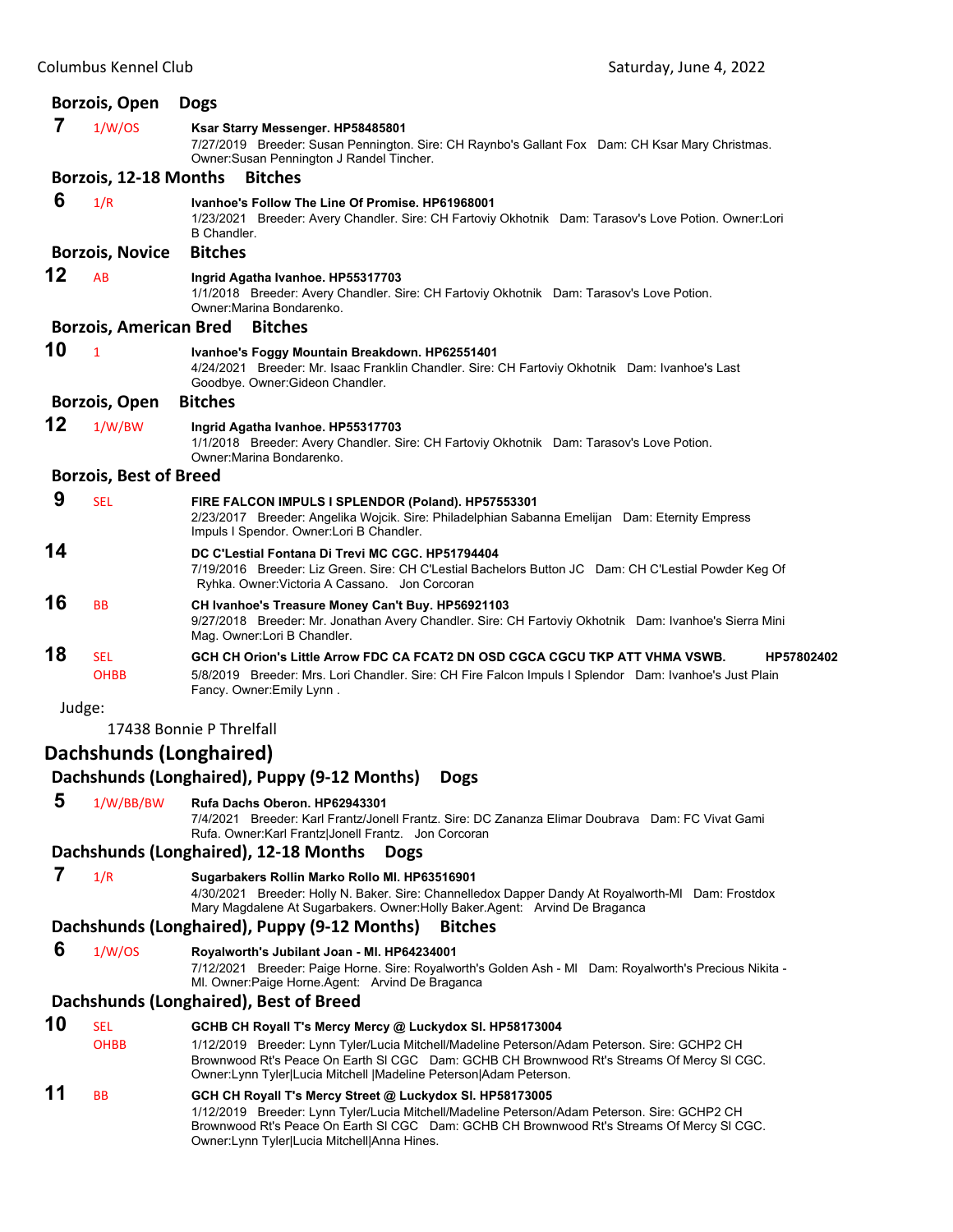|        | <b>Borzois, Open</b>          | <b>Dogs</b>                                                                                                                                                                                                                                                                                           |
|--------|-------------------------------|-------------------------------------------------------------------------------------------------------------------------------------------------------------------------------------------------------------------------------------------------------------------------------------------------------|
| 7      | 1/W/OS                        | Ksar Starry Messenger. HP58485801<br>7/27/2019 Breeder: Susan Pennington. Sire: CH Raynbo's Gallant Fox Dam: CH Ksar Mary Christmas.<br>Owner: Susan Pennington J Randel Tincher.                                                                                                                     |
|        | Borzois, 12-18 Months         | <b>Bitches</b>                                                                                                                                                                                                                                                                                        |
| 6      | 1/R                           | Ivanhoe's Follow The Line Of Promise. HP61968001<br>1/23/2021 Breeder: Avery Chandler. Sire: CH Fartoviy Okhotnik Dam: Tarasov's Love Potion. Owner:Lori<br><b>B</b> Chandler.                                                                                                                        |
|        | <b>Borzois, Novice</b>        | <b>Bitches</b>                                                                                                                                                                                                                                                                                        |
| 12     | AB                            | Ingrid Agatha Ivanhoe. HP55317703<br>1/1/2018 Breeder: Avery Chandler. Sire: CH Fartoviy Okhotnik Dam: Tarasov's Love Potion.<br>Owner: Marina Bondarenko.                                                                                                                                            |
|        | <b>Borzois, American Bred</b> | <b>Bitches</b>                                                                                                                                                                                                                                                                                        |
| 10     | $\mathbf{1}$                  | Ivanhoe's Foggy Mountain Breakdown. HP62551401<br>4/24/2021 Breeder: Mr. Isaac Franklin Chandler. Sire: CH Fartoviy Okhotnik Dam: Ivanhoe's Last<br>Goodbye. Owner: Gideon Chandler.                                                                                                                  |
|        | Borzois, Open                 | <b>Bitches</b>                                                                                                                                                                                                                                                                                        |
| 12     | 1/W/BW                        | Ingrid Agatha Ivanhoe. HP55317703<br>1/1/2018 Breeder: Avery Chandler. Sire: CH Fartoviy Okhotnik Dam: Tarasov's Love Potion.<br>Owner: Marina Bondarenko.                                                                                                                                            |
|        | <b>Borzois, Best of Breed</b> |                                                                                                                                                                                                                                                                                                       |
| 9      | <b>SEL</b>                    | FIRE FALCON IMPULS I SPLENDOR (Poland). HP57553301<br>2/23/2017 Breeder: Angelika Wojcik. Sire: Philadelphian Sabanna Emelijan Dam: Eternity Empress<br>Impuls I Spendor. Owner: Lori B Chandler.                                                                                                     |
| 14     |                               | DC C'Lestial Fontana Di Trevi MC CGC. HP51794404<br>7/19/2016 Breeder: Liz Green. Sire: CH C'Lestial Bachelors Button JC Dam: CH C'Lestial Powder Keg Of<br>Ryhka. Owner: Victoria A Cassano. Jon Corcoran                                                                                            |
| 16     | <b>BB</b>                     | CH Ivanhoe's Treasure Money Can't Buy. HP56921103<br>9/27/2018 Breeder: Mr. Jonathan Avery Chandler. Sire: CH Fartoviy Okhotnik Dam: Ivanhoe's Sierra Mini<br>Mag. Owner: Lori B Chandler.                                                                                                            |
| 18     | <b>SEL</b><br><b>OHBB</b>     | GCH CH Orion's Little Arrow FDC CA FCAT2 DN OSD CGCA CGCU TKP ATT VHMA VSWB.<br>HP57802402<br>5/8/2019 Breeder: Mrs. Lori Chandler. Sire: CH Fire Falcon Impuls I Splendor Dam: Ivanhoe's Just Plain<br>Fancy. Owner: Emily Lynn.                                                                     |
| Judge: |                               |                                                                                                                                                                                                                                                                                                       |
|        |                               | 17438 Bonnie P Threlfall                                                                                                                                                                                                                                                                              |
|        | Dachshunds (Longhaired)       |                                                                                                                                                                                                                                                                                                       |
|        |                               | Dachshunds (Longhaired), Puppy (9-12 Months)<br><b>Dogs</b>                                                                                                                                                                                                                                           |
| 5      | 1/W/BB/BW                     | Rufa Dachs Oberon, HP62943301                                                                                                                                                                                                                                                                         |
|        |                               | 7/4/2021 Breeder: Karl Frantz/Jonell Frantz. Sire: DC Zananza Elimar Doubrava Dam: FC Vivat Gami<br>Rufa. Owner: Karl Frantz Jonell Frantz. Jon Corcoran                                                                                                                                              |
|        |                               | Dachshunds (Longhaired), 12-18 Months<br><b>Dogs</b>                                                                                                                                                                                                                                                  |
| 7      | 1/R                           | Sugarbakers Rollin Marko Rollo MI. HP63516901<br>4/30/2021 Breeder: Holly N. Baker. Sire: Channelledox Dapper Dandy At Royalworth-MI Dam: Frostdox<br>Mary Magdalene At Sugarbakers. Owner: Holly Baker. Agent: Arvind De Braganca                                                                    |
|        |                               | Dachshunds (Longhaired), Puppy (9-12 Months)<br><b>Bitches</b>                                                                                                                                                                                                                                        |
| 6      | 1/W/OS                        | Royalworth's Jubilant Joan - MI. HP64234001<br>7/12/2021 Breeder: Paige Horne. Sire: Royalworth's Golden Ash - MI Dam: Royalworth's Precious Nikita -<br>MI. Owner: Paige Horne. Agent: Arvind De Braganca                                                                                            |
|        |                               | Dachshunds (Longhaired), Best of Breed                                                                                                                                                                                                                                                                |
| 10     | <b>SEL</b>                    | GCHB CH Royall T's Mercy Mercy @ Luckydox SI. HP58173004                                                                                                                                                                                                                                              |
|        | <b>OHBB</b>                   | 1/12/2019 Breeder: Lynn Tyler/Lucia Mitchell/Madeline Peterson/Adam Peterson. Sire: GCHP2 CH<br>Brownwood Rt's Peace On Earth SI CGC Dam: GCHB CH Brownwood Rt's Streams Of Mercy SI CGC.<br>Owner: Lynn Tyler Lucia Mitchell   Madeline Peterson  Adam Peterson.                                     |
| 11     | ВB                            | GCH CH Royall T's Mercy Street @ Luckydox SI. HP58173005<br>1/12/2019 Breeder: Lynn Tyler/Lucia Mitchell/Madeline Peterson/Adam Peterson. Sire: GCHP2 CH<br>Brownwood Rt's Peace On Earth SI CGC Dam: GCHB CH Brownwood Rt's Streams Of Mercy SI CGC.<br>Owner: Lynn Tyler Lucia Mitchell Anna Hines. |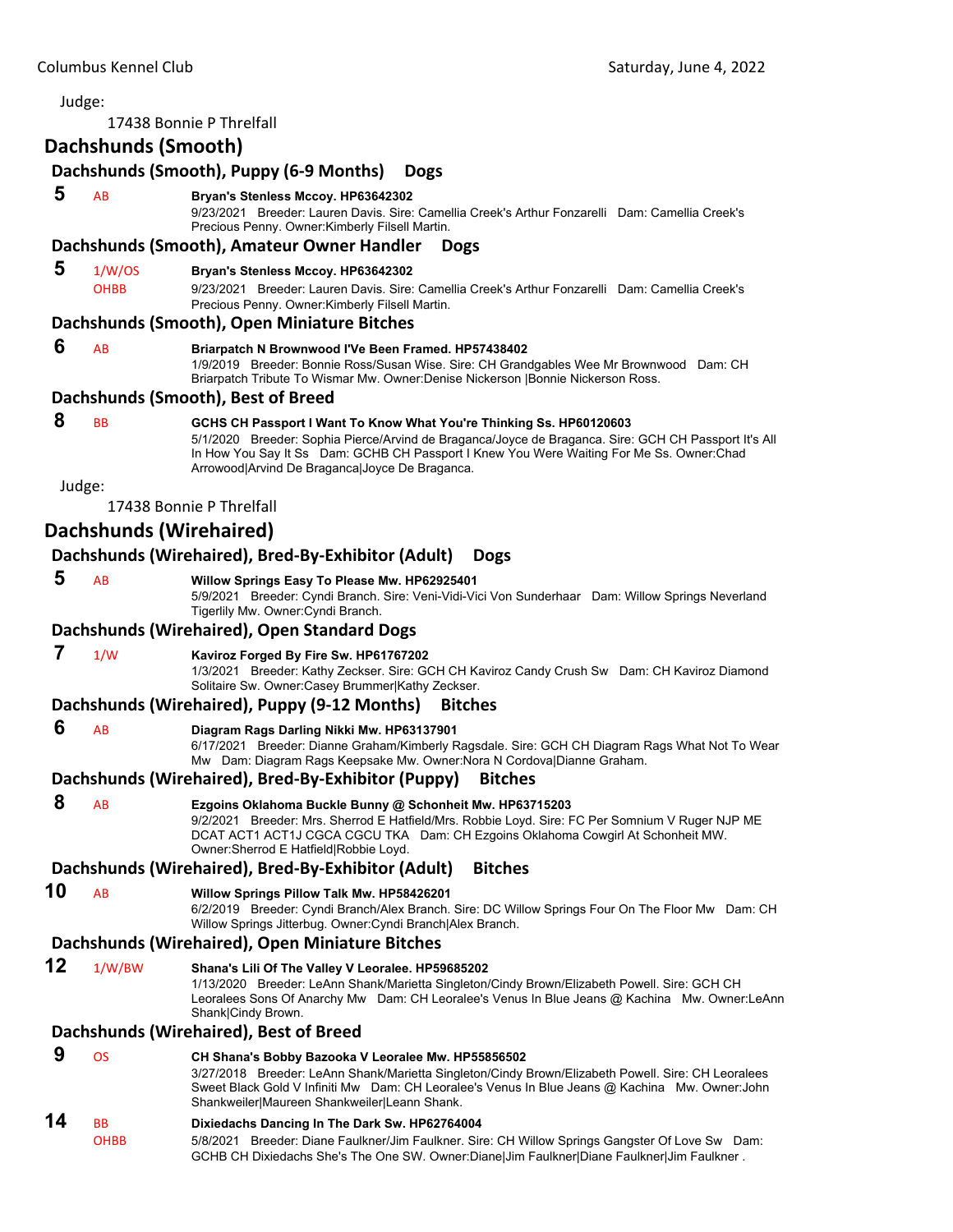#### Judge: 17438 Bonnie P Threlfall **Dachshunds (Smooth) Dachshunds (Smooth), Puppy (6‐9 Months) Dogs 5** AB **Bryan's Stenless Mccoy. HP63642302** 9/23/2021 Breeder: Lauren Davis. Sire: Camellia Creek's Arthur Fonzarelli Dam: Camellia Creek's Precious Penny. Owner:Kimberly Filsell Martin. **Dachshunds (Smooth), Amateur Owner Handler Dogs 5** 1/W/OS **Bryan's Stenless Mccoy. HP63642302** OHBB 9/23/2021 Breeder: Lauren Davis. Sire: Camellia Creek's Arthur Fonzarelli Dam: Camellia Creek's Precious Penny. Owner:Kimberly Filsell Martin. **Dachshunds (Smooth), Open Miniature Bitches 6** AB **Briarpatch N Brownwood I'Ve Been Framed. HP57438402** 1/9/2019 Breeder: Bonnie Ross/Susan Wise. Sire: CH Grandgables Wee Mr Brownwood Dam: CH Briarpatch Tribute To Wismar Mw. Owner:Denise Nickerson |Bonnie Nickerson Ross. **Dachshunds (Smooth), Best of Breed 8** BB **GCHS CH Passport I Want To Know What You're Thinking Ss. HP60120603** 5/1/2020 Breeder: Sophia Pierce/Arvind de Braganca/Joyce de Braganca. Sire: GCH CH Passport It's All In How You Say It Ss Dam: GCHB CH Passport I Knew You Were Waiting For Me Ss. Owner:Chad Arrowood|Arvind De Braganca|Joyce De Braganca. Judge: 17438 Bonnie P Threlfall **Dachshunds (Wirehaired) Dachshunds (Wirehaired), Bred‐By‐Exhibitor (Adult) Dogs 5** AB **Willow Springs Easy To Please Mw. HP62925401** 5/9/2021 Breeder: Cyndi Branch. Sire: Veni-Vidi-Vici Von Sunderhaar Dam: Willow Springs Neverland Tigerlily Mw. Owner:Cyndi Branch. **Dachshunds (Wirehaired), Open Standard Dogs 7** 1/W **Kaviroz Forged By Fire Sw. HP61767202** 1/3/2021 Breeder: Kathy Zeckser. Sire: GCH CH Kaviroz Candy Crush Sw Dam: CH Kaviroz Diamond Solitaire Sw. Owner:Casey Brummer|Kathy Zeckser. **Dachshunds (Wirehaired), Puppy (9‐12 Months) Bitches 6** AB **Diagram Rags Darling Nikki Mw. HP63137901** 6/17/2021 Breeder: Dianne Graham/Kimberly Ragsdale. Sire: GCH CH Diagram Rags What Not To Wear Mw Dam: Diagram Rags Keepsake Mw. Owner:Nora N Cordova|Dianne Graham. **Dachshunds (Wirehaired), Bred‐By‐Exhibitor (Puppy) Bitches 8** AB **Ezgoins Oklahoma Buckle Bunny @ Schonheit Mw. HP63715203** 9/2/2021 Breeder: Mrs. Sherrod E Hatfield/Mrs. Robbie Loyd. Sire: FC Per Somnium V Ruger NJP ME DCAT ACT1 ACT1J CGCA CGCU TKA Dam: CH Ezgoins Oklahoma Cowgirl At Schonheit MW. Owner:Sherrod E Hatfield|Robbie Loyd. **Dachshunds (Wirehaired), Bred‐By‐Exhibitor (Adult) Bitches 10** AB **Willow Springs Pillow Talk Mw. HP58426201** 6/2/2019 Breeder: Cyndi Branch/Alex Branch. Sire: DC Willow Springs Four On The Floor Mw Dam: CH Willow Springs Jitterbug. Owner:Cyndi Branch|Alex Branch. **Dachshunds (Wirehaired), Open Miniature Bitches 12** 1/W/BW **Shana's Lili Of The Valley V Leoralee. HP59685202** 1/13/2020 Breeder: LeAnn Shank/Marietta Singleton/Cindy Brown/Elizabeth Powell. Sire: GCH CH Leoralees Sons Of Anarchy Mw Dam: CH Leoralee's Venus In Blue Jeans @ Kachina Mw. Owner:LeAnn Shank|Cindy Brown. **Dachshunds (Wirehaired), Best of Breed 9** OS **CH Shana's Bobby Bazooka V Leoralee Mw. HP55856502** 3/27/2018 Breeder: LeAnn Shank/Marietta Singleton/Cindy Brown/Elizabeth Powell. Sire: CH Leoralees Sweet Black Gold V Infiniti Mw Dam: CH Leoralee's Venus In Blue Jeans @ Kachina Mw. Owner:John Shankweiler|Maureen Shankweiler|Leann Shank. **14** BB **Dixiedachs Dancing In The Dark Sw. HP62764004** OHBB 5/8/2021 Breeder: Diane Faulkner/Jim Faulkner. Sire: CH Willow Springs Gangster Of Love Sw Dam: GCHB CH Dixiedachs She's The One SW. Owner:Diane|Jim Faulkner|Diane Faulkner|Jim Faulkner .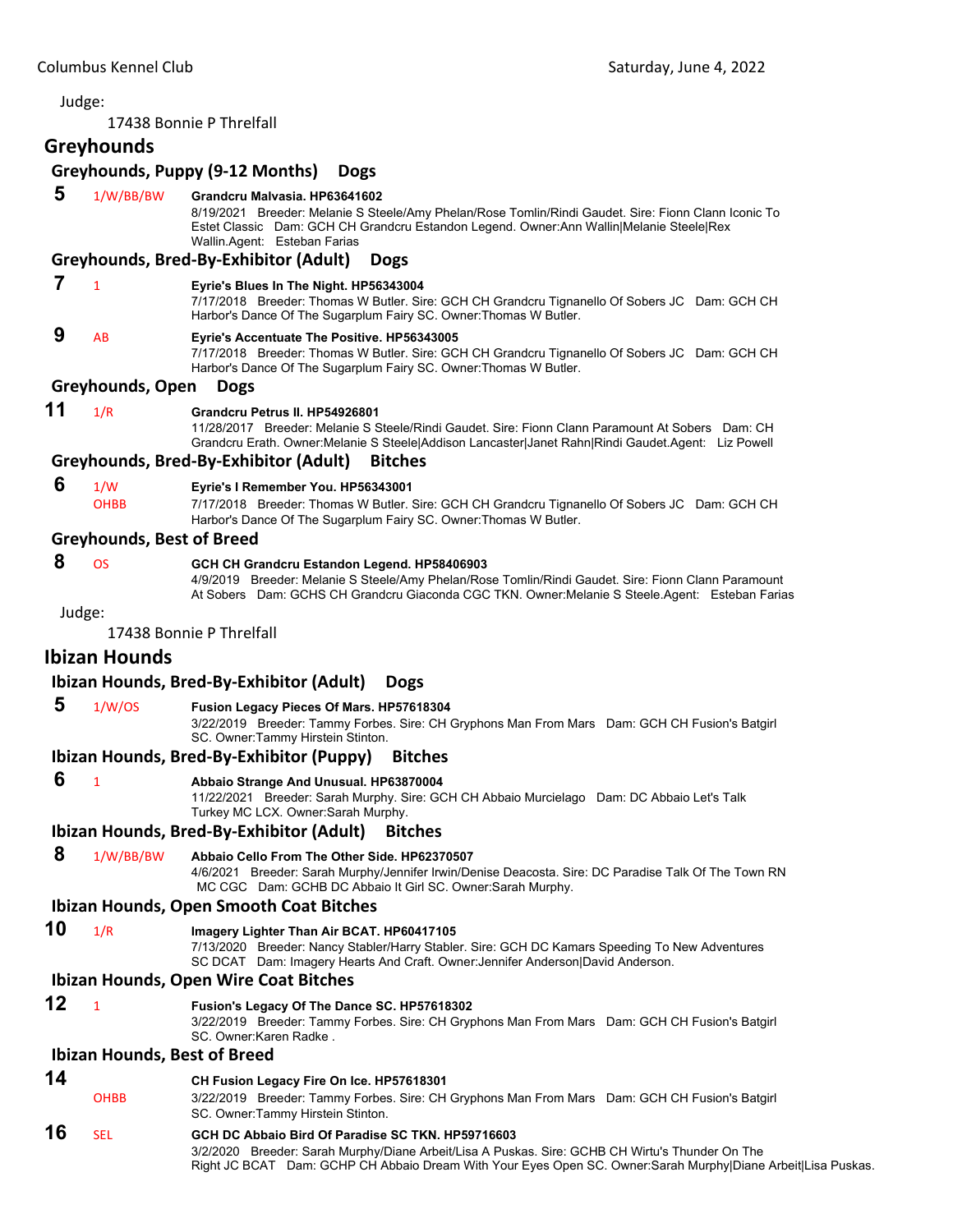17438 Bonnie P Threlfall

# **Greyhounds**

# **Greyhounds, Puppy (9‐12 Months) Dogs**

 **5** 1/W/BB/BW **Grandcru Malvasia. HP63641602**

8/19/2021 Breeder: Melanie S Steele/Amy Phelan/Rose Tomlin/Rindi Gaudet. Sire: Fionn Clann Iconic To Estet Classic Dam: GCH CH Grandcru Estandon Legend. Owner:Ann Wallin|Melanie Steele|Rex Wallin.Agent: Esteban Farias

#### **Greyhounds, Bred‐By‐Exhibitor (Adult) Dogs**

 **7** <sup>1</sup> **Eyrie's Blues In The Night. HP56343004**

7/17/2018 Breeder: Thomas W Butler. Sire: GCH CH Grandcru Tignanello Of Sobers JC Dam: GCH CH Harbor's Dance Of The Sugarplum Fairy SC. Owner:Thomas W Butler.

#### **9** AB **Eyrie's Accentuate The Positive. HP56343005**

7/17/2018 Breeder: Thomas W Butler. Sire: GCH CH Grandcru Tignanello Of Sobers JC Dam: GCH CH Harbor's Dance Of The Sugarplum Fairy SC. Owner:Thomas W Butler.

#### **Greyhounds, Open Dogs**

#### **11** 1/R **Grandcru Petrus II. HP54926801**

11/28/2017 Breeder: Melanie S Steele/Rindi Gaudet. Sire: Fionn Clann Paramount At Sobers Dam: CH Grandcru Erath. Owner:Melanie S Steele|Addison Lancaster|Janet Rahn|Rindi Gaudet.Agent: Liz Powell

#### **Greyhounds, Bred‐By‐Exhibitor (Adult) Bitches**

#### **6** 1/W **Eyrie's I Remember You. HP56343001**

OHBB 7/17/2018 Breeder: Thomas W Butler. Sire: GCH CH Grandcru Tignanello Of Sobers JC Dam: GCH CH Harbor's Dance Of The Sugarplum Fairy SC. Owner:Thomas W Butler.

#### **Greyhounds, Best of Breed**

#### **8** OS **GCH CH Grandcru Estandon Legend. HP58406903**

4/9/2019 Breeder: Melanie S Steele/Amy Phelan/Rose Tomlin/Rindi Gaudet. Sire: Fionn Clann Paramount At Sobers Dam: GCHS CH Grandcru Giaconda CGC TKN. Owner:Melanie S Steele.Agent: Esteban Farias

Judge:

17438 Bonnie P Threlfall

## **Ibizan Hounds**

#### **Ibizan Hounds, Bred‐By‐Exhibitor (Adult) Dogs**

 **5** 1/W/OS **Fusion Legacy Pieces Of Mars. HP57618304**

3/22/2019 Breeder: Tammy Forbes. Sire: CH Gryphons Man From Mars Dam: GCH CH Fusion's Batgirl SC. Owner:Tammy Hirstein Stinton.

#### **Ibizan Hounds, Bred‐By‐Exhibitor (Puppy) Bitches**

 **6** <sup>1</sup> **Abbaio Strange And Unusual. HP63870004**

11/22/2021 Breeder: Sarah Murphy. Sire: GCH CH Abbaio Murcielago Dam: DC Abbaio Let's Talk Turkey MC LCX. Owner:Sarah Murphy.

#### **Ibizan Hounds, Bred‐By‐Exhibitor (Adult) Bitches**

 **8** 1/W/BB/BW **Abbaio Cello From The Other Side. HP62370507**

4/6/2021 Breeder: Sarah Murphy/Jennifer Irwin/Denise Deacosta. Sire: DC Paradise Talk Of The Town RN MC CGC Dam: GCHB DC Abbaio It Girl SC. Owner:Sarah Murphy.

#### **Ibizan Hounds, Open Smooth Coat Bitches**

**10** 1/R **Imagery Lighter Than Air BCAT. HP60417105**

7/13/2020 Breeder: Nancy Stabler/Harry Stabler. Sire: GCH DC Kamars Speeding To New Adventures SC DCAT Dam: Imagery Hearts And Craft. Owner:Jennifer Anderson|David Anderson.

#### **Ibizan Hounds, Open Wire Coat Bitches**

**12** <sup>1</sup> **Fusion's Legacy Of The Dance SC. HP57618302**

3/22/2019 Breeder: Tammy Forbes. Sire: CH Gryphons Man From Mars Dam: GCH CH Fusion's Batgirl SC. Owner:Karen Radke .

#### **Ibizan Hounds, Best of Breed**

#### **14 CH Fusion Legacy Fire On Ice. HP57618301**

OHBB 3/22/2019 Breeder: Tammy Forbes. Sire: CH Gryphons Man From Mars Dam: GCH CH Fusion's Batgirl SC. Owner:Tammy Hirstein Stinton.

# **16** SEL **GCH DC Abbaio Bird Of Paradise SC TKN. HP59716603**

3/2/2020 Breeder: Sarah Murphy/Diane Arbeit/Lisa A Puskas. Sire: GCHB CH Wirtu's Thunder On The Right JC BCAT Dam: GCHP CH Abbaio Dream With Your Eyes Open SC. Owner:Sarah Murphy|Diane Arbeit|Lisa Puskas.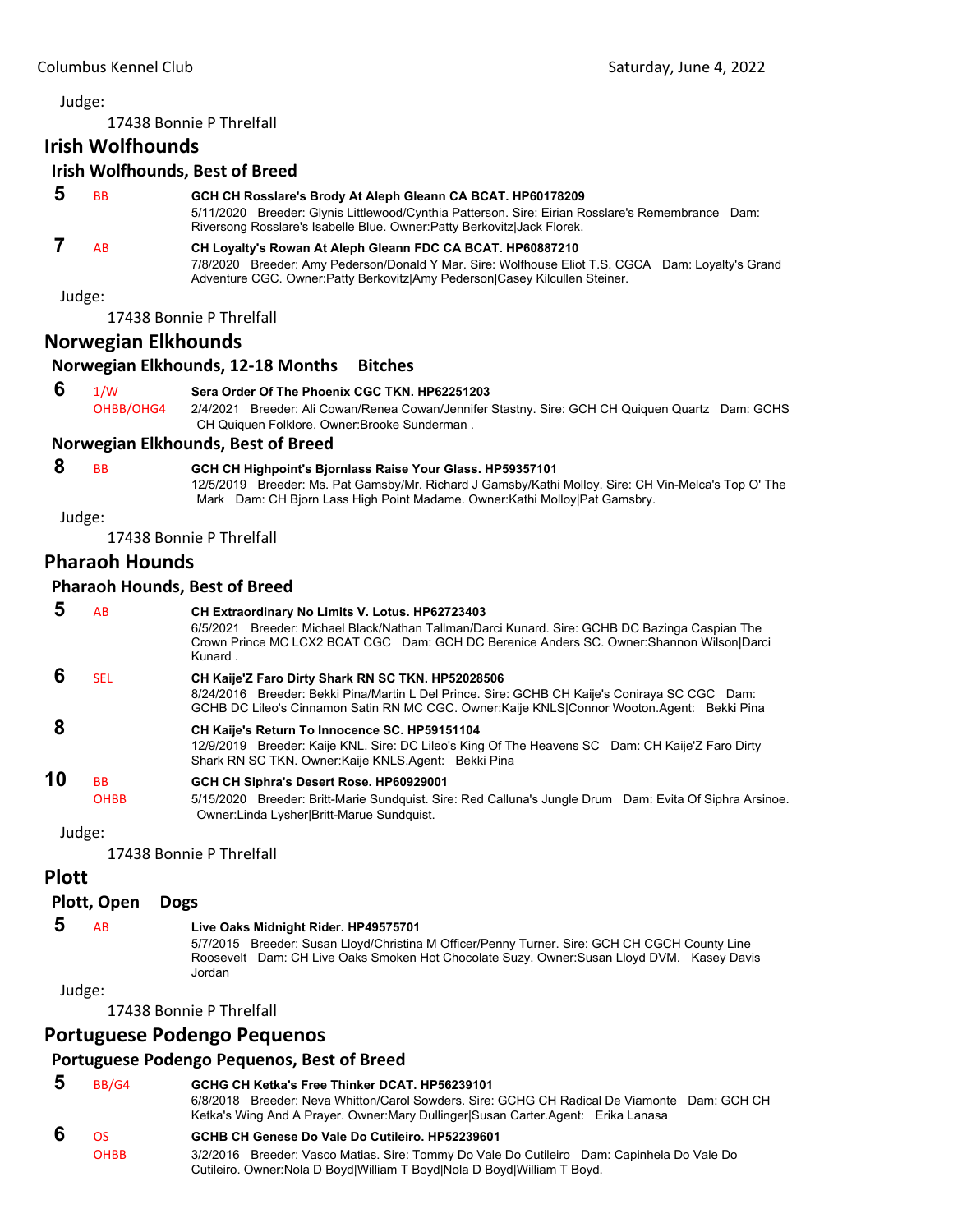17438 Bonnie P Threlfall

# **Irish Wolfhounds**

#### **Irish Wolfhounds, Best of Breed**

| <b>B<sub>B</sub></b> | GCH CH Rosslare's Brody At Aleph Gleann CA BCAT. HP60178209<br>5/11/2020 Breeder: Glynis Littlewood/Cynthia Patterson. Sire: Eirian Rosslare's Remembrance Dam:<br>Riversong Rosslare's Isabelle Blue. Owner: Patty Berkovitz Jack Florek.     |
|----------------------|------------------------------------------------------------------------------------------------------------------------------------------------------------------------------------------------------------------------------------------------|
| <b>AB</b>            | CH Loyalty's Rowan At Aleph Gleann FDC CA BCAT. HP60887210<br>7/8/2020 Breeder: Amy Pederson/Donald Y Mar. Sire: Wolfhouse Eliot T.S. CGCA Dam: Loyalty's Grand<br>Adventure CGC. Owner: Patty Berkovitz Amy Pederson Casey Kilcullen Steiner. |

Judge:

17438 Bonnie P Threlfall

# **Norwegian Elkhounds**

#### **Norwegian Elkhounds, 12‐18 Months Bitches**

### **6** 1/W **Sera Order Of The Phoenix CGC TKN. HP62251203**

OHBB/OHG4 2/4/2021 Breeder: Ali Cowan/Renea Cowan/Jennifer Stastny. Sire: GCH CH Quiquen Quartz Dam: GCHS CH Quiquen Folklore. Owner:Brooke Sunderman .

#### **Norwegian Elkhounds, Best of Breed**

 **8** BB **GCH CH Highpoint's Bjornlass Raise Your Glass. HP59357101**

12/5/2019 Breeder: Ms. Pat Gamsby/Mr. Richard J Gamsby/Kathi Molloy. Sire: CH Vin-Melca's Top O' The Mark Dam: CH Bjorn Lass High Point Madame. Owner:Kathi Molloy|Pat Gamsbry.

Judge:

17438 Bonnie P Threlfall

# **Pharaoh Hounds**

#### **Pharaoh Hounds, Best of Breed**

 **5** AB **CH Extraordinary No Limits V. Lotus. HP62723403** 6/5/2021 Breeder: Michael Black/Nathan Tallman/Darci Kunard. Sire: GCHB DC Bazinga Caspian The Crown Prince MC LCX2 BCAT CGC Dam: GCH DC Berenice Anders SC. Owner:Shannon Wilson|Darci Kunard .  **6** SEL **CH Kaije'Z Faro Dirty Shark RN SC TKN. HP52028506** 8/24/2016 Breeder: Bekki Pina/Martin L Del Prince. Sire: GCHB CH Kaije's Coniraya SC CGC Dam: GCHB DC Lileo's Cinnamon Satin RN MC CGC. Owner:Kaije KNLS|Connor Wooton.Agent: Bekki Pina  **8 CH Kaije's Return To Innocence SC. HP59151104** 12/9/2019 Breeder: Kaije KNL. Sire: DC Lileo's King Of The Heavens SC Dam: CH Kaije'Z Faro Dirty Shark RN SC TKN. Owner:Kaije KNLS.Agent: Bekki Pina **10** BB **GCH CH Siphra's Desert Rose. HP60929001** OHBB 5/15/2020 Breeder: Britt-Marie Sundquist. Sire: Red Calluna's Jungle Drum Dam: Evita Of Siphra Arsinoe. Owner:Linda Lysher|Britt-Marue Sundquist.

#### Judge:

17438 Bonnie P Threlfall

## **Plott**

#### **Plott, Open Dogs**

#### **5** AB **Live Oaks Midnight Rider. HP49575701**

5/7/2015 Breeder: Susan Lloyd/Christina M Officer/Penny Turner. Sire: GCH CH CGCH County Line Roosevelt Dam: CH Live Oaks Smoken Hot Chocolate Suzy. Owner:Susan Lloyd DVM. Kasey Davis Jordan

#### Judge:

17438 Bonnie P Threlfall

# **Portuguese Podengo Pequenos**

## **Portuguese Podengo Pequenos, Best of Breed**

| ು | BB/G4       | GCHG CH Ketka's Free Thinker DCAT, HP56239101<br>6/8/2018 Breeder: Neva Whitton/Carol Sowders, Sire: GCHG CH Radical De Viamonte Dam: GCH CH<br>Ketka's Wing And A Prayer. Owner: Mary Dullinger Susan Carter Agent: Erika Lanasa |
|---|-------------|-----------------------------------------------------------------------------------------------------------------------------------------------------------------------------------------------------------------------------------|
|   | ns          | GCHB CH Genese Do Vale Do Cutileiro, HP52239601                                                                                                                                                                                   |
|   | <b>OHBB</b> | 3/2/2016 Breeder: Vasco Matias. Sire: Tommy Do Vale Do Cutileiro Dam: Capinhela Do Vale Do<br>Cutileiro. Owner: Nola D Boyd William T Boyd Nola D Boyd William T Boyd.                                                            |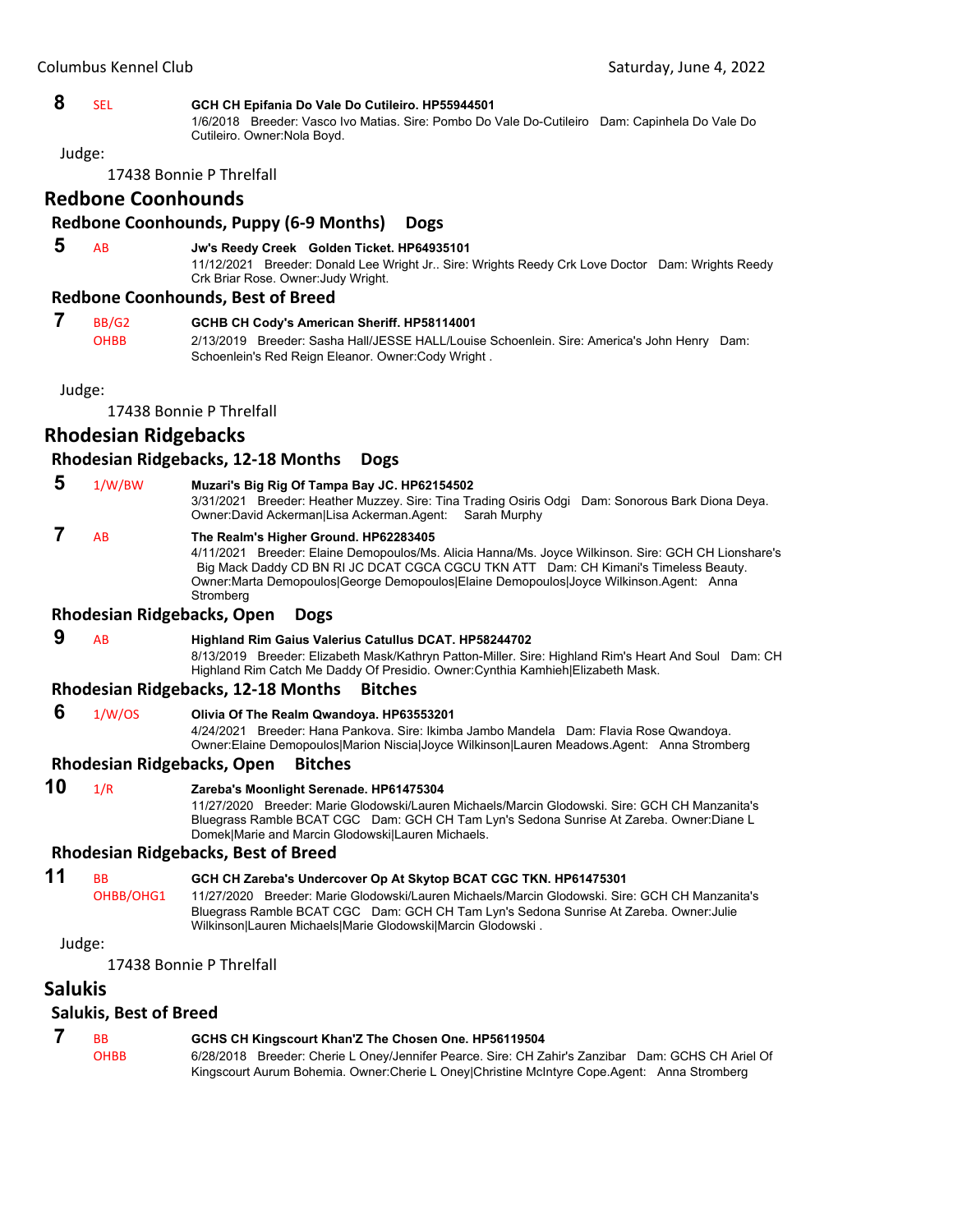#### **8** SEL **GCH CH Epifania Do Vale Do Cutileiro. HP55944501**

1/6/2018 Breeder: Vasco Ivo Matias. Sire: Pombo Do Vale Do-Cutileiro Dam: Capinhela Do Vale Do Cutileiro. Owner:Nola Boyd.

Judge:

17438 Bonnie P Threlfall

#### **Redbone Coonhounds**

#### **Redbone Coonhounds, Puppy (6‐9 Months) Dogs**

# **5** AB **Jw's Reedy Creek Golden Ticket. HP64935101**

11/12/2021 Breeder: Donald Lee Wright Jr.. Sire: Wrights Reedy Crk Love Doctor Dam: Wrights Reedy Crk Briar Rose. Owner:Judy Wright.

#### **Redbone Coonhounds, Best of Breed**

| BB/G2 | GCHB CH Cody's American Sheriff. HP58114001                                                 |  |
|-------|---------------------------------------------------------------------------------------------|--|
| ОНВВ  | 2/13/2019 Breeder: Sasha Hall/JESSE HALL/Louise Schoenlein, Sire: America's John Henry Dam: |  |
|       | Schoenlein's Red Reign Eleanor. Owner Cody Wright.                                          |  |

Judge:

17438 Bonnie P Threlfall

# **Rhodesian Ridgebacks**

#### **Rhodesian Ridgebacks, 12‐18 Months Dogs**

- **5** 1/W/BW **Muzari's Big Rig Of Tampa Bay JC. HP62154502**
	- 3/31/2021 Breeder: Heather Muzzey. Sire: Tina Trading Osiris Odgi Dam: Sonorous Bark Diona Deya. Owner:David Ackerman|Lisa Ackerman.Agent: Sarah Murphy

# **7** AB **The Realm's Higher Ground. HP62283405**

4/11/2021 Breeder: Elaine Demopoulos/Ms. Alicia Hanna/Ms. Joyce Wilkinson. Sire: GCH CH Lionshare's Big Mack Daddy CD BN RI JC DCAT CGCA CGCU TKN ATT Dam: CH Kimani's Timeless Beauty. Owner:Marta Demopoulos|George Demopoulos|Elaine Demopoulos|Joyce Wilkinson.Agent: Anna **Stromberg** 

#### **Rhodesian Ridgebacks, Open Dogs**

 **9** AB **Highland Rim Gaius Valerius Catullus DCAT. HP58244702** 8/13/2019 Breeder: Elizabeth Mask/Kathryn Patton-Miller. Sire: Highland Rim's Heart And Soul Dam: CH

Highland Rim Catch Me Daddy Of Presidio. Owner:Cynthia Kamhieh|Elizabeth Mask.

#### **Rhodesian Ridgebacks, 12‐18 Months Bitches**

 **6** 1/W/OS **Olivia Of The Realm Qwandoya. HP63553201**

4/24/2021 Breeder: Hana Pankova. Sire: Ikimba Jambo Mandela Dam: Flavia Rose Qwandoya.

Owner:Elaine Demopoulos|Marion Niscia|Joyce Wilkinson|Lauren Meadows.Agent: Anna Stromberg

# **Rhodesian Ridgebacks, Open Bitches**

**10** 1/R **Zareba's Moonlight Serenade. HP61475304**

11/27/2020 Breeder: Marie Glodowski/Lauren Michaels/Marcin Glodowski. Sire: GCH CH Manzanita's Bluegrass Ramble BCAT CGC Dam: GCH CH Tam Lyn's Sedona Sunrise At Zareba. Owner:Diane L Domek|Marie and Marcin Glodowski|Lauren Michaels.

#### **Rhodesian Ridgebacks, Best of Breed**

## **11** BB **GCH CH Zareba's Undercover Op At Skytop BCAT CGC TKN. HP61475301**

OHBB/OHG1 11/27/2020 Breeder: Marie Glodowski/Lauren Michaels/Marcin Glodowski. Sire: GCH CH Manzanita's Bluegrass Ramble BCAT CGC Dam: GCH CH Tam Lyn's Sedona Sunrise At Zareba. Owner:Julie Wilkinson|Lauren Michaels|Marie Glodowski|Marcin Glodowski .

Judge:

17438 Bonnie P Threlfall

# **Salukis**

#### **Salukis, Best of Breed**

| <b>BB</b>   | GCHS CH Kingscourt Khan'Z The Chosen One. HP56119504                                              |
|-------------|---------------------------------------------------------------------------------------------------|
| <b>OHBB</b> | 6/28/2018 Breeder: Cherie L Oney/Jennifer Pearce. Sire: CH Zahir's Zanzibar Dam: GCHS CH Ariel Of |
|             | Kingscourt Aurum Bohemia. Owner:Cherie L Oney Christine McIntyre Cope.Agent: Anna Stromberg       |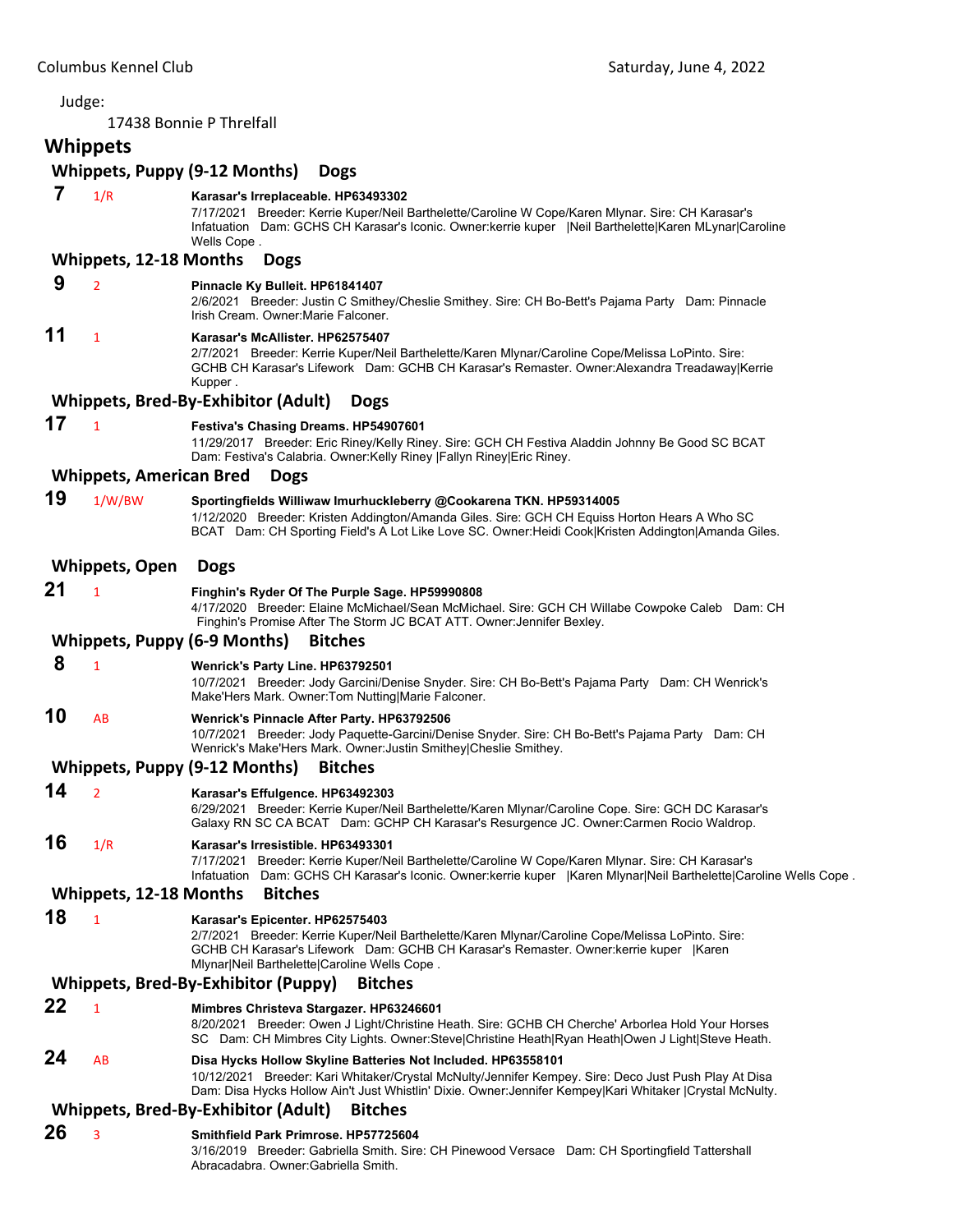#### 17438 Bonnie P Threlfall **Whippets Whippets, Puppy (9‐12 Months) Dogs 7** 1/R **Karasar's Irreplaceable. HP63493302** 7/17/2021 Breeder: Kerrie Kuper/Neil Barthelette/Caroline W Cope/Karen Mlynar. Sire: CH Karasar's Infatuation Dam: GCHS CH Karasar's Iconic. Owner:kerrie kuper |Neil Barthelette|Karen MLynar|Caroline Wells Cope . **Whippets, 12‐18 Months Dogs 9** <sup>2</sup> **Pinnacle Ky Bulleit. HP61841407** 2/6/2021 Breeder: Justin C Smithey/Cheslie Smithey. Sire: CH Bo-Bett's Pajama Party Dam: Pinnacle Irish Cream. Owner:Marie Falconer. **11** <sup>1</sup> **Karasar's McAllister. HP62575407** 2/7/2021 Breeder: Kerrie Kuper/Neil Barthelette/Karen Mlynar/Caroline Cope/Melissa LoPinto. Sire: GCHB CH Karasar's Lifework Dam: GCHB CH Karasar's Remaster. Owner:Alexandra Treadaway|Kerrie Kupper . **Whippets, Bred‐By‐Exhibitor (Adult) Dogs 17** <sup>1</sup> **Festiva's Chasing Dreams. HP54907601** 11/29/2017 Breeder: Eric Riney/Kelly Riney. Sire: GCH CH Festiva Aladdin Johnny Be Good SC BCAT Dam: Festiva's Calabria. Owner:Kelly Riney |Fallyn Riney|Eric Riney. **Whippets, American Bred Dogs 19** 1/W/BW **Sportingfields Williwaw Imurhuckleberry @Cookarena TKN. HP59314005** 1/12/2020 Breeder: Kristen Addington/Amanda Giles. Sire: GCH CH Equiss Horton Hears A Who SC BCAT Dam: CH Sporting Field's A Lot Like Love SC. Owner:Heidi Cook|Kristen Addington|Amanda Giles. **Whippets, Open Dogs 21** <sup>1</sup> **Finghin's Ryder Of The Purple Sage. HP59990808** 4/17/2020 Breeder: Elaine McMichael/Sean McMichael. Sire: GCH CH Willabe Cowpoke Caleb Dam: CH Finghin's Promise After The Storm JC BCAT ATT. Owner:Jennifer Bexley. **Whippets, Puppy (6‐9 Months) Bitches 8** <sup>1</sup> **Wenrick's Party Line. HP63792501** 10/7/2021 Breeder: Jody Garcini/Denise Snyder. Sire: CH Bo-Bett's Pajama Party Dam: CH Wenrick's Make'Hers Mark. Owner:Tom Nutting|Marie Falconer. **10** AB **Wenrick's Pinnacle After Party. HP63792506** 10/7/2021 Breeder: Jody Paquette-Garcini/Denise Snyder. Sire: CH Bo-Bett's Pajama Party Dam: CH Wenrick's Make'Hers Mark. Owner:Justin Smithey|Cheslie Smithey. **Whippets, Puppy (9‐12 Months) Bitches 14** <sup>2</sup> **Karasar's Effulgence. HP63492303** 6/29/2021 Breeder: Kerrie Kuper/Neil Barthelette/Karen Mlynar/Caroline Cope. Sire: GCH DC Karasar's Galaxy RN SC CA BCAT Dam: GCHP CH Karasar's Resurgence JC. Owner:Carmen Rocio Waldrop. **16** 1/R **Karasar's Irresistible. HP63493301** 7/17/2021 Breeder: Kerrie Kuper/Neil Barthelette/Caroline W Cope/Karen Mlynar. Sire: CH Karasar's Infatuation Dam: GCHS CH Karasar's Iconic. Owner:kerrie kuper |Karen Mlynar|Neil Barthelette|Caroline Wells Cope . **Whippets, 12‐18 Months Bitches 18** <sup>1</sup> **Karasar's Epicenter. HP62575403** 2/7/2021 Breeder: Kerrie Kuper/Neil Barthelette/Karen Mlynar/Caroline Cope/Melissa LoPinto. Sire: GCHB CH Karasar's Lifework Dam: GCHB CH Karasar's Remaster. Owner:kerrie kuper |Karen Mlynar|Neil Barthelette|Caroline Wells Cope . **Whippets, Bred‐By‐Exhibitor (Puppy) Bitches 22** <sup>1</sup> **Mimbres Christeva Stargazer. HP63246601** 8/20/2021 Breeder: Owen J Light/Christine Heath. Sire: GCHB CH Cherche' Arborlea Hold Your Horses SC Dam: CH Mimbres City Lights. Owner:Steve|Christine Heath|Ryan Heath|Owen J Light|Steve Heath. **24** AB **Disa Hycks Hollow Skyline Batteries Not Included. HP63558101** 10/12/2021 Breeder: Kari Whitaker/Crystal McNulty/Jennifer Kempey. Sire: Deco Just Push Play At Disa Dam: Disa Hycks Hollow Ain't Just Whistlin' Dixie. Owner:Jennifer Kempey|Kari Whitaker |Crystal McNulty. **Whippets, Bred‐By‐Exhibitor (Adult) Bitches 26** <sup>3</sup> **Smithfield Park Primrose. HP57725604** 3/16/2019 Breeder: Gabriella Smith. Sire: CH Pinewood Versace Dam: CH Sportingfield Tattershall

Abracadabra. Owner:Gabriella Smith.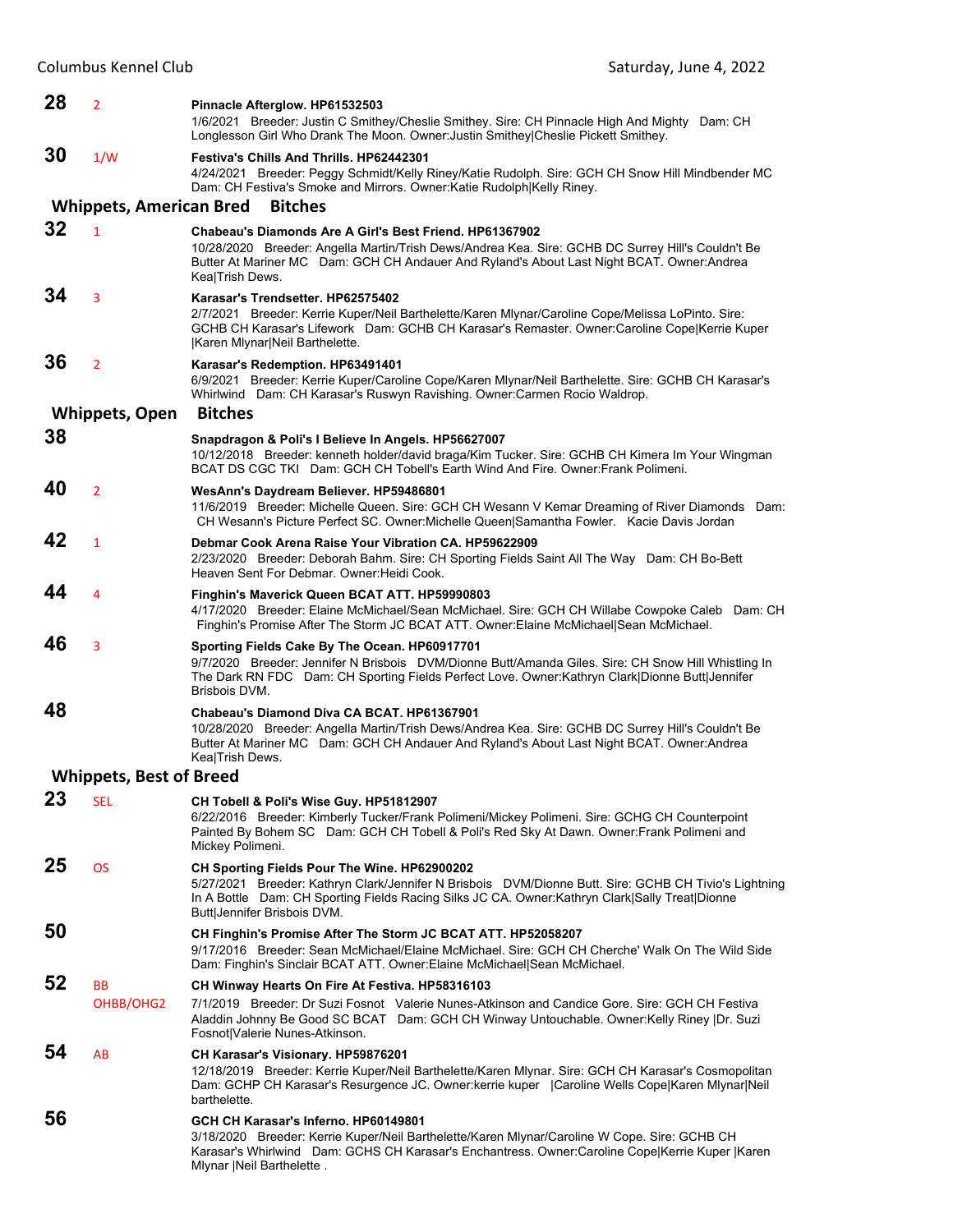| 28 | $\overline{2}$                 | Pinnacle Afterglow. HP61532503<br>1/6/2021 Breeder: Justin C Smithey/Cheslie Smithey. Sire: CH Pinnacle High And Mighty Dam: CH<br>Longlesson Girl Who Drank The Moon. Owner: Justin Smithey Cheslie Pickett Smithey.                                                                       |
|----|--------------------------------|---------------------------------------------------------------------------------------------------------------------------------------------------------------------------------------------------------------------------------------------------------------------------------------------|
| 30 | 1/W                            | <b>Festiva's Chills And Thrills, HP62442301</b><br>4/24/2021 Breeder: Peggy Schmidt/Kelly Riney/Katie Rudolph. Sire: GCH CH Snow Hill Mindbender MC                                                                                                                                         |
|    | <b>Whippets, American Bred</b> | Dam: CH Festiva's Smoke and Mirrors. Owner: Katie Rudolph Kelly Riney.<br><b>Bitches</b>                                                                                                                                                                                                    |
| 32 |                                |                                                                                                                                                                                                                                                                                             |
|    | $\mathbf{1}$                   | Chabeau's Diamonds Are A Girl's Best Friend. HP61367902<br>10/28/2020 Breeder: Angella Martin/Trish Dews/Andrea Kea. Sire: GCHB DC Surrey Hill's Couldn't Be<br>Butter At Mariner MC Dam: GCH CH Andauer And Ryland's About Last Night BCAT. Owner: Andrea<br>Kea Trish Dews.               |
| 34 | 3                              | Karasar's Trendsetter, HP62575402<br>2/7/2021 Breeder: Kerrie Kuper/Neil Barthelette/Karen Mlynar/Caroline Cope/Melissa LoPinto. Sire:<br>GCHB CH Karasar's Lifework Dam: GCHB CH Karasar's Remaster. Owner:Caroline Cope Kerrie Kuper<br>Karen Mlynar Neil Barthelette.                    |
| 36 | $\overline{2}$                 | Karasar's Redemption. HP63491401<br>6/9/2021 Breeder: Kerrie Kuper/Caroline Cope/Karen Mlynar/Neil Barthelette. Sire: GCHB CH Karasar's<br>Whirlwind Dam: CH Karasar's Ruswyn Ravishing. Owner:Carmen Rocio Waldrop.                                                                        |
|    | <b>Whippets, Open</b>          | <b>Bitches</b>                                                                                                                                                                                                                                                                              |
| 38 |                                | Snapdragon & Poli's I Believe In Angels. HP56627007<br>10/12/2018 Breeder: kenneth holder/david braga/Kim Tucker. Sire: GCHB CH Kimera Im Your Wingman<br>BCAT DS CGC TKI Dam: GCH CH Tobell's Earth Wind And Fire. Owner: Frank Polimeni.                                                  |
| 40 | $\overline{2}$                 | WesAnn's Daydream Believer. HP59486801<br>11/6/2019 Breeder: Michelle Queen. Sire: GCH CH Wesann V Kemar Dreaming of River Diamonds Dam:<br>CH Wesann's Picture Perfect SC. Owner: Michelle Queen Samantha Fowler. Kacie Davis Jordan                                                       |
| 42 | $\mathbf{1}$                   | Debmar Cook Arena Raise Your Vibration CA, HP59622909<br>2/23/2020 Breeder: Deborah Bahm. Sire: CH Sporting Fields Saint All The Way Dam: CH Bo-Bett<br>Heaven Sent For Debmar, Owner: Heidi Cook.                                                                                          |
| 44 | 4                              | Finghin's Maverick Queen BCAT ATT. HP59990803<br>4/17/2020 Breeder: Elaine McMichael/Sean McMichael. Sire: GCH CH Willabe Cowpoke Caleb Dam: CH<br>Finghin's Promise After The Storm JC BCAT ATT. Owner: Elaine McMichael Sean McMichael.                                                   |
| 46 | 3                              | Sporting Fields Cake By The Ocean. HP60917701<br>9/7/2020 Breeder: Jennifer N Brisbois DVM/Dionne Butt/Amanda Giles. Sire: CH Snow Hill Whistling In<br>The Dark RN FDC Dam: CH Sporting Fields Perfect Love. Owner: Kathryn Clark Dionne Butt Jennifer<br>Brisbois DVM.                    |
| 48 |                                | Chabeau's Diamond Diva CA BCAT. HP61367901<br>10/28/2020 Breeder: Angella Martin/Trish Dews/Andrea Kea. Sire: GCHB DC Surrey Hill's Couldn't Be<br>Butter At Mariner MC Dam: GCH CH Andauer And Ryland's About Last Night BCAT. Owner: Andrea<br>Kea Trish Dews.                            |
|    | <b>Whippets, Best of Breed</b> |                                                                                                                                                                                                                                                                                             |
| 23 | <b>SEL</b>                     | CH Tobell & Poli's Wise Guy. HP51812907<br>6/22/2016 Breeder: Kimberly Tucker/Frank Polimeni/Mickey Polimeni. Sire: GCHG CH Counterpoint<br>Painted By Bohem SC Dam: GCH CH Tobell & Poli's Red Sky At Dawn. Owner: Frank Polimeni and<br>Mickey Polimeni.                                  |
| 25 | <b>OS</b>                      | CH Sporting Fields Pour The Wine. HP62900202<br>5/27/2021 Breeder: Kathryn Clark/Jennifer N Brisbois DVM/Dionne Butt. Sire: GCHB CH Tivio's Lightning<br>In A Bottle Dam: CH Sporting Fields Racing Silks JC CA. Owner: Kathryn Clark   Sally Treat   Dionne<br>Butt Jennifer Brisbois DVM. |
| 50 |                                | CH Finghin's Promise After The Storm JC BCAT ATT. HP52058207<br>9/17/2016 Breeder: Sean McMichael/Elaine McMichael. Sire: GCH CH Cherche' Walk On The Wild Side<br>Dam: Finghin's Sinclair BCAT ATT. Owner: Elaine McMichael Sean McMichael.                                                |
| 52 | <b>BB</b><br>OHBB/OHG2         | CH Winway Hearts On Fire At Festiva. HP58316103<br>7/1/2019 Breeder: Dr Suzi Fosnot Valerie Nunes-Atkinson and Candice Gore. Sire: GCH CH Festiva<br>Aladdin Johnny Be Good SC BCAT Dam: GCH CH Winway Untouchable. Owner:Kelly Riney  Dr. Suzi<br>Fosnot Valerie Nunes-Atkinson.           |
| 54 | AB                             | CH Karasar's Visionary. HP59876201<br>12/18/2019 Breeder: Kerrie Kuper/Neil Barthelette/Karen Mlynar. Sire: GCH CH Karasar's Cosmopolitan<br>Dam: GCHP CH Karasar's Resurgence JC. Owner:kerrie kuper   Caroline Wells Cope Karen Mlynar Neil<br>barthelette.                               |
| 56 |                                | GCH CH Karasar's Inferno, HP60149801<br>3/18/2020 Breeder: Kerrie Kuper/Neil Barthelette/Karen Mlynar/Caroline W Cope. Sire: GCHB CH<br>Karasar's Whirlwind Dam: GCHS CH Karasar's Enchantress. Owner:Caroline Cope Kerrie Kuper  Karen<br>Mlynar   Neil Barthelette.                       |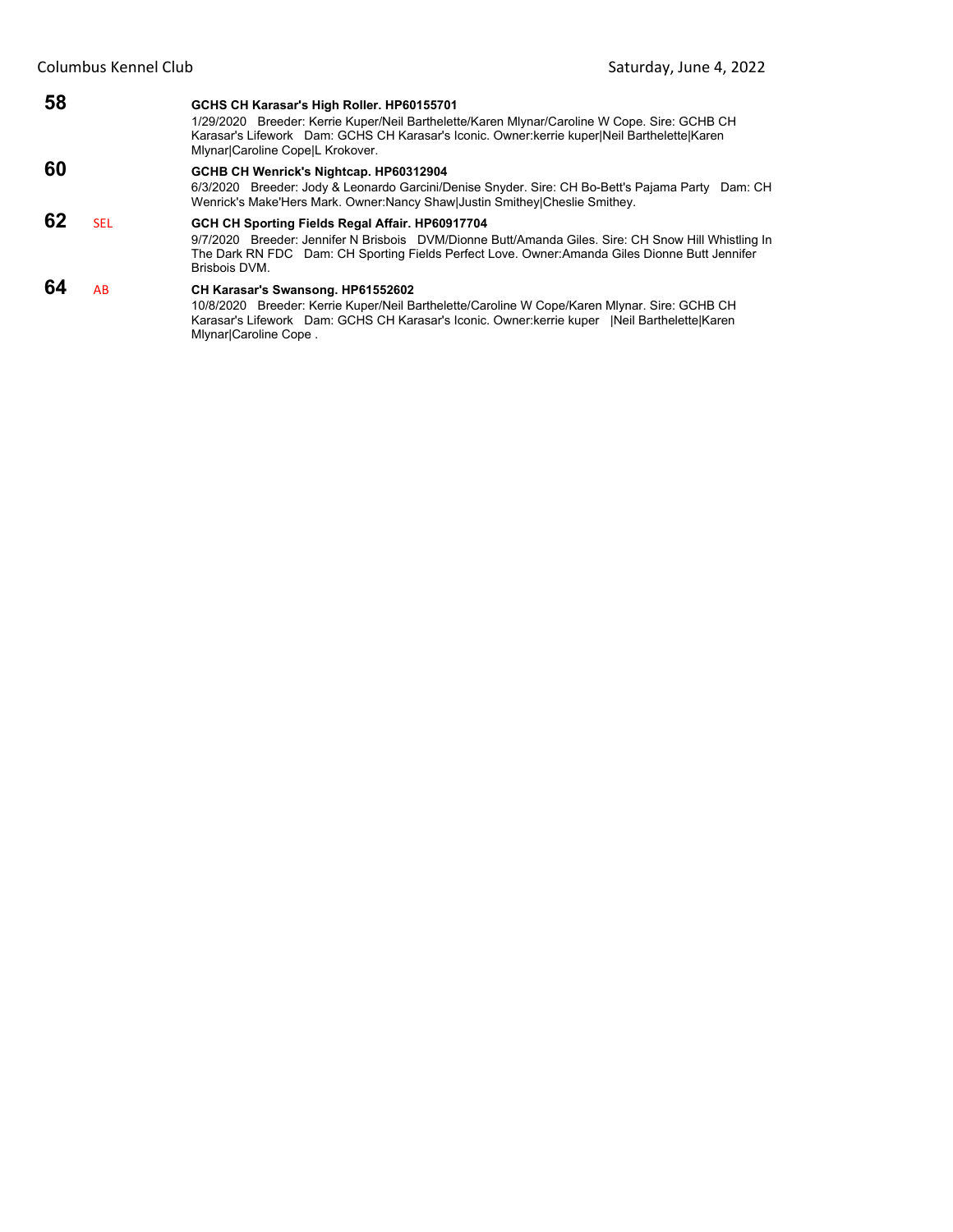#### **58 GCHS CH Karasar's High Roller. HP60155701** 1/29/2020 Breeder: Kerrie Kuper/Neil Barthelette/Karen Mlynar/Caroline W Cope. Sire: GCHB CH Karasar's Lifework Dam: GCHS CH Karasar's Iconic. Owner:kerrie kuper|Neil Barthelette|Karen Mlynar|Caroline Cope|L Krokover. **60 GCHB CH Wenrick's Nightcap. HP60312904** 6/3/2020 Breeder: Jody & Leonardo Garcini/Denise Snyder. Sire: CH Bo-Bett's Pajama Party Dam: CH Wenrick's Make'Hers Mark. Owner:Nancy Shaw|Justin Smithey|Cheslie Smithey. **62** SEL **GCH CH Sporting Fields Regal Affair. HP60917704** 9/7/2020 Breeder: Jennifer N Brisbois DVM/Dionne Butt/Amanda Giles. Sire: CH Snow Hill Whistling In The Dark RN FDC Dam: CH Sporting Fields Perfect Love. Owner:Amanda Giles Dionne Butt Jennifer Brisbois DVM. **64** AB **CH Karasar's Swansong. HP61552602** 10/8/2020 Breeder: Kerrie Kuper/Neil Barthelette/Caroline W Cope/Karen Mlynar. Sire: GCHB CH

Karasar's Lifework Dam: GCHS CH Karasar's Iconic. Owner:kerrie kuper |Neil Barthelette|Karen Mlynar|Caroline Cope .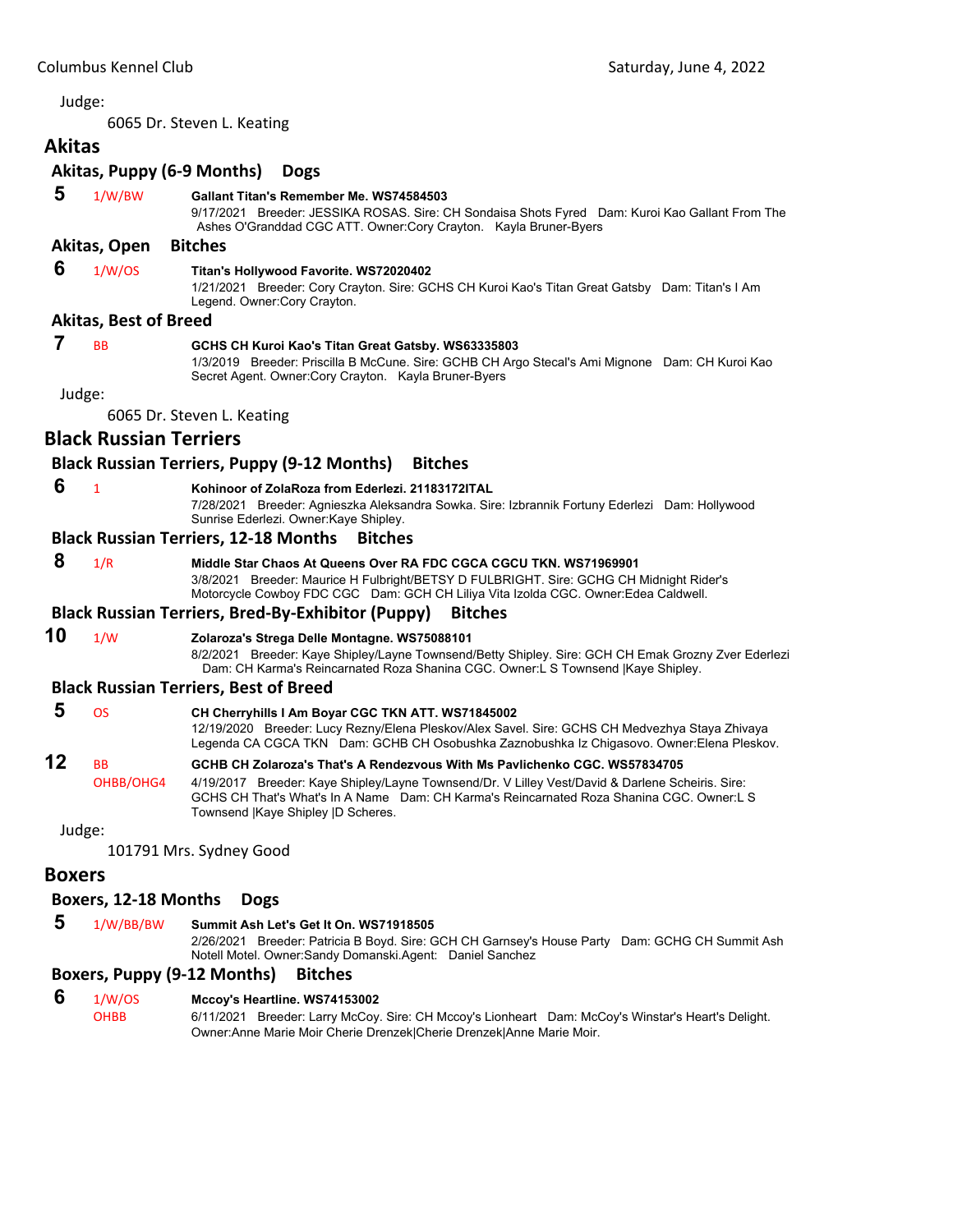<span id="page-22-0"></span>6065 Dr. Steven L. Keating

# **Akitas Akitas, Puppy (6‐9 Months) Dogs**

# **5** 1/W/BW **Gallant Titan's Remember Me. WS74584503**

9/17/2021 Breeder: JESSIKA ROSAS. Sire: CH Sondaisa Shots Fyred Dam: Kuroi Kao Gallant From The Ashes O'Granddad CGC ATT. Owner:Cory Crayton. Kayla Bruner-Byers

#### **Akitas, Open Bitches**

#### **6** 1/W/OS **Titan's Hollywood Favorite. WS72020402**

1/21/2021 Breeder: Cory Crayton. Sire: GCHS CH Kuroi Kao's Titan Great Gatsby Dam: Titan's I Am Legend. Owner:Cory Crayton.

#### **Akitas, Best of Breed**

# **7** BB **GCHS CH Kuroi Kao's Titan Great Gatsby. WS63335803**

1/3/2019 Breeder: Priscilla B McCune. Sire: GCHB CH Argo Stecal's Ami Mignone Dam: CH Kuroi Kao Secret Agent. Owner:Cory Crayton. Kayla Bruner-Byers

Judge:

6065 Dr. Steven L. Keating

# **Black Russian Terriers**

# **Black Russian Terriers, Puppy (9‐12 Months) Bitches**

- **6** <sup>1</sup> **Kohinoor of ZolaRoza from Ederlezi. 21183172ITAL**
	- 7/28/2021 Breeder: Agnieszka Aleksandra Sowka. Sire: Izbrannik Fortuny Ederlezi Dam: Hollywood Sunrise Ederlezi. Owner:Kaye Shipley.

#### **Black Russian Terriers, 12‐18 Months Bitches**

- **8** 1/R **Middle Star Chaos At Queens Over RA FDC CGCA CGCU TKN. WS71969901**
	- 3/8/2021 Breeder: Maurice H Fulbright/BETSY D FULBRIGHT. Sire: GCHG CH Midnight Rider's Motorcycle Cowboy FDC CGC Dam: GCH CH Liliya Vita Izolda CGC. Owner:Edea Caldwell.

#### **Black Russian Terriers, Bred‐By‐Exhibitor (Puppy) Bitches**

**10** 1/W **Zolaroza's Strega Delle Montagne. WS75088101**

8/2/2021 Breeder: Kaye Shipley/Layne Townsend/Betty Shipley. Sire: GCH CH Emak Grozny Zver Ederlezi Dam: CH Karma's Reincarnated Roza Shanina CGC. Owner:L S Townsend |Kaye Shipley.

#### **Black Russian Terriers, Best of Breed**

| -5 | ns        | CH Cherryhills I Am Boyar CGC TKN ATT. WS71845002                                                                                                                                            |
|----|-----------|----------------------------------------------------------------------------------------------------------------------------------------------------------------------------------------------|
|    |           | 12/19/2020 Breeder: Lucy Rezny/Elena Pleskov/Alex Savel. Sire: GCHS CH Medvezhya Staya Zhivaya<br>Legenda CA CGCA TKN Dam: GCHB CH Osobushka Zaznobushka Iz Chigasovo. Owner: Elena Pleskov. |
| 12 | <b>RR</b> | GCHB CH Zolaroza's That's A Rendezvous With Ms Pavlichenko CGC. WS57834705                                                                                                                   |
|    | Q(1)      | AIAOIOOAZ Ducedeu IZerre Ohiuteril erus Terruseus (Du VII illeri VestiDerus) A. Deutsus Osheiuis, Oius :                                                                                     |

OHBB/OHG4 4/19/2017 Breeder: Kaye Shipley/Layne Townsend/Dr. V Lilley Vest/David & Darlene Scheiris. Sire: GCHS CH That's What's In A Name Dam: CH Karma's Reincarnated Roza Shanina CGC. Owner:L S Townsend |Kaye Shipley |D Scheres.

Judge:

101791 Mrs. Sydney Good

#### **Boxers**

#### **Boxers, 12‐18 Months Dogs**

 **5** 1/W/BB/BW **Summit Ash Let's Get It On. WS71918505** 2/26/2021 Breeder: Patricia B Boyd. Sire: GCH CH Garnsey's House Party Dam: GCHG CH Summit Ash Notell Motel. Owner:Sandy Domanski.Agent: Daniel Sanchez

#### **Boxers, Puppy (9‐12 Months) Bitches**

#### **6** 1/W/OS **Mccoy's Heartline. WS74153002**

OHBB 6/11/2021 Breeder: Larry McCoy. Sire: CH Mccoy's Lionheart Dam: McCoy's Winstar's Heart's Delight. Owner:Anne Marie Moir Cherie Drenzek|Cherie Drenzek|Anne Marie Moir.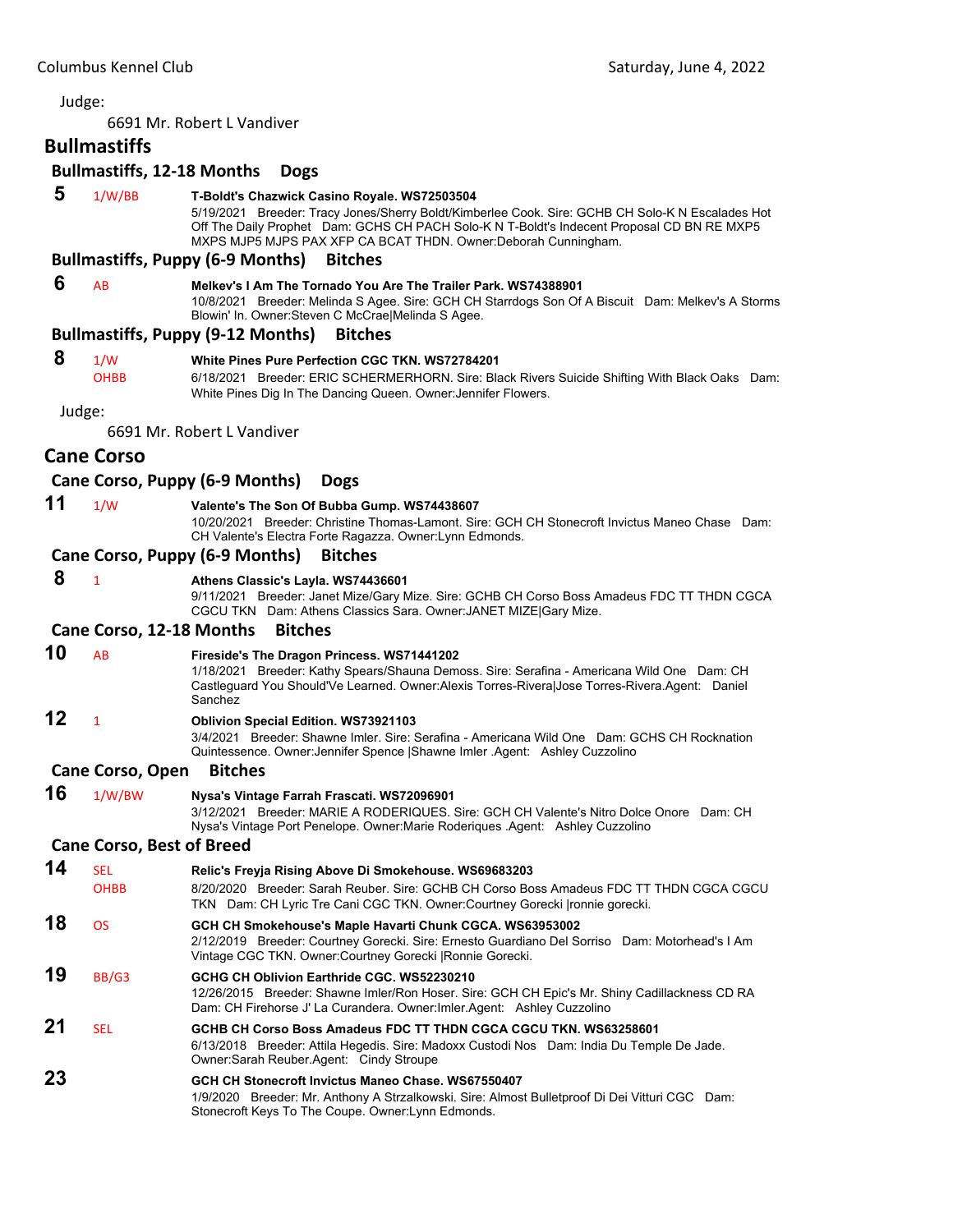6691 Mr. Robert L Vandiver

#### **Bullmastiffs**

#### **Bullmastiffs, 12‐18 Months Dogs**

 **5** 1/W/BB **T-Boldt's Chazwick Casino Royale. WS72503504**

5/19/2021 Breeder: Tracy Jones/Sherry Boldt/Kimberlee Cook. Sire: GCHB CH Solo-K N Escalades Hot Off The Daily Prophet Dam: GCHS CH PACH Solo-K N T-Boldt's Indecent Proposal CD BN RE MXP5 MXPS MJP5 MJPS PAX XFP CA BCAT THDN. Owner:Deborah Cunningham.

### **Bullmastiffs, Puppy (6‐9 Months) Bitches**

 **6** AB **Melkev's I Am The Tornado You Are The Trailer Park. WS74388901** 10/8/2021 Breeder: Melinda S Agee. Sire: GCH CH Starrdogs Son Of A Biscuit Dam: Melkev's A Storms Blowin' In. Owner:Steven C McCrae|Melinda S Agee.

#### **Bullmastiffs, Puppy (9‐12 Months) Bitches**

#### **8** 1/W **White Pines Pure Perfection CGC TKN. WS72784201**

OHBB 6/18/2021 Breeder: ERIC SCHERMERHORN. Sire: Black Rivers Suicide Shifting With Black Oaks Dam: White Pines Dig In The Dancing Queen. Owner:Jennifer Flowers.

Judge:

6691 Mr. Robert L Vandiver

# **Cane Corso**

#### **Cane Corso, Puppy (6‐9 Months) Dogs**

#### **11** 1/W **Valente's The Son Of Bubba Gump. WS74438607**

10/20/2021 Breeder: Christine Thomas-Lamont. Sire: GCH CH Stonecroft Invictus Maneo Chase Dam: CH Valente's Electra Forte Ragazza. Owner:Lynn Edmonds.

#### **Cane Corso, Puppy (6‐9 Months) Bitches**

#### **8** <sup>1</sup> **Athens Classic's Layla. WS74436601**

9/11/2021 Breeder: Janet Mize/Gary Mize. Sire: GCHB CH Corso Boss Amadeus FDC TT THDN CGCA CGCU TKN Dam: Athens Classics Sara. Owner:JANET MIZE|Gary Mize.

#### **Cane Corso, 12‐18 Months Bitches**

#### **10** AB **Fireside's The Dragon Princess. WS71441202**

1/18/2021 Breeder: Kathy Spears/Shauna Demoss. Sire: Serafina - Americana Wild One Dam: CH Castleguard You Should'Ve Learned. Owner:Alexis Torres-Rivera|Jose Torres-Rivera.Agent: Daniel **Sanchez** 

# **12** <sup>1</sup> **Oblivion Special Edition. WS73921103**

3/4/2021 Breeder: Shawne Imler. Sire: Serafina - Americana Wild One Dam: GCHS CH Rocknation Quintessence. Owner:Jennifer Spence |Shawne Imler .Agent: Ashley Cuzzolino

#### **Cane Corso, Open Bitches**

**16** 1/W/BW **Nysa's Vintage Farrah Frascati. WS72096901** 3/12/2021 Breeder: MARIE A RODERIQUES. Sire: GCH CH Valente's Nitro Dolce Onore Dam: CH Nysa's Vintage Port Penelope. Owner:Marie Roderiques .Agent: Ashley Cuzzolino

# **Cane Corso, Best of Breed**

| 14 | SEL.<br><b>OHBB</b> | Relic's Freyja Rising Above Di Smokehouse. WS69683203<br>8/20/2020 Breeder: Sarah Reuber, Sire: GCHB CH Corso Boss Amadeus FDC TT THDN CGCA CGCU<br>TKN Dam: CH Lyric Tre Cani CGC TKN. Owner: Courtney Gorecki Ironnie gorecki. |
|----|---------------------|----------------------------------------------------------------------------------------------------------------------------------------------------------------------------------------------------------------------------------|
| 18 | <b>OS</b>           | GCH CH Smokehouse's Maple Havarti Chunk CGCA. WS63953002<br>2/12/2019 Breeder: Courtney Gorecki. Sire: Ernesto Guardiano Del Sorriso Dam: Motorhead's I Am<br>Vintage CGC TKN. Owner: Courtney Gorecki   Ronnie Gorecki.         |
| 19 | BB/G3               | GCHG CH Oblivion Earthride CGC, WS52230210<br>12/26/2015 Breeder: Shawne Imler/Ron Hoser. Sire: GCH CH Epic's Mr. Shiny Cadillackness CD RA<br>Dam: CH Firehorse J' La Curandera. Owner: Imler Agent: Ashley Cuzzolino           |
| 21 | <b>SEL</b>          | GCHB CH Corso Boss Amadeus FDC TT THDN CGCA CGCU TKN, WS63258601<br>6/13/2018 Breeder: Attila Hegedis. Sire: Madoxx Custodi Nos Dam: India Du Temple De Jade.<br>Owner: Sarah Reuber. Agent: Cindy Stroupe                       |
| 23 |                     | GCH CH Stonecroft Invictus Maneo Chase, WS67550407<br>1/9/2020 Breeder: Mr. Anthony A Strzalkowski. Sire: Almost Bulletproof Di Dei Vitturi CGC Dam:<br>Stonecroft Keys To The Coupe. Owner: Lynn Edmonds.                       |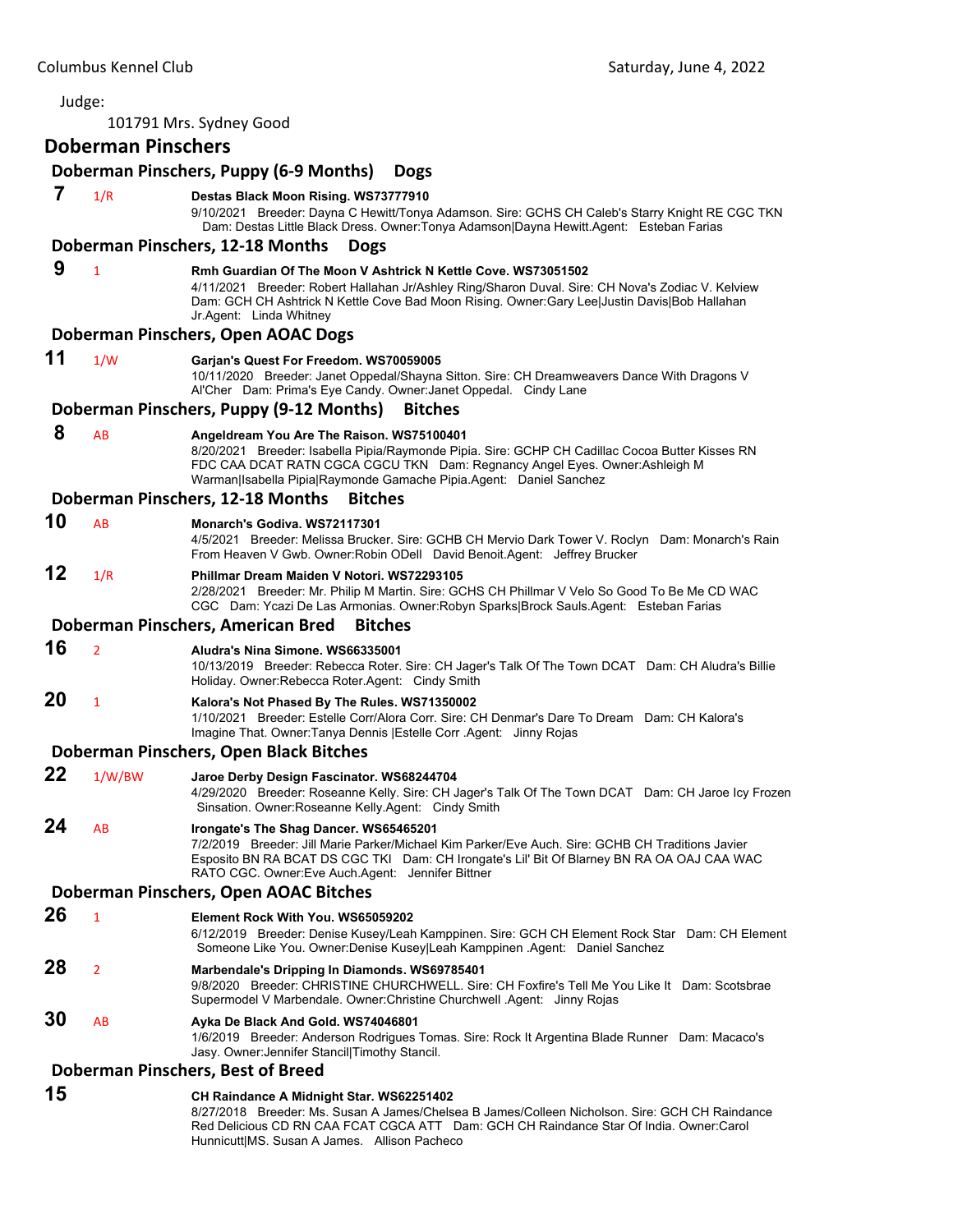| Judge: |                           |                                                                                                                                                                                                                                                                                                   |
|--------|---------------------------|---------------------------------------------------------------------------------------------------------------------------------------------------------------------------------------------------------------------------------------------------------------------------------------------------|
|        |                           | 101791 Mrs. Sydney Good                                                                                                                                                                                                                                                                           |
|        | <b>Doberman Pinschers</b> |                                                                                                                                                                                                                                                                                                   |
|        |                           | Doberman Pinschers, Puppy (6-9 Months)<br><b>Dogs</b>                                                                                                                                                                                                                                             |
| 7      | 1/R                       | Destas Black Moon Rising. WS73777910<br>9/10/2021 Breeder: Dayna C Hewitt/Tonya Adamson. Sire: GCHS CH Caleb's Starry Knight RE CGC TKN<br>Dam: Destas Little Black Dress. Owner: Tonya Adamson Dayna Hewitt. Agent: Esteban Farias                                                               |
|        |                           | Doberman Pinschers, 12-18 Months<br><b>Dogs</b>                                                                                                                                                                                                                                                   |
| 9      | $\mathbf{1}$              | Rmh Guardian Of The Moon V Ashtrick N Kettle Cove. WS73051502<br>4/11/2021 Breeder: Robert Hallahan Jr/Ashley Ring/Sharon Duval. Sire: CH Nova's Zodiac V. Kelview<br>Dam: GCH CH Ashtrick N Kettle Cove Bad Moon Rising. Owner:Gary Lee Justin Davis Bob Hallahan<br>Jr.Agent: Linda Whitney     |
|        |                           | Doberman Pinschers, Open AOAC Dogs                                                                                                                                                                                                                                                                |
| 11     | 1/W                       | Garjan's Quest For Freedom. WS70059005<br>10/11/2020 Breeder: Janet Oppedal/Shayna Sitton. Sire: CH Dreamweavers Dance With Dragons V<br>Al'Cher Dam: Prima's Eye Candy. Owner: Janet Oppedal. Cindy Lane                                                                                         |
|        |                           | Doberman Pinschers, Puppy (9-12 Months)<br><b>Bitches</b>                                                                                                                                                                                                                                         |
| 8      | AB                        | Angeldream You Are The Raison. WS75100401<br>8/20/2021 Breeder: Isabella Pipia/Raymonde Pipia. Sire: GCHP CH Cadillac Cocoa Butter Kisses RN<br>FDC CAA DCAT RATN CGCA CGCU TKN Dam: Regnancy Angel Eyes. Owner: Ashleigh M<br>Warman Isabella Pipia Raymonde Gamache Pipia.Agent: Daniel Sanchez |
|        |                           | Doberman Pinschers, 12-18 Months<br><b>Bitches</b>                                                                                                                                                                                                                                                |
| 10     | AB                        | Monarch's Godiva. WS72117301<br>4/5/2021 Breeder: Melissa Brucker. Sire: GCHB CH Mervio Dark Tower V. Roclyn Dam: Monarch's Rain<br>From Heaven V Gwb. Owner: Robin ODell David Benoit. Agent: Jeffrey Brucker                                                                                    |
| 12     | 1/R                       | Phillmar Dream Maiden V Notori, WS72293105<br>2/28/2021 Breeder: Mr. Philip M Martin. Sire: GCHS CH Phillmar V Velo So Good To Be Me CD WAC<br>CGC Dam: Ycazi De Las Armonias. Owner:Robyn Sparks Brock Sauls.Agent: Esteban Farias                                                               |
|        |                           | Doberman Pinschers, American Bred<br><b>Bitches</b>                                                                                                                                                                                                                                               |
| 16     | $\overline{2}$            | Aludra's Nina Simone, WS66335001<br>10/13/2019 Breeder: Rebecca Roter. Sire: CH Jager's Talk Of The Town DCAT Dam: CH Aludra's Billie<br>Holiday. Owner: Rebecca Roter. Agent: Cindy Smith                                                                                                        |
| 20     | $\mathbf{1}$              | Kalora's Not Phased By The Rules. WS71350002<br>1/10/2021 Breeder: Estelle Corr/Alora Corr. Sire: CH Denmar's Dare To Dream Dam: CH Kalora's<br>Imagine That. Owner: Tanya Dennis   Estelle Corr . Agent: Jinny Rojas                                                                             |
|        |                           | Doberman Pinschers, Open Black Bitches                                                                                                                                                                                                                                                            |
| 22     | 1/W/BW                    | Jaroe Derby Design Fascinator. WS68244704<br>4/29/2020 Breeder: Roseanne Kelly. Sire: CH Jager's Talk Of The Town DCAT Dam: CH Jaroe Icy Frozen<br>Sinsation. Owner: Roseanne Kelly. Agent: Cindy Smith                                                                                           |
| 24     | AB                        | Irongate's The Shag Dancer. WS65465201<br>7/2/2019 Breeder: Jill Marie Parker/Michael Kim Parker/Eve Auch. Sire: GCHB CH Traditions Javier<br>Esposito BN RA BCAT DS CGC TKI Dam: CH Irongate's Lil' Bit Of Blarney BN RA OA OAJ CAA WAC<br>RATO CGC. Owner: Eve Auch. Agent: Jennifer Bittner    |
|        |                           | Doberman Pinschers, Open AOAC Bitches                                                                                                                                                                                                                                                             |
| 26     | $\mathbf{1}$              | Element Rock With You, WS65059202<br>6/12/2019 Breeder: Denise Kusey/Leah Kamppinen. Sire: GCH CH Element Rock Star Dam: CH Element<br>Someone Like You. Owner:Denise Kusey Leah Kamppinen .Agent: Daniel Sanchez                                                                                 |
| 28     | $\overline{2}$            | Marbendale's Dripping In Diamonds. WS69785401<br>9/8/2020 Breeder: CHRISTINE CHURCHWELL. Sire: CH Foxfire's Tell Me You Like It Dam: Scotsbrae<br>Supermodel V Marbendale. Owner: Christine Churchwell . Agent: Jinny Rojas                                                                       |
| 30     | AB                        | Ayka De Black And Gold. WS74046801<br>1/6/2019 Breeder: Anderson Rodrigues Tomas. Sire: Rock It Argentina Blade Runner Dam: Macaco's<br>Jasy. Owner: Jennifer Stancil Timothy Stancil.                                                                                                            |
|        |                           | Doberman Pinschers, Best of Breed                                                                                                                                                                                                                                                                 |
| 15     |                           | CH Raindance A Midnight Star. WS62251402<br>8/27/2018 Breeder: Ms. Susan A James/Chelsea B James/Colleen Nicholson. Sire: GCH CH Raindance<br>Red Delicious CD RN CAA FCAT CGCA ATT Dam: GCH CH Raindance Star Of India. Owner:Carol                                                              |

Hunnicutt|MS. Susan A James. Allison Pacheco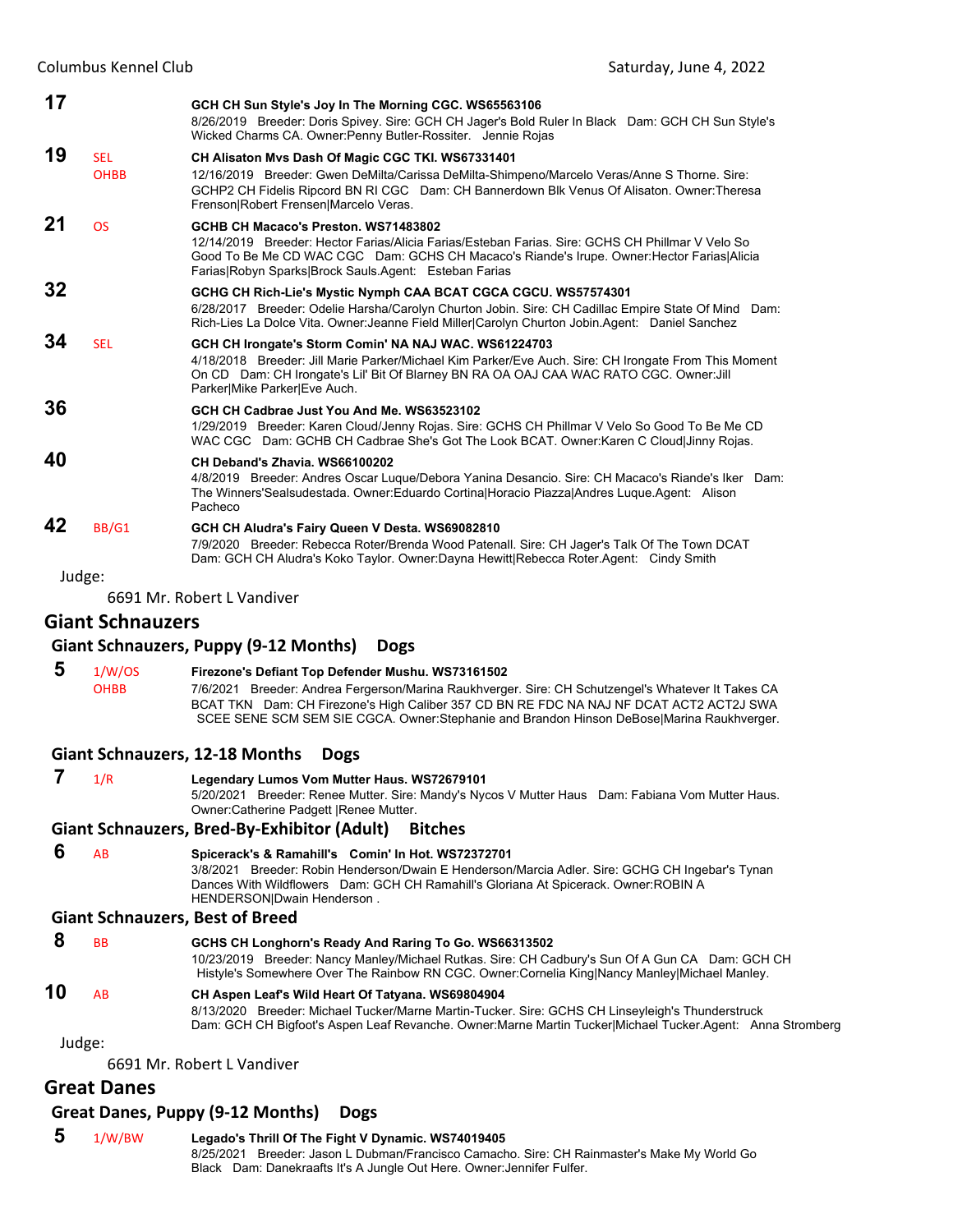| 17     |                           | GCH CH Sun Style's Joy In The Morning CGC. WS65563106<br>8/26/2019 Breeder: Doris Spivey. Sire: GCH CH Jager's Bold Ruler In Black Dam: GCH CH Sun Style's<br>Wicked Charms CA. Owner: Penny Butler-Rossiter. Jennie Rojas                                                                      |
|--------|---------------------------|-------------------------------------------------------------------------------------------------------------------------------------------------------------------------------------------------------------------------------------------------------------------------------------------------|
| 19     | <b>SEL</b><br><b>OHBB</b> | CH Alisaton Mvs Dash Of Magic CGC TKI. WS67331401<br>12/16/2019 Breeder: Gwen DeMilta/Carissa DeMilta-Shimpeno/Marcelo Veras/Anne S Thorne. Sire:<br>GCHP2 CH Fidelis Ripcord BN RI CGC Dam: CH Bannerdown Blk Venus Of Alisaton. Owner: Theresa<br>Frenson Robert Frensen Marcelo Veras.       |
| 21     | <b>OS</b>                 | GCHB CH Macaco's Preston. WS71483802<br>12/14/2019 Breeder: Hector Farias/Alicia Farias/Esteban Farias, Sire: GCHS CH Phillmar V Velo So<br>Good To Be Me CD WAC CGC Dam: GCHS CH Macaco's Riande's Irupe. Owner: Hector Farias Alicia<br>Farias Robyn Sparks Brock Sauls Agent: Esteban Farias |
| 32     |                           | GCHG CH Rich-Lie's Mystic Nymph CAA BCAT CGCA CGCU. WS57574301<br>6/28/2017 Breeder: Odelie Harsha/Carolyn Churton Jobin. Sire: CH Cadillac Empire State Of Mind Dam:<br>Rich-Lies La Dolce Vita. Owner: Jeanne Field Miller Carolyn Churton Jobin.Agent: Daniel Sanchez                        |
| 34     | <b>SEL</b>                | GCH CH Irongate's Storm Comin' NA NAJ WAC. WS61224703<br>4/18/2018 Breeder: Jill Marie Parker/Michael Kim Parker/Eve Auch. Sire: CH Irongate From This Moment<br>On CD Dam: CH Irongate's Lil' Bit Of Blarney BN RA OA OAJ CAA WAC RATO CGC. Owner: Jill<br>Parker Mike Parker Eve Auch.        |
| 36     |                           | GCH CH Cadbrae Just You And Me. WS63523102<br>1/29/2019 Breeder: Karen Cloud/Jenny Rojas. Sire: GCHS CH Phillmar V Velo So Good To Be Me CD<br>WAC CGC Dam: GCHB CH Cadbrae She's Got The Look BCAT. Owner: Karen C Cloud Jinny Rojas.                                                          |
| 40     |                           | CH Deband's Zhavia, WS66100202<br>4/8/2019 Breeder: Andres Oscar Luque/Debora Yanina Desancio. Sire: CH Macaco's Riande's Iker Dam:<br>The Winners'Sealsudestada. Owner:Eduardo Cortina Horacio Piazza Andres Luque.Agent: Alison<br>Pacheco                                                    |
| 42     | BB/G1                     | GCH CH Aludra's Fairy Queen V Desta. WS69082810<br>7/9/2020 Breeder: Rebecca Roter/Brenda Wood Patenall. Sire: CH Jager's Talk Of The Town DCAT<br>Dam: GCH CH Aludra's Koko Taylor. Owner:Dayna Hewitt Rebecca Roter.Agent: Cindy Smith                                                        |
| Judge: |                           |                                                                                                                                                                                                                                                                                                 |
|        |                           | 6691 Mr. Robert L Vandiver                                                                                                                                                                                                                                                                      |

# **Giant Schnauzers**

#### **Giant Schnauzers, Puppy (9‐12 Months) Dogs**

 **5** 1/W/OS **Firezone's Defiant Top Defender Mushu. WS73161502** OHBB 7/6/2021 Breeder: Andrea Fergerson/Marina Raukhverger. Sire: CH Schutzengel's Whatever It Takes CA BCAT TKN Dam: CH Firezone's High Caliber 357 CD BN RE FDC NA NAJ NF DCAT ACT2 ACT2J SWA SCEE SENE SCM SEM SIE CGCA. Owner:Stephanie and Brandon Hinson DeBose|Marina Raukhverger.

#### **Giant Schnauzers, 12‐18 Months Dogs**

|                    | 1/R       | Legendary Lumos Vom Mutter Haus. WS72679101<br>5/20/2021 Breeder: Renee Mutter. Sire: Mandy's Nycos V Mutter Haus Dam: Fabiana Vom Mutter Haus.<br>Owner: Catherine Padgett   Renee Mutter.                                                                                 |
|--------------------|-----------|-----------------------------------------------------------------------------------------------------------------------------------------------------------------------------------------------------------------------------------------------------------------------------|
|                    |           | Giant Schnauzers, Bred-By-Exhibitor (Adult) Bitches                                                                                                                                                                                                                         |
| 6                  | AB        | Spicerack's & Ramahill's Comin' In Hot. WS72372701<br>3/8/2021 Breeder: Robin Henderson/Dwain E Henderson/Marcia Adler. Sire: GCHG CH Ingebar's Tynan<br>Dances With Wildflowers Dam: GCH CH Ramahill's Gloriana At Spicerack. Owner: ROBIN A<br>HENDERSON Dwain Henderson. |
|                    |           | <b>Giant Schnauzers, Best of Breed</b>                                                                                                                                                                                                                                      |
| 8                  | <b>BB</b> | GCHS CH Longhorn's Ready And Raring To Go. WS66313502<br>10/23/2019 Breeder: Nancy Manley/Michael Rutkas. Sire: CH Cadbury's Sun Of A Gun CA Dam: GCH CH<br>Histyle's Somewhere Over The Rainbow RN CGC. Owner: Cornelia King Nancy Manley Michael Manley.                  |
| 10                 | AB        | CH Aspen Leaf's Wild Heart Of Tatyana. WS69804904<br>8/13/2020 Breeder: Michael Tucker/Marne Martin-Tucker. Sire: GCHS CH Linseyleigh's Thunderstruck<br>Dam: GCH CH Bigfoot's Aspen Leaf Revanche. Owner: Marne Martin Tucker Michael Tucker. Agent: Anna Stromberg        |
| المستعمل والمستحدث |           |                                                                                                                                                                                                                                                                             |

Judge:

6691 Mr. Robert L Vandiver

# **Great Danes**

# **Great Danes, Puppy (9‐12 Months) Dogs**

 **5** 1/W/BW **Legado's Thrill Of The Fight V Dynamic. WS74019405** 8/25/2021 Breeder: Jason L Dubman/Francisco Camacho. Sire: CH Rainmaster's Make My World Go Black Dam: Danekraafts It's A Jungle Out Here. Owner:Jennifer Fulfer.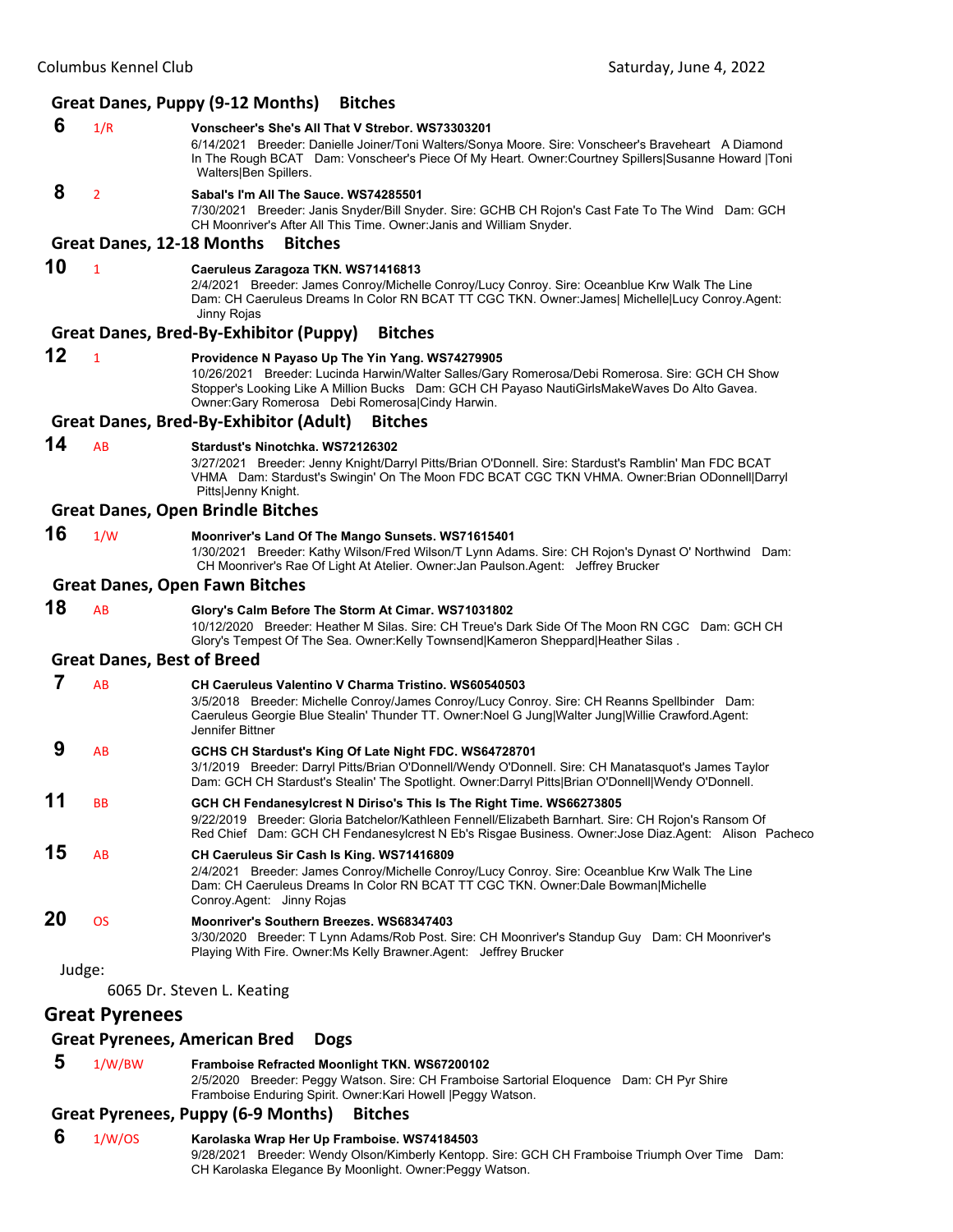#### **Great Danes, Puppy (9‐12 Months) Bitches**

 **6** 1/R **Vonscheer's She's All That V Strebor. WS73303201** 6/14/2021 Breeder: Danielle Joiner/Toni Walters/Sonya Moore. Sire: Vonscheer's Braveheart A Diamond In The Rough BCAT Dam: Vonscheer's Piece Of My Heart. Owner:Courtney Spillers|Susanne Howard |Toni Walters|Ben Spillers.

 **8** <sup>2</sup> **Sabal's I'm All The Sauce. WS74285501**

7/30/2021 Breeder: Janis Snyder/Bill Snyder. Sire: GCHB CH Rojon's Cast Fate To The Wind Dam: GCH CH Moonriver's After All This Time. Owner:Janis and William Snyder.

#### **Great Danes, 12‐18 Months Bitches**

# **10** <sup>1</sup> **Caeruleus Zaragoza TKN. WS71416813**

2/4/2021 Breeder: James Conroy/Michelle Conroy/Lucy Conroy. Sire: Oceanblue Krw Walk The Line Dam: CH Caeruleus Dreams In Color RN BCAT TT CGC TKN. Owner:James| Michelle|Lucy Conroy.Agent: Jinny Rojas

#### **Great Danes, Bred‐By‐Exhibitor (Puppy) Bitches**

#### **12** <sup>1</sup> **Providence N Payaso Up The Yin Yang. WS74279905**

10/26/2021 Breeder: Lucinda Harwin/Walter Salles/Gary Romerosa/Debi Romerosa. Sire: GCH CH Show Stopper's Looking Like A Million Bucks Dam: GCH CH Payaso NautiGirlsMakeWaves Do Alto Gavea. Owner:Gary Romerosa Debi Romerosa|Cindy Harwin.

#### **Great Danes, Bred‐By‐Exhibitor (Adult) Bitches**

# **14** AB **Stardust's Ninotchka. WS72126302**

3/27/2021 Breeder: Jenny Knight/Darryl Pitts/Brian O'Donnell. Sire: Stardust's Ramblin' Man FDC BCAT VHMA Dam: Stardust's Swingin' On The Moon FDC BCAT CGC TKN VHMA. Owner:Brian ODonnell|Darryl Pitts|Jenny Knight.

#### **Great Danes, Open Brindle Bitches**

# **16** 1/W **Moonriver's Land Of The Mango Sunsets. WS71615401**

1/30/2021 Breeder: Kathy Wilson/Fred Wilson/T Lynn Adams. Sire: CH Rojon's Dynast O' Northwind Dam: CH Moonriver's Rae Of Light At Atelier. Owner:Jan Paulson.Agent: Jeffrey Brucker

#### **Great Danes, Open Fawn Bitches**

**18** AB **Glory's Calm Before The Storm At Cimar. WS71031802**

10/12/2020 Breeder: Heather M Silas. Sire: CH Treue's Dark Side Of The Moon RN CGC Dam: GCH CH Glory's Tempest Of The Sea. Owner:Kelly Townsend|Kameron Sheppard|Heather Silas .

#### **Great Danes, Best of Breed**

 **7** AB **CH Caeruleus Valentino V Charma Tristino. WS60540503** 3/5/2018 Breeder: Michelle Conroy/James Conroy/Lucy Conroy. Sire: CH Reanns Spellbinder Dam: Caeruleus Georgie Blue Stealin' Thunder TT. Owner:Noel G Jung|Walter Jung|Willie Crawford.Agent: Jennifer Bittner  **9** AB **GCHS CH Stardust's King Of Late Night FDC. WS64728701** 3/1/2019 Breeder: Darryl Pitts/Brian O'Donnell/Wendy O'Donnell. Sire: CH Manatasquot's James Taylor Dam: GCH CH Stardust's Stealin' The Spotlight. Owner:Darryl Pitts|Brian O'Donnell|Wendy O'Donnell. **11** BB **GCH CH Fendanesylcrest N Diriso's This Is The Right Time. WS66273805** 9/22/2019 Breeder: Gloria Batchelor/Kathleen Fennell/Elizabeth Barnhart. Sire: CH Rojon's Ransom Of Red Chief Dam: GCH CH Fendanesylcrest N Eb's Risgae Business. Owner:Jose Diaz.Agent: Alison Pacheco **15** AB **CH Caeruleus Sir Cash Is King. WS71416809** 2/4/2021 Breeder: James Conroy/Michelle Conroy/Lucy Conroy. Sire: Oceanblue Krw Walk The Line Dam: CH Caeruleus Dreams In Color RN BCAT TT CGC TKN. Owner:Dale Bowman|Michelle Conroy.Agent: Jinny Rojas **20** OS **Moonriver's Southern Breezes. WS68347403** 3/30/2020 Breeder: T Lynn Adams/Rob Post. Sire: CH Moonriver's Standup Guy Dam: CH Moonriver's Playing With Fire. Owner:Ms Kelly Brawner.Agent: Jeffrey Brucker

Judge:

6065 Dr. Steven L. Keating

#### **Great Pyrenees**

# **Great Pyrenees, American Bred Dogs**

 **5** 1/W/BW **Framboise Refracted Moonlight TKN. WS67200102**

2/5/2020 Breeder: Peggy Watson. Sire: CH Framboise Sartorial Eloquence Dam: CH Pyr Shire

Framboise Enduring Spirit. Owner:Kari Howell |Peggy Watson.

# **Great Pyrenees, Puppy (6‐9 Months) Bitches**

#### **6** 1/W/OS **Karolaska Wrap Her Up Framboise. WS74184503**

9/28/2021 Breeder: Wendy Olson/Kimberly Kentopp. Sire: GCH CH Framboise Triumph Over Time Dam: CH Karolaska Elegance By Moonlight. Owner:Peggy Watson.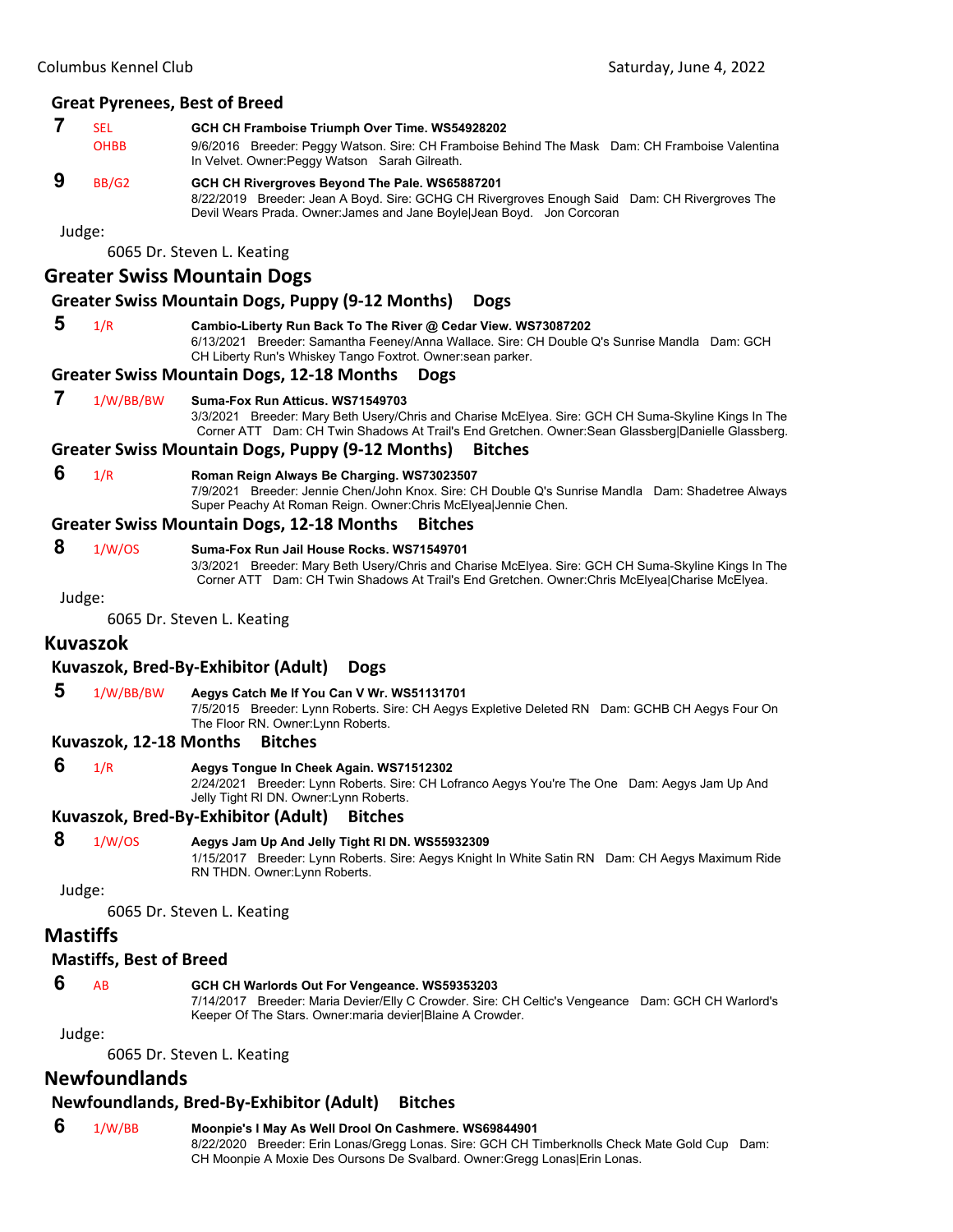# **7** SEL **GCH CH Framboise Triumph Over Time. WS54928202**<br>OHBB 9/6/2016 Breeder: Peggy Watson Sire: CH Framboise F

9/6/2016 Breeder: Peggy Watson. Sire: CH Framboise Behind The Mask Dam: CH Framboise Valentina In Velvet. Owner:Peggy Watson Sarah Gilreath.

#### **9** BB/G2 **GCH CH Rivergroves Beyond The Pale. WS65887201**

8/22/2019 Breeder: Jean A Boyd. Sire: GCHG CH Rivergroves Enough Said Dam: CH Rivergroves The Devil Wears Prada. Owner:James and Jane Boyle|Jean Boyd. Jon Corcoran

Judge:

6065 Dr. Steven L. Keating

#### **Greater Swiss Mountain Dogs**

#### **Greater Swiss Mountain Dogs, Puppy (9‐12 Months) Dogs**

 **5** 1/R **Cambio-Liberty Run Back To The River @ Cedar View. WS73087202** 6/13/2021 Breeder: Samantha Feeney/Anna Wallace. Sire: CH Double Q's Sunrise Mandla Dam: GCH CH Liberty Run's Whiskey Tango Foxtrot. Owner:sean parker.

#### **Greater Swiss Mountain Dogs, 12‐18 Months Dogs**

#### **7** 1/W/BB/BW **Suma-Fox Run Atticus. WS71549703**

3/3/2021 Breeder: Mary Beth Usery/Chris and Charise McElyea. Sire: GCH CH Suma-Skyline Kings In The Corner ATT Dam: CH Twin Shadows At Trail's End Gretchen. Owner:Sean Glassberg|Danielle Glassberg.

#### **Greater Swiss Mountain Dogs, Puppy (9‐12 Months) Bitches**

#### **6** 1/R **Roman Reign Always Be Charging. WS73023507**

7/9/2021 Breeder: Jennie Chen/John Knox. Sire: CH Double Q's Sunrise Mandla Dam: Shadetree Always Super Peachy At Roman Reign. Owner:Chris McElyea|Jennie Chen.

#### **Greater Swiss Mountain Dogs, 12‐18 Months Bitches**

#### **8** 1/W/OS **Suma-Fox Run Jail House Rocks. WS71549701**

3/3/2021 Breeder: Mary Beth Usery/Chris and Charise McElyea. Sire: GCH CH Suma-Skyline Kings In The Corner ATT Dam: CH Twin Shadows At Trail's End Gretchen. Owner:Chris McElyea|Charise McElyea.

Judge:

6065 Dr. Steven L. Keating

## **Kuvaszok**

#### **Kuvaszok, Bred‐By‐Exhibitor (Adult) Dogs**

#### **5** 1/W/BB/BW **Aegys Catch Me If You Can V Wr. WS51131701**

7/5/2015 Breeder: Lynn Roberts. Sire: CH Aegys Expletive Deleted RN Dam: GCHB CH Aegys Four On The Floor RN. Owner:Lynn Roberts.

#### **Kuvaszok, 12‐18 Months Bitches**

#### **6** 1/R **Aegys Tongue In Cheek Again. WS71512302**

2/24/2021 Breeder: Lynn Roberts. Sire: CH Lofranco Aegys You're The One Dam: Aegys Jam Up And Jelly Tight RI DN. Owner:Lynn Roberts.

**Kuvaszok, Bred‐By‐Exhibitor (Adult) Bitches**

#### **8** 1/W/OS **Aegys Jam Up And Jelly Tight RI DN. WS55932309**

1/15/2017 Breeder: Lynn Roberts. Sire: Aegys Knight In White Satin RN Dam: CH Aegys Maximum Ride RN THDN. Owner:Lynn Roberts.

#### Judge:

6065 Dr. Steven L. Keating

## **Mastiffs**

#### **Mastiffs, Best of Breed**

#### **6** AB **GCH CH Warlords Out For Vengeance. WS59353203**

7/14/2017 Breeder: Maria Devier/Elly C Crowder. Sire: CH Celtic's Vengeance Dam: GCH CH Warlord's Keeper Of The Stars. Owner:maria devier|Blaine A Crowder.

Judge:

6065 Dr. Steven L. Keating

# **Newfoundlands**

# **Newfoundlands, Bred‐By‐Exhibitor (Adult) Bitches**

# **6** 1/W/BB **Moonpie's I May As Well Drool On Cashmere. WS69844901**

8/22/2020 Breeder: Erin Lonas/Gregg Lonas. Sire: GCH CH Timberknolls Check Mate Gold Cup Dam: CH Moonpie A Moxie Des Oursons De Svalbard. Owner:Gregg Lonas|Erin Lonas.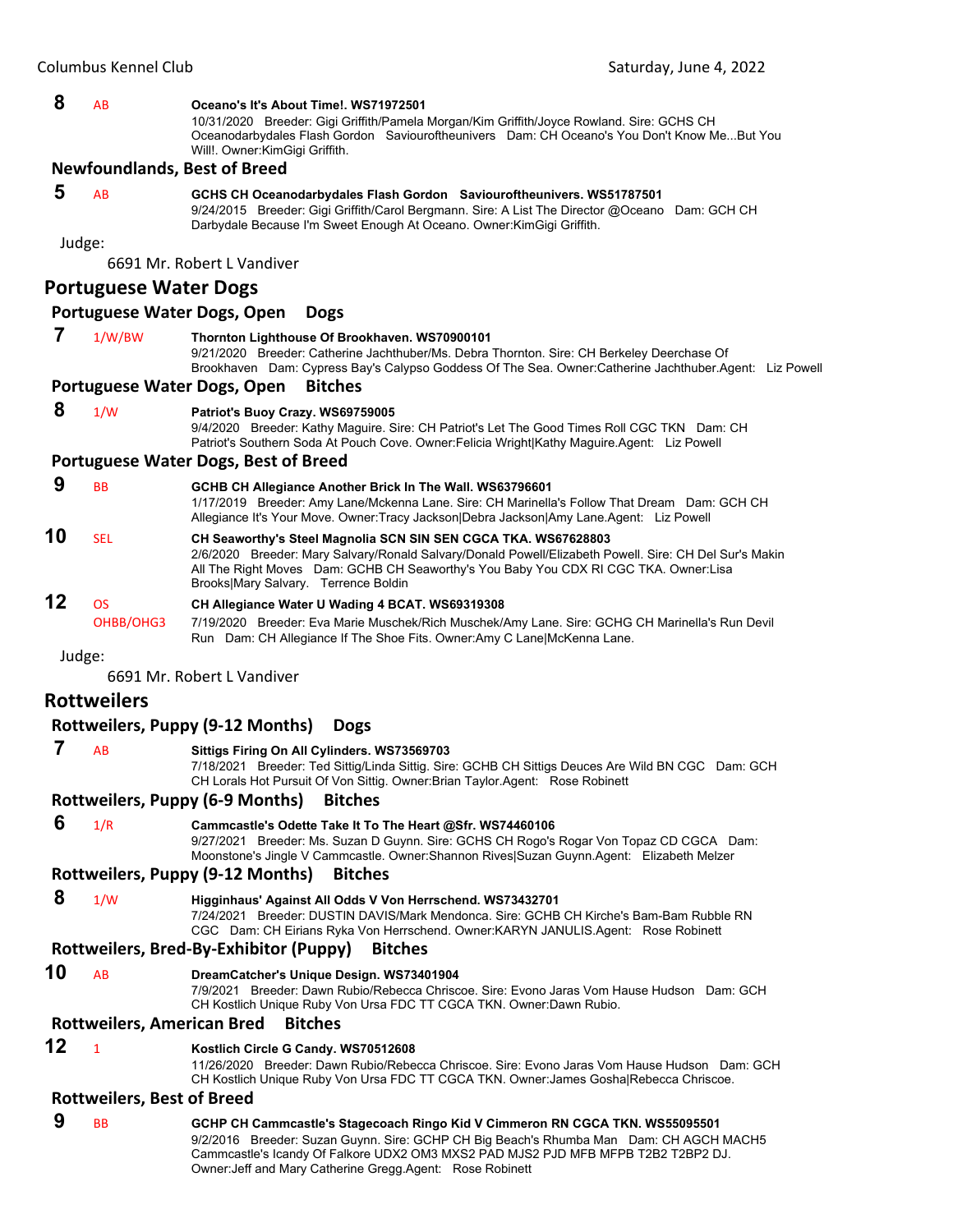#### **8** AB **Oceano's It's About Time!. WS71972501**

10/31/2020 Breeder: Gigi Griffith/Pamela Morgan/Kim Griffith/Joyce Rowland. Sire: GCHS CH Oceanodarbydales Flash Gordon Saviouroftheunivers Dam: CH Oceano's You Don't Know Me...But You Will!. Owner:KimGigi Griffith.

#### **Newfoundlands, Best of Breed**

#### **5** AB **GCHS CH Oceanodarbydales Flash Gordon Saviouroftheunivers. WS51787501**

9/24/2015 Breeder: Gigi Griffith/Carol Bergmann. Sire: A List The Director @Oceano Dam: GCH CH Darbydale Because I'm Sweet Enough At Oceano. Owner:KimGigi Griffith.

Judge:

6691 Mr. Robert L Vandiver

#### **Portuguese Water Dogs**

#### **Portuguese Water Dogs, Open Dogs**

 **7** 1/W/BW **Thornton Lighthouse Of Brookhaven. WS70900101**

9/21/2020 Breeder: Catherine Jachthuber/Ms. Debra Thornton. Sire: CH Berkeley Deerchase Of Brookhaven Dam: Cypress Bay's Calypso Goddess Of The Sea. Owner:Catherine Jachthuber.Agent: Liz Powell

#### **Portuguese Water Dogs, Open Bitches**

#### **8** 1/W **Patriot's Buoy Crazy. WS69759005**

9/4/2020 Breeder: Kathy Maguire. Sire: CH Patriot's Let The Good Times Roll CGC TKN Dam: CH Patriot's Southern Soda At Pouch Cove. Owner:Felicia Wright|Kathy Maguire.Agent: Liz Powell

#### **Portuguese Water Dogs, Best of Breed**

**9** BB **GCHB CH Allegiance Another Brick In The Wall. WS63796601** 1/17/2019 Breeder: Amy Lane/Mckenna Lane. Sire: CH Marinella's Follow That Dream Dam: GCH CH Allegiance It's Your Move. Owner:Tracy Jackson|Debra Jackson|Amy Lane.Agent: Liz Powell **10** SEL **CH Seaworthy's Steel Magnolia SCN SIN SEN CGCA TKA. WS67628803** 2/6/2020 Breeder: Mary Salvary/Ronald Salvary/Donald Powell/Elizabeth Powell. Sire: CH Del Sur's Makin All The Right Moves Dam: GCHB CH Seaworthy's You Baby You CDX RI CGC TKA. Owner:Lisa Brooks|Mary Salvary. Terrence Boldin **12** OS **CH Allegiance Water U Wading 4 BCAT. WS69319308**

OHBB/OHG3 7/19/2020 Breeder: Eva Marie Muschek/Rich Muschek/Amy Lane. Sire: GCHG CH Marinella's Run Devil Run Dam: CH Allegiance If The Shoe Fits. Owner:Amy C Lane|McKenna Lane.

Judge:

6691 Mr. Robert L Vandiver

## **Rottweilers**

#### **Rottweilers, Puppy (9‐12 Months) Dogs**

#### **7** AB **Sittigs Firing On All Cylinders. WS73569703**

7/18/2021 Breeder: Ted Sittig/Linda Sittig. Sire: GCHB CH Sittigs Deuces Are Wild BN CGC Dam: GCH CH Lorals Hot Pursuit Of Von Sittig. Owner:Brian Taylor.Agent: Rose Robinett

#### **Rottweilers, Puppy (6‐9 Months) Bitches**

#### **6** 1/R **Cammcastle's Odette Take It To The Heart @Sfr. WS74460106**

9/27/2021 Breeder: Ms. Suzan D Guynn. Sire: GCHS CH Rogo's Rogar Von Topaz CD CGCA Dam: Moonstone's Jingle V Cammcastle. Owner:Shannon Rives|Suzan Guynn.Agent: Elizabeth Melzer

#### **Rottweilers, Puppy (9‐12 Months) Bitches**

 **8** 1/W **Higginhaus' Against All Odds V Von Herrschend. WS73432701**

7/24/2021 Breeder: DUSTIN DAVIS/Mark Mendonca. Sire: GCHB CH Kirche's Bam-Bam Rubble RN CGC Dam: CH Eirians Ryka Von Herrschend. Owner:KARYN JANULIS.Agent: Rose Robinett

#### **Rottweilers, Bred‐By‐Exhibitor (Puppy) Bitches**

#### **10** AB **DreamCatcher's Unique Design. WS73401904**

7/9/2021 Breeder: Dawn Rubio/Rebecca Chriscoe. Sire: Evono Jaras Vom Hause Hudson Dam: GCH CH Kostlich Unique Ruby Von Ursa FDC TT CGCA TKN. Owner:Dawn Rubio.

#### **Rottweilers, American Bred Bitches**

#### **12** <sup>1</sup> **Kostlich Circle G Candy. WS70512608**

11/26/2020 Breeder: Dawn Rubio/Rebecca Chriscoe. Sire: Evono Jaras Vom Hause Hudson Dam: GCH CH Kostlich Unique Ruby Von Ursa FDC TT CGCA TKN. Owner:James Gosha|Rebecca Chriscoe.

#### **Rottweilers, Best of Breed**

 **9** BB **GCHP CH Cammcastle's Stagecoach Ringo Kid V Cimmeron RN CGCA TKN. WS55095501** 9/2/2016 Breeder: Suzan Guynn. Sire: GCHP CH Big Beach's Rhumba Man Dam: CH AGCH MACH5 Cammcastle's Icandy Of Falkore UDX2 OM3 MXS2 PAD MJS2 PJD MFB MFPB T2B2 T2BP2 DJ. Owner:Jeff and Mary Catherine Gregg.Agent: Rose Robinett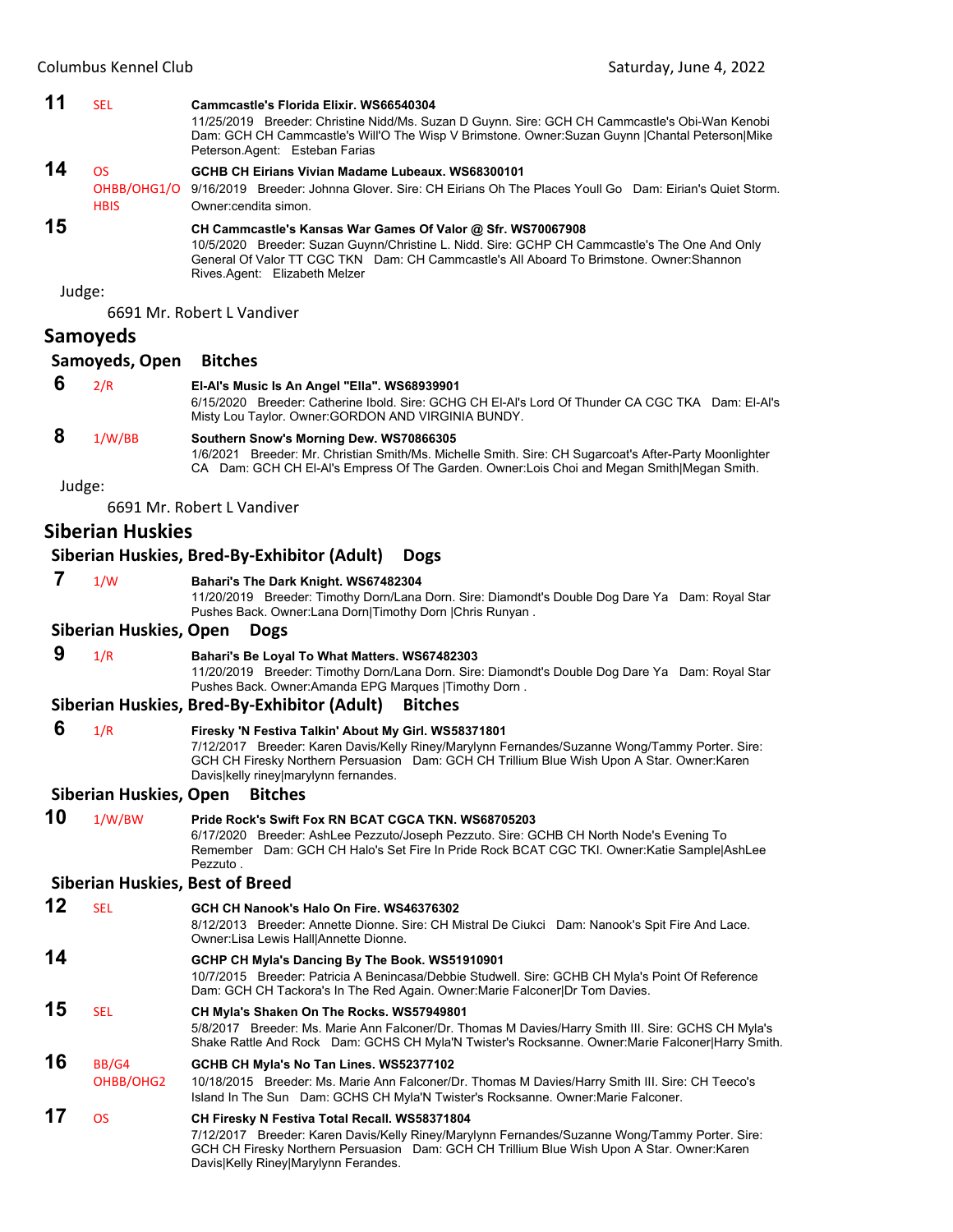| 11     | <b>SEL</b>                              | Cammcastle's Florida Elixir, WS66540304<br>11/25/2019 Breeder: Christine Nidd/Ms. Suzan D Guynn. Sire: GCH CH Cammcastle's Obi-Wan Kenobi<br>Dam: GCH CH Cammcastle's Will'O The Wisp V Brimstone. Owner:Suzan Guynn  Chantal Peterson Mike<br>Peterson.Agent: Esteban Farias                  |
|--------|-----------------------------------------|------------------------------------------------------------------------------------------------------------------------------------------------------------------------------------------------------------------------------------------------------------------------------------------------|
| 14     | <b>OS</b><br>OHBB/OHG1/O<br><b>HBIS</b> | GCHB CH Eirians Vivian Madame Lubeaux, WS68300101<br>9/16/2019 Breeder: Johnna Glover. Sire: CH Eirians Oh The Places Youll Go Dam: Eirian's Quiet Storm.<br>Owner: cendita simon.                                                                                                             |
| 15     |                                         | CH Cammcastle's Kansas War Games Of Valor @ Sfr. WS70067908<br>10/5/2020 Breeder: Suzan Guynn/Christine L. Nidd. Sire: GCHP CH Cammcastle's The One And Only<br>General Of Valor TT CGC TKN Dam: CH Cammcastle's All Aboard To Brimstone. Owner: Shannon<br>Rives Agent: Elizabeth Melzer      |
| Judge: |                                         |                                                                                                                                                                                                                                                                                                |
|        |                                         | 6691 Mr. Robert L Vandiver                                                                                                                                                                                                                                                                     |
|        | <b>Samoyeds</b>                         |                                                                                                                                                                                                                                                                                                |
|        | Samoyeds, Open                          | <b>Bitches</b>                                                                                                                                                                                                                                                                                 |
| 6      | 2/R                                     | EI-AI's Music Is An Angel "Ella". WS68939901<br>6/15/2020 Breeder: Catherine Ibold. Sire: GCHG CH EI-AI's Lord Of Thunder CA CGC TKA Dam: EI-AI's<br>Misty Lou Taylor. Owner: GORDON AND VIRGINIA BUNDY.                                                                                       |
| 8      | 1/W/BB                                  | Southern Snow's Morning Dew. WS70866305<br>1/6/2021 Breeder: Mr. Christian Smith/Ms. Michelle Smith. Sire: CH Sugarcoat's After-Party Moonlighter<br>CA Dam: GCH CH EI-AI's Empress Of The Garden. Owner: Lois Choi and Megan Smith Megan Smith.                                               |
| Judge: |                                         |                                                                                                                                                                                                                                                                                                |
|        |                                         | 6691 Mr. Robert L Vandiver                                                                                                                                                                                                                                                                     |
|        | <b>Siberian Huskies</b>                 |                                                                                                                                                                                                                                                                                                |
|        |                                         | Siberian Huskies, Bred-By-Exhibitor (Adult)<br><b>Dogs</b>                                                                                                                                                                                                                                     |
| 7      | 1/W                                     | Bahari's The Dark Knight. WS67482304<br>11/20/2019 Breeder: Timothy Dorn/Lana Dorn. Sire: Diamondt's Double Dog Dare Ya Dam: Royal Star<br>Pushes Back. Owner:Lana Dorn Timothy Dorn  Chris Runyan.                                                                                            |
|        | Siberian Huskies, Open                  | <b>Dogs</b>                                                                                                                                                                                                                                                                                    |
| 9      | 1/R                                     | Bahari's Be Loyal To What Matters. WS67482303                                                                                                                                                                                                                                                  |
|        |                                         | 11/20/2019 Breeder: Timothy Dorn/Lana Dorn. Sire: Diamondt's Double Dog Dare Ya Dam: Royal Star<br>Pushes Back. Owner: Amanda EPG Marques   Timothy Dorn.                                                                                                                                      |
|        |                                         | Siberian Huskies, Bred-By-Exhibitor (Adult)<br><b>Bitches</b>                                                                                                                                                                                                                                  |
| 6      | 1/R                                     | Firesky 'N Festiva Talkin' About My Girl. WS58371801<br>7/12/2017 Breeder: Karen Davis/Kelly Riney/Marylynn Fernandes/Suzanne Wong/Tammy Porter. Sire:<br>GCH CH Firesky Northern Persuasion Dam: GCH CH Trillium Blue Wish Upon A Star. Owner: Karen<br>Davis kelly riney marylynn fernandes. |
|        | Siberian Huskies, Open                  | <b>Bitches</b>                                                                                                                                                                                                                                                                                 |
| 10     | 1/W/BW                                  | Pride Rock's Swift Fox RN BCAT CGCA TKN. WS68705203<br>6/17/2020 Breeder: AshLee Pezzuto/Joseph Pezzuto. Sire: GCHB CH North Node's Evening To<br>Remember Dam: GCH CH Halo's Set Fire In Pride Rock BCAT CGC TKI. Owner: Katie Sample Ash Lee<br>Pezzuto.                                     |
|        |                                         | <b>Siberian Huskies, Best of Breed</b>                                                                                                                                                                                                                                                         |
| 12     | <b>SEL</b>                              | GCH CH Nanook's Halo On Fire. WS46376302<br>8/12/2013 Breeder: Annette Dionne. Sire: CH Mistral De Ciukci Dam: Nanook's Spit Fire And Lace.<br>Owner:Lisa Lewis Hall Annette Dionne.                                                                                                           |
| 14     |                                         | GCHP CH Myla's Dancing By The Book. WS51910901<br>10/7/2015 Breeder: Patricia A Benincasa/Debbie Studwell. Sire: GCHB CH Myla's Point Of Reference<br>Dam: GCH CH Tackora's In The Red Again. Owner:Marie Falconer Dr Tom Davies.                                                              |
| 15     | <b>SEL</b>                              | CH Myla's Shaken On The Rocks. WS57949801<br>5/8/2017 Breeder: Ms. Marie Ann Falconer/Dr. Thomas M Davies/Harry Smith III. Sire: GCHS CH Myla's<br>Shake Rattle And Rock Dam: GCHS CH Myla'N Twister's Rocksanne. Owner:Marie Falconer Harry Smith.                                            |
| 16     | BB/G4<br>OHBB/OHG2                      | GCHB CH Myla's No Tan Lines. WS52377102<br>10/18/2015 Breeder: Ms. Marie Ann Falconer/Dr. Thomas M Davies/Harry Smith III. Sire: CH Teeco's<br>Island In The Sun Dam: GCHS CH Myla'N Twister's Rocksanne. Owner: Marie Falconer.                                                               |
| 17     | <b>OS</b>                               | CH Firesky N Festiva Total Recall. WS58371804<br>7/12/2017 Breeder: Karen Davis/Kelly Riney/Marylynn Fernandes/Suzanne Wong/Tammy Porter. Sire:<br>GCH CH Firesky Northern Persuasion Dam: GCH CH Trillium Blue Wish Upon A Star. Owner: Karen<br>Davis Kelly Riney Marylynn Ferandes.         |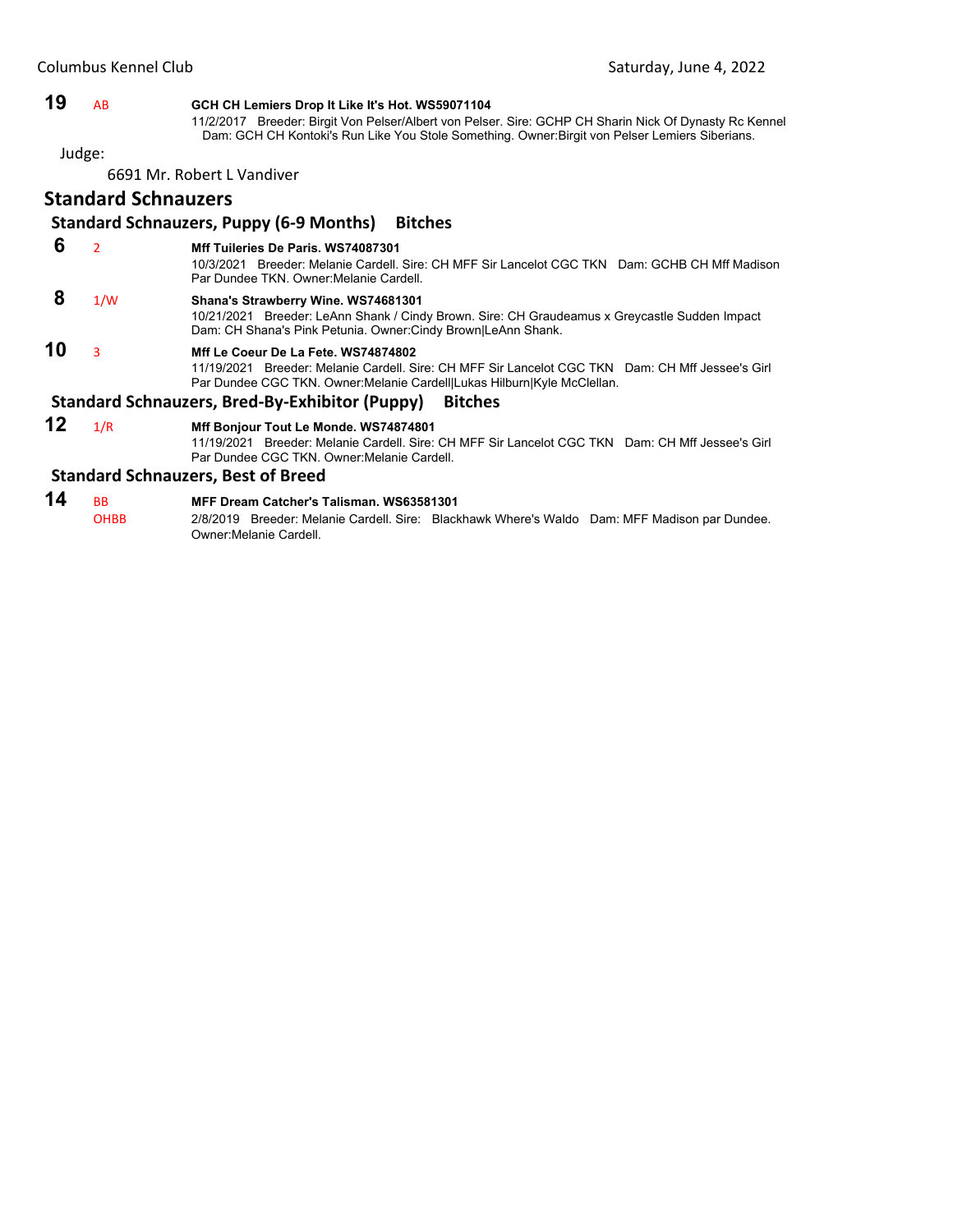#### **19** AB **GCH CH Lemiers Drop It Like It's Hot. WS59071104**

11/2/2017 Breeder: Birgit Von Pelser/Albert von Pelser. Sire: GCHP CH Sharin Nick Of Dynasty Rc Kennel Dam: GCH CH Kontoki's Run Like You Stole Something. Owner:Birgit von Pelser Lemiers Siberians.

Judge:

6691 Mr. Robert L Vandiver

#### **Standard Schnauzers**

#### **Standard Schnauzers, Puppy (6‐9 Months) Bitches**

#### **6** <sup>2</sup> **Mff Tuileries De Paris. WS74087301**

10/3/2021 Breeder: Melanie Cardell. Sire: CH MFF Sir Lancelot CGC TKN Dam: GCHB CH Mff Madison Par Dundee TKN. Owner:Melanie Cardell.

### **8** 1/W **Shana's Strawberry Wine. WS74681301**

10/21/2021 Breeder: LeAnn Shank / Cindy Brown. Sire: CH Graudeamus x Greycastle Sudden Impact Dam: CH Shana's Pink Petunia. Owner:Cindy Brown|LeAnn Shank.

# **10** <sup>3</sup> **Mff Le Coeur De La Fete. WS74874802**

11/19/2021 Breeder: Melanie Cardell. Sire: CH MFF Sir Lancelot CGC TKN Dam: CH Mff Jessee's Girl Par Dundee CGC TKN. Owner:Melanie Cardell|Lukas Hilburn|Kyle McClellan.

#### **Standard Schnauzers, Bred‐By‐Exhibitor (Puppy) Bitches**

#### **12** 1/R **Mff Bonjour Tout Le Monde. WS74874801**

11/19/2021 Breeder: Melanie Cardell. Sire: CH MFF Sir Lancelot CGC TKN Dam: CH Mff Jessee's Girl Par Dundee CGC TKN. Owner:Melanie Cardell.

#### **Standard Schnauzers, Best of Breed**

#### **14** BB **MFF Dream Catcher's Talisman. WS63581301** OHBB 2/8/2019 Breeder: Melanie Cardell. Sire: Blackhawk Where's Waldo Dam: MFF Madison par Dundee. Owner:Melanie Cardell.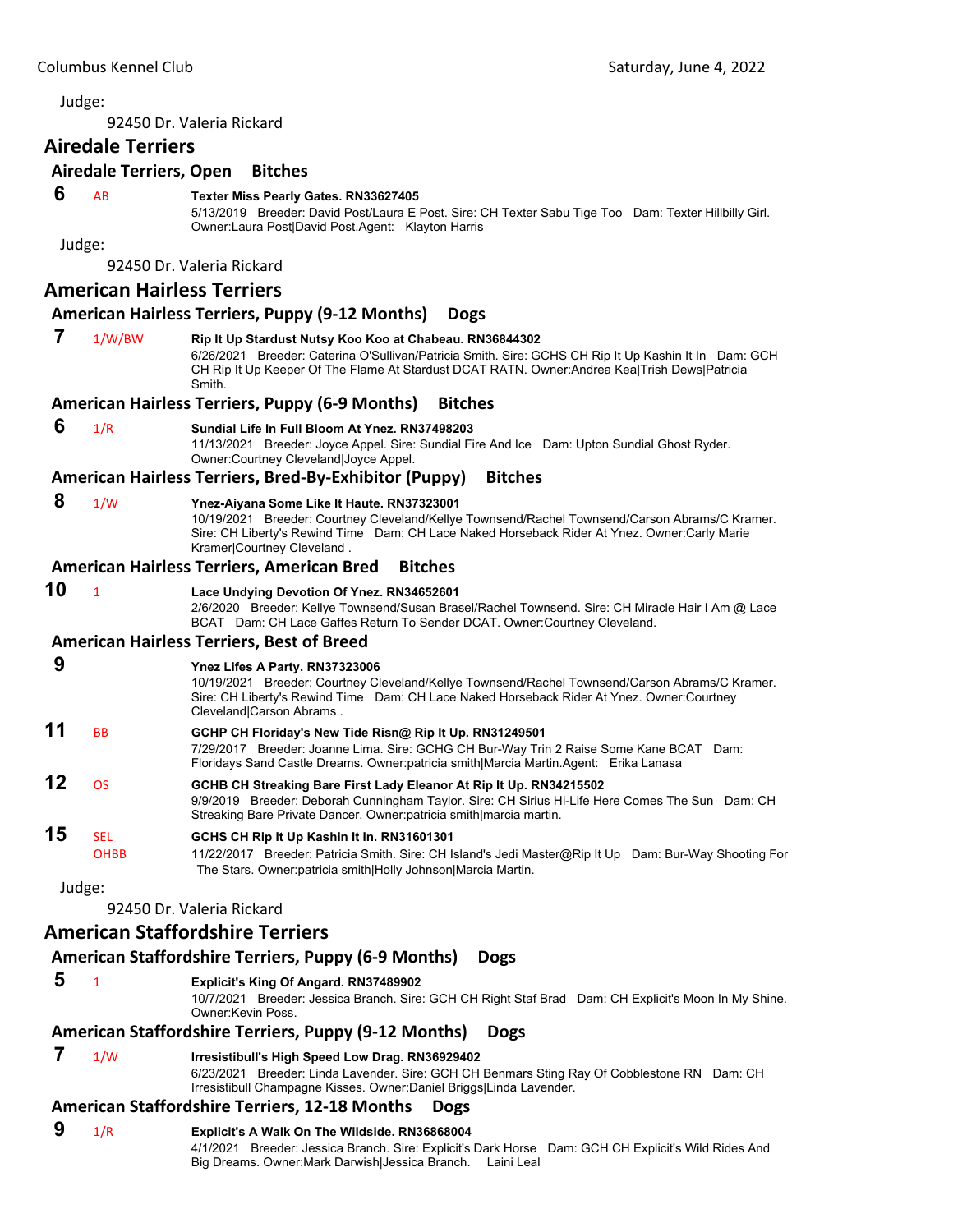<span id="page-31-0"></span>92450 Dr. Valeria Rickard

# **Airedale Terriers**

#### **Airedale Terriers, Open Bitches**

#### **6** AB **Texter Miss Pearly Gates. RN33627405**

5/13/2019 Breeder: David Post/Laura E Post. Sire: CH Texter Sabu Tige Too Dam: Texter Hillbilly Girl. Owner:Laura Post|David Post.Agent: Klayton Harris

Judge:

92450 Dr. Valeria Rickard

#### **American Hairless Terriers**

#### **American Hairless Terriers, Puppy (9‐12 Months) Dogs**

 **7** 1/W/BW **Rip It Up Stardust Nutsy Koo Koo at Chabeau. RN36844302** 6/26/2021 Breeder: Caterina O'Sullivan/Patricia Smith. Sire: GCHS CH Rip It Up Kashin It In Dam: GCH CH Rip It Up Keeper Of The Flame At Stardust DCAT RATN. Owner:Andrea Kea|Trish Dews|Patricia Smith.

#### **American Hairless Terriers, Puppy (6‐9 Months) Bitches**

 **6** 1/R **Sundial Life In Full Bloom At Ynez. RN37498203**

11/13/2021 Breeder: Joyce Appel. Sire: Sundial Fire And Ice Dam: Upton Sundial Ghost Ryder. Owner:Courtney Cleveland|Joyce Appel.

#### **American Hairless Terriers, Bred‐By‐Exhibitor (Puppy) Bitches**

 **8** 1/W **Ynez-Aiyana Some Like It Haute. RN37323001**

10/19/2021 Breeder: Courtney Cleveland/Kellye Townsend/Rachel Townsend/Carson Abrams/C Kramer. Sire: CH Liberty's Rewind Time Dam: CH Lace Naked Horseback Rider At Ynez. Owner:Carly Marie Kramer|Courtney Cleveland .

#### **American Hairless Terriers, American Bred Bitches**

#### **10** <sup>1</sup> **Lace Undying Devotion Of Ynez. RN34652601**

2/6/2020 Breeder: Kellye Townsend/Susan Brasel/Rachel Townsend. Sire: CH Miracle Hair I Am @ Lace BCAT Dam: CH Lace Gaffes Return To Sender DCAT. Owner:Courtney Cleveland.

#### **American Hairless Terriers, Best of Breed**

#### **9 Ynez Lifes A Party. RN37323006** 10/19/2021 Breeder: Courtney Cleveland/Kellye Townsend/Rachel Townsend/Carson Abrams/C Kramer. Sire: CH Liberty's Rewind Time Dam: CH Lace Naked Horseback Rider At Ynez. Owner:Courtney Cleveland|Carson Abrams . **11** BB **GCHP CH Floriday's New Tide Risn@ Rip It Up. RN31249501** 7/29/2017 Breeder: Joanne Lima. Sire: GCHG CH Bur-Way Trin 2 Raise Some Kane BCAT Dam: Floridays Sand Castle Dreams. Owner:patricia smith|Marcia Martin.Agent: Erika Lanasa **12** OS **GCHB CH Streaking Bare First Lady Eleanor At Rip It Up. RN34215502** 9/9/2019 Breeder: Deborah Cunningham Taylor. Sire: CH Sirius Hi-Life Here Comes The Sun Dam: CH Streaking Bare Private Dancer. Owner:patricia smith|marcia martin. **15** SEL **GCHS CH Rip It Up Kashin It In. RN31601301** OHBB 11/22/2017 Breeder: Patricia Smith. Sire: CH Island's Jedi Master@Rip It Up Dam: Bur-Way Shooting For The Stars. Owner:patricia smith|Holly Johnson|Marcia Martin. Judge:

92450 Dr. Valeria Rickard

# **American Staffordshire Terriers**

# **American Staffordshire Terriers, Puppy (6‐9 Months) Dogs**

 **5** <sup>1</sup> **Explicit's King Of Angard. RN37489902**

10/7/2021 Breeder: Jessica Branch. Sire: GCH CH Right Staf Brad Dam: CH Explicit's Moon In My Shine. Owner:Kevin Poss.

# **American Staffordshire Terriers, Puppy (9‐12 Months) Dogs**

# **7** 1/W **Irresistibull's High Speed Low Drag. RN36929402**

6/23/2021 Breeder: Linda Lavender. Sire: GCH CH Benmars Sting Ray Of Cobblestone RN Dam: CH Irresistibull Champagne Kisses. Owner:Daniel Briggs|Linda Lavender.

# **American Staffordshire Terriers, 12‐18 Months Dogs**

#### **9** 1/R **Explicit's A Walk On The Wildside. RN36868004** 4/1/2021 Breeder: Jessica Branch. Sire: Explicit's Dark Horse Dam: GCH CH Explicit's Wild Rides And Big Dreams. Owner:Mark Darwish|Jessica Branch. Laini Leal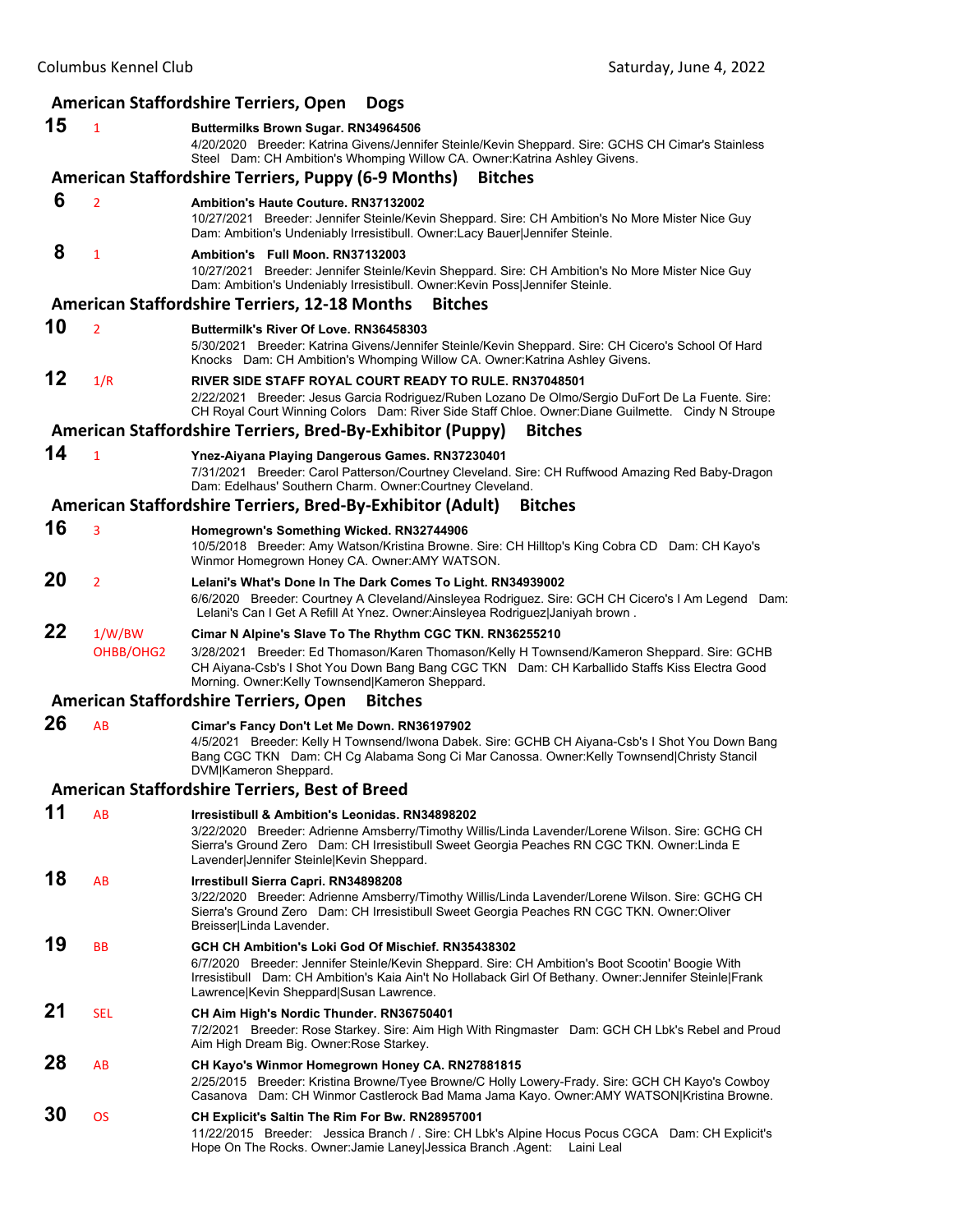| 15<br>$\mathbf{1}$   | <b>American Staffordshire Terriers, Open</b><br><b>Dogs</b>                                                                                                                                                                                                                                    |
|----------------------|------------------------------------------------------------------------------------------------------------------------------------------------------------------------------------------------------------------------------------------------------------------------------------------------|
|                      |                                                                                                                                                                                                                                                                                                |
|                      | Buttermilks Brown Sugar. RN34964506<br>4/20/2020 Breeder: Katrina Givens/Jennifer Steinle/Kevin Sheppard. Sire: GCHS CH Cimar's Stainless<br>Steel Dam: CH Ambition's Whomping Willow CA. Owner: Katrina Ashley Givens.                                                                        |
|                      | <b>American Staffordshire Terriers, Puppy (6-9 Months)</b><br><b>Bitches</b>                                                                                                                                                                                                                   |
| 6<br>$\overline{2}$  | <b>Ambition's Haute Couture, RN37132002</b>                                                                                                                                                                                                                                                    |
|                      | 10/27/2021 Breeder: Jennifer Steinle/Kevin Sheppard. Sire: CH Ambition's No More Mister Nice Guy<br>Dam: Ambition's Undeniably Irresistibull. Owner:Lacy Bauer Jennifer Steinle.                                                                                                               |
| 8<br>1               | Ambition's Full Moon, RN37132003<br>10/27/2021 Breeder: Jennifer Steinle/Kevin Sheppard. Sire: CH Ambition's No More Mister Nice Guy<br>Dam: Ambition's Undeniably Irresistibull. Owner: Kevin Poss Jennifer Steinle.                                                                          |
|                      | <b>American Staffordshire Terriers, 12-18 Months</b><br><b>Bitches</b>                                                                                                                                                                                                                         |
| 10<br>$\overline{2}$ | Buttermilk's River Of Love, RN36458303                                                                                                                                                                                                                                                         |
|                      | 5/30/2021 Breeder: Katrina Givens/Jennifer Steinle/Kevin Sheppard. Sire: CH Cicero's School Of Hard<br>Knocks Dam: CH Ambition's Whomping Willow CA. Owner: Katrina Ashley Givens.                                                                                                             |
| 12<br>1/R            | RIVER SIDE STAFF ROYAL COURT READY TO RULE, RN37048501<br>2/22/2021 Breeder: Jesus Garcia Rodriguez/Ruben Lozano De Olmo/Sergio DuFort De La Fuente. Sire:<br>CH Royal Court Winning Colors Dam: River Side Staff Chloe. Owner: Diane Guilmette. Cindy N Stroupe                               |
|                      | American Staffordshire Terriers, Bred-By-Exhibitor (Puppy)<br><b>Bitches</b>                                                                                                                                                                                                                   |
| 14<br>$\mathbf{1}$   | Ynez-Aiyana Playing Dangerous Games. RN37230401                                                                                                                                                                                                                                                |
|                      | 7/31/2021 Breeder: Carol Patterson/Courtney Cleveland. Sire: CH Ruffwood Amazing Red Baby-Dragon<br>Dam: Edelhaus' Southern Charm. Owner: Courtney Cleveland.                                                                                                                                  |
|                      | American Staffordshire Terriers, Bred-By-Exhibitor (Adult)<br><b>Bitches</b>                                                                                                                                                                                                                   |
| 16<br>3              | Homegrown's Something Wicked. RN32744906                                                                                                                                                                                                                                                       |
|                      | 10/5/2018 Breeder: Amy Watson/Kristina Browne. Sire: CH Hilltop's King Cobra CD Dam: CH Kayo's<br>Winmor Homegrown Honey CA. Owner:AMY WATSON.                                                                                                                                                 |
| 20<br>$\overline{2}$ |                                                                                                                                                                                                                                                                                                |
|                      | Lelani's What's Done In The Dark Comes To Light. RN34939002<br>6/6/2020 Breeder: Courtney A Cleveland/Ainsleyea Rodriguez. Sire: GCH CH Cicero's I Am Legend Dam:<br>Lelani's Can I Get A Refill At Ynez. Owner:Ainsleyea Rodriguez Janiyah brown.                                             |
| 22<br>1/W/BW         | Cimar N Alpine's Slave To The Rhythm CGC TKN. RN36255210                                                                                                                                                                                                                                       |
| OHBB/OHG2            | 3/28/2021 Breeder: Ed Thomason/Karen Thomason/Kelly H Townsend/Kameron Sheppard. Sire: GCHB<br>CH Aiyana-Csb's I Shot You Down Bang Bang CGC TKN Dam: CH Karballido Staffs Kiss Electra Good                                                                                                   |
|                      | Morning. Owner:Kelly Townsend Kameron Sheppard.<br><b>American Staffordshire Terriers, Open</b><br><b>Bitches</b>                                                                                                                                                                              |
| 26<br>AB             |                                                                                                                                                                                                                                                                                                |
|                      | Cimar's Fancy Don't Let Me Down. RN36197902<br>4/5/2021 Breeder: Kelly H Townsend/Iwona Dabek. Sire: GCHB CH Aiyana-Csb's I Shot You Down Bang<br>Bang CGC TKN Dam: CH Cg Alabama Song Ci Mar Canossa. Owner: Kelly Townsend Christy Stancil                                                   |
|                      | DVM Kameron Sheppard.                                                                                                                                                                                                                                                                          |
|                      | American Staffordshire Terriers, Best of Breed                                                                                                                                                                                                                                                 |
| 11<br>AB             | Irresistibull & Ambition's Leonidas. RN34898202<br>3/22/2020 Breeder: Adrienne Amsberry/Timothy Willis/Linda Lavender/Lorene Wilson. Sire: GCHG CH<br>Sierra's Ground Zero Dam: CH Irresistibull Sweet Georgia Peaches RN CGC TKN. Owner: Linda E<br>Lavender Jennifer Steinle Kevin Sheppard. |
| 18<br>AB             | Irrestibull Sierra Capri. RN34898208                                                                                                                                                                                                                                                           |
|                      | 3/22/2020 Breeder: Adrienne Amsberry/Timothy Willis/Linda Lavender/Lorene Wilson. Sire: GCHG CH<br>Sierra's Ground Zero Dam: CH Irresistibull Sweet Georgia Peaches RN CGC TKN. Owner:Oliver<br>Breisser Linda Lavender.                                                                       |
| 19<br>ВB             | GCH CH Ambition's Loki God Of Mischief. RN35438302                                                                                                                                                                                                                                             |
|                      | 6/7/2020 Breeder: Jennifer Steinle/Kevin Sheppard. Sire: CH Ambition's Boot Scootin' Boogie With<br>Irresistibull Dam: CH Ambition's Kaia Ain't No Hollaback Girl Of Bethany. Owner: Jennifer Steinle Frank<br>Lawrence Kevin Sheppard Susan Lawrence.                                         |
| 21<br><b>SEL</b>     | CH Aim High's Nordic Thunder. RN36750401                                                                                                                                                                                                                                                       |
|                      | 7/2/2021 Breeder: Rose Starkey. Sire: Aim High With Ringmaster Dam: GCH CH Lbk's Rebel and Proud<br>Aim High Dream Big. Owner: Rose Starkey.                                                                                                                                                   |
| 28<br>AB             | CH Kayo's Winmor Homegrown Honey CA. RN27881815<br>2/25/2015 Breeder: Kristina Browne/Tyee Browne/C Holly Lowery-Frady. Sire: GCH CH Kayo's Cowboy                                                                                                                                             |
| 30<br><b>OS</b>      | Casanova Dam: CH Winmor Castlerock Bad Mama Jama Kayo. Owner: AMY WATSON Kristina Browne.<br>CH Explicit's Saltin The Rim For Bw. RN28957001                                                                                                                                                   |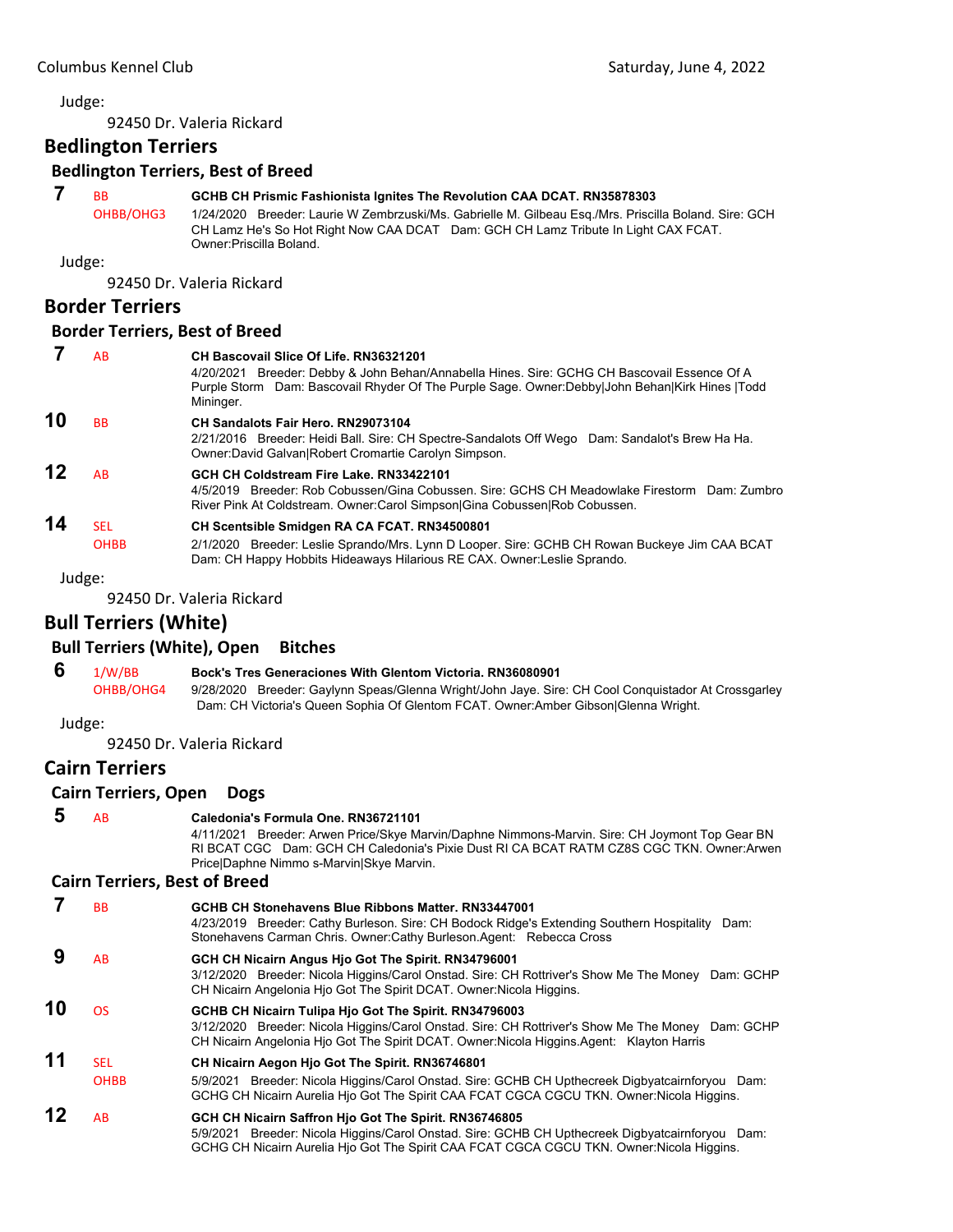92450 Dr. Valeria Rickard

**Bedlington Terriers**

#### **Bedlington Terriers, Best of Breed**

# **7** BB **GCHB CH Prismic Fashionista Ignites The Revolution CAA DCAT. RN35878303**

OHBB/OHG3 1/24/2020 Breeder: Laurie W Zembrzuski/Ms. Gabrielle M. Gilbeau Esq./Mrs. Priscilla Boland. Sire: GCH CH Lamz He's So Hot Right Now CAA DCAT Dam: GCH CH Lamz Tribute In Light CAX FCAT. Owner:Priscilla Boland.

Judge:

92450 Dr. Valeria Rickard

# **Border Terriers**

#### **Border Terriers, Best of Breed**

 **7** AB **CH Bascovail Slice Of Life. RN36321201** 4/20/2021 Breeder: Debby & John Behan/Annabella Hines. Sire: GCHG CH Bascovail Essence Of A Purple Storm Dam: Bascovail Rhyder Of The Purple Sage. Owner:Debby|John Behan|Kirk Hines |Todd Mininger. **10** BB **CH Sandalots Fair Hero. RN29073104** 2/21/2016 Breeder: Heidi Ball. Sire: CH Spectre-Sandalots Off Wego Dam: Sandalot's Brew Ha Ha. Owner:David Galvan|Robert Cromartie Carolyn Simpson. **12** AB **GCH CH Coldstream Fire Lake. RN33422101** 4/5/2019 Breeder: Rob Cobussen/Gina Cobussen. Sire: GCHS CH Meadowlake Firestorm Dam: Zumbro River Pink At Coldstream. Owner:Carol Simpson|Gina Cobussen|Rob Cobussen. **14** SEL **CH Scentsible Smidgen RA CA FCAT. RN34500801** OHBB 2/1/2020 Breeder: Leslie Sprando/Mrs. Lynn D Looper. Sire: GCHB CH Rowan Buckeye Jim CAA BCAT Dam: CH Happy Hobbits Hideaways Hilarious RE CAX. Owner:Leslie Sprando.

Judge:

92450 Dr. Valeria Rickard

# **Bull Terriers (White)**

## **Bull Terriers (White), Open Bitches**

 **6** 1/W/BB **Bock's Tres Generaciones With Glentom Victoria. RN36080901**

OHBB/OHG4 9/28/2020 Breeder: Gaylynn Speas/Glenna Wright/John Jaye. Sire: CH Cool Conquistador At Crossgarley Dam: CH Victoria's Queen Sophia Of Glentom FCAT. Owner:Amber Gibson|Glenna Wright.

Judge:

92450 Dr. Valeria Rickard

## **Cairn Terriers**

#### **Cairn Terriers, Open Dogs**

 **5** AB **Caledonia's Formula One. RN36721101**

4/11/2021 Breeder: Arwen Price/Skye Marvin/Daphne Nimmons-Marvin. Sire: CH Joymont Top Gear BN RI BCAT CGC Dam: GCH CH Caledonia's Pixie Dust RI CA BCAT RATM CZ8S CGC TKN. Owner:Arwen Price|Daphne Nimmo s-Marvin|Skye Marvin.

#### **Cairn Terriers, Best of Breed**

 **7** BB **GCHB CH Stonehavens Blue Ribbons Matter. RN33447001** 4/23/2019 Breeder: Cathy Burleson. Sire: CH Bodock Ridge's Extending Southern Hospitality Dam: Stonehavens Carman Chris. Owner:Cathy Burleson.Agent: Rebecca Cross  **9** AB **GCH CH Nicairn Angus Hjo Got The Spirit. RN34796001** 3/12/2020 Breeder: Nicola Higgins/Carol Onstad. Sire: CH Rottriver's Show Me The Money Dam: GCHP CH Nicairn Angelonia Hjo Got The Spirit DCAT. Owner:Nicola Higgins. **10** OS **GCHB CH Nicairn Tulipa Hjo Got The Spirit. RN34796003** 3/12/2020 Breeder: Nicola Higgins/Carol Onstad. Sire: CH Rottriver's Show Me The Money Dam: GCHP CH Nicairn Angelonia Hjo Got The Spirit DCAT. Owner:Nicola Higgins.Agent: Klayton Harris **11** SEL **CH Nicairn Aegon Hjo Got The Spirit. RN36746801** OHBB 5/9/2021 Breeder: Nicola Higgins/Carol Onstad. Sire: GCHB CH Upthecreek Digbyatcairnforyou Dam: GCHG CH Nicairn Aurelia Hjo Got The Spirit CAA FCAT CGCA CGCU TKN. Owner:Nicola Higgins. **12** AB **GCH CH Nicairn Saffron Hjo Got The Spirit. RN36746805** 5/9/2021 Breeder: Nicola Higgins/Carol Onstad. Sire: GCHB CH Upthecreek Digbyatcairnforyou Dam: GCHG CH Nicairn Aurelia Hjo Got The Spirit CAA FCAT CGCA CGCU TKN. Owner:Nicola Higgins.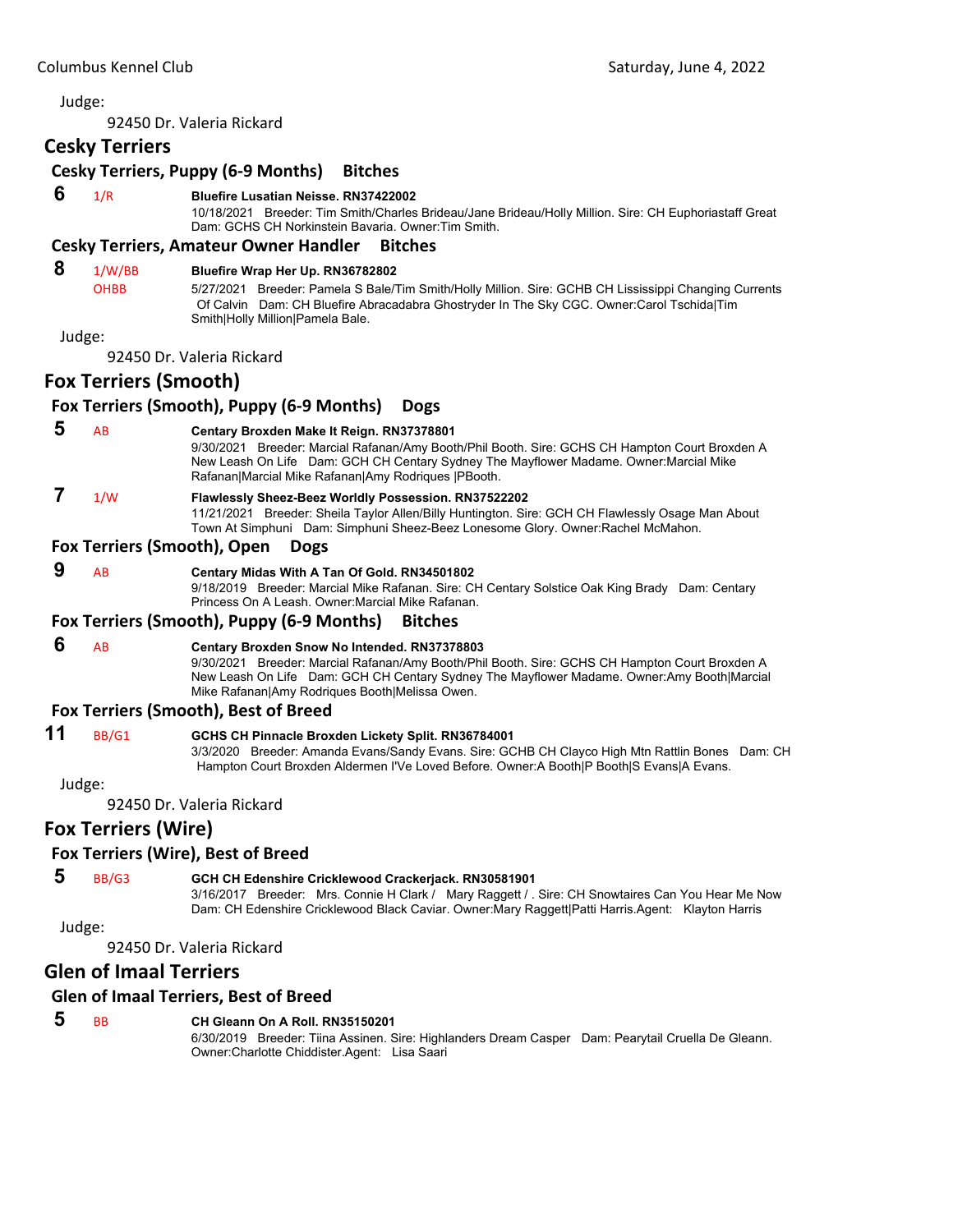92450 Dr. Valeria Rickard

# **Cesky Terriers**

## **Cesky Terriers, Puppy (6‐9 Months) Bitches**

## **6** 1/R **Bluefire Lusatian Neisse. RN37422002**

10/18/2021 Breeder: Tim Smith/Charles Brideau/Jane Brideau/Holly Million. Sire: CH Euphoriastaff Great Dam: GCHS CH Norkinstein Bavaria. Owner:Tim Smith.

#### **Cesky Terriers, Amateur Owner Handler Bitches**

# **8** 1/W/BB **Bluefire Wrap Her Up. RN36782802**

OHBB 5/27/2021 Breeder: Pamela S Bale/Tim Smith/Holly Million. Sire: GCHB CH Lississippi Changing Currents Of Calvin Dam: CH Bluefire Abracadabra Ghostryder In The Sky CGC. Owner:Carol Tschida|Tim Smith|Holly Million|Pamela Bale.

#### Judge:

92450 Dr. Valeria Rickard

#### **Fox Terriers (Smooth)**

**Fox Terriers (Smooth), Puppy (6‐9 Months) Dogs**

### **5** AB **Centary Broxden Make It Reign. RN37378801**

9/30/2021 Breeder: Marcial Rafanan/Amy Booth/Phil Booth. Sire: GCHS CH Hampton Court Broxden A New Leash On Life Dam: GCH CH Centary Sydney The Mayflower Madame. Owner:Marcial Mike Rafanan|Marcial Mike Rafanan|Amy Rodriques |PBooth.

# **7** 1/W **Flawlessly Sheez-Beez Worldly Possession. RN37522202**

11/21/2021 Breeder: Sheila Taylor Allen/Billy Huntington. Sire: GCH CH Flawlessly Osage Man About Town At Simphuni Dam: Simphuni Sheez-Beez Lonesome Glory. Owner:Rachel McMahon.

#### **Fox Terriers (Smooth), Open Dogs**

#### **9** AB **Centary Midas With A Tan Of Gold. RN34501802**

9/18/2019 Breeder: Marcial Mike Rafanan. Sire: CH Centary Solstice Oak King Brady Dam: Centary Princess On A Leash. Owner:Marcial Mike Rafanan.

#### **Fox Terriers (Smooth), Puppy (6‐9 Months) Bitches**

#### **6** AB **Centary Broxden Snow No Intended. RN37378803**

9/30/2021 Breeder: Marcial Rafanan/Amy Booth/Phil Booth. Sire: GCHS CH Hampton Court Broxden A New Leash On Life Dam: GCH CH Centary Sydney The Mayflower Madame. Owner:Amy Booth|Marcial Mike Rafanan|Amy Rodriques Booth|Melissa Owen.

#### **Fox Terriers (Smooth), Best of Breed**

#### **11** BB/G1 **GCHS CH Pinnacle Broxden Lickety Split. RN36784001**

3/3/2020 Breeder: Amanda Evans/Sandy Evans. Sire: GCHB CH Clayco High Mtn Rattlin Bones Dam: CH Hampton Court Broxden Aldermen I'Ve Loved Before. Owner:A Booth|P Booth|S Evans|A Evans.

#### Judge:

92450 Dr. Valeria Rickard

# **Fox Terriers (Wire)**

#### **Fox Terriers (Wire), Best of Breed**

## **5** BB/G3 **GCH CH Edenshire Cricklewood Crackerjack. RN30581901**

3/16/2017 Breeder: Mrs. Connie H Clark / Mary Raggett / . Sire: CH Snowtaires Can You Hear Me Now Dam: CH Edenshire Cricklewood Black Caviar. Owner:Mary Raggett|Patti Harris.Agent: Klayton Harris

Judge:

92450 Dr. Valeria Rickard

# **Glen of Imaal Terriers**

#### **Glen of Imaal Terriers, Best of Breed**

# **5** BB **CH Gleann On A Roll. RN35150201**

6/30/2019 Breeder: Tiina Assinen. Sire: Highlanders Dream Casper Dam: Pearytail Cruella De Gleann. Owner:Charlotte Chiddister.Agent: Lisa Saari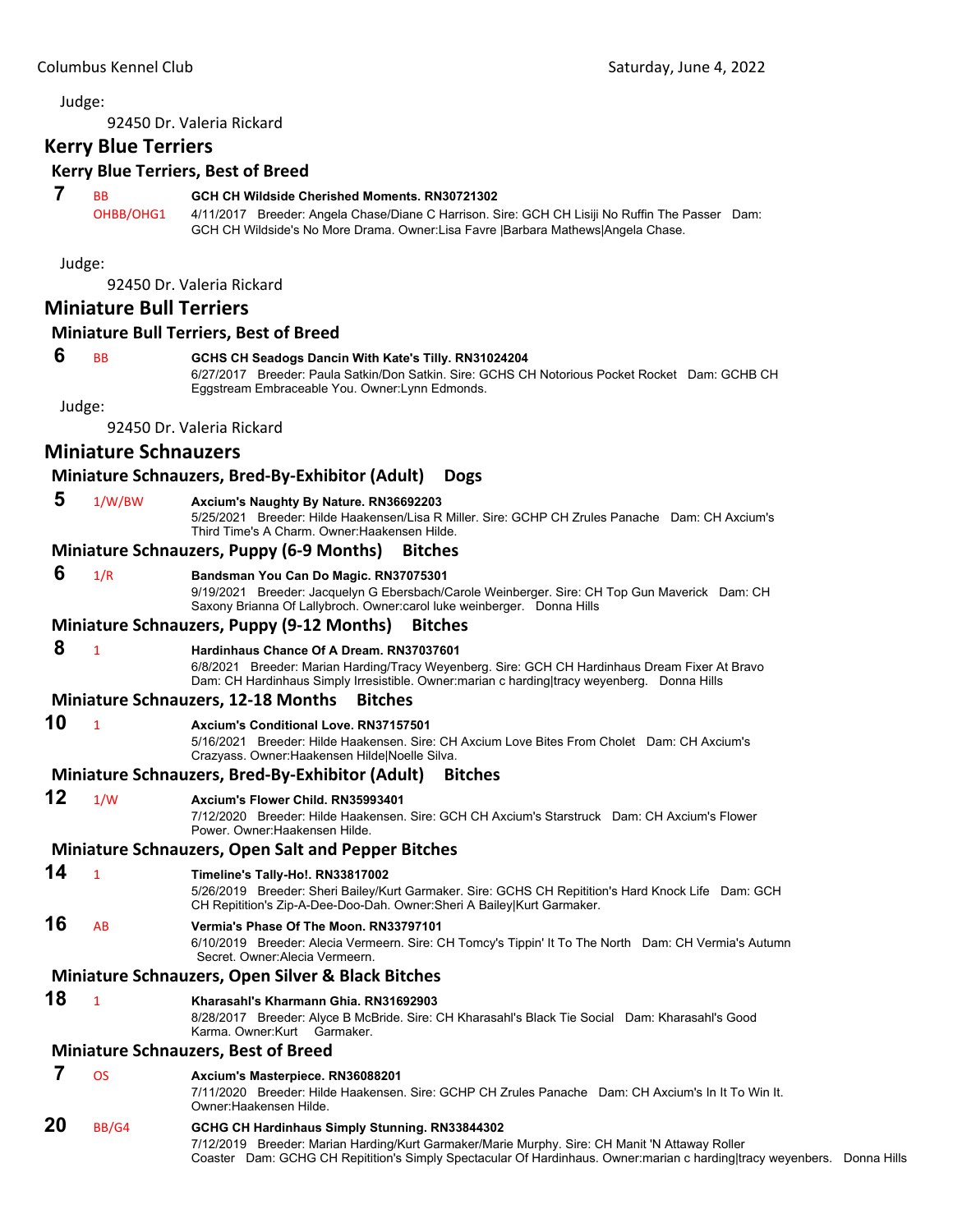92450 Dr. Valeria Rickard

# **Kerry Blue Terriers**

#### **Kerry Blue Terriers, Best of Breed**

#### **7** BB **GCH CH Wildside Cherished Moments. RN30721302**

OHBB/OHG1 4/11/2017 Breeder: Angela Chase/Diane C Harrison. Sire: GCH CH Lisiji No Ruffin The Passer Dam: GCH CH Wildside's No More Drama. Owner:Lisa Favre |Barbara Mathews|Angela Chase.

Judge:

92450 Dr. Valeria Rickard

# **Miniature Bull Terriers**

#### **Miniature Bull Terriers, Best of Breed**

#### **6** BB **GCHS CH Seadogs Dancin With Kate's Tilly. RN31024204**

6/27/2017 Breeder: Paula Satkin/Don Satkin. Sire: GCHS CH Notorious Pocket Rocket Dam: GCHB CH Eggstream Embraceable You. Owner:Lynn Edmonds.

Judge:

92450 Dr. Valeria Rickard

# **Miniature Schnauzers**

#### **Miniature Schnauzers, Bred‐By‐Exhibitor (Adult) Dogs**

 **5** 1/W/BW **Axcium's Naughty By Nature. RN36692203**

5/25/2021 Breeder: Hilde Haakensen/Lisa R Miller. Sire: GCHP CH Zrules Panache Dam: CH Axcium's Third Time's A Charm. Owner:Haakensen Hilde.

#### **Miniature Schnauzers, Puppy (6‐9 Months) Bitches**

#### **6** 1/R **Bandsman You Can Do Magic. RN37075301**

9/19/2021 Breeder: Jacquelyn G Ebersbach/Carole Weinberger. Sire: CH Top Gun Maverick Dam: CH Saxony Brianna Of Lallybroch. Owner:carol luke weinberger. Donna Hills

#### **Miniature Schnauzers, Puppy (9‐12 Months) Bitches**

 **8** <sup>1</sup> **Hardinhaus Chance Of A Dream. RN37037601** 6/8/2021 Breeder: Marian Harding/Tracy Weyenberg. Sire: GCH CH Hardinhaus Dream Fixer At Bravo Dam: CH Hardinhaus Simply Irresistible. Owner:marian c harding|tracy weyenberg. Donna Hills

#### **Miniature Schnauzers, 12‐18 Months Bitches**

**10** <sup>1</sup> **Axcium's Conditional Love. RN37157501**

5/16/2021 Breeder: Hilde Haakensen. Sire: CH Axcium Love Bites From Cholet Dam: CH Axcium's Crazyass. Owner:Haakensen Hilde|Noelle Silva.

## **Miniature Schnauzers, Bred‐By‐Exhibitor (Adult) Bitches**

#### **12** 1/W **Axcium's Flower Child. RN35993401**

7/12/2020 Breeder: Hilde Haakensen. Sire: GCH CH Axcium's Starstruck Dam: CH Axcium's Flower Power. Owner:Haakensen Hilde.

#### **Miniature Schnauzers, Open Salt and Pepper Bitches**

# **14** <sup>1</sup> **Timeline's Tally-Ho!. RN33817002**

5/26/2019 Breeder: Sheri Bailey/Kurt Garmaker. Sire: GCHS CH Repitition's Hard Knock Life Dam: GCH CH Repitition's Zip-A-Dee-Doo-Dah. Owner:Sheri A Bailey|Kurt Garmaker.

# **16** AB **Vermia's Phase Of The Moon. RN33797101**

6/10/2019 Breeder: Alecia Vermeern. Sire: CH Tomcy's Tippin' It To The North Dam: CH Vermia's Autumn Secret. Owner:Alecia Vermeern.

# **Miniature Schnauzers, Open Silver & Black Bitches**

# **18** <sup>1</sup> **Kharasahl's Kharmann Ghia. RN31692903**

8/28/2017 Breeder: Alyce B McBride. Sire: CH Kharasahl's Black Tie Social Dam: Kharasahl's Good Karma. Owner:Kurt Garmaker.

# **Miniature Schnauzers, Best of Breed**

# **7** OS **Axcium's Masterpiece. RN36088201**

7/11/2020 Breeder: Hilde Haakensen. Sire: GCHP CH Zrules Panache Dam: CH Axcium's In It To Win It. Owner:Haakensen Hilde.

# **20** BB/G4 **GCHG CH Hardinhaus Simply Stunning. RN33844302**

7/12/2019 Breeder: Marian Harding/Kurt Garmaker/Marie Murphy. Sire: CH Manit 'N Attaway Roller Coaster Dam: GCHG CH Repitition's Simply Spectacular Of Hardinhaus. Owner:marian c harding|tracy weyenbers. Donna Hills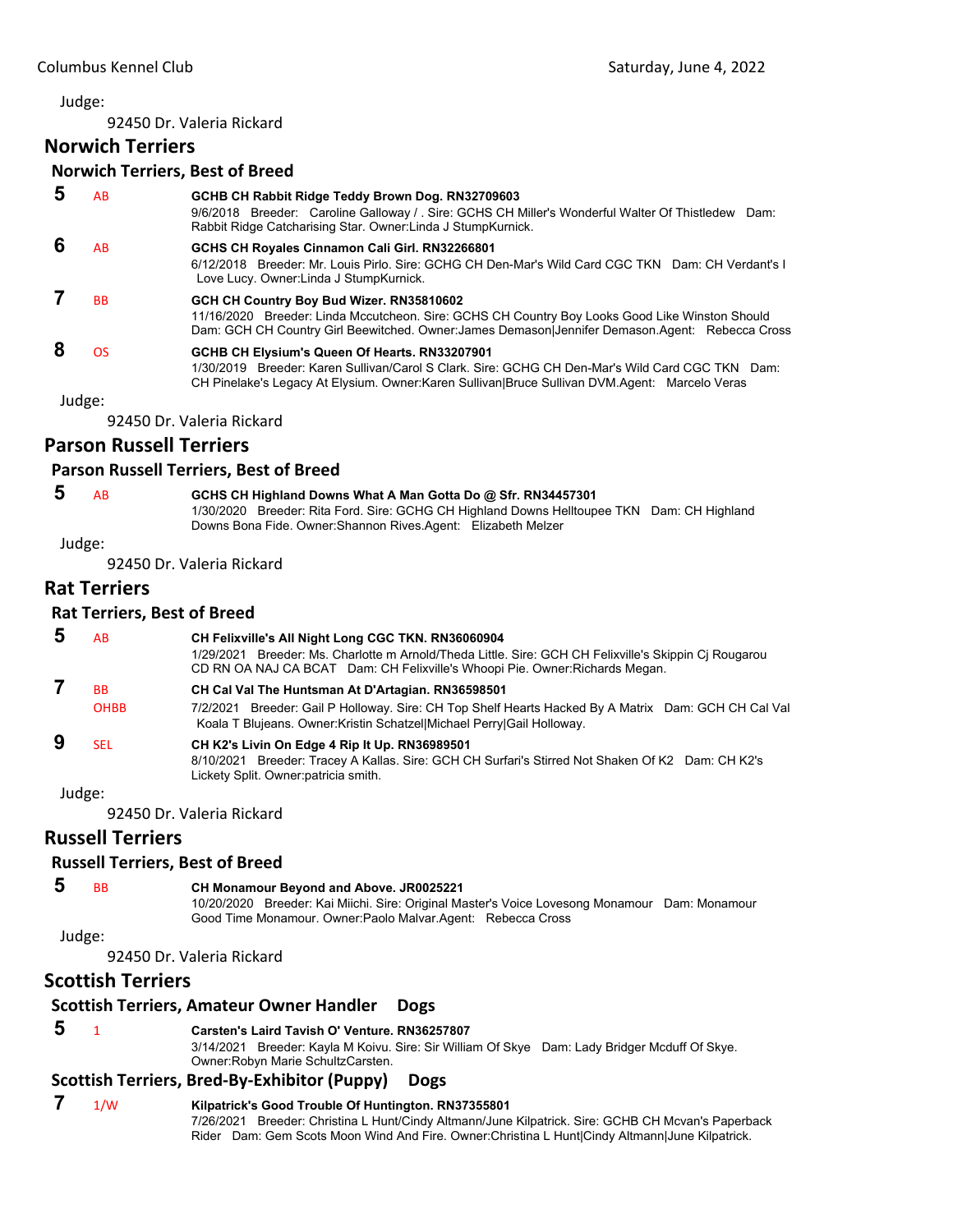92450 Dr. Valeria Rickard

# **Norwich Terriers**

#### **Norwich Terriers, Best of Breed**

| AB        | GCHB CH Rabbit Ridge Teddy Brown Dog. RN32709603<br>9/6/2018 Breeder: Caroline Galloway / Sire: GCHS CH Miller's Wonderful Walter Of Thistledew Dam:<br>Rabbit Ridge Catcharising Star. Owner: Linda J StumpKurnick.                              |
|-----------|---------------------------------------------------------------------------------------------------------------------------------------------------------------------------------------------------------------------------------------------------|
| AB        | GCHS CH Royales Cinnamon Cali Girl. RN32266801<br>6/12/2018 Breeder: Mr. Louis Pirlo, Sire: GCHG CH Den-Mar's Wild Card CGC TKN Dam: CH Verdant's L<br>Love Lucy. Owner: Linda J Stump Kurnick.                                                   |
| <b>BB</b> | GCH CH Country Boy Bud Wizer, RN35810602<br>11/16/2020 Breeder: Linda Mccutcheon. Sire: GCHS CH Country Boy Looks Good Like Winston Should<br>Dam: GCH CH Country Girl Beewitched. Owner: James Demason Jennifer Demason.Agent: Rebecca Cross     |
| <b>OS</b> | GCHB CH Elysium's Queen Of Hearts. RN33207901<br>1/30/2019 Breeder: Karen Sullivan/Carol S Clark, Sire: GCHG CH Den-Mar's Wild Card CGC TKN Dam:<br>CH Pinelake's Legacy At Elysium. Owner:Karen Sullivan Bruce Sullivan DVM.Agent: Marcelo Veras |
| Judge:    |                                                                                                                                                                                                                                                   |
|           |                                                                                                                                                                                                                                                   |

92450 Dr. Valeria Rickard

# **Parson Russell Terriers**

#### **Parson Russell Terriers, Best of Breed**

 **5** AB **GCHS CH Highland Downs What A Man Gotta Do @ Sfr. RN34457301** 1/30/2020 Breeder: Rita Ford. Sire: GCHG CH Highland Downs Helltoupee TKN Dam: CH Highland

Downs Bona Fide. Owner:Shannon Rives.Agent: Elizabeth Melzer

Judge:

92450 Dr. Valeria Rickard

# **Rat Terriers**

#### **Rat Terriers, Best of Breed**

| AB                | CH Felixville's All Night Long CGC TKN. RN36060904<br>1/29/2021 Breeder: Ms. Charlotte m Arnold/Theda Little. Sire: GCH CH Felixville's Skippin Cj Rougarou<br>CD RN OA NAJ CA BCAT Dam: CH Felixville's Whoopi Pie. Owner: Richards Megan. |
|-------------------|---------------------------------------------------------------------------------------------------------------------------------------------------------------------------------------------------------------------------------------------|
| ВB<br><b>OHBB</b> | CH Cal Val The Huntsman At D'Artagian. RN36598501<br>7/2/2021 Breeder: Gail P Holloway. Sire: CH Top Shelf Hearts Hacked By A Matrix Dam: GCH CH Cal Val                                                                                    |
|                   | Koala T Blujeans. Owner: Kristin Schatzel Michael Perry Gail Holloway.                                                                                                                                                                      |
| SFI.              | CH K2's Livin On Edge 4 Rip It Up. RN36989501                                                                                                                                                                                               |
|                   | Breeder: Tracey A Kallas. Sire: GCH CH Surfari's Stirred Not Shaken Of K2 Dam: CH K2's<br>8/10/2021<br>Lickety Split. Owner: patricia smith.                                                                                                |

Judge:

92450 Dr. Valeria Rickard

# **Russell Terriers**

#### **Russell Terriers, Best of Breed**

 **5** BB **CH Monamour Beyond and Above. JR0025221**

10/20/2020 Breeder: Kai Miichi. Sire: Original Master's Voice Lovesong Monamour Dam: Monamour Good Time Monamour. Owner:Paolo Malvar.Agent: Rebecca Cross

#### Judge:

92450 Dr. Valeria Rickard

# **Scottish Terriers**

# **Scottish Terriers, Amateur Owner Handler Dogs**

#### **5** <sup>1</sup> **Carsten's Laird Tavish O' Venture. RN36257807**

3/14/2021 Breeder: Kayla M Koivu. Sire: Sir William Of Skye Dam: Lady Bridger Mcduff Of Skye. Owner:Robyn Marie SchultzCarsten.

## **Scottish Terriers, Bred‐By‐Exhibitor (Puppy) Dogs**

# **7** 1/W **Kilpatrick's Good Trouble Of Huntington. RN37355801**

7/26/2021 Breeder: Christina L Hunt/Cindy Altmann/June Kilpatrick. Sire: GCHB CH Mcvan's Paperback Rider Dam: Gem Scots Moon Wind And Fire. Owner:Christina L Hunt|Cindy Altmann|June Kilpatrick.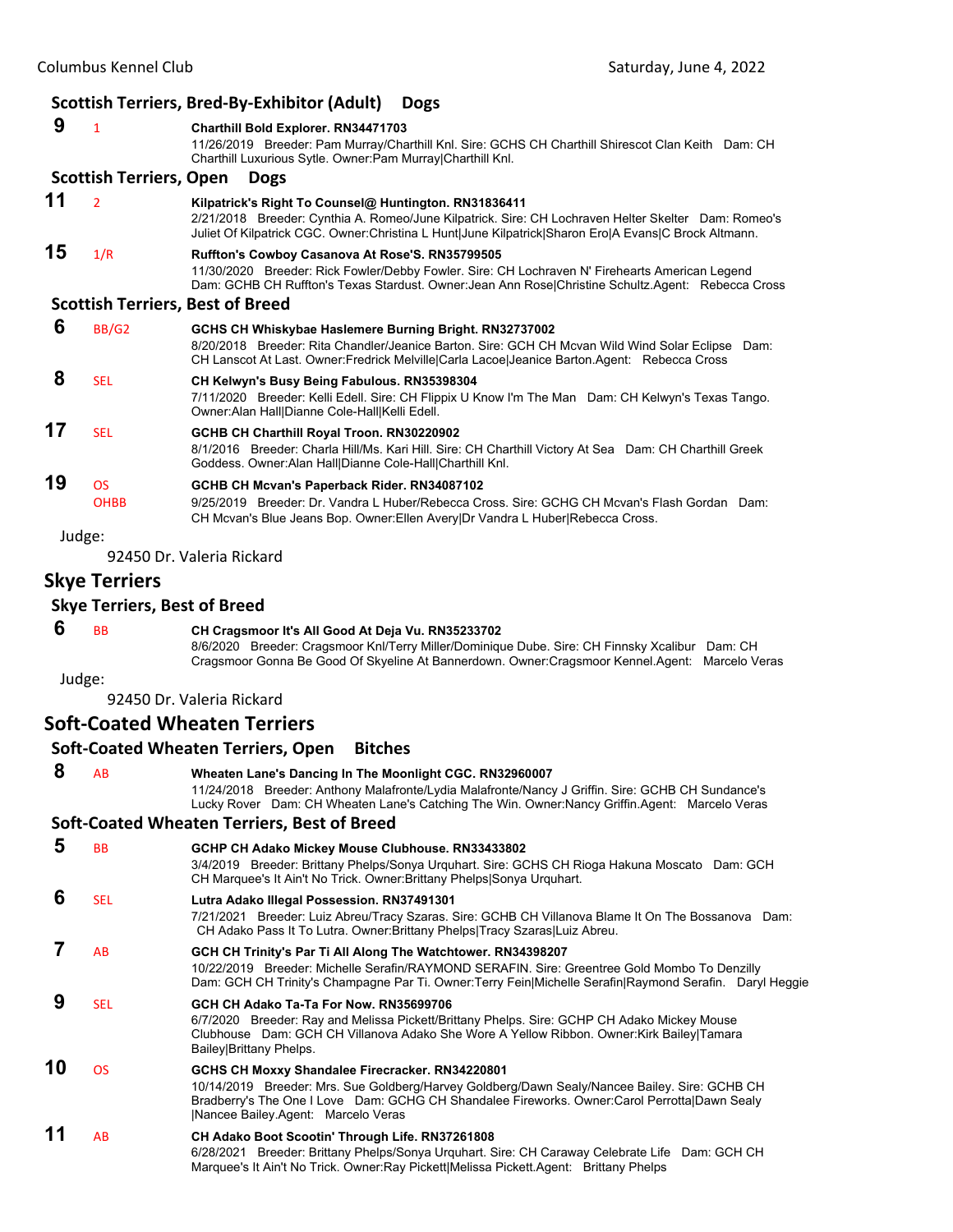|    | <b>Scottish Terriers, Bred-By-Exhibitor (Adult)</b><br><b>Dogs</b> |                                                                                                                                                                                                                                                                      |  |
|----|--------------------------------------------------------------------|----------------------------------------------------------------------------------------------------------------------------------------------------------------------------------------------------------------------------------------------------------------------|--|
| 9  | $\mathbf{1}$                                                       | Charthill Bold Explorer. RN34471703<br>11/26/2019 Breeder: Pam Murray/Charthill Knl. Sire: GCHS CH Charthill Shirescot Clan Keith Dam: CH<br>Charthill Luxurious Sytle. Owner: Pam Murray Charthill Knl.                                                             |  |
|    | <b>Scottish Terriers, Open</b>                                     | <b>Dogs</b>                                                                                                                                                                                                                                                          |  |
| 11 | $\overline{2}$                                                     | Kilpatrick's Right To Counsel@ Huntington. RN31836411<br>2/21/2018 Breeder: Cynthia A. Romeo/June Kilpatrick. Sire: CH Lochraven Helter Skelter Dam: Romeo's<br>Juliet Of Kilpatrick CGC. Owner:Christina L Hunt June Kilpatrick Sharon Ero A Evans C Brock Altmann. |  |
| 15 | 1/R                                                                | Ruffton's Cowboy Casanova At Rose'S. RN35799505<br>11/30/2020 Breeder: Rick Fowler/Debby Fowler. Sire: CH Lochraven N' Firehearts American Legend<br>Dam: GCHB CH Ruffton's Texas Stardust. Owner: Jean Ann Rose Christine Schultz. Agent: Rebecca Cross             |  |
|    |                                                                    | <b>Scottish Terriers, Best of Breed</b>                                                                                                                                                                                                                              |  |
| 6  | BB/G2                                                              | GCHS CH Whiskybae Haslemere Burning Bright. RN32737002<br>8/20/2018 Breeder: Rita Chandler/Jeanice Barton. Sire: GCH CH Mcvan Wild Wind Solar Eclipse<br>Dam:<br>CH Lanscot At Last. Owner: Fredrick Melville Carla Lacoe Jeanice Barton. Agent: Rebecca Cross       |  |
| 8  | <b>SEL</b>                                                         | CH Kelwyn's Busy Being Fabulous. RN35398304<br>7/11/2020 Breeder: Kelli Edell. Sire: CH Flippix U Know I'm The Man Dam: CH Kelwyn's Texas Tango.<br>Owner: Alan Hall Dianne Cole-Hall Kelli Edell.                                                                   |  |
| 17 | <b>SEL</b>                                                         | GCHB CH Charthill Royal Troon. RN30220902<br>8/1/2016 Breeder: Charla Hill/Ms. Kari Hill. Sire: CH Charthill Victory At Sea Dam: CH Charthill Greek<br>Goddess. Owner: Alan Hall Dianne Cole-Hall Charthill Knl.                                                     |  |
| 19 | <b>OS</b>                                                          | GCHB CH Mcvan's Paperback Rider. RN34087102                                                                                                                                                                                                                          |  |
|    | <b>OHBB</b>                                                        | 9/25/2019 Breeder: Dr. Vandra L Huber/Rebecca Cross, Sire: GCHG CH Mcvan's Flash Gordan Dam:<br>CH Mcvan's Blue Jeans Bop. Owner: Ellen Avery Dr Vandra L Huber Rebecca Cross.                                                                                       |  |
|    | Judge:                                                             |                                                                                                                                                                                                                                                                      |  |
|    |                                                                    | 92450 Dr. Valeria Rickard                                                                                                                                                                                                                                            |  |

# **Skye Terriers**

#### **Skye Terriers, Best of Breed**

#### **6** BB **CH Cragsmoor It's All Good At Deja Vu. RN35233702**

8/6/2020 Breeder: Cragsmoor Knl/Terry Miller/Dominique Dube. Sire: CH Finnsky Xcalibur Dam: CH Cragsmoor Gonna Be Good Of Skyeline At Bannerdown. Owner:Cragsmoor Kennel.Agent: Marcelo Veras

Judge:

92450 Dr. Valeria Rickard

## **Soft‐Coated Wheaten Terriers**

#### **Soft‐Coated Wheaten Terriers, Open Bitches 8** AB **Wheaten Lane's Dancing In The Moonlight CGC. RN32960007** 11/24/2018 Breeder: Anthony Malafronte/Lydia Malafronte/Nancy J Griffin. Sire: GCHB CH Sundance's Lucky Rover Dam: CH Wheaten Lane's Catching The Win. Owner:Nancy Griffin.Agent: Marcelo Veras **Soft‐Coated Wheaten Terriers, Best of Breed 5** BB **GCHP CH Adako Mickey Mouse Clubhouse. RN33433802** 3/4/2019 Breeder: Brittany Phelps/Sonya Urquhart. Sire: GCHS CH Rioga Hakuna Moscato Dam: GCH CH Marquee's It Ain't No Trick. Owner:Brittany Phelps|Sonya Urquhart.  **6** SEL **Lutra Adako Illegal Possession. RN37491301** 7/21/2021 Breeder: Luiz Abreu/Tracy Szaras. Sire: GCHB CH Villanova Blame It On The Bossanova Dam: CH Adako Pass It To Lutra. Owner:Brittany Phelps|Tracy Szaras|Luiz Abreu.  **7** AB **GCH CH Trinity's Par Ti All Along The Watchtower. RN34398207** 10/22/2019 Breeder: Michelle Serafin/RAYMOND SERAFIN. Sire: Greentree Gold Mombo To Denzilly Dam: GCH CH Trinity's Champagne Par Ti. Owner:Terry Fein|Michelle Serafin|Raymond Serafin. Daryl Heggie  **9** SEL **GCH CH Adako Ta-Ta For Now. RN35699706** 6/7/2020 Breeder: Ray and Melissa Pickett/Brittany Phelps. Sire: GCHP CH Adako Mickey Mouse Clubhouse Dam: GCH CH Villanova Adako She Wore A Yellow Ribbon. Owner:Kirk Bailey|Tamara Bailey|Brittany Phelps. **10** OS **GCHS CH Moxxy Shandalee Firecracker. RN34220801** 10/14/2019 Breeder: Mrs. Sue Goldberg/Harvey Goldberg/Dawn Sealy/Nancee Bailey. Sire: GCHB CH Bradberry's The One I Love Dam: GCHG CH Shandalee Fireworks. Owner:Carol Perrotta|Dawn Sealy |Nancee Bailey.Agent: Marcelo Veras **11** AB **CH Adako Boot Scootin' Through Life. RN37261808** 6/28/2021 Breeder: Brittany Phelps/Sonya Urquhart. Sire: CH Caraway Celebrate Life Dam: GCH CH Marquee's It Ain't No Trick. Owner:Ray Pickett|Melissa Pickett.Agent: Brittany Phelps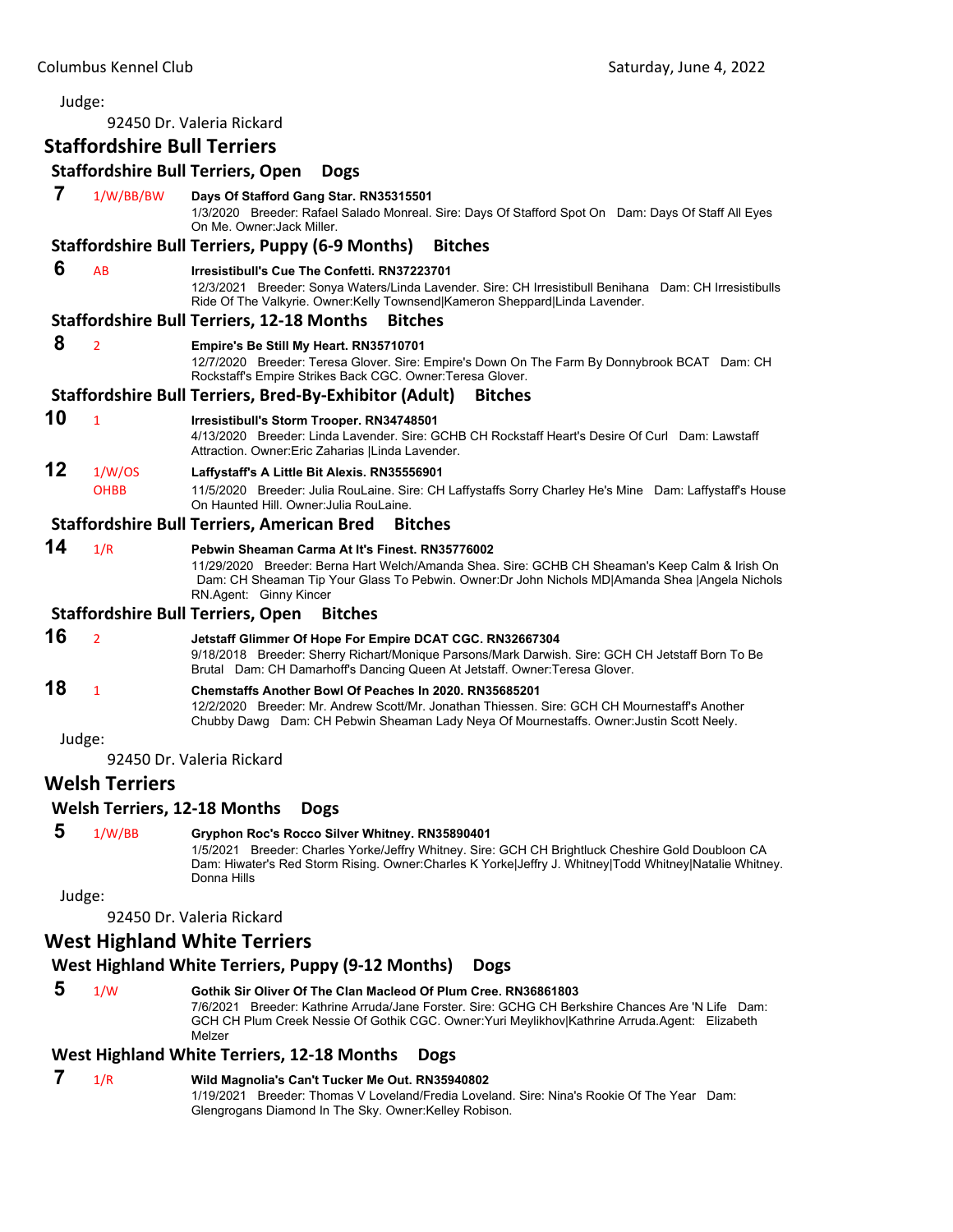|        | Judge:                              |                                                                                                                                                                                                                                                                               |
|--------|-------------------------------------|-------------------------------------------------------------------------------------------------------------------------------------------------------------------------------------------------------------------------------------------------------------------------------|
|        |                                     | 92450 Dr. Valeria Rickard                                                                                                                                                                                                                                                     |
|        | <b>Staffordshire Bull Terriers</b>  |                                                                                                                                                                                                                                                                               |
|        |                                     | <b>Staffordshire Bull Terriers, Open</b><br><b>Dogs</b>                                                                                                                                                                                                                       |
| 7      | 1/W/BB/BW                           | Days Of Stafford Gang Star. RN35315501<br>1/3/2020 Breeder: Rafael Salado Monreal. Sire: Days Of Stafford Spot On Dam: Days Of Staff All Eyes<br>On Me. Owner Jack Miller.                                                                                                    |
|        |                                     | <b>Staffordshire Bull Terriers, Puppy (6-9 Months)</b><br><b>Bitches</b>                                                                                                                                                                                                      |
| 6      | AB                                  | Irresistibull's Cue The Confetti. RN37223701<br>12/3/2021 Breeder: Sonya Waters/Linda Lavender. Sire: CH Irresistibull Benihana Dam: CH Irresistibulls<br>Ride Of The Valkyrie. Owner:Kelly Townsend Kameron Sheppard Linda Lavender.                                         |
|        |                                     | <b>Staffordshire Bull Terriers, 12-18 Months</b><br><b>Bitches</b>                                                                                                                                                                                                            |
| 8      | $\overline{2}$                      | Empire's Be Still My Heart. RN35710701<br>12/7/2020 Breeder: Teresa Glover. Sire: Empire's Down On The Farm By Donnybrook BCAT Dam: CH<br>Rockstaff's Empire Strikes Back CGC. Owner: Teresa Glover.                                                                          |
|        |                                     | <b>Staffordshire Bull Terriers, Bred-By-Exhibitor (Adult)</b><br><b>Bitches</b>                                                                                                                                                                                               |
| 10     | $\mathbf{1}$                        | Irresistibull's Storm Trooper. RN34748501<br>4/13/2020 Breeder: Linda Lavender. Sire: GCHB CH Rockstaff Heart's Desire Of Curl Dam: Lawstaff<br>Attraction. Owner: Eric Zaharias   Linda Lavender.                                                                            |
| 12     | 1/W/OS<br><b>OHBB</b>               | Laffystaff's A Little Bit Alexis. RN35556901<br>11/5/2020 Breeder: Julia RouLaine. Sire: CH Laffystaffs Sorry Charley He's Mine Dam: Laffystaff's House<br>On Haunted Hill, Owner: Julia RouLaine.                                                                            |
|        |                                     | <b>Staffordshire Bull Terriers, American Bred</b><br><b>Bitches</b>                                                                                                                                                                                                           |
| 14     | 1/R                                 | Pebwin Sheaman Carma At It's Finest. RN35776002<br>11/29/2020 Breeder: Berna Hart Welch/Amanda Shea. Sire: GCHB CH Sheaman's Keep Calm & Irish On<br>Dam: CH Sheaman Tip Your Glass To Pebwin. Owner:Dr John Nichols MD Amanda Shea  Angela Nichols<br>RN.Agent: Ginny Kincer |
|        |                                     | <b>Staffordshire Bull Terriers, Open</b><br><b>Bitches</b>                                                                                                                                                                                                                    |
| 16     | $\overline{2}$                      | Jetstaff Glimmer Of Hope For Empire DCAT CGC. RN32667304<br>9/18/2018 Breeder: Sherry Richart/Monique Parsons/Mark Darwish. Sire: GCH CH Jetstaff Born To Be<br>Brutal Dam: CH Damarhoff's Dancing Queen At Jetstaff. Owner: Teresa Glover.                                   |
| 18     | $\mathbf{1}$                        | <b>Chemstaffs Another Bowl Of Peaches In 2020, RN35685201</b><br>12/2/2020 Breeder: Mr. Andrew Scott/Mr. Jonathan Thiessen. Sire: GCH CH Mournestaff's Another<br>Chubby Dawg Dam: CH Pebwin Sheaman Lady Neya Of Mournestaffs. Owner: Justin Scott Neely.                    |
| Judge: |                                     |                                                                                                                                                                                                                                                                               |
|        |                                     | 92450 Dr. Valeria Rickard                                                                                                                                                                                                                                                     |
|        | <b>Welsh Terriers</b>               |                                                                                                                                                                                                                                                                               |
|        | <b>Welsh Terriers, 12-18 Months</b> | <b>Dogs</b>                                                                                                                                                                                                                                                                   |
| 5      | 1/W/BB                              | Gryphon Roc's Rocco Silver Whitney. RN35890401<br>1/5/2021 Breeder: Charles Yorke/Jeffry Whitney. Sire: GCH CH Brightluck Cheshire Gold Doubloon CA<br>Dam: Hiwater's Red Storm Rising. Owner:Charles K Yorke Jeffry J. Whitney Todd Whitney Natalie Whitney.<br>Donna Hills  |
|        | Judge:                              |                                                                                                                                                                                                                                                                               |
|        |                                     | 92450 Dr. Valeria Rickard                                                                                                                                                                                                                                                     |
|        |                                     | <b>West Highland White Terriers</b>                                                                                                                                                                                                                                           |
|        |                                     | West Highland White Terriers, Puppy (9-12 Months)<br><b>Dogs</b>                                                                                                                                                                                                              |
| 5      | 1/W                                 | Gothik Sir Oliver Of The Clan Macleod Of Plum Cree. RN36861803<br>7/6/2021 Breeder: Kathrine Arruda/Jane Forster. Sire: GCHG CH Berkshire Chances Are 'N Life Dam:<br>GCH CH Plum Creek Nessie Of Gothik CGC. Owner: Yuri Meylikhov Kathrine Arruda Agent: Elizabeth          |

Melzer

# **West Highland White Terriers, 12‐18 Months Dogs**

 **7** 1/R **Wild Magnolia's Can't Tucker Me Out. RN35940802** 1/19/2021 Breeder: Thomas V Loveland/Fredia Loveland. Sire: Nina's Rookie Of The Year Dam: Glengrogans Diamond In The Sky. Owner:Kelley Robison.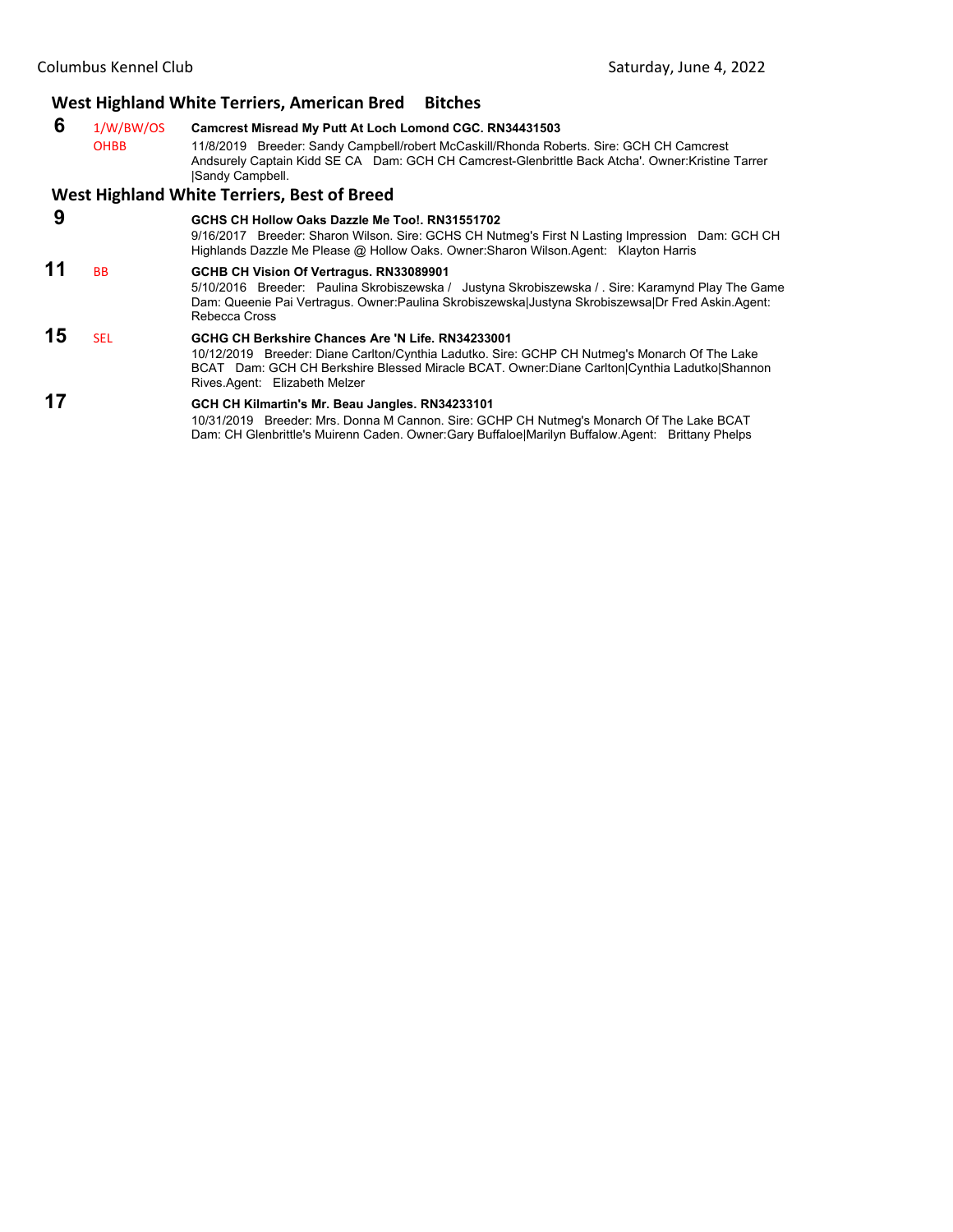# **West Highland White Terriers, American Bred Bitches**

 **6** 1/W/BW/OS **Camcrest Misread My Putt At Loch Lomond CGC. RN34431503** 11/8/2019 Breeder: Sandy Campbell/robert McCaskill/Rhonda Roberts. Sire: GCH CH Camcrest Andsurely Captain Kidd SE CA Dam: GCH CH Camcrest-Glenbrittle Back Atcha'. Owner:Kristine Tarrer |Sandy Campbell.

#### **West Highland White Terriers, Best of Breed**

| 9  |            | GCHS CH Hollow Oaks Dazzle Me Too!, RN31551702<br>9/16/2017 Breeder: Sharon Wilson. Sire: GCHS CH Nutmeg's First N Lasting Impression Dam: GCH CH                                                                                                                                                                                                           |
|----|------------|-------------------------------------------------------------------------------------------------------------------------------------------------------------------------------------------------------------------------------------------------------------------------------------------------------------------------------------------------------------|
|    | <b>BB</b>  | Highlands Dazzle Me Please @ Hollow Oaks. Owner: Sharon Wilson. Agent: Klayton Harris<br>GCHB CH Vision Of Vertragus. RN33089901<br>5/10/2016 Breeder: Paulina Skrobiszewska / Justyna Skrobiszewska / Sire: Karamynd Play The Game<br>Dam: Queenie Pai Vertragus. Owner: Paulina Skrobiszewska Justyna Skrobiszewsa Dr Fred Askin. Agent:<br>Rebecca Cross |
| 15 | <b>SEL</b> | GCHG CH Berkshire Chances Are 'N Life, RN34233001<br>10/12/2019 Breeder: Diane Carlton/Cynthia Ladutko. Sire: GCHP CH Nutmeg's Monarch Of The Lake<br>BCAT Dam: GCH CH Berkshire Blessed Miracle BCAT. Owner:Diane Carlton Cynthia Ladutko Shannon<br>Rives.Agent: Elizabeth Melzer                                                                         |
| 17 |            | GCH CH Kilmartin's Mr. Beau Jangles. RN34233101                                                                                                                                                                                                                                                                                                             |

10/31/2019 Breeder: Mrs. Donna M Cannon. Sire: GCHP CH Nutmeg's Monarch Of The Lake BCAT Dam: CH Glenbrittle's Muirenn Caden. Owner:Gary Buffaloe|Marilyn Buffalow.Agent: Brittany Phelps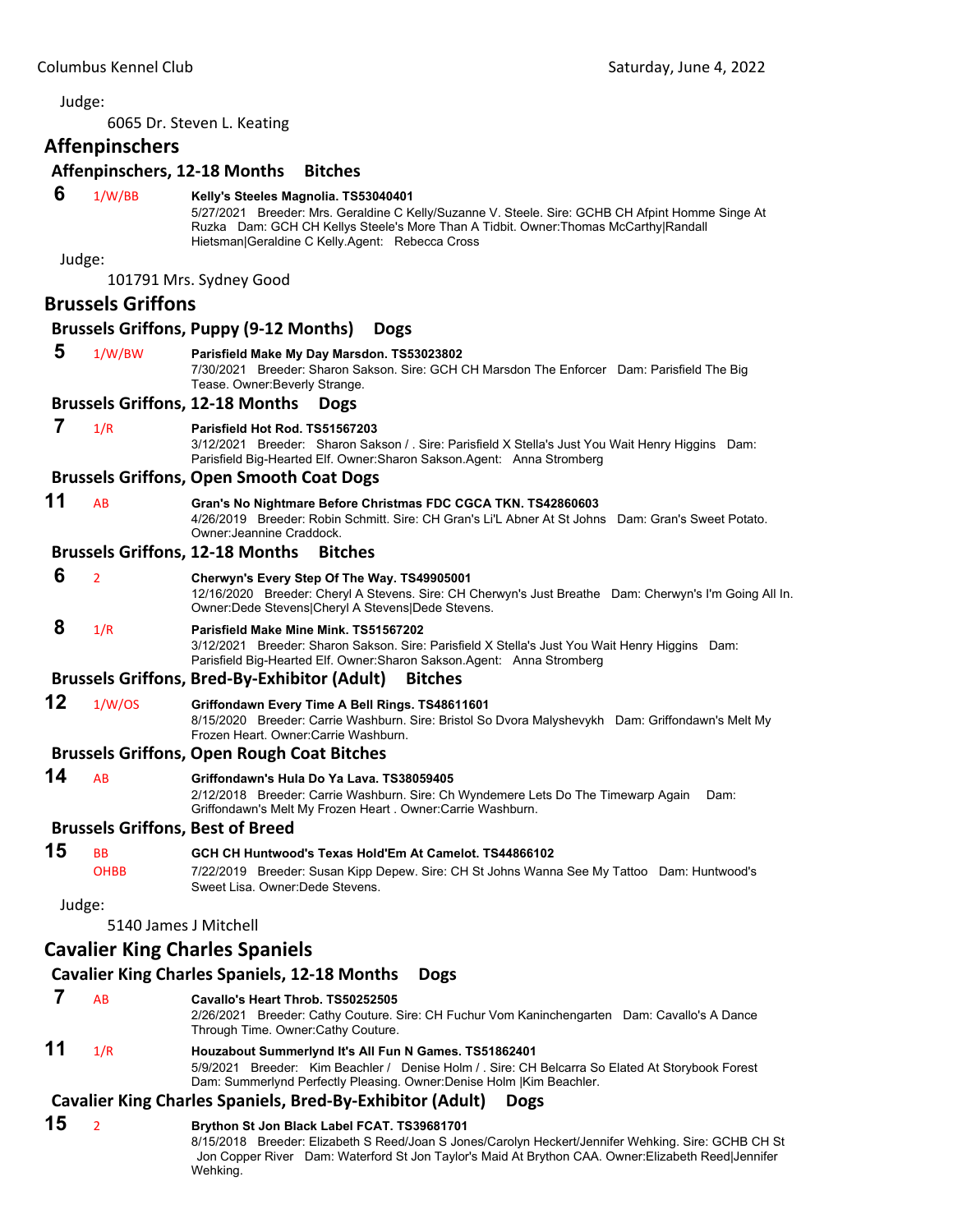<span id="page-40-0"></span>6065 Dr. Steven L. Keating

# **Affenpinschers**

#### **Affenpinschers, 12‐18 Months Bitches**

# **6** 1/W/BB **Kelly's Steeles Magnolia. TS53040401**

5/27/2021 Breeder: Mrs. Geraldine C Kelly/Suzanne V. Steele. Sire: GCHB CH Afpint Homme Singe At Ruzka Dam: GCH CH Kellys Steele's More Than A Tidbit. Owner:Thomas McCarthy|Randall Hietsman|Geraldine C Kelly.Agent: Rebecca Cross

Judge:

101791 Mrs. Sydney Good

#### **Brussels Griffons**

# **Brussels Griffons, Puppy (9‐12 Months) Dogs**

 **5** 1/W/BW **Parisfield Make My Day Marsdon. TS53023802** 7/30/2021 Breeder: Sharon Sakson. Sire: GCH CH Marsdon The Enforcer Dam: Parisfield The Big Tease. Owner:Beverly Strange. **Brussels Griffons, 12‐18 Months Dogs 7** 1/R **Parisfield Hot Rod. TS51567203** 3/12/2021 Breeder: Sharon Sakson / . Sire: Parisfield X Stella's Just You Wait Henry Higgins Dam: Parisfield Big-Hearted Elf. Owner:Sharon Sakson.Agent: Anna Stromberg **Brussels Griffons, Open Smooth Coat Dogs 11** AB **Gran's No Nightmare Before Christmas FDC CGCA TKN. TS42860603** 4/26/2019 Breeder: Robin Schmitt. Sire: CH Gran's Li'L Abner At St Johns Dam: Gran's Sweet Potato. Owner:Jeannine Craddock. **Brussels Griffons, 12‐18 Months Bitches 6** <sup>2</sup> **Cherwyn's Every Step Of The Way. TS49905001** 12/16/2020 Breeder: Cheryl A Stevens. Sire: CH Cherwyn's Just Breathe Dam: Cherwyn's I'm Going All In. Owner:Dede Stevens|Cheryl A Stevens|Dede Stevens.  **8** 1/R **Parisfield Make Mine Mink. TS51567202** 3/12/2021 Breeder: Sharon Sakson. Sire: Parisfield X Stella's Just You Wait Henry Higgins Dam: Parisfield Big-Hearted Elf. Owner:Sharon Sakson.Agent: Anna Stromberg

# **Brussels Griffons, Bred‐By‐Exhibitor (Adult) Bitches**

**12** 1/W/OS **Griffondawn Every Time A Bell Rings. TS48611601** 8/15/2020 Breeder: Carrie Washburn. Sire: Bristol So Dvora Malyshevykh Dam: Griffondawn's Melt My Frozen Heart. Owner:Carrie Washburn.

# **Brussels Griffons, Open Rough Coat Bitches**

**14** AB **Griffondawn's Hula Do Ya Lava. TS38059405**

2/12/2018 Breeder: Carrie Washburn. Sire: Ch Wyndemere Lets Do The Timewarp Again Dam: Griffondawn's Melt My Frozen Heart . Owner:Carrie Washburn.

# **Brussels Griffons, Best of Breed**

# **15** BB **GCH CH Huntwood's Texas Hold'Em At Camelot. TS44866102**

OHBB 7/22/2019 Breeder: Susan Kipp Depew. Sire: CH St Johns Wanna See My Tattoo Dam: Huntwood's Sweet Lisa. Owner:Dede Stevens.

Judge:

5140 James J Mitchell

# **Cavalier King Charles Spaniels**

## **Cavalier King Charles Spaniels, 12‐18 Months Dogs**

- **7** AB **Cavallo's Heart Throb. TS50252505**
	- 2/26/2021 Breeder: Cathy Couture. Sire: CH Fuchur Vom Kaninchengarten Dam: Cavallo's A Dance Through Time. Owner:Cathy Couture.

#### **11** 1/R **Houzabout Summerlynd It's All Fun N Games. TS51862401** 5/9/2021 Breeder: Kim Beachler / Denise Holm / . Sire: CH Belcarra So Elated At Storybook Forest Dam: Summerlynd Perfectly Pleasing. Owner:Denise Holm |Kim Beachler.

## **Cavalier King Charles Spaniels, Bred‐By‐Exhibitor (Adult) Dogs**

## **15** <sup>2</sup> **Brython St Jon Black Label FCAT. TS39681701**

8/15/2018 Breeder: Elizabeth S Reed/Joan S Jones/Carolyn Heckert/Jennifer Wehking. Sire: GCHB CH St Jon Copper River Dam: Waterford St Jon Taylor's Maid At Brython CAA. Owner:Elizabeth Reed|Jennifer Wehking.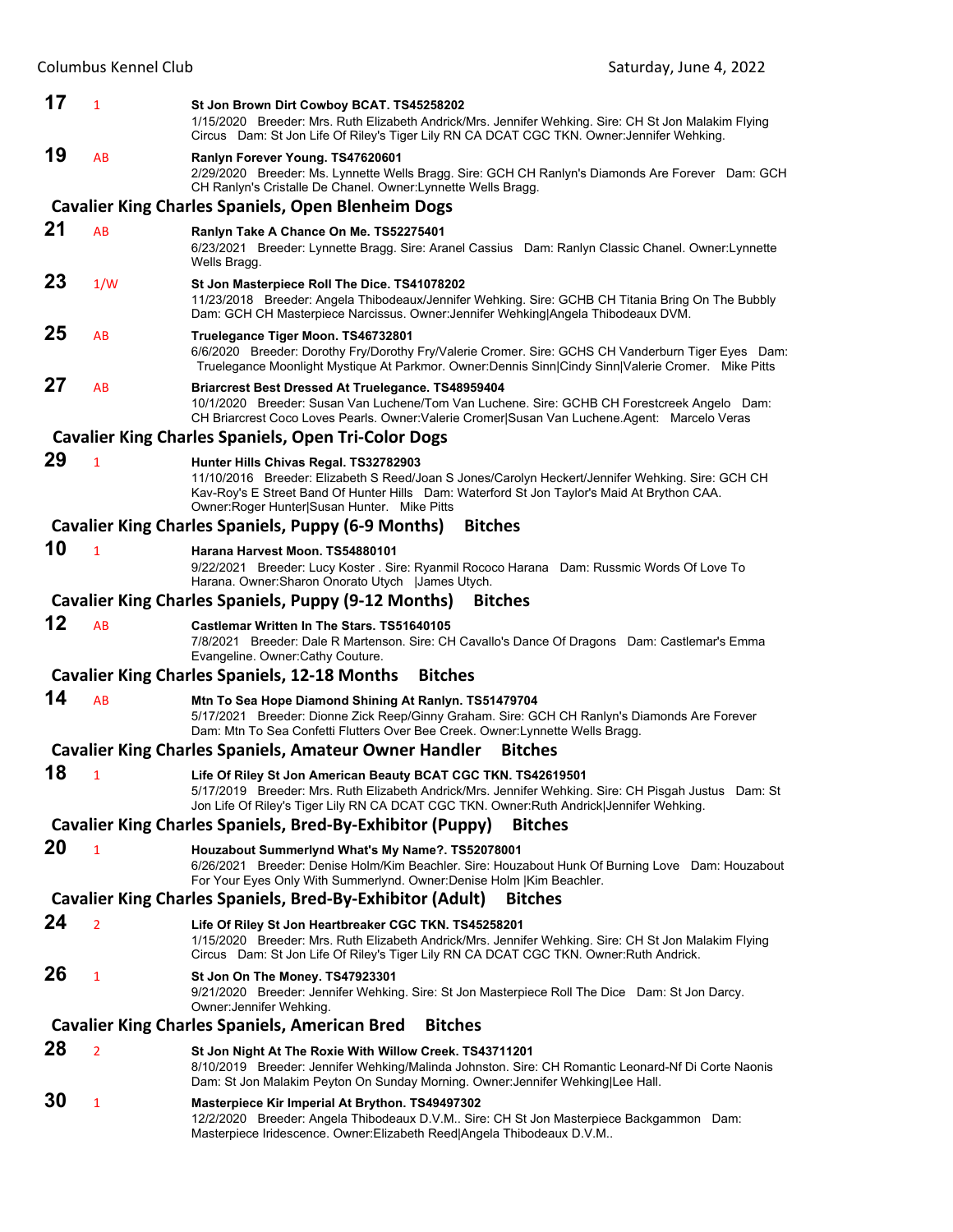| 17 | $\mathbf{1}$   | St Jon Brown Dirt Cowboy BCAT. TS45258202<br>1/15/2020 Breeder: Mrs. Ruth Elizabeth Andrick/Mrs. Jennifer Wehking. Sire: CH St Jon Malakim Flying<br>Circus Dam: St Jon Life Of Riley's Tiger Lily RN CA DCAT CGC TKN. Owner: Jennifer Wehking.                                          |
|----|----------------|------------------------------------------------------------------------------------------------------------------------------------------------------------------------------------------------------------------------------------------------------------------------------------------|
| 19 | AB             | Ranlyn Forever Young. TS47620601<br>2/29/2020 Breeder: Ms. Lynnette Wells Bragg. Sire: GCH CH Ranlyn's Diamonds Are Forever Dam: GCH<br>CH Ranlyn's Cristalle De Chanel. Owner: Lynnette Wells Bragg.                                                                                    |
|    |                | <b>Cavalier King Charles Spaniels, Open Blenheim Dogs</b>                                                                                                                                                                                                                                |
| 21 | AB             | Ranlyn Take A Chance On Me. TS52275401<br>6/23/2021 Breeder: Lynnette Bragg. Sire: Aranel Cassius Dam: Ranlyn Classic Chanel. Owner: Lynnette<br>Wells Bragg.                                                                                                                            |
| 23 | 1/W            | St Jon Masterpiece Roll The Dice. TS41078202<br>11/23/2018 Breeder: Angela Thibodeaux/Jennifer Wehking. Sire: GCHB CH Titania Bring On The Bubbly<br>Dam: GCH CH Masterpiece Narcissus. Owner: Jennifer Wehking Angela Thibodeaux DVM.                                                   |
| 25 | AB             | Truelegance Tiger Moon. TS46732801<br>6/6/2020 Breeder: Dorothy Fry/Dorothy Fry/Valerie Cromer. Sire: GCHS CH Vanderburn Tiger Eyes Dam:<br>Truelegance Moonlight Mystique At Parkmor. Owner:Dennis Sinn Cindy Sinn Valerie Cromer. Mike Pitts                                           |
| 27 | AB             | Briarcrest Best Dressed At Truelegance. TS48959404<br>10/1/2020 Breeder: Susan Van Luchene/Tom Van Luchene. Sire: GCHB CH Forestcreek Angelo Dam:<br>CH Briarcrest Coco Loves Pearls. Owner: Valerie Cromer Susan Van Luchene. Agent: Marcelo Veras                                      |
|    |                | <b>Cavalier King Charles Spaniels, Open Tri-Color Dogs</b>                                                                                                                                                                                                                               |
| 29 | $\mathbf{1}$   | Hunter Hills Chivas Regal. TS32782903<br>11/10/2016 Breeder: Elizabeth S Reed/Joan S Jones/Carolyn Heckert/Jennifer Wehking. Sire: GCH CH<br>Kav-Roy's E Street Band Of Hunter Hills Dam: Waterford St Jon Taylor's Maid At Brython CAA.<br>Owner: Roger Hunter Susan Hunter. Mike Pitts |
|    |                | <b>Cavalier King Charles Spaniels, Puppy (6-9 Months)</b><br><b>Bitches</b>                                                                                                                                                                                                              |
| 10 | $\mathbf{1}$   | Harana Harvest Moon. TS54880101<br>9/22/2021 Breeder: Lucy Koster . Sire: Ryanmil Rococo Harana Dam: Russmic Words Of Love To<br>Harana. Owner: Sharon Onorato Utych   James Utych.                                                                                                      |
|    |                | Cavalier King Charles Spaniels, Puppy (9-12 Months)<br><b>Bitches</b>                                                                                                                                                                                                                    |
| 12 | AB             | Castlemar Written In The Stars. TS51640105<br>7/8/2021 Breeder: Dale R Martenson. Sire: CH Cavallo's Dance Of Dragons Dam: Castlemar's Emma<br>Evangeline. Owner: Cathy Couture.                                                                                                         |
|    |                | <b>Cavalier King Charles Spaniels, 12-18 Months</b><br><b>Bitches</b>                                                                                                                                                                                                                    |
| 14 | AB             | Mtn To Sea Hope Diamond Shining At Ranlyn. TS51479704<br>5/17/2021 Breeder: Dionne Zick Reep/Ginny Graham. Sire: GCH CH Ranlyn's Diamonds Are Forever<br>Dam: Mtn To Sea Confetti Flutters Over Bee Creek. Owner: Lynnette Wells Bragg.                                                  |
|    |                | <b>Cavalier King Charles Spaniels, Amateur Owner Handler</b><br><b>Bitches</b>                                                                                                                                                                                                           |
| 18 | 1              | Life Of Riley St Jon American Beauty BCAT CGC TKN. TS42619501<br>5/17/2019 Breeder: Mrs. Ruth Elizabeth Andrick/Mrs. Jennifer Wehking. Sire: CH Pisgah Justus Dam: St<br>Jon Life Of Riley's Tiger Lily RN CA DCAT CGC TKN. Owner: Ruth Andrick Jennifer Wehking.                        |
|    |                | <b>Cavalier King Charles Spaniels, Bred-By-Exhibitor (Puppy)</b><br><b>Bitches</b>                                                                                                                                                                                                       |
| 20 | 1              | Houzabout Summerlynd What's My Name?. TS52078001<br>6/26/2021 Breeder: Denise Holm/Kim Beachler. Sire: Houzabout Hunk Of Burning Love Dam: Houzabout<br>For Your Eyes Only With Summerlynd. Owner: Denise Holm   Kim Beachler.                                                           |
|    |                | <b>Cavalier King Charles Spaniels, Bred-By-Exhibitor (Adult)</b><br><b>Bitches</b>                                                                                                                                                                                                       |
| 24 | $\overline{2}$ | Life Of Riley St Jon Heartbreaker CGC TKN. TS45258201<br>1/15/2020 Breeder: Mrs. Ruth Elizabeth Andrick/Mrs. Jennifer Wehking. Sire: CH St Jon Malakim Flying<br>Circus Dam: St Jon Life Of Riley's Tiger Lily RN CA DCAT CGC TKN. Owner: Ruth Andrick.                                  |
| 26 | 1              | St Jon On The Money. TS47923301<br>9/21/2020 Breeder: Jennifer Wehking. Sire: St Jon Masterpiece Roll The Dice Dam: St Jon Darcy.<br>Owner: Jennifer Wehking.                                                                                                                            |
|    |                | <b>Cavalier King Charles Spaniels, American Bred</b><br><b>Bitches</b>                                                                                                                                                                                                                   |
| 28 | $\overline{2}$ | St Jon Night At The Roxie With Willow Creek. TS43711201<br>8/10/2019 Breeder: Jennifer Wehking/Malinda Johnston. Sire: CH Romantic Leonard-Nf Di Corte Naonis<br>Dam: St Jon Malakim Peyton On Sunday Morning. Owner: Jennifer Wehking Lee Hall.                                         |
| 30 | 1              | Masterpiece Kir Imperial At Brython. TS49497302<br>12/2/2020 Breeder: Angela Thibodeaux D.V.M Sire: CH St Jon Masterpiece Backgammon Dam:<br>Masterpiece Iridescence. Owner: Elizabeth Reed Angela Thibodeaux D.V.M                                                                      |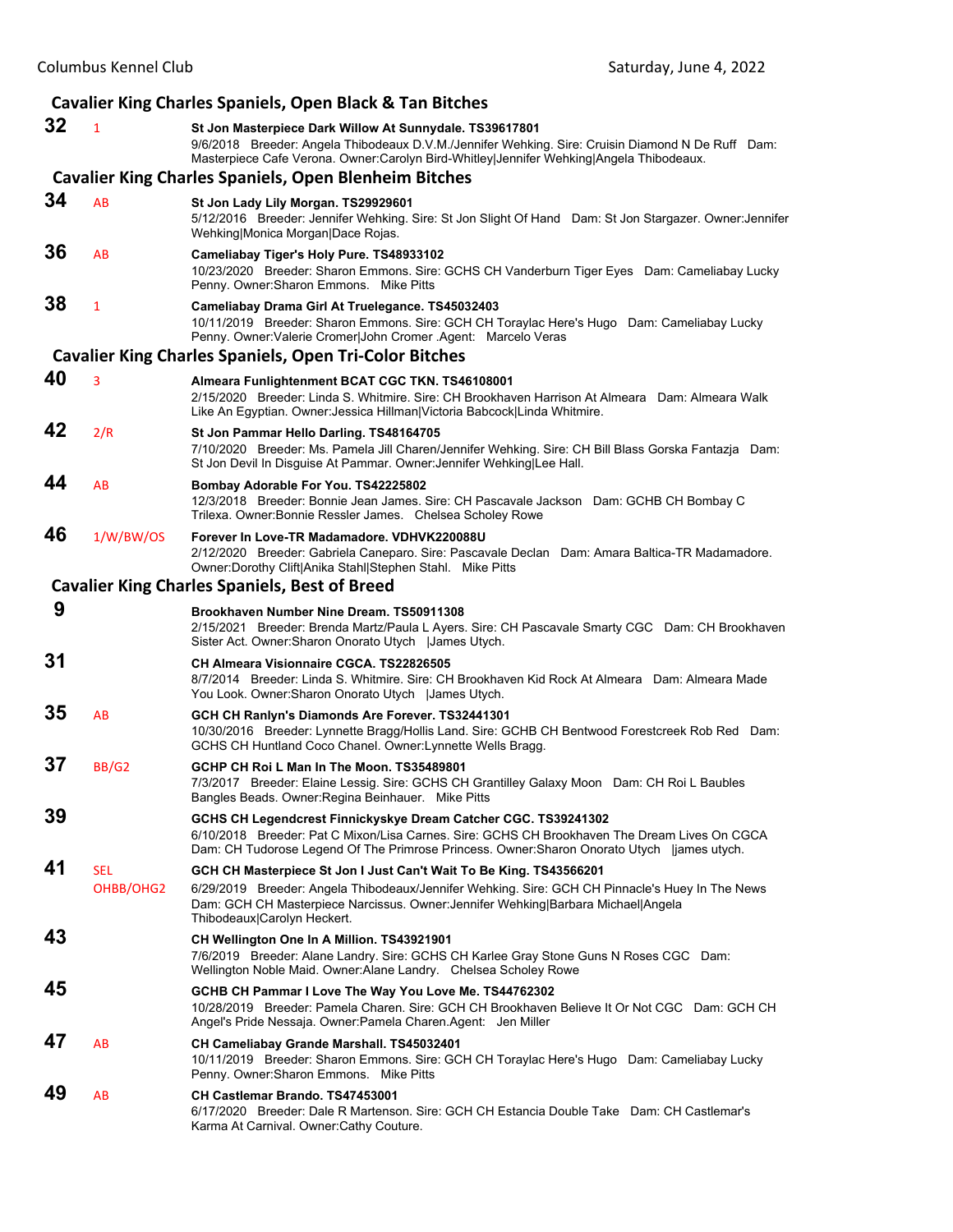|    |                         | <b>Cavalier King Charles Spaniels, Open Black &amp; Tan Bitches</b>                                                                                                                                                                                                                       |
|----|-------------------------|-------------------------------------------------------------------------------------------------------------------------------------------------------------------------------------------------------------------------------------------------------------------------------------------|
| 32 | $\mathbf{1}$            | St Jon Masterpiece Dark Willow At Sunnydale. TS39617801<br>9/6/2018 Breeder: Angela Thibodeaux D.V.M./Jennifer Wehking. Sire: Cruisin Diamond N De Ruff Dam:<br>Masterpiece Cafe Verona. Owner:Carolyn Bird-Whitley Jennifer Wehking Angela Thibodeaux.                                   |
|    |                         | <b>Cavalier King Charles Spaniels, Open Blenheim Bitches</b>                                                                                                                                                                                                                              |
| 34 | AB                      | St Jon Lady Lily Morgan. TS29929601<br>5/12/2016 Breeder: Jennifer Wehking. Sire: St Jon Slight Of Hand Dam: St Jon Stargazer. Owner: Jennifer<br>Wehking Monica Morgan Dace Rojas.                                                                                                       |
| 36 | AB                      | Cameliabay Tiger's Holy Pure. TS48933102<br>10/23/2020 Breeder: Sharon Emmons. Sire: GCHS CH Vanderburn Tiger Eyes Dam: Cameliabay Lucky<br>Penny, Owner: Sharon Emmons. Mike Pitts                                                                                                       |
| 38 | $\mathbf{1}$            | Cameliabay Drama Girl At Truelegance. TS45032403<br>10/11/2019 Breeder: Sharon Emmons. Sire: GCH CH Toraylac Here's Hugo Dam: Cameliabay Lucky<br>Penny. Owner: Valerie Cromer John Cromer . Agent: Marcelo Veras                                                                         |
|    |                         | <b>Cavalier King Charles Spaniels, Open Tri-Color Bitches</b>                                                                                                                                                                                                                             |
| 40 | 3                       | Almeara Funlightenment BCAT CGC TKN. TS46108001<br>2/15/2020 Breeder: Linda S. Whitmire. Sire: CH Brookhaven Harrison At Almeara Dam: Almeara Walk<br>Like An Egyptian. Owner: Jessica Hillman Victoria Babcock Linda Whitmire.                                                           |
| 42 | 2/R                     | St Jon Pammar Hello Darling. TS48164705<br>7/10/2020 Breeder: Ms. Pamela Jill Charen/Jennifer Wehking. Sire: CH Bill Blass Gorska Fantazja Dam:<br>St Jon Devil In Disguise At Pammar. Owner: Jennifer Wehking Lee Hall.                                                                  |
| 44 | AB                      | Bombay Adorable For You. TS42225802<br>12/3/2018 Breeder: Bonnie Jean James. Sire: CH Pascavale Jackson Dam: GCHB CH Bombay C<br>Trilexa. Owner: Bonnie Ressler James. Chelsea Scholey Rowe                                                                                               |
| 46 | 1/W/BW/OS               | Forever In Love-TR Madamadore, VDHVK220088U<br>2/12/2020 Breeder: Gabriela Caneparo. Sire: Pascavale Declan Dam: Amara Baltica-TR Madamadore.<br>Owner: Dorothy Clift Anika Stahl Stephen Stahl. Mike Pitts                                                                               |
|    |                         | <b>Cavalier King Charles Spaniels, Best of Breed</b>                                                                                                                                                                                                                                      |
| 9  |                         | Brookhaven Number Nine Dream, TS50911308<br>2/15/2021 Breeder: Brenda Martz/Paula L Ayers. Sire: CH Pascavale Smarty CGC Dam: CH Brookhaven<br>Sister Act. Owner: Sharon Onorato Utych   James Utych.                                                                                     |
| 31 |                         | CH Almeara Visionnaire CGCA, TS22826505<br>8/7/2014 Breeder: Linda S. Whitmire. Sire: CH Brookhaven Kid Rock At Almeara Dam: Almeara Made<br>You Look. Owner: Sharon Onorato Utych   James Utych.                                                                                         |
| 35 | AB                      | GCH CH Ranlyn's Diamonds Are Forever. TS32441301<br>10/30/2016 Breeder: Lynnette Bragg/Hollis Land. Sire: GCHB CH Bentwood Forestcreek Rob Red Dam:<br>GCHS CH Huntland Coco Chanel. Owner: Lynnette Wells Bragg.                                                                         |
| 37 | <b>BB/G2</b>            | GCHP CH Roi L Man In The Moon. TS35489801<br>7/3/2017 Breeder: Elaine Lessig. Sire: GCHS CH Grantilley Galaxy Moon Dam: CH Roi L Baubles<br>Bangles Beads. Owner: Regina Beinhauer. Mike Pitts                                                                                            |
| 39 |                         | GCHS CH Legendcrest Finnickyskye Dream Catcher CGC. TS39241302<br>6/10/2018 Breeder: Pat C Mixon/Lisa Carnes. Sire: GCHS CH Brookhaven The Dream Lives On CGCA<br>Dam: CH Tudorose Legend Of The Primrose Princess. Owner: Sharon Onorato Utych   james utych.                            |
| 41 | <b>SEL</b><br>OHBB/OHG2 | GCH CH Masterpiece St Jon I Just Can't Wait To Be King. TS43566201<br>6/29/2019 Breeder: Angela Thibodeaux/Jennifer Wehking. Sire: GCH CH Pinnacle's Huey In The News<br>Dam: GCH CH Masterpiece Narcissus. Owner: Jennifer Wehking Barbara Michael Angela<br>Thibodeaux Carolyn Heckert. |
| 43 |                         | CH Wellington One In A Million. TS43921901<br>7/6/2019 Breeder: Alane Landry. Sire: GCHS CH Karlee Gray Stone Guns N Roses CGC Dam:<br>Wellington Noble Maid. Owner:Alane Landry. Chelsea Scholey Rowe                                                                                    |
| 45 |                         | GCHB CH Pammar I Love The Way You Love Me. TS44762302<br>10/28/2019 Breeder: Pamela Charen. Sire: GCH CH Brookhaven Believe It Or Not CGC Dam: GCH CH<br>Angel's Pride Nessaja. Owner: Pamela Charen. Agent: Jen Miller                                                                   |
| 47 | AB                      | CH Cameliabay Grande Marshall. TS45032401<br>10/11/2019 Breeder: Sharon Emmons. Sire: GCH CH Toraylac Here's Hugo Dam: Cameliabay Lucky<br>Penny. Owner: Sharon Emmons. Mike Pitts                                                                                                        |
| 49 | AB                      | CH Castlemar Brando. TS47453001<br>6/17/2020 Breeder: Dale R Martenson, Sire: GCH CH Estancia Double Take Dam: CH Castlemar's<br>Karma At Carnival. Owner: Cathy Couture.                                                                                                                 |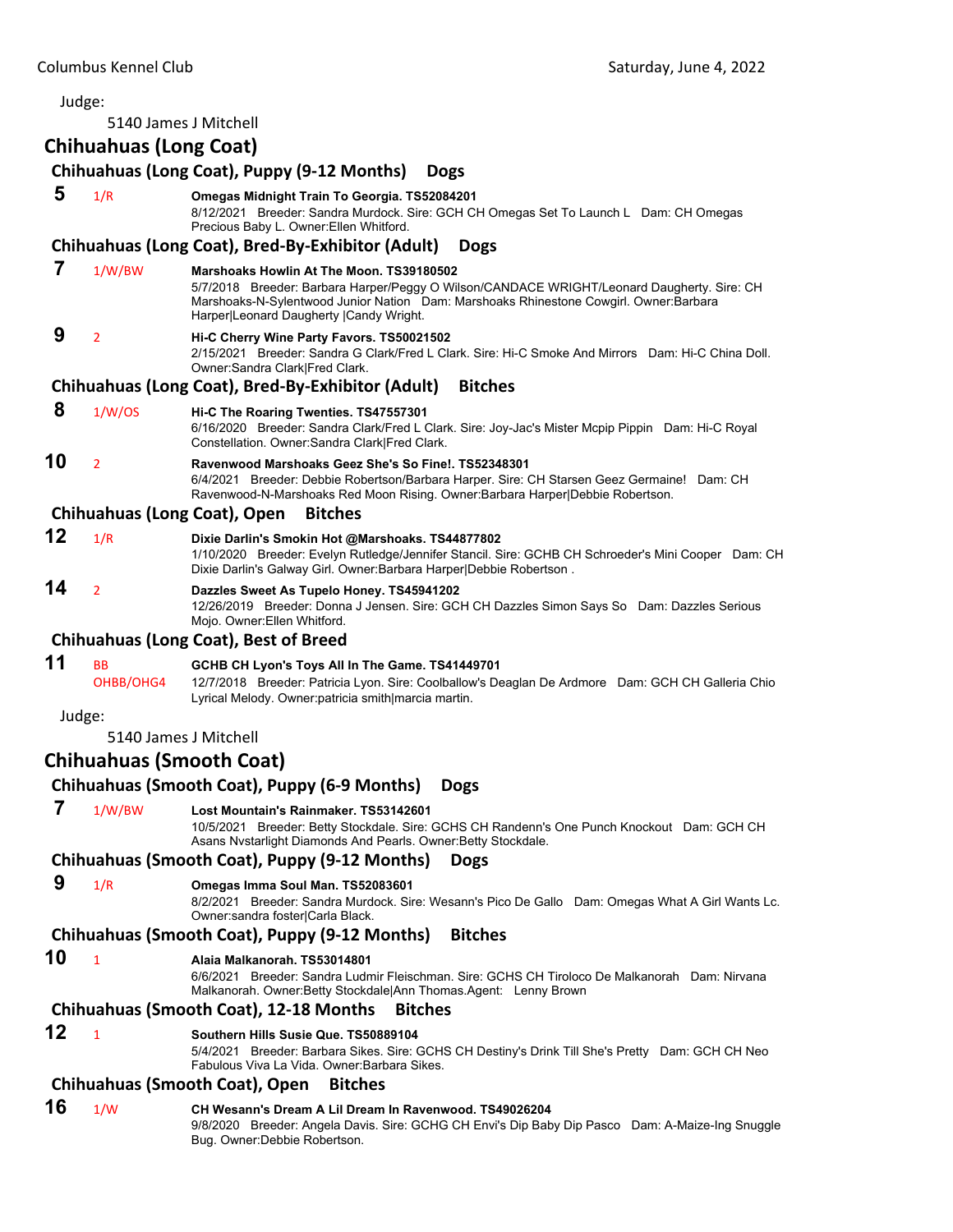#### Judge: 5140 James J Mitchell **Chihuahuas (Long Coat) Chihuahuas (Long Coat), Puppy (9‐12 Months) Dogs 5** 1/R **Omegas Midnight Train To Georgia. TS52084201** 8/12/2021 Breeder: Sandra Murdock. Sire: GCH CH Omegas Set To Launch L Dam: CH Omegas Precious Baby L. Owner:Ellen Whitford. **Chihuahuas (Long Coat), Bred‐By‐Exhibitor (Adult) Dogs 7** 1/W/BW **Marshoaks Howlin At The Moon. TS39180502** 5/7/2018 Breeder: Barbara Harper/Peggy O Wilson/CANDACE WRIGHT/Leonard Daugherty. Sire: CH Marshoaks-N-Sylentwood Junior Nation Dam: Marshoaks Rhinestone Cowgirl. Owner:Barbara Harper|Leonard Daugherty |Candy Wright.  **9** <sup>2</sup> **Hi-C Cherry Wine Party Favors. TS50021502** 2/15/2021 Breeder: Sandra G Clark/Fred L Clark. Sire: Hi-C Smoke And Mirrors Dam: Hi-C China Doll. Owner:Sandra Clark|Fred Clark. **Chihuahuas (Long Coat), Bred‐By‐Exhibitor (Adult) Bitches 8** 1/W/OS **Hi-C The Roaring Twenties. TS47557301** 6/16/2020 Breeder: Sandra Clark/Fred L Clark. Sire: Joy-Jac's Mister Mcpip Pippin Dam: Hi-C Royal Constellation. Owner:Sandra Clark|Fred Clark. **10** <sup>2</sup> **Ravenwood Marshoaks Geez She's So Fine!. TS52348301** 6/4/2021 Breeder: Debbie Robertson/Barbara Harper. Sire: CH Starsen Geez Germaine! Dam: CH Ravenwood-N-Marshoaks Red Moon Rising. Owner:Barbara Harper|Debbie Robertson. **Chihuahuas (Long Coat), Open Bitches 12** 1/R **Dixie Darlin's Smokin Hot @Marshoaks. TS44877802** 1/10/2020 Breeder: Evelyn Rutledge/Jennifer Stancil. Sire: GCHB CH Schroeder's Mini Cooper Dam: CH Dixie Darlin's Galway Girl. Owner:Barbara Harper|Debbie Robertson . **14** <sup>2</sup> **Dazzles Sweet As Tupelo Honey. TS45941202** 12/26/2019 Breeder: Donna J Jensen. Sire: GCH CH Dazzles Simon Says So Dam: Dazzles Serious Mojo. Owner:Ellen Whitford. **Chihuahuas (Long Coat), Best of Breed 11** BB **GCHB CH Lyon's Toys All In The Game. TS41449701** OHBB/OHG4 12/7/2018 Breeder: Patricia Lyon. Sire: Coolballow's Deaglan De Ardmore Dam: GCH CH Galleria Chio Lyrical Melody. Owner:patricia smith|marcia martin. Judge: 5140 James J Mitchell **Chihuahuas (Smooth Coat) Chihuahuas (Smooth Coat), Puppy (6‐9 Months) Dogs 7** 1/W/BW **Lost Mountain's Rainmaker. TS53142601** 10/5/2021 Breeder: Betty Stockdale. Sire: GCHS CH Randenn's One Punch Knockout Dam: GCH CH Asans Nvstarlight Diamonds And Pearls. Owner:Betty Stockdale. **Chihuahuas (Smooth Coat), Puppy (9‐12 Months) Dogs 9** 1/R **Omegas Imma Soul Man. TS52083601** 8/2/2021 Breeder: Sandra Murdock. Sire: Wesann's Pico De Gallo Dam: Omegas What A Girl Wants Lc. Owner:sandra foster|Carla Black. **Chihuahuas (Smooth Coat), Puppy (9‐12 Months) Bitches 10** <sup>1</sup> **Alaia Malkanorah. TS53014801** 6/6/2021 Breeder: Sandra Ludmir Fleischman. Sire: GCHS CH Tiroloco De Malkanorah Dam: Nirvana Malkanorah. Owner:Betty Stockdale|Ann Thomas.Agent: Lenny Brown **Chihuahuas (Smooth Coat), 12‐18 Months Bitches 12** <sup>1</sup> **Southern Hills Susie Que. TS50889104** 5/4/2021 Breeder: Barbara Sikes. Sire: GCHS CH Destiny's Drink Till She's Pretty Dam: GCH CH Neo Fabulous Viva La Vida. Owner:Barbara Sikes. **Chihuahuas (Smooth Coat), Open Bitches 16** 1/W **CH Wesann's Dream A Lil Dream In Ravenwood. TS49026204** 9/8/2020 Breeder: Angela Davis. Sire: GCHG CH Envi's Dip Baby Dip Pasco Dam: A-Maize-Ing Snuggle Bug. Owner:Debbie Robertson.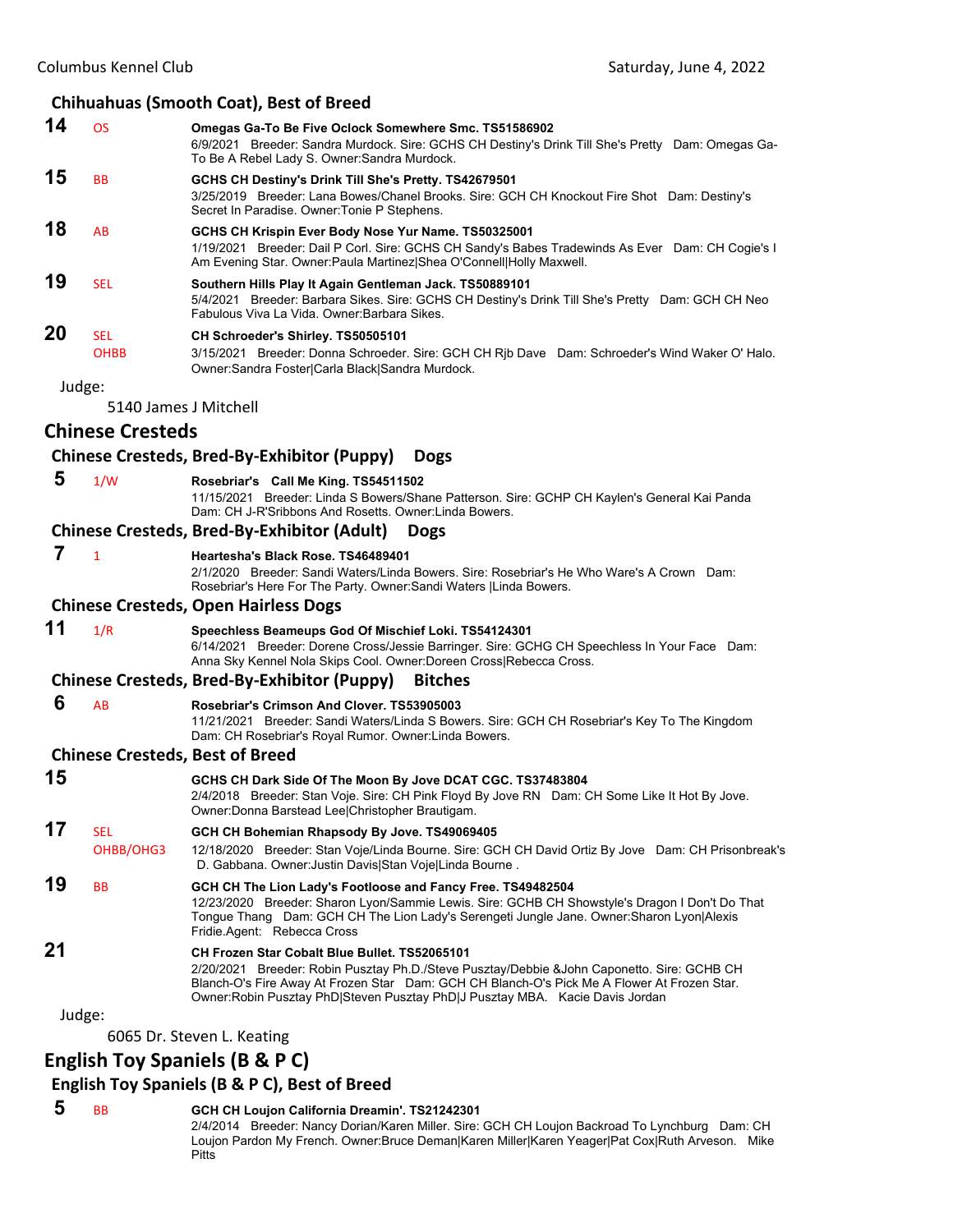# **Chihuahuas (Smooth Coat), Best of Breed**

|    |                           | Companies (Sinophi Coat), Dest of Breed                                                                                                                                                                                                                                                                                     |
|----|---------------------------|-----------------------------------------------------------------------------------------------------------------------------------------------------------------------------------------------------------------------------------------------------------------------------------------------------------------------------|
| 14 | <b>OS</b>                 | Omegas Ga-To Be Five Oclock Somewhere Smc. TS51586902<br>6/9/2021 Breeder: Sandra Murdock. Sire: GCHS CH Destiny's Drink Till She's Pretty Dam: Omegas Ga-<br>To Be A Rebel Lady S. Owner: Sandra Murdock.                                                                                                                  |
| 15 | BB                        | GCHS CH Destiny's Drink Till She's Pretty. TS42679501<br>3/25/2019 Breeder: Lana Bowes/Chanel Brooks. Sire: GCH CH Knockout Fire Shot Dam: Destiny's<br>Secret In Paradise. Owner: Tonie P Stephens.                                                                                                                        |
| 18 | AB                        | GCHS CH Krispin Ever Body Nose Yur Name. TS50325001<br>1/19/2021 Breeder: Dail P Corl. Sire: GCHS CH Sandy's Babes Tradewinds As Ever Dam: CH Cogie's I<br>Am Evening Star. Owner: Paula Martinez  Shea O'Connell  Holly Maxwell.                                                                                           |
| 19 | <b>SEL</b>                | Southern Hills Play It Again Gentleman Jack. TS50889101<br>5/4/2021 Breeder: Barbara Sikes. Sire: GCHS CH Destiny's Drink Till She's Pretty Dam: GCH CH Neo<br>Fabulous Viva La Vida. Owner: Barbara Sikes.                                                                                                                 |
| 20 | <b>SEL</b><br><b>OHBB</b> | CH Schroeder's Shirley. TS50505101<br>3/15/2021 Breeder: Donna Schroeder. Sire: GCH CH Rjb Dave Dam: Schroeder's Wind Waker O' Halo.<br>Owner:Sandra Foster Carla Black Sandra Murdock.                                                                                                                                     |
|    | Judge:                    |                                                                                                                                                                                                                                                                                                                             |
|    |                           | 5140 James J Mitchell                                                                                                                                                                                                                                                                                                       |
|    | <b>Chinese Cresteds</b>   |                                                                                                                                                                                                                                                                                                                             |
|    |                           | Chinese Cresteds, Bred-By-Exhibitor (Puppy)<br><b>Dogs</b>                                                                                                                                                                                                                                                                  |
| 5  | 1/W                       | Rosebriar's Call Me King. TS54511502<br>11/15/2021 Breeder: Linda S Bowers/Shane Patterson. Sire: GCHP CH Kaylen's General Kai Panda<br>Dam: CH J-R'Sribbons And Rosetts. Owner: Linda Bowers.                                                                                                                              |
|    |                           | <b>Chinese Cresteds, Bred-By-Exhibitor (Adult)</b><br><b>Dogs</b>                                                                                                                                                                                                                                                           |
| 7  | $\mathbf{1}$              | Heartesha's Black Rose, TS46489401<br>2/1/2020 Breeder: Sandi Waters/Linda Bowers. Sire: Rosebriar's He Who Ware's A Crown Dam:<br>Rosebriar's Here For The Party. Owner: Sandi Waters   Linda Bowers.                                                                                                                      |
|    |                           | <b>Chinese Cresteds, Open Hairless Dogs</b>                                                                                                                                                                                                                                                                                 |
| 11 | 1/R                       | Speechless Beameups God Of Mischief Loki. TS54124301<br>6/14/2021 Breeder: Dorene Cross/Jessie Barringer. Sire: GCHG CH Speechless In Your Face Dam:<br>Anna Sky Kennel Nola Skips Cool. Owner:Doreen Cross Rebecca Cross.                                                                                                  |
|    |                           | Chinese Cresteds, Bred-By-Exhibitor (Puppy)<br><b>Bitches</b>                                                                                                                                                                                                                                                               |
| 6  | AB                        | Rosebriar's Crimson And Clover. TS53905003<br>11/21/2021 Breeder: Sandi Waters/Linda S Bowers. Sire: GCH CH Rosebriar's Key To The Kingdom<br>Dam: CH Rosebriar's Royal Rumor. Owner: Linda Bowers.                                                                                                                         |
|    |                           | <b>Chinese Cresteds, Best of Breed</b>                                                                                                                                                                                                                                                                                      |
| 15 |                           | GCHS CH Dark Side Of The Moon By Jove DCAT CGC. TS37483804<br>2/4/2018 Breeder: Stan Voje. Sire: CH Pink Floyd By Jove RN Dam: CH Some Like It Hot By Jove.<br>Owner: Donna Barstead Lee Christopher Brautigam.                                                                                                             |
| 17 | <b>SEL</b><br>OHBB/OHG3   | GCH CH Bohemian Rhapsody By Jove. TS49069405<br>12/18/2020 Breeder: Stan Voje/Linda Bourne. Sire: GCH CH David Ortiz By Jove Dam: CH Prisonbreak's<br>D. Gabbana. Owner: Justin Davis Stan Voje Linda Bourne.                                                                                                               |
| 19 | ВB                        | GCH CH The Lion Lady's Footloose and Fancy Free. TS49482504<br>12/23/2020 Breeder: Sharon Lyon/Sammie Lewis. Sire: GCHB CH Showstyle's Dragon I Don't Do That<br>Tonque Thang Dam: GCH CH The Lion Lady's Serengeti Jungle Jane. Owner: Sharon Lyon Alexis<br>Fridie Agent: Rebecca Cross                                   |
| 21 |                           | CH Frozen Star Cobalt Blue Bullet, TS52065101<br>2/20/2021 Breeder: Robin Pusztay Ph.D./Steve Pusztay/Debbie &John Caponetto. Sire: GCHB CH<br>Blanch-O's Fire Away At Frozen Star Dam: GCH CH Blanch-O's Pick Me A Flower At Frozen Star.<br>Owner: Robin Pusztay PhD Steven Pusztay PhD J Pusztay MBA. Kacie Davis Jordan |
|    | Judge:                    |                                                                                                                                                                                                                                                                                                                             |
|    |                           | 6065 Dr. Steven L. Keating                                                                                                                                                                                                                                                                                                  |
|    |                           | <b>English Toy Spaniels (B &amp; P C)</b>                                                                                                                                                                                                                                                                                   |

# **English Toy Spaniels (B & P C), Best of Breed**

 **5** BB **GCH CH Loujon California Dreamin'. TS21242301** 2/4/2014 Breeder: Nancy Dorian/Karen Miller. Sire: GCH CH Loujon Backroad To Lynchburg Dam: CH Loujon Pardon My French. Owner:Bruce Deman|Karen Miller|Karen Yeager|Pat Cox|Ruth Arveson. Mike Pitts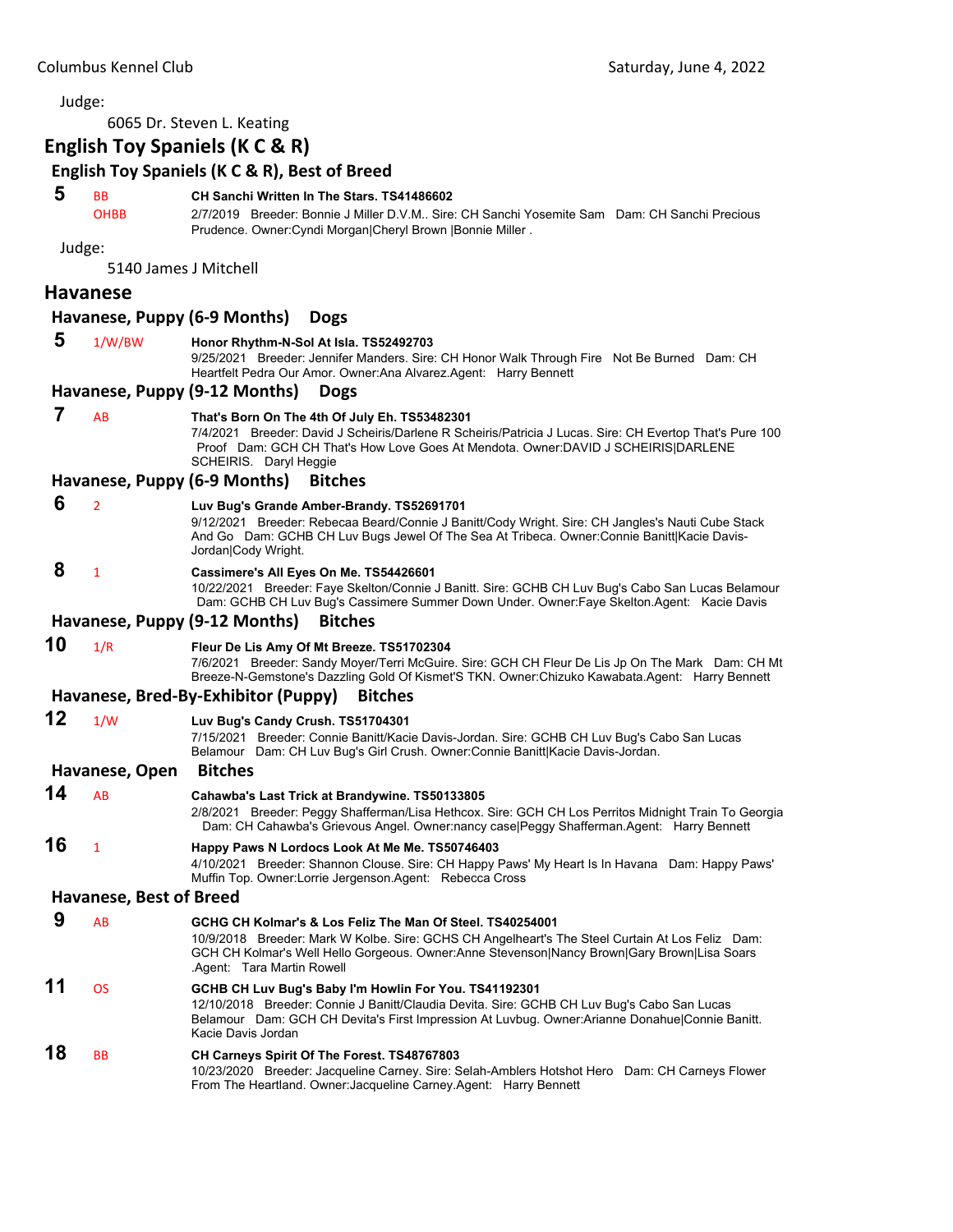6065 Dr. Steven L. Keating

# **English Toy Spaniels (K C & R)**

# **English Toy Spaniels (K C & R), Best of Breed**

# **5** BB **CH Sanchi Written In The Stars. TS41486602**

OHBB 2/7/2019 Breeder: Bonnie J Miller D.V.M.. Sire: CH Sanchi Yosemite Sam Dam: CH Sanchi Precious Prudence. Owner:Cyndi Morgan|Cheryl Brown |Bonnie Miller .

Judge:

5140 James J Mitchell

#### **Havanese**

## **Havanese, Puppy (6‐9 Months) Dogs**

| 5  | 1/W/BW                         | Honor Rhythm-N-Sol At Isla. TS52492703<br>9/25/2021 Breeder: Jennifer Manders. Sire: CH Honor Walk Through Fire Not Be Burned Dam: CH<br>Heartfelt Pedra Our Amor. Owner: Ana Alvarez. Agent: Harry Bennett                                                                              |
|----|--------------------------------|------------------------------------------------------------------------------------------------------------------------------------------------------------------------------------------------------------------------------------------------------------------------------------------|
|    |                                | Havanese, Puppy (9-12 Months)<br><b>Dogs</b>                                                                                                                                                                                                                                             |
| 7  | AB                             | That's Born On The 4th Of July Eh. TS53482301<br>7/4/2021 Breeder: David J Scheiris/Darlene R Scheiris/Patricia J Lucas. Sire: CH Evertop That's Pure 100<br>Proof Dam: GCH CH That's How Love Goes At Mendota. Owner:DAVID J SCHEIRIS DARLENE<br>SCHEIRIS. Daryl Heggie                 |
|    |                                | Havanese, Puppy (6-9 Months)<br><b>Bitches</b>                                                                                                                                                                                                                                           |
| 6  | $\overline{2}$                 | Luv Bug's Grande Amber-Brandy. TS52691701<br>9/12/2021 Breeder: Rebecaa Beard/Connie J Banitt/Cody Wright. Sire: CH Jangles's Nauti Cube Stack<br>And Go Dam: GCHB CH Luv Bugs Jewel Of The Sea At Tribeca. Owner:Connie Banitt Kacie Davis-<br>Jordan Cody Wright.                      |
| 8  | $\mathbf{1}$                   | Cassimere's All Eyes On Me. TS54426601<br>10/22/2021 Breeder: Faye Skelton/Connie J Banitt. Sire: GCHB CH Luv Bug's Cabo San Lucas Belamour<br>Dam: GCHB CH Luv Bug's Cassimere Summer Down Under. Owner: Faye Skelton. Agent: Kacie Davis                                               |
|    |                                | Havanese, Puppy (9-12 Months)<br><b>Bitches</b>                                                                                                                                                                                                                                          |
| 10 | 1/R                            | Fleur De Lis Amy Of Mt Breeze. TS51702304<br>7/6/2021 Breeder: Sandy Moyer/Terri McGuire. Sire: GCH CH Fleur De Lis Jp On The Mark Dam: CH Mt<br>Breeze-N-Gemstone's Dazzling Gold Of Kismet'S TKN. Owner:Chizuko Kawabata.Agent: Harry Bennett                                          |
|    |                                | Havanese, Bred-By-Exhibitor (Puppy)<br><b>Bitches</b>                                                                                                                                                                                                                                    |
| 12 | 1/W                            | Luv Bug's Candy Crush. TS51704301<br>7/15/2021 Breeder: Connie Banitt/Kacie Davis-Jordan. Sire: GCHB CH Luv Bug's Cabo San Lucas<br>Belamour Dam: CH Luv Bug's Girl Crush. Owner: Connie Banitt Kacie Davis-Jordan.                                                                      |
|    | Havanese, Open                 | <b>Bitches</b>                                                                                                                                                                                                                                                                           |
| 14 | AB                             | Cahawba's Last Trick at Brandywine. TS50133805<br>2/8/2021 Breeder: Peggy Shafferman/Lisa Hethcox. Sire: GCH CH Los Perritos Midnight Train To Georgia<br>Dam: CH Cahawba's Grievous Angel. Owner:nancy case Peggy Shafferman. Agent: Harry Bennett                                      |
| 16 | $\mathbf{1}$                   | Happy Paws N Lordocs Look At Me Me. TS50746403<br>4/10/2021 Breeder: Shannon Clouse. Sire: CH Happy Paws' My Heart Is In Havana Dam: Happy Paws'<br>Muffin Top. Owner:Lorrie Jergenson.Agent: Rebecca Cross                                                                              |
|    | <b>Havanese, Best of Breed</b> |                                                                                                                                                                                                                                                                                          |
| 9  | AB                             | GCHG CH Kolmar's & Los Feliz The Man Of Steel, TS40254001<br>10/9/2018 Breeder: Mark W Kolbe. Sire: GCHS CH Angelheart's The Steel Curtain At Los Feliz Dam:<br>GCH CH Kolmar's Well Hello Gorgeous. Owner:Anne Stevenson Nancy Brown Gary Brown Lisa Soars<br>Agent: Tara Martin Rowell |
| 11 | <b>OS</b>                      | GCHB CH Luv Bug's Baby I'm Howlin For You. TS41192301<br>12/10/2018 Breeder: Connie J Banitt/Claudia Devita. Sire: GCHB CH Luv Bug's Cabo San Lucas<br>Belamour Dam: GCH CH Devita's First Impression At Luvbug. Owner:Arianne Donahue Connie Banitt.<br>Kacie Davis Jordan              |
| 18 | ВB                             | CH Carneys Spirit Of The Forest. TS48767803<br>10/23/2020 Breeder: Jacqueline Carney. Sire: Selah-Amblers Hotshot Hero Dam: CH Carneys Flower<br>From The Heartland. Owner: Jacqueline Carney. Agent: Harry Bennett                                                                      |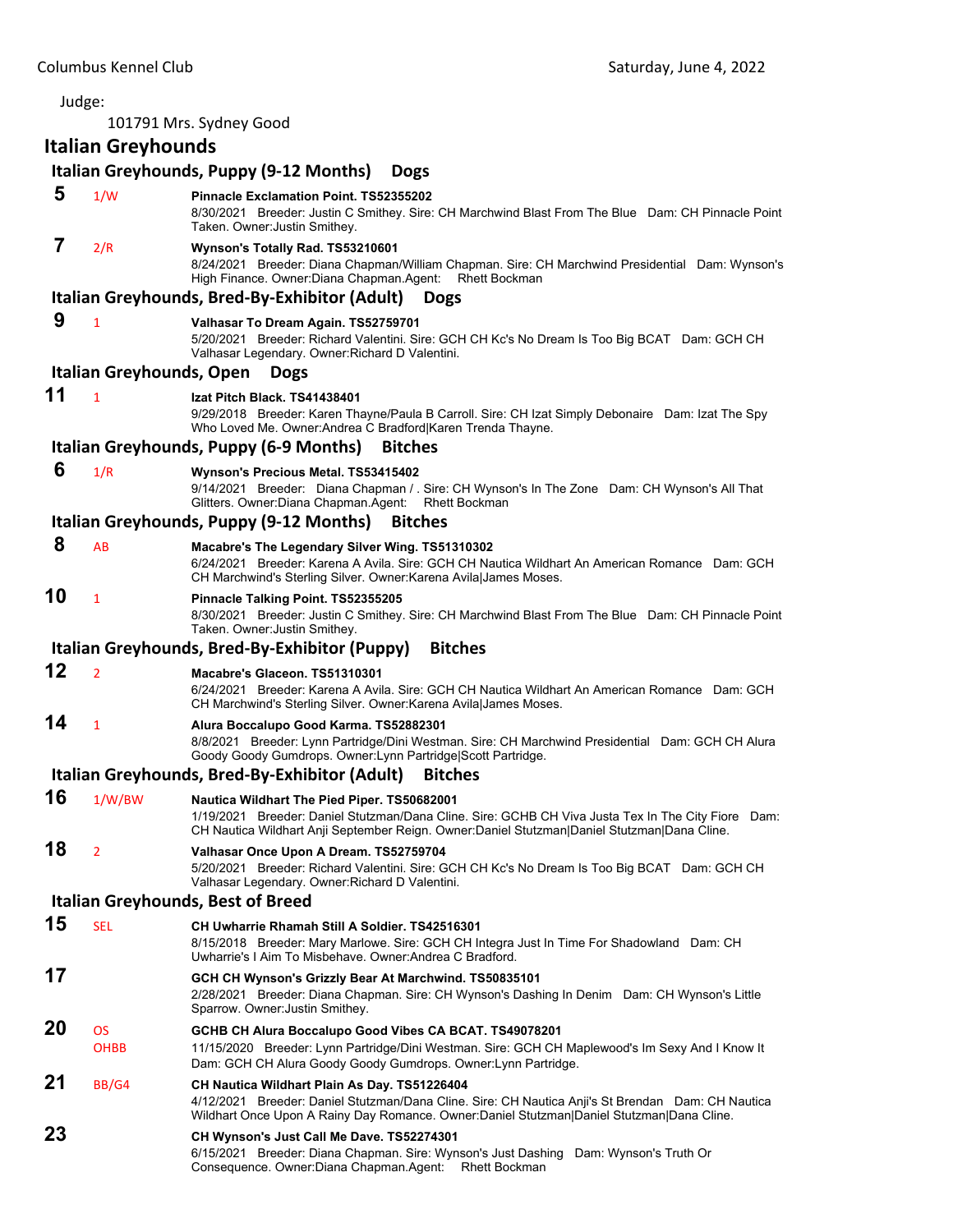Judge: 101791 Mrs. Sydney Good **Italian Greyhounds Italian Greyhounds, Puppy (9‐12 Months) Dogs 5** 1/W **Pinnacle Exclamation Point. TS52355202** 8/30/2021 Breeder: Justin C Smithey. Sire: CH Marchwind Blast From The Blue Dam: CH Pinnacle Point Taken. Owner:Justin Smithey.  **7** 2/R **Wynson's Totally Rad. TS53210601** 8/24/2021 Breeder: Diana Chapman/William Chapman. Sire: CH Marchwind Presidential Dam: Wynson's High Finance. Owner:Diana Chapman.Agent: Rhett Bockman **Italian Greyhounds, Bred‐By‐Exhibitor (Adult) Dogs 9** <sup>1</sup> **Valhasar To Dream Again. TS52759701** 5/20/2021 Breeder: Richard Valentini. Sire: GCH CH Kc's No Dream Is Too Big BCAT Dam: GCH CH Valhasar Legendary. Owner:Richard D Valentini. **Italian Greyhounds, Open Dogs 11** <sup>1</sup> **Izat Pitch Black. TS41438401** 9/29/2018 Breeder: Karen Thayne/Paula B Carroll. Sire: CH Izat Simply Debonaire Dam: Izat The Spy Who Loved Me. Owner:Andrea C Bradford|Karen Trenda Thayne. **Italian Greyhounds, Puppy (6‐9 Months) Bitches 6** 1/R **Wynson's Precious Metal. TS53415402** 9/14/2021 Breeder: Diana Chapman / . Sire: CH Wynson's In The Zone Dam: CH Wynson's All That Glitters. Owner:Diana Chapman.Agent: Rhett Bockman **Italian Greyhounds, Puppy (9‐12 Months) Bitches 8** AB **Macabre's The Legendary Silver Wing. TS51310302** 6/24/2021 Breeder: Karena A Avila. Sire: GCH CH Nautica Wildhart An American Romance Dam: GCH CH Marchwind's Sterling Silver. Owner:Karena Avila|James Moses. **10** <sup>1</sup> **Pinnacle Talking Point. TS52355205** 8/30/2021 Breeder: Justin C Smithey. Sire: CH Marchwind Blast From The Blue Dam: CH Pinnacle Point Taken. Owner:Justin Smithey. **Italian Greyhounds, Bred‐By‐Exhibitor (Puppy) Bitches 12** <sup>2</sup> **Macabre's Glaceon. TS51310301** 6/24/2021 Breeder: Karena A Avila. Sire: GCH CH Nautica Wildhart An American Romance Dam: GCH CH Marchwind's Sterling Silver. Owner:Karena Avila|James Moses. **14** <sup>1</sup> **Alura Boccalupo Good Karma. TS52882301** 8/8/2021 Breeder: Lynn Partridge/Dini Westman. Sire: CH Marchwind Presidential Dam: GCH CH Alura Goody Goody Gumdrops. Owner:Lynn Partridge|Scott Partridge. **Italian Greyhounds, Bred‐By‐Exhibitor (Adult) Bitches 16** 1/W/BW **Nautica Wildhart The Pied Piper. TS50682001** 1/19/2021 Breeder: Daniel Stutzman/Dana Cline. Sire: GCHB CH Viva Justa Tex In The City Fiore Dam: CH Nautica Wildhart Anji September Reign. Owner:Daniel Stutzman|Daniel Stutzman|Dana Cline. **18** <sup>2</sup> **Valhasar Once Upon A Dream. TS52759704** 5/20/2021 Breeder: Richard Valentini. Sire: GCH CH Kc's No Dream Is Too Big BCAT Dam: GCH CH Valhasar Legendary. Owner:Richard D Valentini. **Italian Greyhounds, Best of Breed 15** SEL **CH Uwharrie Rhamah Still A Soldier. TS42516301** 8/15/2018 Breeder: Mary Marlowe. Sire: GCH CH Integra Just In Time For Shadowland Dam: CH Uwharrie's I Aim To Misbehave. Owner:Andrea C Bradford. **17 GCH CH Wynson's Grizzly Bear At Marchwind. TS50835101** 2/28/2021 Breeder: Diana Chapman. Sire: CH Wynson's Dashing In Denim Dam: CH Wynson's Little Sparrow. Owner:Justin Smithey. **20** OS **GCHB CH Alura Boccalupo Good Vibes CA BCAT. TS49078201** OHBB 11/15/2020 Breeder: Lynn Partridge/Dini Westman. Sire: GCH CH Maplewood's Im Sexy And I Know It Dam: GCH CH Alura Goody Goody Gumdrops. Owner:Lynn Partridge. **21** BB/G4 **CH Nautica Wildhart Plain As Day. TS51226404** 4/12/2021 Breeder: Daniel Stutzman/Dana Cline. Sire: CH Nautica Anji's St Brendan Dam: CH Nautica Wildhart Once Upon A Rainy Day Romance. Owner:Daniel Stutzman|Daniel Stutzman|Dana Cline. **23 CH Wynson's Just Call Me Dave. TS52274301** 6/15/2021 Breeder: Diana Chapman. Sire: Wynson's Just Dashing Dam: Wynson's Truth Or Consequence. Owner:Diana Chapman.Agent: Rhett Bockman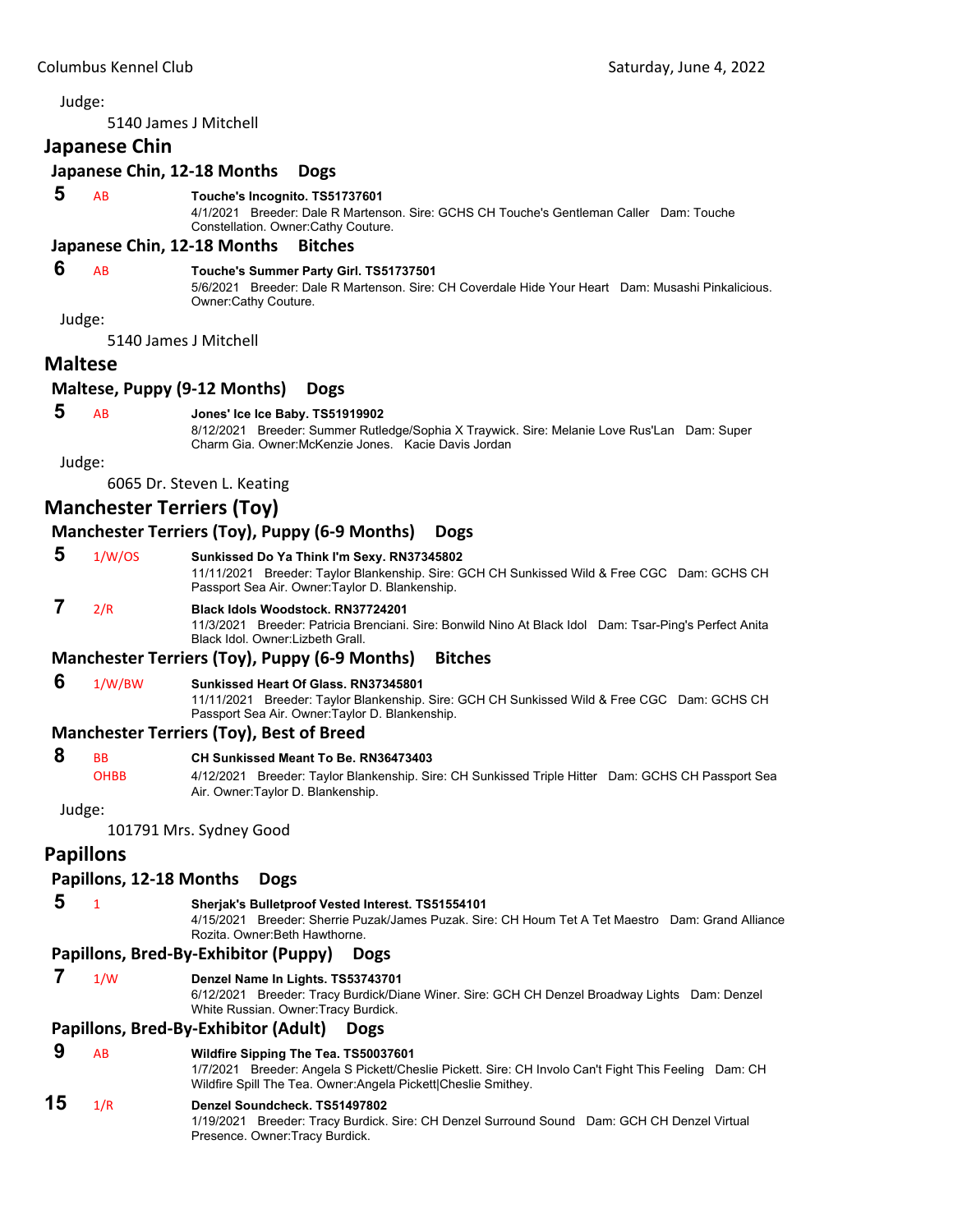5140 James J Mitchell

#### **Japanese Chin**

# **Japanese Chin, 12‐18 Months Dogs**

#### **5** AB **Touche's Incognito. TS51737601**

4/1/2021 Breeder: Dale R Martenson. Sire: GCHS CH Touche's Gentleman Caller Dam: Touche Constellation. Owner:Cathy Couture.

#### **Japanese Chin, 12‐18 Months Bitches**

# **6** AB **Touche's Summer Party Girl. TS51737501**

5/6/2021 Breeder: Dale R Martenson. Sire: CH Coverdale Hide Your Heart Dam: Musashi Pinkalicious. Owner:Cathy Couture.

Judge:

5140 James J Mitchell

#### **Maltese**

#### **Maltese, Puppy (9‐12 Months) Dogs**

#### **5** AB **Jones' Ice Ice Baby. TS51919902**

8/12/2021 Breeder: Summer Rutledge/Sophia X Traywick. Sire: Melanie Love Rus'Lan Dam: Super Charm Gia. Owner:McKenzie Jones. Kacie Davis Jordan

Judge:

6065 Dr. Steven L. Keating

# **Manchester Terriers (Toy)**

#### **Manchester Terriers (Toy), Puppy (6‐9 Months) Dogs**

 **5** 1/W/OS **Sunkissed Do Ya Think I'm Sexy. RN37345802**

11/11/2021 Breeder: Taylor Blankenship. Sire: GCH CH Sunkissed Wild & Free CGC Dam: GCHS CH Passport Sea Air. Owner:Taylor D. Blankenship.

# **7** 2/R **Black Idols Woodstock. RN37724201**

11/3/2021 Breeder: Patricia Brenciani. Sire: Bonwild Nino At Black Idol Dam: Tsar-Ping's Perfect Anita Black Idol. Owner:Lizbeth Grall.

#### **Manchester Terriers (Toy), Puppy (6‐9 Months) Bitches**

#### **6** 1/W/BW **Sunkissed Heart Of Glass. RN37345801**

11/11/2021 Breeder: Taylor Blankenship. Sire: GCH CH Sunkissed Wild & Free CGC Dam: GCHS CH Passport Sea Air. Owner:Taylor D. Blankenship.

#### **Manchester Terriers (Toy), Best of Breed**

 **8** BB **CH Sunkissed Meant To Be. RN36473403**

OHBB 4/12/2021 Breeder: Taylor Blankenship. Sire: CH Sunkissed Triple Hitter Dam: GCHS CH Passport Sea Air. Owner:Taylor D. Blankenship.

Judge:

101791 Mrs. Sydney Good

## **Papillons**

#### **Papillons, 12‐18 Months Dogs**

#### **5** <sup>1</sup> **Sherjak's Bulletproof Vested Interest. TS51554101**

4/15/2021 Breeder: Sherrie Puzak/James Puzak. Sire: CH Houm Tet A Tet Maestro Dam: Grand Alliance Rozita. Owner:Beth Hawthorne.

#### **Papillons, Bred‐By‐Exhibitor (Puppy) Dogs**

#### **7** 1/W **Denzel Name In Lights. TS53743701**

6/12/2021 Breeder: Tracy Burdick/Diane Winer. Sire: GCH CH Denzel Broadway Lights Dam: Denzel White Russian. Owner:Tracy Burdick.

#### **Papillons, Bred‐By‐Exhibitor (Adult) Dogs**

#### **9** AB **Wildfire Sipping The Tea. TS50037601**

1/7/2021 Breeder: Angela S Pickett/Cheslie Pickett. Sire: CH Involo Can't Fight This Feeling Dam: CH Wildfire Spill The Tea. Owner:Angela Pickett|Cheslie Smithey.

# **15** 1/R **Denzel Soundcheck. TS51497802**

1/19/2021 Breeder: Tracy Burdick. Sire: CH Denzel Surround Sound Dam: GCH CH Denzel Virtual Presence. Owner:Tracy Burdick.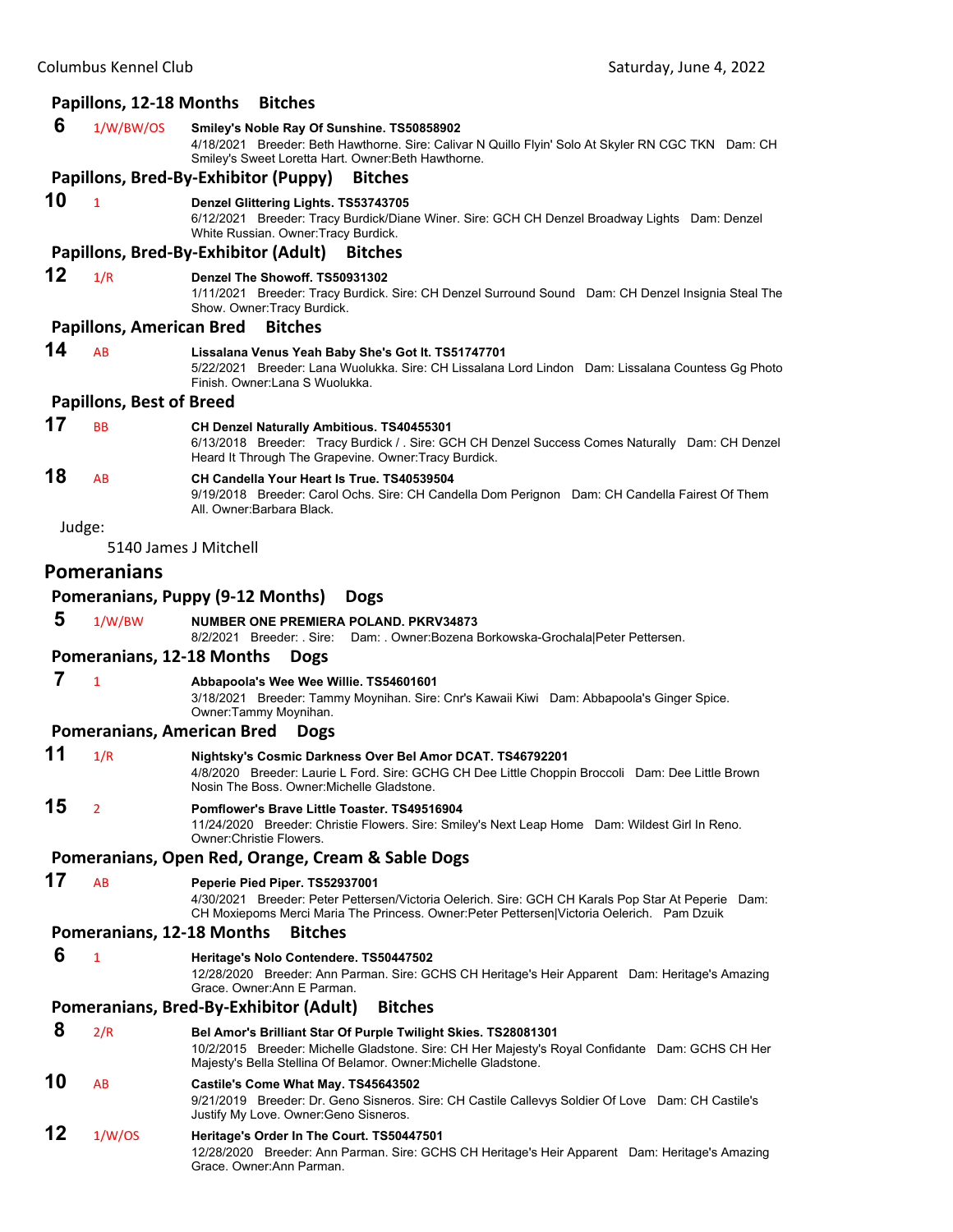# Columbus Kennel Club Saturday, June 4, 2022 **Papillons, 12‐18 Months Bitches 6** 1/W/BW/OS **Smiley's Noble Ray Of Sunshine. TS50858902** 4/18/2021 Breeder: Beth Hawthorne. Sire: Calivar N Quillo Flyin' Solo At Skyler RN CGC TKN Dam: CH Smiley's Sweet Loretta Hart. Owner:Beth Hawthorne. **Papillons, Bred‐By‐Exhibitor (Puppy) Bitches 10** <sup>1</sup> **Denzel Glittering Lights. TS53743705** 6/12/2021 Breeder: Tracy Burdick/Diane Winer. Sire: GCH CH Denzel Broadway Lights Dam: Denzel White Russian. Owner:Tracy Burdick. **Papillons, Bred‐By‐Exhibitor (Adult) Bitches 12** 1/R **Denzel The Showoff. TS50931302** 1/11/2021 Breeder: Tracy Burdick. Sire: CH Denzel Surround Sound Dam: CH Denzel Insignia Steal The Show. Owner:Tracy Burdick. **Papillons, American Bred Bitches 14** AB **Lissalana Venus Yeah Baby She's Got It. TS51747701** 5/22/2021 Breeder: Lana Wuolukka. Sire: CH Lissalana Lord Lindon Dam: Lissalana Countess Gg Photo Finish. Owner:Lana S Wuolukka. **Papillons, Best of Breed 17** BB **CH Denzel Naturally Ambitious. TS40455301** 6/13/2018 Breeder: Tracy Burdick / . Sire: GCH CH Denzel Success Comes Naturally Dam: CH Denzel Heard It Through The Grapevine. Owner:Tracy Burdick. **18** AB **CH Candella Your Heart Is True. TS40539504** 9/19/2018 Breeder: Carol Ochs. Sire: CH Candella Dom Perignon Dam: CH Candella Fairest Of Them All. Owner:Barbara Black. Judge: 5140 James J Mitchell **Pomeranians Pomeranians, Puppy (9‐12 Months) Dogs 5** 1/W/BW **NUMBER ONE PREMIERA POLAND. PKRV34873** 8/2/2021 Breeder: . Sire: Dam: . Owner:Bozena Borkowska-Grochala|Peter Pettersen. **Pomeranians, 12‐18 Months Dogs 7** <sup>1</sup> **Abbapoola's Wee Wee Willie. TS54601601** 3/18/2021 Breeder: Tammy Moynihan. Sire: Cnr's Kawaii Kiwi Dam: Abbapoola's Ginger Spice. Owner:Tammy Moynihan. **Pomeranians, American Bred Dogs 11** 1/R **Nightsky's Cosmic Darkness Over Bel Amor DCAT. TS46792201** 4/8/2020 Breeder: Laurie L Ford. Sire: GCHG CH Dee Little Choppin Broccoli Dam: Dee Little Brown Nosin The Boss. Owner:Michelle Gladstone. **15** <sup>2</sup> **Pomflower's Brave Little Toaster. TS49516904** 11/24/2020 Breeder: Christie Flowers. Sire: Smiley's Next Leap Home Dam: Wildest Girl In Reno. Owner:Christie Flowers. **Pomeranians, Open Red, Orange, Cream & Sable Dogs**

**17** AB **Peperie Pied Piper. TS52937001**

4/30/2021 Breeder: Peter Pettersen/Victoria Oelerich. Sire: GCH CH Karals Pop Star At Peperie Dam: CH Moxiepoms Merci Maria The Princess. Owner:Peter Pettersen|Victoria Oelerich. Pam Dzuik

#### **Pomeranians, 12‐18 Months Bitches**

 **6** <sup>1</sup> **Heritage's Nolo Contendere. TS50447502**

12/28/2020 Breeder: Ann Parman. Sire: GCHS CH Heritage's Heir Apparent Dam: Heritage's Amazing Grace. Owner:Ann E Parman.

#### **Pomeranians, Bred‐By‐Exhibitor (Adult) Bitches**

 **8** 2/R **Bel Amor's Brilliant Star Of Purple Twilight Skies. TS28081301** 10/2/2015 Breeder: Michelle Gladstone. Sire: CH Her Majesty's Royal Confidante Dam: GCHS CH Her Majesty's Bella Stellina Of Belamor. Owner:Michelle Gladstone.

# **10** AB **Castile's Come What May. TS45643502**

9/21/2019 Breeder: Dr. Geno Sisneros. Sire: CH Castile Callevys Soldier Of Love Dam: CH Castile's Justify My Love. Owner:Geno Sisneros.

# **12** 1/W/OS **Heritage's Order In The Court. TS50447501**

12/28/2020 Breeder: Ann Parman. Sire: GCHS CH Heritage's Heir Apparent Dam: Heritage's Amazing Grace. Owner:Ann Parman.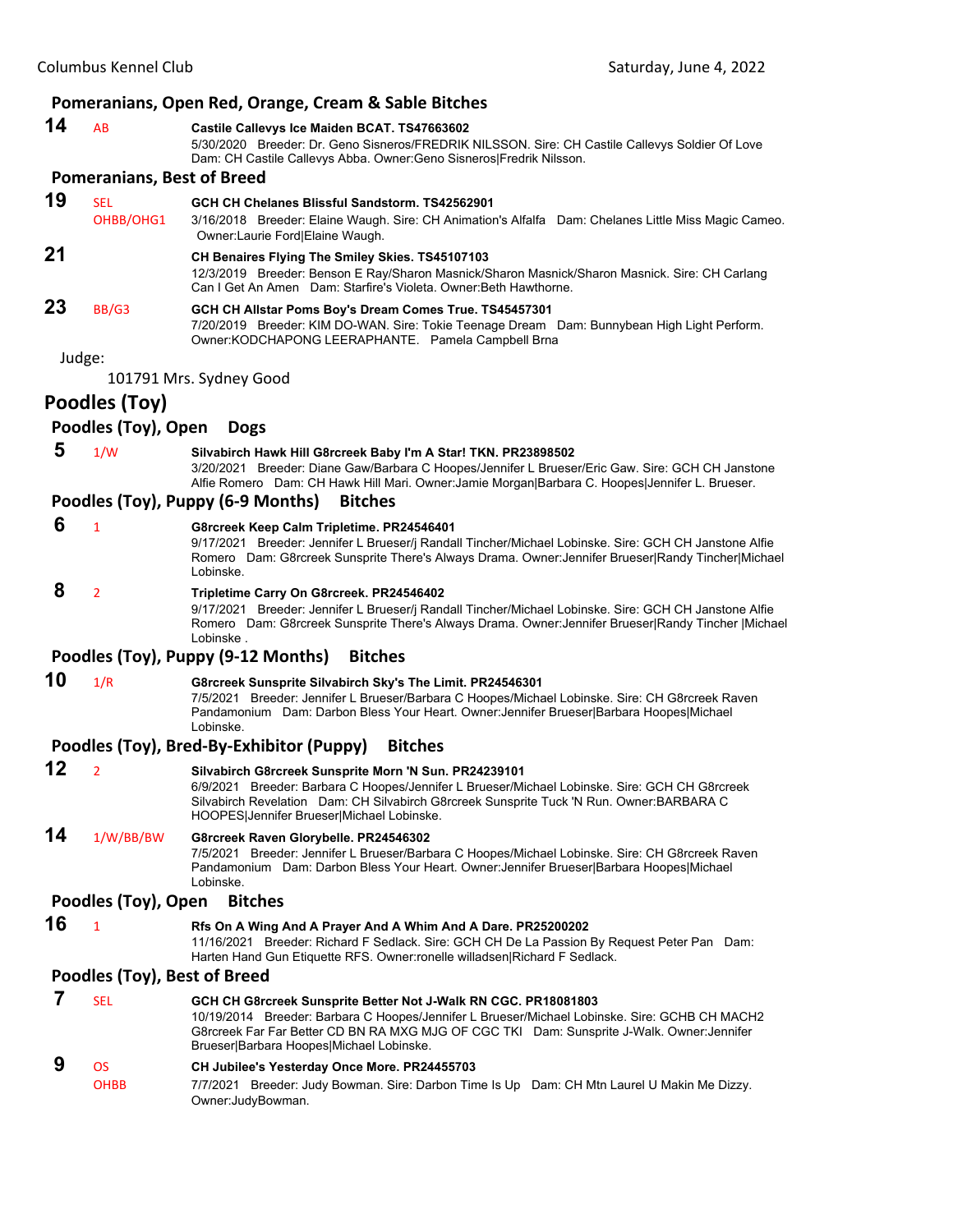#### **Pomeranians, Open Red, Orange, Cream & Sable Bitches**

| 14 | <b>AB</b> | Castile Callevys Ice Maiden BCAT. TS47663602                                                       |
|----|-----------|----------------------------------------------------------------------------------------------------|
|    |           | Breeder: Dr. Geno Sisneros/FREDRIK NILSSON. Sire: CH Castile Callevys Soldier Of Love<br>5/30/2020 |
|    |           | Dam: CH Castile Callevys Abba. Owner: Geno Sisneros   Fredrik Nilsson.                             |
|    |           | <b>Pomeranians, Best of Breed</b>                                                                  |
|    |           |                                                                                                    |

- **19** SEL **GCH CH Chelanes Blissful Sandstorm. TS42562901** OHBB/OHG1 3/16/2018 Breeder: Elaine Waugh. Sire: CH Animation's Alfalfa Dam: Chelanes Little Miss Magic Cameo. Owner:Laurie Ford|Elaine Waugh. **21 CH Benaires Flying The Smiley Skies. TS45107103** 12/3/2019 Breeder: Benson E Ray/Sharon Masnick/Sharon Masnick/Sharon Masnick. Sire: CH Carlang
- Can I Get An Amen Dam: Starfire's Violeta. Owner:Beth Hawthorne. **23** BB/G3 **GCH CH Allstar Poms Boy's Dream Comes True. TS45457301** 7/20/2019 Breeder: KIM DO-WAN. Sire: Tokie Teenage Dream Dam: Bunnybean High Light Perform. Owner:KODCHAPONG LEERAPHANTE. Pamela Campbell Brna

Judge:

101791 Mrs. Sydney Good

# **Poodles (Toy)**

#### **Poodles (Toy), Open Dogs**

 **5** 1/W **Silvabirch Hawk Hill G8rcreek Baby I'm A Star! TKN. PR23898502** 3/20/2021 Breeder: Diane Gaw/Barbara C Hoopes/Jennifer L Brueser/Eric Gaw. Sire: GCH CH Janstone Alfie Romero Dam: CH Hawk Hill Mari. Owner:Jamie Morgan|Barbara C. Hoopes|Jennifer L. Brueser.

#### **Poodles (Toy), Puppy (6‐9 Months) Bitches**

 **6** <sup>1</sup> **G8rcreek Keep Calm Tripletime. PR24546401**

9/17/2021 Breeder: Jennifer L Brueser/j Randall Tincher/Michael Lobinske. Sire: GCH CH Janstone Alfie Romero Dam: G8rcreek Sunsprite There's Always Drama. Owner:Jennifer Brueser|Randy Tincher|Michael Lobinske.

 **8** <sup>2</sup> **Tripletime Carry On G8rcreek. PR24546402**

9/17/2021 Breeder: Jennifer L Brueser/j Randall Tincher/Michael Lobinske. Sire: GCH CH Janstone Alfie Romero Dam: G8rcreek Sunsprite There's Always Drama. Owner:Jennifer Brueser|Randy Tincher |Michael Lobinske .

#### **Poodles (Toy), Puppy (9‐12 Months) Bitches**

# **10** 1/R **G8rcreek Sunsprite Silvabirch Sky's The Limit. PR24546301**

7/5/2021 Breeder: Jennifer L Brueser/Barbara C Hoopes/Michael Lobinske. Sire: CH G8rcreek Raven Pandamonium Dam: Darbon Bless Your Heart. Owner:Jennifer Brueser|Barbara Hoopes|Michael Lobinske.

#### **Poodles (Toy), Bred‐By‐Exhibitor (Puppy) Bitches**

**12** <sup>2</sup> **Silvabirch G8rcreek Sunsprite Morn 'N Sun. PR24239101** 6/9/2021 Breeder: Barbara C Hoopes/Jennifer L Brueser/Michael Lobinske. Sire: GCH CH G8rcreek Silvabirch Revelation Dam: CH Silvabirch G8rcreek Sunsprite Tuck 'N Run. Owner:BARBARA C HOOPES|Jennifer Brueser|Michael Lobinske. **14** 1/W/BB/BW **G8rcreek Raven Glorybelle. PR24546302**

7/5/2021 Breeder: Jennifer L Brueser/Barbara C Hoopes/Michael Lobinske. Sire: CH G8rcreek Raven Pandamonium Dam: Darbon Bless Your Heart. Owner:Jennifer Brueser|Barbara Hoopes|Michael Lobinske.

#### **Poodles (Toy), Open Bitches**

**16** <sup>1</sup> **Rfs On A Wing And A Prayer And A Whim And A Dare. PR25200202**

11/16/2021 Breeder: Richard F Sedlack. Sire: GCH CH De La Passion By Request Peter Pan Dam: Harten Hand Gun Etiquette RFS. Owner:ronelle willadsen|Richard F Sedlack.

# **Poodles (Toy), Best of Breed**

| <b>SFI</b> | GCH CH G8rcreek Sunsprite Better Not J-Walk RN CGC. PR18081803                                |
|------------|-----------------------------------------------------------------------------------------------|
|            | 10/19/2014 Breeder: Barbara C Hoopes/Jennifer L Brueser/Michael Lobinske. Sire: GCHB CH MACH2 |
|            | G8rcreek Far Far Better CD BN RA MXG MJG OF CGC TKI Dam: Sunsprite J-Walk. Owner: Jennifer    |
|            | Brueser Barbara Hoopes Michael Lobinske.                                                      |
| OS.        | CH Jubilee's Yesterday Once More. PR24455703                                                  |
|            |                                                                                               |

OHBB 7/7/2021 Breeder: Judy Bowman. Sire: Darbon Time Is Up Dam: CH Mtn Laurel U Makin Me Dizzy. Owner:JudyBowman.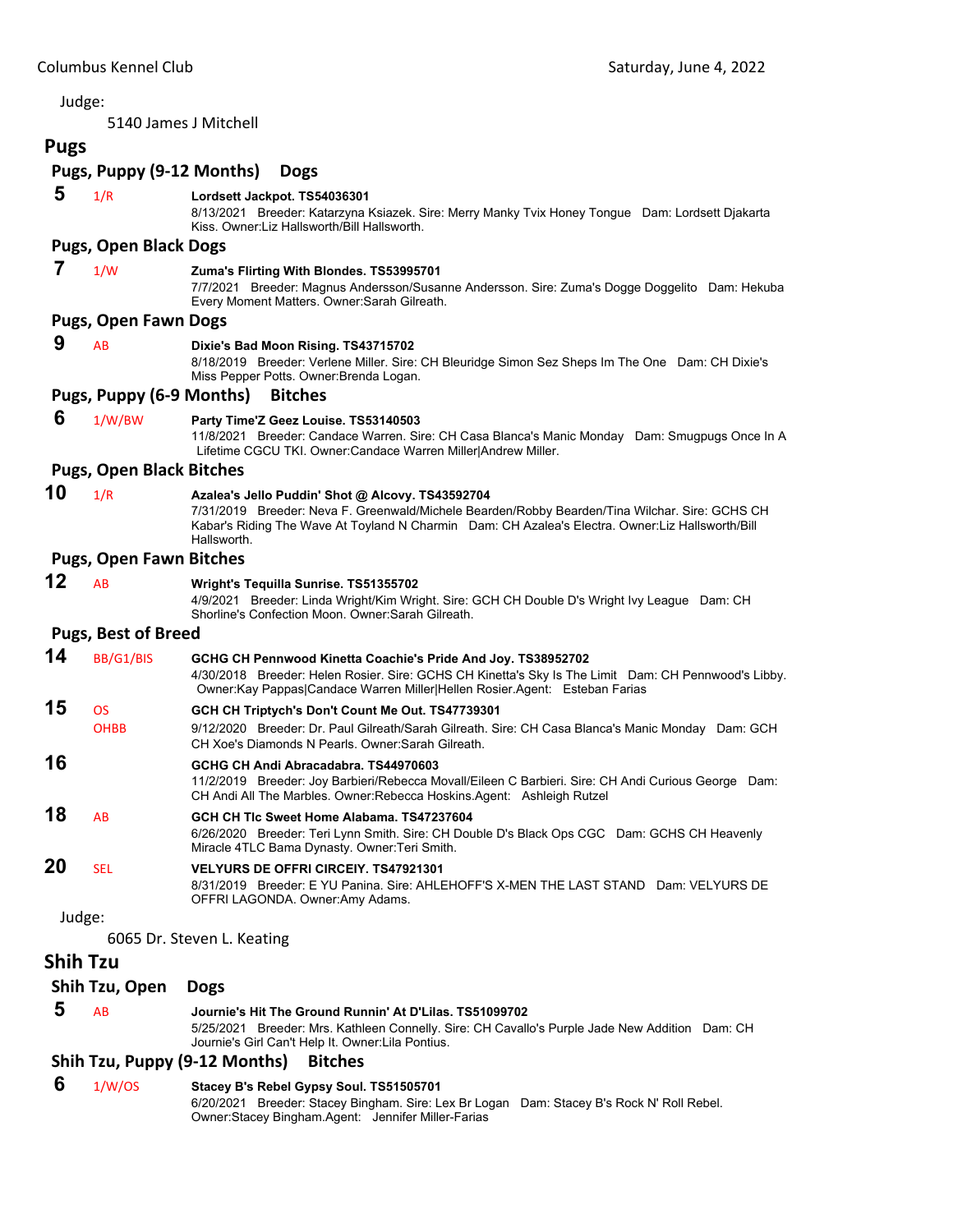5140 James J Mitchell

#### **Pugs Pugs, Puppy (9‐12 Months) Dogs 5** 1/R **Lordsett Jackpot. TS54036301** 8/13/2021 Breeder: Katarzyna Ksiazek. Sire: Merry Manky Tvix Honey Tongue Dam: Lordsett Djakarta Kiss. Owner:Liz Hallsworth/Bill Hallsworth. **Pugs, Open Black Dogs 7** 1/W **Zuma's Flirting With Blondes. TS53995701** 7/7/2021 Breeder: Magnus Andersson/Susanne Andersson. Sire: Zuma's Dogge Doggelito Dam: Hekuba Every Moment Matters. Owner:Sarah Gilreath. **Pugs, Open Fawn Dogs 9** AB **Dixie's Bad Moon Rising. TS43715702** 8/18/2019 Breeder: Verlene Miller. Sire: CH Bleuridge Simon Sez Sheps Im The One Dam: CH Dixie's Miss Pepper Potts. Owner:Brenda Logan. **Pugs, Puppy (6‐9 Months) Bitches 6** 1/W/BW **Party Time'Z Geez Louise. TS53140503** 11/8/2021 Breeder: Candace Warren. Sire: CH Casa Blanca's Manic Monday Dam: Smugpugs Once In A Lifetime CGCU TKI. Owner:Candace Warren Miller|Andrew Miller. **Pugs, Open Black Bitches 10** 1/R **Azalea's Jello Puddin' Shot @ Alcovy. TS43592704** 7/31/2019 Breeder: Neva F. Greenwald/Michele Bearden/Robby Bearden/Tina Wilchar. Sire: GCHS CH Kabar's Riding The Wave At Toyland N Charmin Dam: CH Azalea's Electra. Owner:Liz Hallsworth/Bill Hallsworth. **Pugs, Open Fawn Bitches 12** AB **Wright's Tequilla Sunrise. TS51355702** 4/9/2021 Breeder: Linda Wright/Kim Wright. Sire: GCH CH Double D's Wright Ivy League Dam: CH Shorline's Confection Moon. Owner:Sarah Gilreath. **Pugs, Best of Breed 14** BB/G1/BIS **GCHG CH Pennwood Kinetta Coachie's Pride And Joy. TS38952702** 4/30/2018 Breeder: Helen Rosier. Sire: GCHS CH Kinetta's Sky Is The Limit Dam: CH Pennwood's Libby. Owner:Kay Pappas|Candace Warren Miller|Hellen Rosier.Agent: Esteban Farias **15** OS **GCH CH Triptych's Don't Count Me Out. TS47739301** OHBB 9/12/2020 Breeder: Dr. Paul Gilreath/Sarah Gilreath. Sire: CH Casa Blanca's Manic Monday Dam: GCH CH Xoe's Diamonds N Pearls. Owner:Sarah Gilreath. **16 GCHG CH Andi Abracadabra. TS44970603** 11/2/2019 Breeder: Joy Barbieri/Rebecca Movall/Eileen C Barbieri. Sire: CH Andi Curious George Dam: CH Andi All The Marbles. Owner:Rebecca Hoskins.Agent: Ashleigh Rutzel **18** AB **GCH CH Tlc Sweet Home Alabama. TS47237604** 6/26/2020 Breeder: Teri Lynn Smith. Sire: CH Double D's Black Ops CGC Dam: GCHS CH Heavenly Miracle 4TLC Bama Dynasty. Owner:Teri Smith. **20** SEL **VELYURS DE OFFRI CIRCEIY. TS47921301** 8/31/2019 Breeder: E YU Panina. Sire: AHLEHOFF'S X-MEN THE LAST STAND Dam: VELYURS DE OFFRI LAGONDA. Owner:Amy Adams. Judge: 6065 Dr. Steven L. Keating **Shih Tzu Shih Tzu, Open Dogs 5** AB **Journie's Hit The Ground Runnin' At D'Lilas. TS51099702** 5/25/2021 Breeder: Mrs. Kathleen Connelly. Sire: CH Cavallo's Purple Jade New Addition Dam: CH Journie's Girl Can't Help It. Owner:Lila Pontius. **Shih Tzu, Puppy (9‐12 Months) Bitches**

#### **6** 1/W/OS **Stacey B's Rebel Gypsy Soul. TS51505701**

6/20/2021 Breeder: Stacey Bingham. Sire: Lex Br Logan Dam: Stacey B's Rock N' Roll Rebel. Owner:Stacey Bingham.Agent: Jennifer Miller-Farias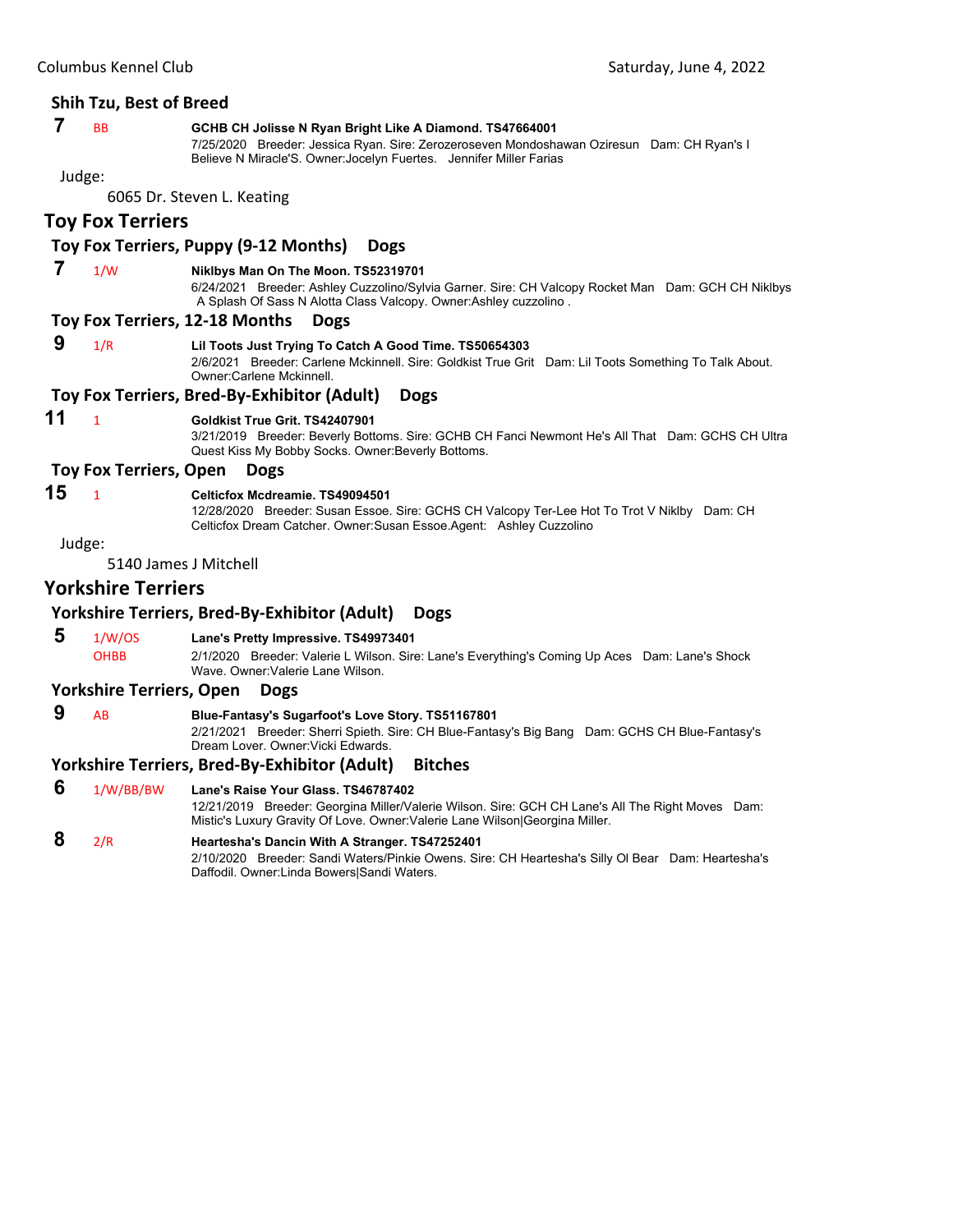# **Shih Tzu, Best of Breed**

# **7** BB **GCHB CH Jolisse N Ryan Bright Like A Diamond. TS47664001**

7/25/2020 Breeder: Jessica Ryan. Sire: Zerozeroseven Mondoshawan Oziresun Dam: CH Ryan's I Believe N Miracle'S. Owner:Jocelyn Fuertes. Jennifer Miller Farias

#### Judge:

6065 Dr. Steven L. Keating

# **Toy Fox Terriers**

### **Toy Fox Terriers, Puppy (9‐12 Months) Dogs**

# **7** 1/W **Niklbys Man On The Moon. TS52319701**

6/24/2021 Breeder: Ashley Cuzzolino/Sylvia Garner. Sire: CH Valcopy Rocket Man Dam: GCH CH Niklbys A Splash Of Sass N Alotta Class Valcopy. Owner:Ashley cuzzolino .

#### **Toy Fox Terriers, 12‐18 Months Dogs**

 **9** 1/R **Lil Toots Just Trying To Catch A Good Time. TS50654303** 2/6/2021 Breeder: Carlene Mckinnell. Sire: Goldkist True Grit Dam: Lil Toots Something To Talk About. Owner:Carlene Mckinnell.

# **Toy Fox Terriers, Bred‐By‐Exhibitor (Adult) Dogs**

#### **11** <sup>1</sup> **Goldkist True Grit. TS42407901**

3/21/2019 Breeder: Beverly Bottoms. Sire: GCHB CH Fanci Newmont He's All That Dam: GCHS CH Ultra Quest Kiss My Bobby Socks. Owner:Beverly Bottoms.

#### **Toy Fox Terriers, Open Dogs**

#### **15** <sup>1</sup> **Celticfox Mcdreamie. TS49094501**

12/28/2020 Breeder: Susan Essoe. Sire: GCHS CH Valcopy Ter-Lee Hot To Trot V Niklby Dam: CH Celticfox Dream Catcher. Owner:Susan Essoe.Agent: Ashley Cuzzolino

Judge:

5140 James J Mitchell

#### **Yorkshire Terriers**

#### **Yorkshire Terriers, Bred‐By‐Exhibitor (Adult) Dogs**

# **5** 1/W/OS **Lane's Pretty Impressive. TS49973401**

OHBB 2/1/2020 Breeder: Valerie L Wilson. Sire: Lane's Everything's Coming Up Aces Dam: Lane's Shock Wave. Owner:Valerie Lane Wilson.

#### **Yorkshire Terriers, Open Dogs**

# **9** AB **Blue-Fantasy's Sugarfoot's Love Story. TS51167801**

2/21/2021 Breeder: Sherri Spieth. Sire: CH Blue-Fantasy's Big Bang Dam: GCHS CH Blue-Fantasy's Dream Lover. Owner:Vicki Edwards.

#### **Yorkshire Terriers, Bred‐By‐Exhibitor (Adult) Bitches**

# **6** 1/W/BB/BW **Lane's Raise Your Glass. TS46787402**

12/21/2019 Breeder: Georgina Miller/Valerie Wilson. Sire: GCH CH Lane's All The Right Moves Dam: Mistic's Luxury Gravity Of Love. Owner:Valerie Lane Wilson|Georgina Miller.

# **8** 2/R **Heartesha's Dancin With A Stranger. TS47252401**

2/10/2020 Breeder: Sandi Waters/Pinkie Owens. Sire: CH Heartesha's Silly Ol Bear Dam: Heartesha's Daffodil. Owner:Linda Bowers|Sandi Waters.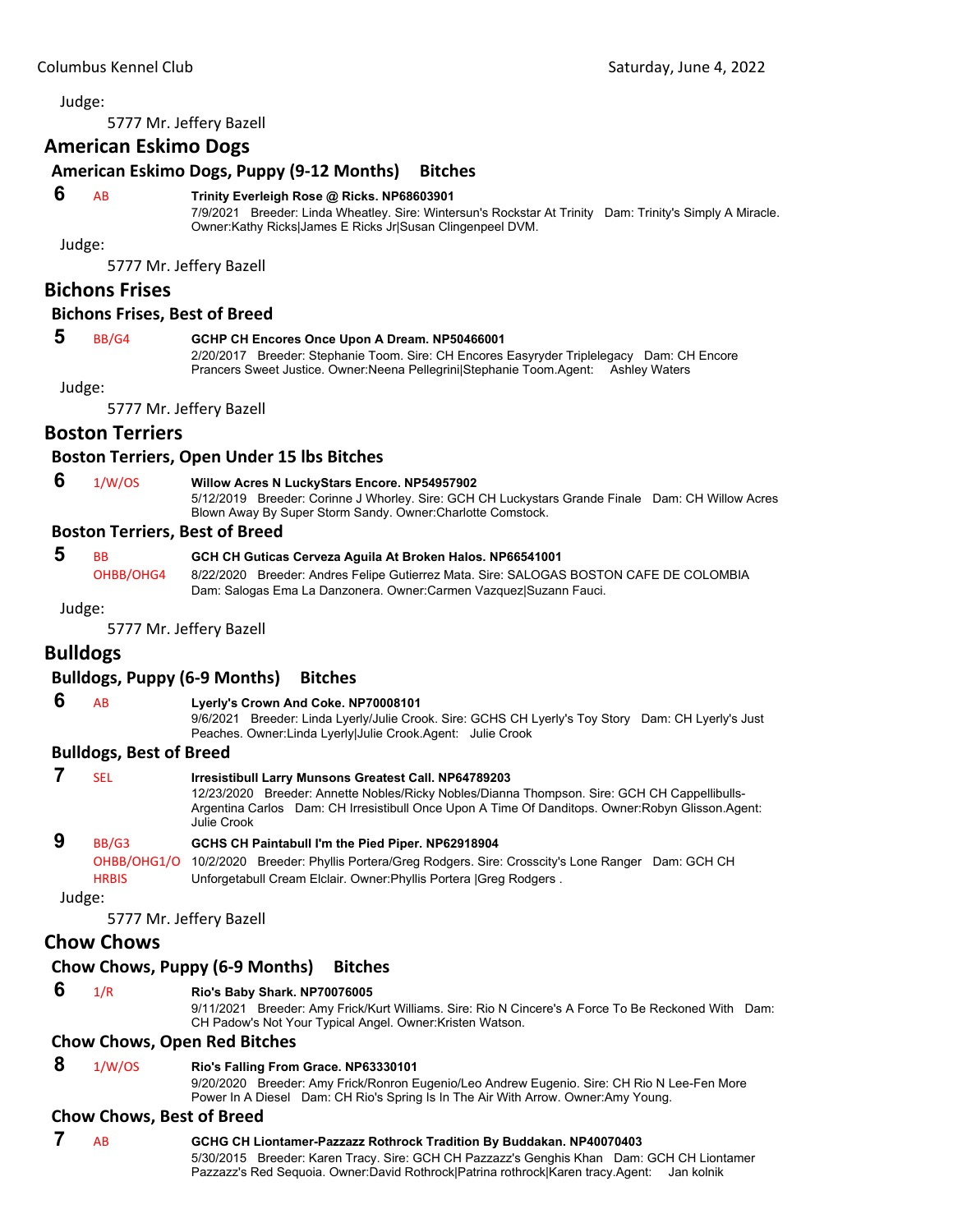<span id="page-52-0"></span>5777 Mr. Jeffery Bazell

# **American Eskimo Dogs**

# **American Eskimo Dogs, Puppy (9‐12 Months) Bitches**

#### **6** AB **Trinity Everleigh Rose @ Ricks. NP68603901**

7/9/2021 Breeder: Linda Wheatley. Sire: Wintersun's Rockstar At Trinity Dam: Trinity's Simply A Miracle. Owner:Kathy Ricks|James E Ricks Jr|Susan Clingenpeel DVM.

Judge:

5777 Mr. Jeffery Bazell

## **Bichons Frises**

#### **Bichons Frises, Best of Breed**

#### **5** BB/G4 **GCHP CH Encores Once Upon A Dream. NP50466001**

2/20/2017 Breeder: Stephanie Toom. Sire: CH Encores Easyryder Triplelegacy Dam: CH Encore Prancers Sweet Justice. Owner:Neena Pellegrini|Stephanie Toom.Agent: Ashley Waters

Judge:

5777 Mr. Jeffery Bazell

# **Boston Terriers**

#### **Boston Terriers, Open Under 15 lbs Bitches**

 **6** 1/W/OS **Willow Acres N LuckyStars Encore. NP54957902**

5/12/2019 Breeder: Corinne J Whorley. Sire: GCH CH Luckystars Grande Finale Dam: CH Willow Acres Blown Away By Super Storm Sandy. Owner:Charlotte Comstock.

#### **Boston Terriers, Best of Breed**

| -5 | <b>BB</b> | GCH CH Guticas Cerveza Aguila At Broken Halos. NP66541001                              |
|----|-----------|----------------------------------------------------------------------------------------|
|    | OHBB/OHG4 | 8/22/2020 Breeder: Andres Felipe Gutierrez Mata. Sire: SALOGAS BOSTON CAFE DE COLOMBIA |
|    |           | Dam: Salogas Ema La Danzonera. Owner:Carmen Vazquez Suzann Fauci.                      |

Judge:

5777 Mr. Jeffery Bazell

# **Bulldogs**

## **Bulldogs, Puppy (6‐9 Months) Bitches**

# **6** AB **Lyerly's Crown And Coke. NP70008101**

9/6/2021 Breeder: Linda Lyerly/Julie Crook. Sire: GCHS CH Lyerly's Toy Story Dam: CH Lyerly's Just Peaches. Owner:Linda Lyerly|Julie Crook.Agent: Julie Crook

#### **Bulldogs, Best of Breed**

|        | SEL          | <b>Irresistibull Larry Munsons Greatest Call. NP64789203</b><br>12/23/2020 Breeder: Annette Nobles/Ricky Nobles/Dianna Thompson. Sire: GCH CH Cappellibulls-<br>Argentina Carlos Dam: CH Irresistibull Once Upon A Time Of Danditops. Owner: Robyn Glisson. Agent:<br>Julie Crook |
|--------|--------------|-----------------------------------------------------------------------------------------------------------------------------------------------------------------------------------------------------------------------------------------------------------------------------------|
|        | BB/G3        | GCHS CH Paintabull I'm the Pied Piper. NP62918904                                                                                                                                                                                                                                 |
|        | OHBB/OHG1/O  | 10/2/2020 Breeder: Phyllis Portera/Greg Rodgers. Sire: Crosscity's Lone Ranger Dam: GCH CH                                                                                                                                                                                        |
|        | <b>HRBIS</b> | Unforgetabull Cream Elclair. Owner: Phyllis Portera   Greg Rodgers.                                                                                                                                                                                                               |
| Judge: |              |                                                                                                                                                                                                                                                                                   |

5777 Mr. Jeffery Bazell

# **Chow Chows**

### **Chow Chows, Puppy (6‐9 Months) Bitches**

#### **6** 1/R **Rio's Baby Shark. NP70076005**

9/11/2021 Breeder: Amy Frick/Kurt Williams. Sire: Rio N Cincere's A Force To Be Reckoned With Dam: CH Padow's Not Your Typical Angel. Owner:Kristen Watson.

#### **Chow Chows, Open Red Bitches**

 **8** 1/W/OS **Rio's Falling From Grace. NP63330101**

9/20/2020 Breeder: Amy Frick/Ronron Eugenio/Leo Andrew Eugenio. Sire: CH Rio N Lee-Fen More Power In A Diesel Dam: CH Rio's Spring Is In The Air With Arrow. Owner:Amy Young.

#### **Chow Chows, Best of Breed**

 **7** AB **GCHG CH Liontamer-Pazzazz Rothrock Tradition By Buddakan. NP40070403** 5/30/2015 Breeder: Karen Tracy. Sire: GCH CH Pazzazz's Genghis Khan Dam: GCH CH Liontamer Pazzazz's Red Sequoia. Owner:David Rothrock|Patrina rothrock|Karen tracy.Agent: Jan kolnik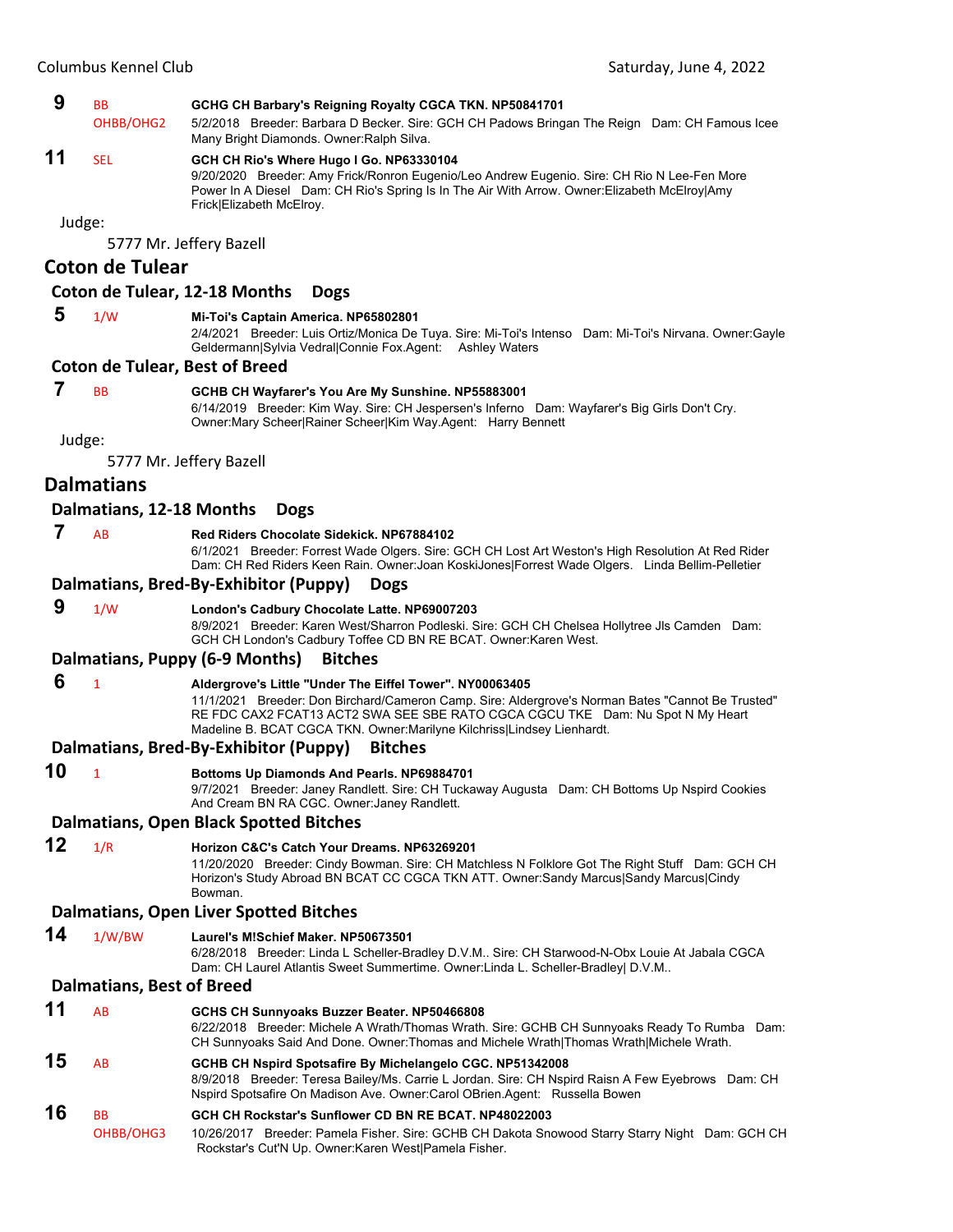

5777 Mr. Jeffery Bazell

## **Coton de Tulear**

#### **Coton de Tulear, 12‐18 Months Dogs**

- **5** 1/W **Mi-Toi's Captain America. NP65802801**
	- 2/4/2021 Breeder: Luis Ortiz/Monica De Tuya. Sire: Mi-Toi's Intenso Dam: Mi-Toi's Nirvana. Owner:Gayle Geldermann|Sylvia Vedral|Connie Fox.Agent: Ashley Waters

#### **Coton de Tulear, Best of Breed**

#### **7** BB **GCHB CH Wayfarer's You Are My Sunshine. NP55883001**

6/14/2019 Breeder: Kim Way. Sire: CH Jespersen's Inferno Dam: Wayfarer's Big Girls Don't Cry. Owner:Mary Scheer|Rainer Scheer|Kim Way.Agent: Harry Bennett

Judge:

5777 Mr. Jeffery Bazell

#### **Dalmatians**

#### **Dalmatians, 12‐18 Months Dogs**

# **7** AB **Red Riders Chocolate Sidekick. NP67884102**

6/1/2021 Breeder: Forrest Wade Olgers. Sire: GCH CH Lost Art Weston's High Resolution At Red Rider Dam: CH Red Riders Keen Rain. Owner:Joan KoskiJones|Forrest Wade Olgers. Linda Bellim-Pelletier

#### **Dalmatians, Bred‐By‐Exhibitor (Puppy) Dogs**

## **9** 1/W **London's Cadbury Chocolate Latte. NP69007203**

8/9/2021 Breeder: Karen West/Sharron Podleski. Sire: GCH CH Chelsea Hollytree Jls Camden Dam: GCH CH London's Cadbury Toffee CD BN RE BCAT. Owner:Karen West.

#### **Dalmatians, Puppy (6‐9 Months) Bitches**

#### **6** <sup>1</sup> **Aldergrove's Little "Under The Eiffel Tower". NY00063405**

11/1/2021 Breeder: Don Birchard/Cameron Camp. Sire: Aldergrove's Norman Bates "Cannot Be Trusted" RE FDC CAX2 FCAT13 ACT2 SWA SEE SBE RATO CGCA CGCU TKE Dam: Nu Spot N My Heart Madeline B. BCAT CGCA TKN. Owner:Marilyne Kilchriss|Lindsey Lienhardt.

#### **Dalmatians, Bred‐By‐Exhibitor (Puppy) Bitches**

**10** <sup>1</sup> **Bottoms Up Diamonds And Pearls. NP69884701**

9/7/2021 Breeder: Janey Randlett. Sire: CH Tuckaway Augusta Dam: CH Bottoms Up Nspird Cookies And Cream BN RA CGC. Owner:Janey Randlett.

#### **Dalmatians, Open Black Spotted Bitches**

**12** 1/R **Horizon C&C's Catch Your Dreams. NP63269201**

#### 11/20/2020 Breeder: Cindy Bowman. Sire: CH Matchless N Folklore Got The Right Stuff Dam: GCH CH Horizon's Study Abroad BN BCAT CC CGCA TKN ATT. Owner:Sandy Marcus|Sandy Marcus|Cindy Bowman.

#### **Dalmatians, Open Liver Spotted Bitches**

**14** 1/W/BW **Laurel's M!Schief Maker. NP50673501**

6/28/2018 Breeder: Linda L Scheller-Bradley D.V.M.. Sire: CH Starwood-N-Obx Louie At Jabala CGCA Dam: CH Laurel Atlantis Sweet Summertime. Owner:Linda L. Scheller-Bradley| D.V.M..

#### **Dalmatians, Best of Breed**

| 11 | AB                                | GCHS CH Sunnyoaks Buzzer Beater. NP50466808                                                                                                                                                                                                   |
|----|-----------------------------------|-----------------------------------------------------------------------------------------------------------------------------------------------------------------------------------------------------------------------------------------------|
|    |                                   | 6/22/2018 Breeder: Michele A Wrath/Thomas Wrath. Sire: GCHB CH Sunnyoaks Ready To Rumba Dam:<br>CH Sunnyoaks Said And Done. Owner: Thomas and Michele Wrath Thomas Wrath Michele Wrath.                                                       |
| 15 | AB                                | GCHB CH Nspird Spotsafire By Michelangelo CGC. NP51342008<br>8/9/2018 Breeder: Teresa Bailey/Ms. Carrie L Jordan. Sire: CH Nspird Raisn A Few Eyebrows Dam: CH<br>Nspird Spotsafire On Madison Ave. Owner: Carol OBrien Agent: Russella Bowen |
| 16 | <b>B<sub>B</sub></b><br>OHBB/OHG3 | GCH CH Rockstar's Sunflower CD BN RE BCAT, NP48022003<br>10/26/2017 Breeder: Pamela Fisher. Sire: GCHB CH Dakota Snowood Starry Starry Night Dam: GCH CH<br>Rockstar's Cut'N Up. Owner: Karen West Pamela Fisher.                             |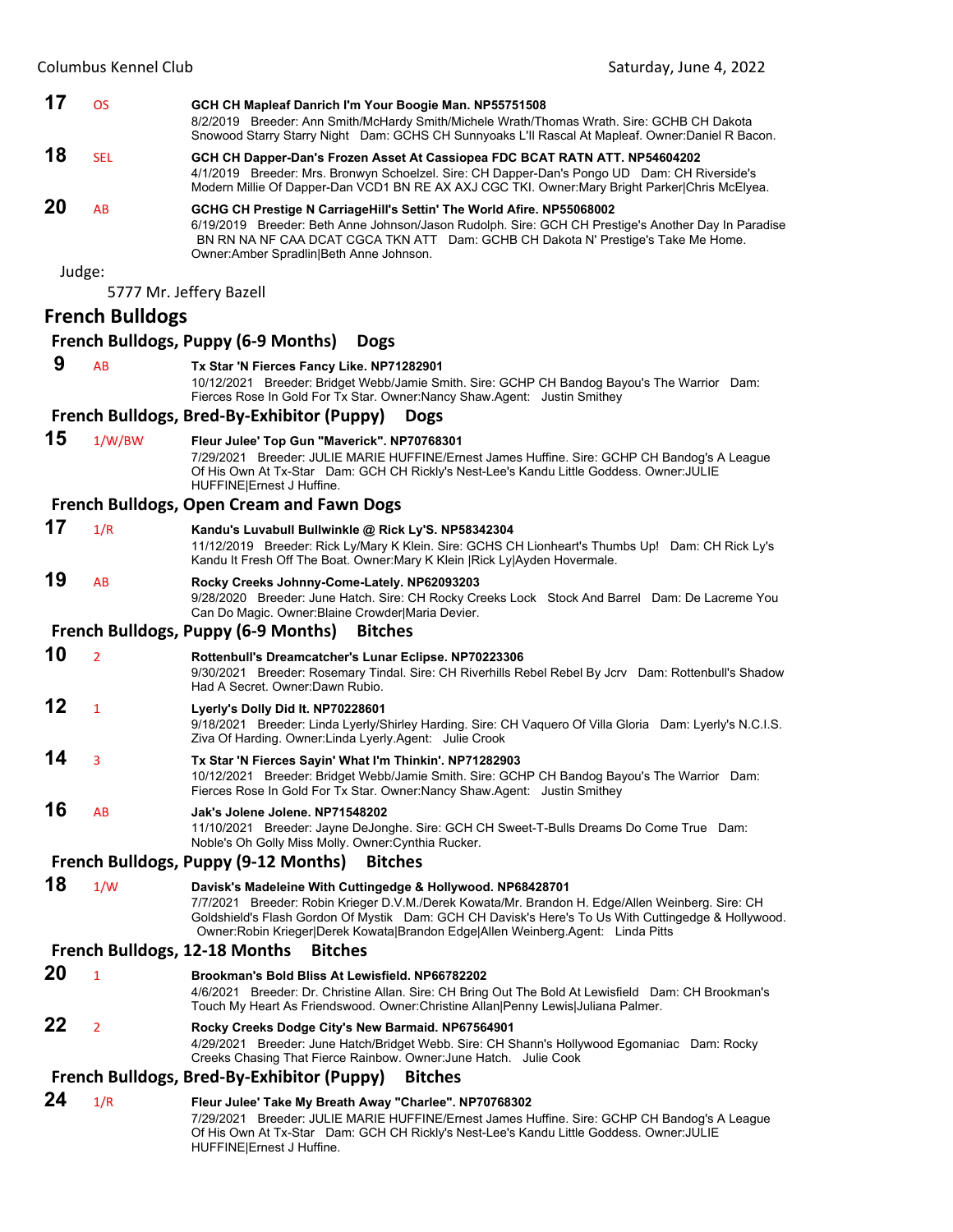| 17 | <b>OS</b>              | GCH CH Mapleaf Danrich I'm Your Boogie Man. NP55751508<br>8/2/2019 Breeder: Ann Smith/McHardy Smith/Michele Wrath/Thomas Wrath. Sire: GCHB CH Dakota<br>Snowood Starry Starry Night Dam: GCHS CH Sunnyoaks L'Il Rascal At Mapleaf. Owner:Daniel R Bacon.                                                                                                    |
|----|------------------------|-------------------------------------------------------------------------------------------------------------------------------------------------------------------------------------------------------------------------------------------------------------------------------------------------------------------------------------------------------------|
| 18 | <b>SEL</b>             | GCH CH Dapper-Dan's Frozen Asset At Cassiopea FDC BCAT RATN ATT. NP54604202<br>4/1/2019 Breeder: Mrs. Bronwyn Schoelzel. Sire: CH Dapper-Dan's Pongo UD Dam: CH Riverside's<br>Modern Millie Of Dapper-Dan VCD1 BN RE AX AXJ CGC TKI. Owner: Mary Bright Parker Chris McElyea.                                                                              |
| 20 | AB                     | GCHG CH Prestige N CarriageHill's Settin' The World Afire. NP55068002<br>6/19/2019 Breeder: Beth Anne Johnson/Jason Rudolph. Sire: GCH CH Prestige's Another Day In Paradise<br>BN RN NA NF CAA DCAT CGCA TKN ATT Dam: GCHB CH Dakota N' Prestige's Take Me Home.<br>Owner: Amber Spradlin   Beth Anne Johnson.                                             |
|    | Judge:                 |                                                                                                                                                                                                                                                                                                                                                             |
|    |                        | 5777 Mr. Jeffery Bazell                                                                                                                                                                                                                                                                                                                                     |
|    | <b>French Bulldogs</b> |                                                                                                                                                                                                                                                                                                                                                             |
|    |                        | <b>French Bulldogs, Puppy (6-9 Months)</b><br><b>Dogs</b>                                                                                                                                                                                                                                                                                                   |
| 9  | AB                     | Tx Star 'N Fierces Fancy Like. NP71282901                                                                                                                                                                                                                                                                                                                   |
|    |                        | 10/12/2021 Breeder: Bridget Webb/Jamie Smith. Sire: GCHP CH Bandog Bayou's The Warrior Dam:<br>Fierces Rose In Gold For Tx Star. Owner: Nancy Shaw. Agent: Justin Smithey                                                                                                                                                                                   |
|    |                        | French Bulldogs, Bred-By-Exhibitor (Puppy)<br><b>Dogs</b>                                                                                                                                                                                                                                                                                                   |
| 15 | 1/W/BW                 | Fleur Julee' Top Gun "Maverick". NP70768301<br>7/29/2021 Breeder: JULIE MARIE HUFFINE/Ernest James Huffine. Sire: GCHP CH Bandog's A League<br>Of His Own At Tx-Star Dam: GCH CH Rickly's Nest-Lee's Kandu Little Goddess. Owner: JULIE<br>HUFFINE Ernest J Huffine.                                                                                        |
|    |                        | <b>French Bulldogs, Open Cream and Fawn Dogs</b>                                                                                                                                                                                                                                                                                                            |
| 17 | 1/R                    | Kandu's Luvabull Bullwinkle @ Rick Ly'S. NP58342304<br>11/12/2019 Breeder: Rick Ly/Mary K Klein. Sire: GCHS CH Lionheart's Thumbs Up! Dam: CH Rick Ly's<br>Kandu It Fresh Off The Boat. Owner: Mary K Klein   Rick Ly  Ayden Hovermale.                                                                                                                     |
| 19 | AB                     | Rocky Creeks Johnny-Come-Lately. NP62093203<br>9/28/2020 Breeder: June Hatch. Sire: CH Rocky Creeks Lock Stock And Barrel Dam: De Lacreme You<br>Can Do Magic. Owner: Blaine Crowder Maria Devier.                                                                                                                                                          |
|    |                        | <b>French Bulldogs, Puppy (6-9 Months)</b><br><b>Bitches</b>                                                                                                                                                                                                                                                                                                |
| 10 | $\overline{2}$         | Rottenbull's Dreamcatcher's Lunar Eclipse. NP70223306<br>9/30/2021 Breeder: Rosemary Tindal. Sire: CH Riverhills Rebel Rebel By Jcrv Dam: Rottenbull's Shadow<br>Had A Secret. Owner: Dawn Rubio.                                                                                                                                                           |
| 12 | $\mathbf{1}$           | Lyerly's Dolly Did It. NP70228601<br>9/18/2021 Breeder: Linda Lyerly/Shirley Harding. Sire: CH Vaquero Of Villa Gloria Dam: Lyerly's N.C.I.S.<br>Ziva Of Harding. Owner: Linda Lyerly. Agent: Julie Crook                                                                                                                                                   |
| 14 | 3                      | Tx Star 'N Fierces Sayin' What I'm Thinkin'. NP71282903<br>10/12/2021 Breeder: Bridget Webb/Jamie Smith. Sire: GCHP CH Bandog Bayou's The Warrior Dam:<br>Fierces Rose In Gold For Tx Star. Owner: Nancy Shaw. Agent: Justin Smithey                                                                                                                        |
| 16 | AB                     | Jak's Jolene Jolene, NP71548202<br>11/10/2021 Breeder: Jayne DeJonghe. Sire: GCH CH Sweet-T-Bulls Dreams Do Come True Dam:<br>Noble's Oh Golly Miss Molly. Owner: Cynthia Rucker.                                                                                                                                                                           |
|    |                        | French Bulldogs, Puppy (9-12 Months)<br><b>Bitches</b>                                                                                                                                                                                                                                                                                                      |
| 18 | 1/W                    | Davisk's Madeleine With Cuttingedge & Hollywood. NP68428701<br>7/7/2021 Breeder: Robin Krieger D.V.M./Derek Kowata/Mr. Brandon H. Edge/Allen Weinberg. Sire: CH<br>Goldshield's Flash Gordon Of Mystik Dam: GCH CH Davisk's Here's To Us With Cuttingedge & Hollywood.<br>Owner: Robin Krieger Derek Kowata Brandon Edge Allen Weinberg. Agent: Linda Pitts |
|    |                        | French Bulldogs, 12-18 Months<br><b>Bitches</b>                                                                                                                                                                                                                                                                                                             |
| 20 | $\mathbf{1}$           | Brookman's Bold Bliss At Lewisfield. NP66782202<br>4/6/2021 Breeder: Dr. Christine Allan. Sire: CH Bring Out The Bold At Lewisfield Dam: CH Brookman's<br>Touch My Heart As Friendswood. Owner: Christine Allan   Penny Lewis   Juliana Palmer.                                                                                                             |
| 22 | $\overline{2}$         | Rocky Creeks Dodge City's New Barmaid. NP67564901<br>4/29/2021 Breeder: June Hatch/Bridget Webb. Sire: CH Shann's Hollywood Egomaniac Dam: Rocky<br>Creeks Chasing That Fierce Rainbow. Owner: June Hatch. Julie Cook                                                                                                                                       |
|    |                        | <b>French Bulldogs, Bred-By-Exhibitor (Puppy)</b><br><b>Bitches</b>                                                                                                                                                                                                                                                                                         |
| 24 | 1/R                    | Fleur Julee' Take My Breath Away "Charlee". NP70768302<br>7/29/2021 Breeder: JULIE MARIE HUFFINE/Ernest James Huffine. Sire: GCHP CH Bandog's A League<br>Of His Own At Tx-Star Dam: GCH CH Rickly's Nest-Lee's Kandu Little Goddess. Owner: JULIE<br>HUFFINE Ernest J Huffine.                                                                             |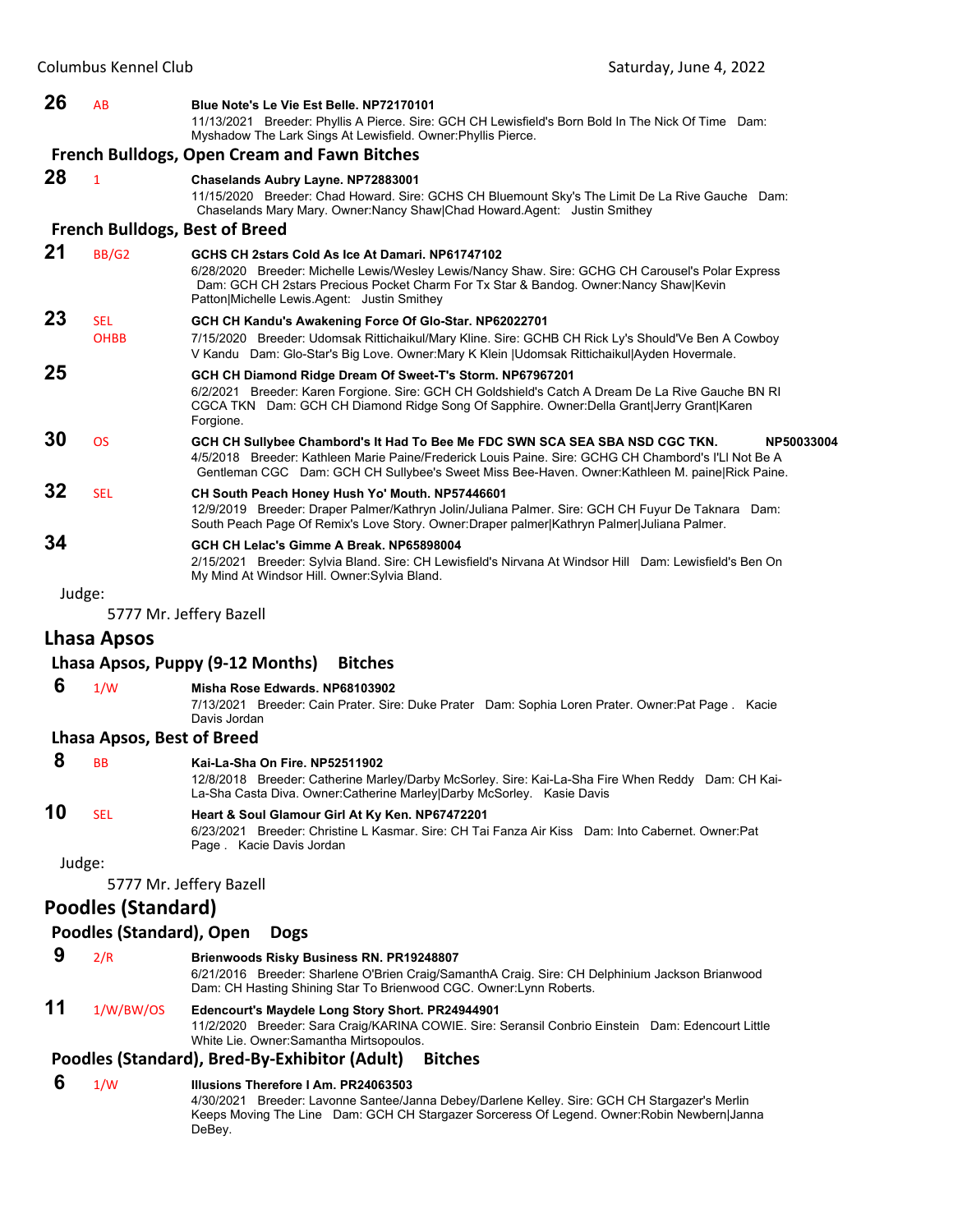#### **26** AB **Blue Note's Le Vie Est Belle. NP72170101**

11/13/2021 Breeder: Phyllis A Pierce. Sire: GCH CH Lewisfield's Born Bold In The Nick Of Time Dam: Myshadow The Lark Sings At Lewisfield. Owner:Phyllis Pierce.

#### **French Bulldogs, Open Cream and Fawn Bitches**

#### **28** <sup>1</sup> **Chaselands Aubry Layne. NP72883001**

11/15/2020 Breeder: Chad Howard. Sire: GCHS CH Bluemount Sky's The Limit De La Rive Gauche Dam: Chaselands Mary Mary. Owner:Nancy Shaw|Chad Howard.Agent: Justin Smithey

#### **French Bulldogs, Best of Breed**

| 21 | BB/G2                     | GCHS CH 2stars Cold As Ice At Damari, NP61747102<br>6/28/2020 Breeder: Michelle Lewis/Wesley Lewis/Nancy Shaw. Sire: GCHG CH Carousel's Polar Express<br>Dam: GCH CH 2stars Precious Pocket Charm For Tx Star & Bandog. Owner: Nancy Shaw Kevin<br>Patton Michelle Lewis Agent: Justin Smithey        |
|----|---------------------------|-------------------------------------------------------------------------------------------------------------------------------------------------------------------------------------------------------------------------------------------------------------------------------------------------------|
| 23 | <b>SEL</b><br><b>OHBB</b> | GCH CH Kandu's Awakening Force Of Glo-Star. NP62022701<br>7/15/2020 Breeder: Udomsak Rittichaikul/Mary Kline. Sire: GCHB CH Rick Ly's Should'Ve Ben A Cowboy<br>V Kandu Dam: Glo-Star's Big Love. Owner: Mary K Klein   Udomsak Rittichaikul  Ayden Hovermale.                                        |
| 25 |                           | GCH CH Diamond Ridge Dream Of Sweet-T's Storm. NP67967201<br>6/2/2021 Breeder: Karen Forgione. Sire: GCH CH Goldshield's Catch A Dream De La Rive Gauche BN RI<br>CGCA TKN Dam: GCH CH Diamond Ridge Song Of Sapphire. Owner: Della Grant Jerry Grant Karen<br>Forgione.                              |
| 30 | <b>OS</b>                 | GCH CH Sullybee Chambord's It Had To Bee Me FDC SWN SCA SEA SBA NSD CGC TKN.<br>NP50033004<br>4/5/2018 Breeder: Kathleen Marie Paine/Frederick Louis Paine. Sire: GCHG CH Chambord's I'Ll Not Be A<br>Gentleman CGC Dam: GCH CH Sullybee's Sweet Miss Bee-Haven. Owner: Kathleen M. paine Rick Paine. |
| 32 | <b>SEL</b>                | CH South Peach Honey Hush Yo' Mouth. NP57446601<br>12/9/2019 Breeder: Draper Palmer/Kathryn Jolin/Juliana Palmer. Sire: GCH CH Fuyur De Taknara Dam:<br>South Peach Page Of Remix's Love Story. Owner:Draper palmer Kathryn Palmer Juliana Palmer.                                                    |
| 34 |                           | GCH CH Lelac's Gimme A Break, NP65898004<br>2/15/2021 Breeder: Sylvia Bland. Sire: CH Lewisfield's Nirvana At Windsor Hill Dam: Lewisfield's Ben On<br>My Mind At Windsor Hill. Owner: Sylvia Bland.                                                                                                  |

Judge:

5777 Mr. Jeffery Bazell

#### **Lhasa Apsos**

#### **Lhasa Apsos, Puppy (9‐12 Months) Bitches**

#### **6** 1/W **Misha Rose Edwards. NP68103902**

7/13/2021 Breeder: Cain Prater. Sire: Duke Prater Dam: Sophia Loren Prater. Owner:Pat Page . Kacie Davis Jordan

## **Lhasa Apsos, Best of Breed**

 **8** BB **Kai-La-Sha On Fire. NP52511902** 12/8/2018 Breeder: Catherine Marley/Darby McSorley. Sire: Kai-La-Sha Fire When Reddy Dam: CH Kai-La-Sha Casta Diva. Owner:Catherine Marley|Darby McSorley. Kasie Davis **10** SEL **Heart & Soul Glamour Girl At Ky Ken. NP67472201**

6/23/2021 Breeder: Christine L Kasmar. Sire: CH Tai Fanza Air Kiss Dam: Into Cabernet. Owner:Pat Page . Kacie Davis Jordan

Judge:

5777 Mr. Jeffery Bazell

#### **Poodles (Standard)**

#### **Poodles (Standard), Open Dogs**

 **9** 2/R **Brienwoods Risky Business RN. PR19248807** 6/21/2016 Breeder: Sharlene O'Brien Craig/SamanthA Craig. Sire: CH Delphinium Jackson Brianwood Dam: CH Hasting Shining Star To Brienwood CGC. Owner:Lynn Roberts.

#### **11** 1/W/BW/OS **Edencourt's Maydele Long Story Short. PR24944901** 11/2/2020 Breeder: Sara Craig/KARINA COWIE. Sire: Seransil Conbrio Einstein Dam: Edencourt Little White Lie. Owner:Samantha Mirtsopoulos.

#### **Poodles (Standard), Bred‐By‐Exhibitor (Adult) Bitches**

#### **6** 1/W **Illusions Therefore I Am. PR24063503**

4/30/2021 Breeder: Lavonne Santee/Janna Debey/Darlene Kelley. Sire: GCH CH Stargazer's Merlin Keeps Moving The Line Dam: GCH CH Stargazer Sorceress Of Legend. Owner:Robin Newbern|Janna DeBey.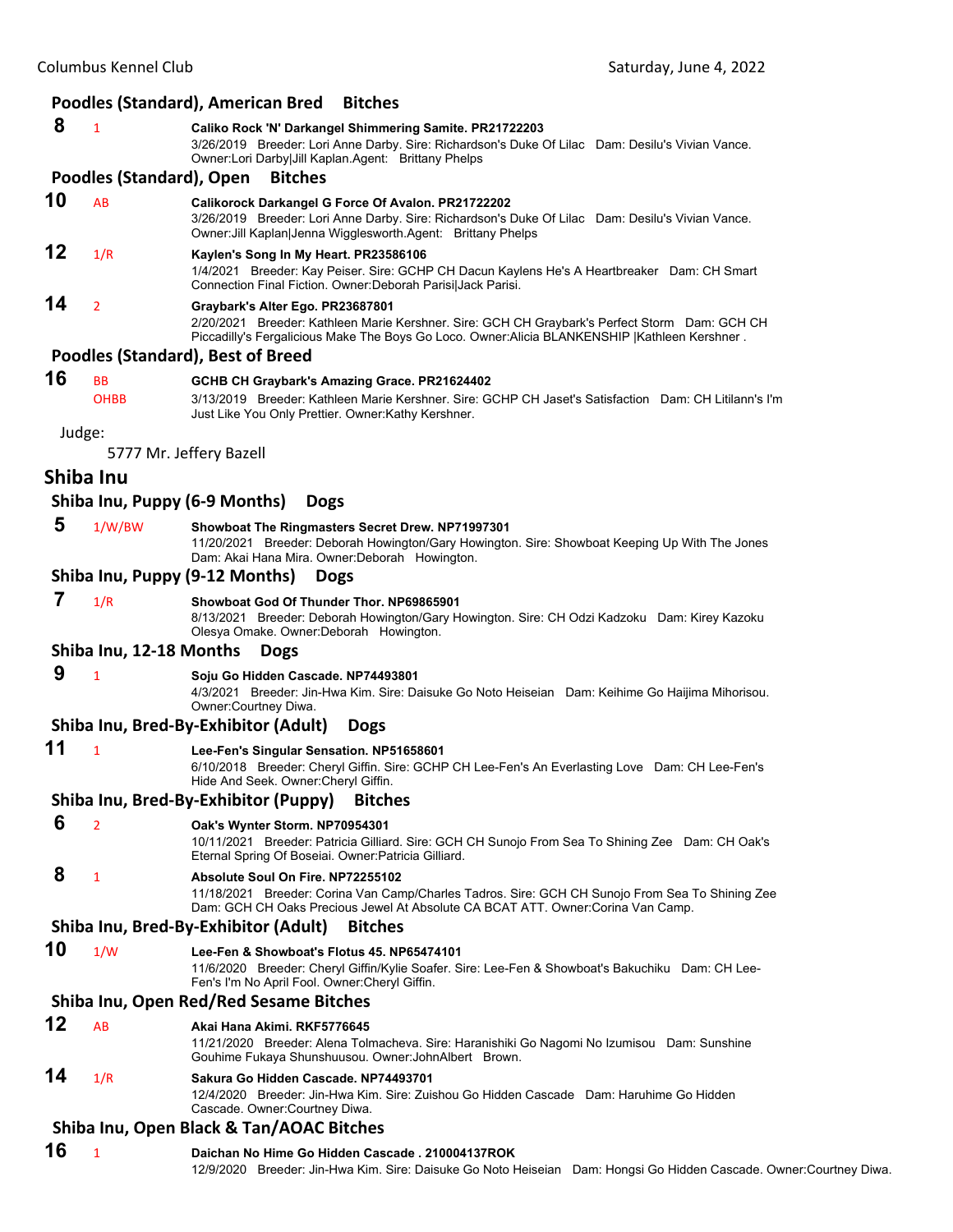#### **Poodles (Standard), American Bred Bitches**

 **8** <sup>1</sup> **Caliko Rock 'N' Darkangel Shimmering Samite. PR21722203** 3/26/2019 Breeder: Lori Anne Darby. Sire: Richardson's Duke Of Lilac Dam: Desilu's Vivian Vance. Owner:Lori Darby|Jill Kaplan.Agent: Brittany Phelps

#### **Poodles (Standard), Open Bitches**

- **10** AB **Calikorock Darkangel G Force Of Avalon. PR21722202**
	- 3/26/2019 Breeder: Lori Anne Darby. Sire: Richardson's Duke Of Lilac Dam: Desilu's Vivian Vance. Owner:Jill Kaplan|Jenna Wigglesworth.Agent: Brittany Phelps

# **12** 1/R **Kaylen's Song In My Heart. PR23586106**

1/4/2021 Breeder: Kay Peiser. Sire: GCHP CH Dacun Kaylens He's A Heartbreaker Dam: CH Smart Connection Final Fiction. Owner:Deborah Parisi|Jack Parisi.

#### **14** <sup>2</sup> **Graybark's Alter Ego. PR23687801**

2/20/2021 Breeder: Kathleen Marie Kershner. Sire: GCH CH Graybark's Perfect Storm Dam: GCH CH Piccadilly's Fergalicious Make The Boys Go Loco. Owner:Alicia BLANKENSHIP |Kathleen Kershner .

#### **Poodles (Standard), Best of Breed**

| 16 | <b>BB</b>   | GCHB CH Graybark's Amazing Grace. PR21624402                                                          |  |
|----|-------------|-------------------------------------------------------------------------------------------------------|--|
|    | <b>OHBB</b> | 3/13/2019 Breeder: Kathleen Marie Kershner, Sire: GCHP CH Jaset's Satisfaction Dam: CH Litilann's I'm |  |
|    |             | Just Like You Only Prettier. Owner: Kathy Kershner.                                                   |  |

Judge:

5777 Mr. Jeffery Bazell

#### **Shiba Inu**

#### **Shiba Inu, Puppy (6‐9 Months) Dogs**

 **5** 1/W/BW **Showboat The Ringmasters Secret Drew. NP71997301** 11/20/2021 Breeder: Deborah Howington/Gary Howington. Sire: Showboat Keeping Up With The Jones Dam: Akai Hana Mira. Owner:Deborah Howington.

#### **Shiba Inu, Puppy (9‐12 Months) Dogs**

 **7** 1/R **Showboat God Of Thunder Thor. NP69865901** 8/13/2021 Breeder: Deborah Howington/Gary Howington. Sire: CH Odzi Kadzoku Dam: Kirey Kazoku Olesya Omake. Owner:Deborah Howington.

#### **Shiba Inu, 12‐18 Months Dogs**

 **9** <sup>1</sup> **Soju Go Hidden Cascade. NP74493801** 4/3/2021 Breeder: Jin-Hwa Kim. Sire: Daisuke Go Noto Heiseian Dam: Keihime Go Haijima Mihorisou. Owner:Courtney Diwa.

#### **Shiba Inu, Bred‐By‐Exhibitor (Adult) Dogs**

**11** <sup>1</sup> **Lee-Fen's Singular Sensation. NP51658601**

6/10/2018 Breeder: Cheryl Giffin. Sire: GCHP CH Lee-Fen's An Everlasting Love Dam: CH Lee-Fen's Hide And Seek. Owner:Cheryl Giffin.

#### **Shiba Inu, Bred‐By‐Exhibitor (Puppy) Bitches**

- **6** <sup>2</sup> **Oak's Wynter Storm. NP70954301**
	- 10/11/2021 Breeder: Patricia Gilliard. Sire: GCH CH Sunojo From Sea To Shining Zee Dam: CH Oak's Eternal Spring Of Boseiai. Owner:Patricia Gilliard.

## **8** <sup>1</sup> **Absolute Soul On Fire. NP72255102**

11/18/2021 Breeder: Corina Van Camp/Charles Tadros. Sire: GCH CH Sunojo From Sea To Shining Zee Dam: GCH CH Oaks Precious Jewel At Absolute CA BCAT ATT. Owner:Corina Van Camp.

#### **Shiba Inu, Bred‐By‐Exhibitor (Adult) Bitches**

- **10** 1/W **Lee-Fen & Showboat's Flotus 45. NP65474101**
	- 11/6/2020 Breeder: Cheryl Giffin/Kylie Soafer. Sire: Lee-Fen & Showboat's Bakuchiku Dam: CH Lee-Fen's I'm No April Fool. Owner:Cheryl Giffin.

#### **Shiba Inu, Open Red/Red Sesame Bitches**

- **12** AB **Akai Hana Akimi. RKF5776645**
- 11/21/2020 Breeder: Alena Tolmacheva. Sire: Haranishiki Go Nagomi No Izumisou Dam: Sunshine Gouhime Fukaya Shunshuusou. Owner:JohnAlbert Brown.

# **14** 1/R **Sakura Go Hidden Cascade. NP74493701**

12/4/2020 Breeder: Jin-Hwa Kim. Sire: Zuishou Go Hidden Cascade Dam: Haruhime Go Hidden Cascade. Owner:Courtney Diwa.

#### **Shiba Inu, Open Black & Tan/AOAC Bitches**

#### **16** <sup>1</sup> **Daichan No Hime Go Hidden Cascade . 210004137ROK**

12/9/2020 Breeder: Jin-Hwa Kim. Sire: Daisuke Go Noto Heiseian Dam: Hongsi Go Hidden Cascade. Owner:Courtney Diwa.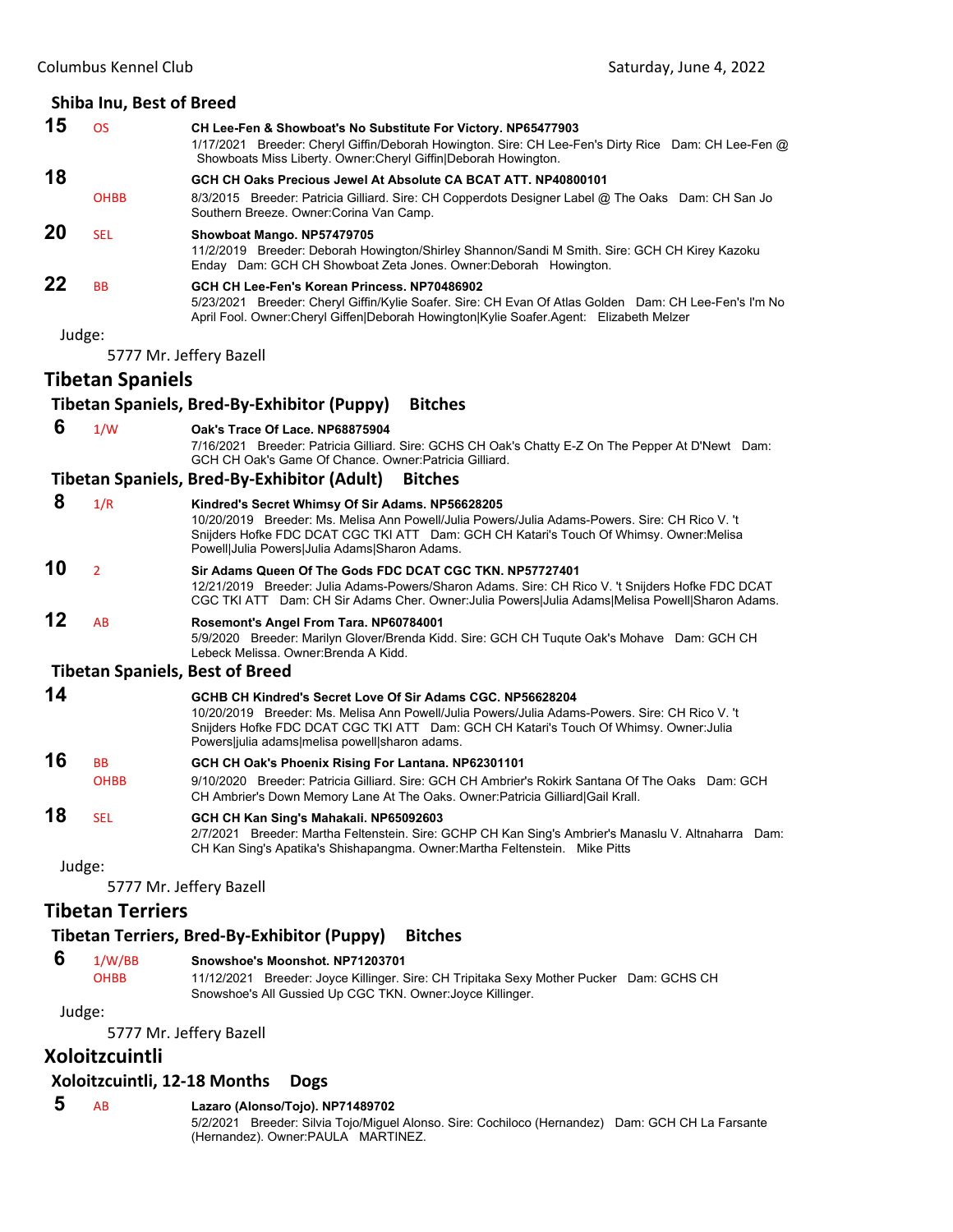|    | Shiba Inu, Best of Breed |                                                                                                                                                                                                                                                                                                          |
|----|--------------------------|----------------------------------------------------------------------------------------------------------------------------------------------------------------------------------------------------------------------------------------------------------------------------------------------------------|
| 15 | <b>OS</b>                | CH Lee-Fen & Showboat's No Substitute For Victory. NP65477903<br>1/17/2021 Breeder: Cheryl Giffin/Deborah Howington. Sire: CH Lee-Fen's Dirty Rice Dam: CH Lee-Fen @<br>Showboats Miss Liberty. Owner: Cheryl Giffin Deborah Howington.                                                                  |
| 18 |                          | GCH CH Oaks Precious Jewel At Absolute CA BCAT ATT. NP40800101                                                                                                                                                                                                                                           |
|    | <b>OHBB</b>              | 8/3/2015 Breeder: Patricia Gilliard. Sire: CH Copperdots Designer Label @ The Oaks Dam: CH San Jo<br>Southern Breeze. Owner: Corina Van Camp.                                                                                                                                                            |
| 20 | <b>SEL</b>               | Showboat Mango. NP57479705<br>11/2/2019 Breeder: Deborah Howington/Shirley Shannon/Sandi M Smith. Sire: GCH CH Kirey Kazoku<br>Enday Dam: GCH CH Showboat Zeta Jones. Owner: Deborah Howington.                                                                                                          |
| 22 | <b>BB</b>                | GCH CH Lee-Fen's Korean Princess, NP70486902<br>5/23/2021 Breeder: Cheryl Giffin/Kylie Soafer. Sire: CH Evan Of Atlas Golden Dam: CH Lee-Fen's I'm No<br>April Fool. Owner:Cheryl Giffen Deborah Howington Kylie Soafer.Agent: Elizabeth Melzer                                                          |
|    | Judge:                   |                                                                                                                                                                                                                                                                                                          |
|    |                          | 5777 Mr. Jeffery Bazell                                                                                                                                                                                                                                                                                  |
|    | <b>Tibetan Spaniels</b>  |                                                                                                                                                                                                                                                                                                          |
|    |                          | <b>Bitches</b><br>Tibetan Spaniels, Bred-By-Exhibitor (Puppy)                                                                                                                                                                                                                                            |
| 6  | 1/W                      | Oak's Trace Of Lace. NP68875904                                                                                                                                                                                                                                                                          |
|    |                          | 7/16/2021 Breeder: Patricia Gilliard. Sire: GCHS CH Oak's Chatty E-Z On The Pepper At D'Newt Dam:<br>GCH CH Oak's Game Of Chance. Owner: Patricia Gilliard.                                                                                                                                              |
|    |                          | Tibetan Spaniels, Bred-By-Exhibitor (Adult)<br><b>Bitches</b>                                                                                                                                                                                                                                            |
| 8  | 1/R                      | Kindred's Secret Whimsy Of Sir Adams. NP56628205<br>10/20/2019 Breeder: Ms. Melisa Ann Powell/Julia Powers/Julia Adams-Powers. Sire: CH Rico V. 't<br>Snijders Hofke FDC DCAT CGC TKI ATT Dam: GCH CH Katari's Touch Of Whimsy. Owner: Melisa<br>Powell Julia Powers Julia Adams Sharon Adams.           |
| 10 | $\overline{2}$           | Sir Adams Queen Of The Gods FDC DCAT CGC TKN. NP57727401<br>12/21/2019 Breeder: Julia Adams-Powers/Sharon Adams. Sire: CH Rico V. 't Snijders Hofke FDC DCAT<br>CGC TKI ATT Dam: CH Sir Adams Cher. Owner: Julia Powers Julia Adams Melisa Powell Sharon Adams.                                          |
| 12 | AB                       | Rosemont's Angel From Tara. NP60784001<br>5/9/2020 Breeder: Marilyn Glover/Brenda Kidd. Sire: GCH CH Tuqute Oak's Mohave Dam: GCH CH<br>Lebeck Melissa. Owner: Brenda A Kidd.                                                                                                                            |
|    |                          | <b>Tibetan Spaniels, Best of Breed</b>                                                                                                                                                                                                                                                                   |
| 14 |                          | GCHB CH Kindred's Secret Love Of Sir Adams CGC, NP56628204<br>10/20/2019 Breeder: Ms. Melisa Ann Powell/Julia Powers/Julia Adams-Powers. Sire: CH Rico V. 't<br>Snijders Hofke FDC DCAT CGC TKI ATT Dam: GCH CH Katari's Touch Of Whimsy. Owner: Julia<br>Powers julia adams melisa powell sharon adams. |
| 16 | ВB                       | GCH CH Oak's Phoenix Rising For Lantana. NP62301101                                                                                                                                                                                                                                                      |
|    | <b>OHBB</b>              | 9/10/2020 Breeder: Patricia Gilliard. Sire: GCH CH Ambrier's Rokirk Santana Of The Oaks Dam: GCH<br>CH Ambrier's Down Memory Lane At The Oaks. Owner: Patricia Gilliard Gail Krall.                                                                                                                      |
| 18 | <b>SEL</b>               | GCH CH Kan Sing's Mahakali. NP65092603<br>2/7/2021 Breeder: Martha Feltenstein. Sire: GCHP CH Kan Sing's Ambrier's Manaslu V. Altnaharra Dam:<br>CH Kan Sing's Apatika's Shishapangma. Owner: Martha Feltenstein. Mike Pitts                                                                             |
|    | Judge:                   |                                                                                                                                                                                                                                                                                                          |
|    |                          | 5777 Mr. Jeffery Bazell                                                                                                                                                                                                                                                                                  |
|    | <b>Tibetan Terriers</b>  |                                                                                                                                                                                                                                                                                                          |

# **Tibetan Terriers, Bred‐By‐Exhibitor (Puppy) Bitches**

| 6 | 1/W/BB | Snowshoe's Moonshot, NP71203701 |
|---|--------|---------------------------------|
|---|--------|---------------------------------|

OHBB 11/12/2021 Breeder: Joyce Killinger. Sire: CH Tripitaka Sexy Mother Pucker Dam: GCHS CH Snowshoe's All Gussied Up CGC TKN. Owner:Joyce Killinger.

Judge:

5777 Mr. Jeffery Bazell

# **Xoloitzcuintli**

#### **Xoloitzcuintli, 12‐18 Months Dogs**

# **5** AB **Lazaro (Alonso/Tojo). NP71489702**

5/2/2021 Breeder: Silvia Tojo/Miguel Alonso. Sire: Cochiloco (Hernandez) Dam: GCH CH La Farsante (Hernandez). Owner:PAULA MARTINEZ.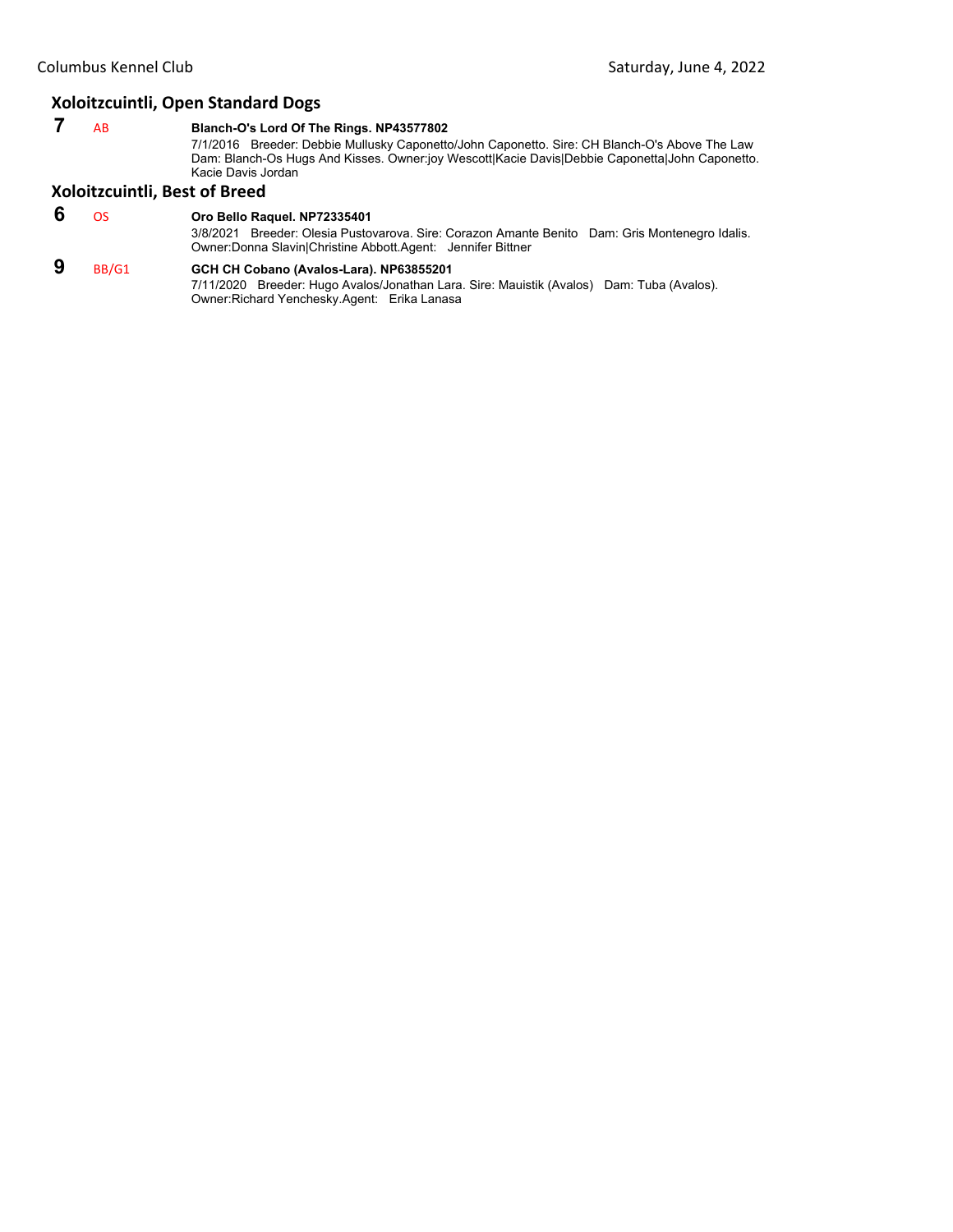#### **Xoloitzcuintli, Open Standard Dogs**

 **7** AB **Blanch-O's Lord Of The Rings. NP43577802**

7/1/2016 Breeder: Debbie Mullusky Caponetto/John Caponetto. Sire: CH Blanch-O's Above The Law Dam: Blanch-Os Hugs And Kisses. Owner:joy Wescott|Kacie Davis|Debbie Caponetta|John Caponetto. Kacie Davis Jordan

# **Xoloitzcuintli, Best of Breed**

 **6** OS **Oro Bello Raquel. NP72335401**

3/8/2021 Breeder: Olesia Pustovarova. Sire: Corazon Amante Benito Dam: Gris Montenegro Idalis. Owner:Donna Slavin|Christine Abbott.Agent: Jennifer Bittner

# **9** BB/G1 **GCH CH Cobano (Avalos-Lara). NP63855201**

7/11/2020 Breeder: Hugo Avalos/Jonathan Lara. Sire: Mauistik (Avalos) Dam: Tuba (Avalos). Owner:Richard Yenchesky.Agent: Erika Lanasa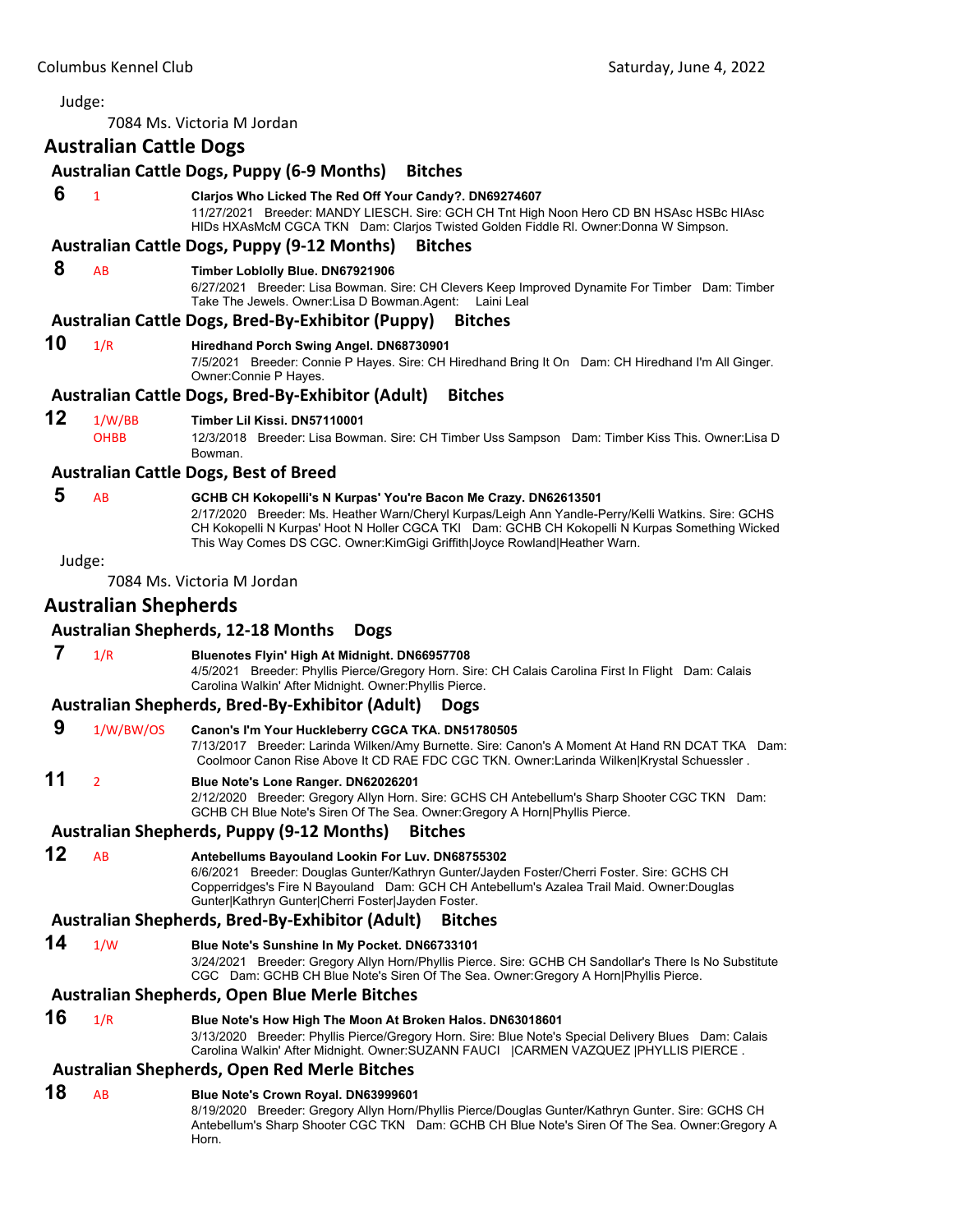<span id="page-59-0"></span>7084 Ms. Victoria M Jordan

# **Australian Cattle Dogs**

## **Australian Cattle Dogs, Puppy (6‐9 Months) Bitches**

#### **6** <sup>1</sup> **Clarjos Who Licked The Red Off Your Candy?. DN69274607**

11/27/2021 Breeder: MANDY LIESCH. Sire: GCH CH Tnt High Noon Hero CD BN HSAsc HSBc HIAsc HIDs HXAsMcM CGCA TKN Dam: Clarjos Twisted Golden Fiddle Rl. Owner:Donna W Simpson.

#### **Australian Cattle Dogs, Puppy (9‐12 Months) Bitches**

#### **8** AB **Timber Loblolly Blue. DN67921906**

6/27/2021 Breeder: Lisa Bowman. Sire: CH Clevers Keep Improved Dynamite For Timber Dam: Timber Take The Jewels. Owner:Lisa D Bowman.Agent: Laini Leal

#### **Australian Cattle Dogs, Bred‐By‐Exhibitor (Puppy) Bitches**

# **10** 1/R **Hiredhand Porch Swing Angel. DN68730901**

7/5/2021 Breeder: Connie P Hayes. Sire: CH Hiredhand Bring It On Dam: CH Hiredhand I'm All Ginger. Owner:Connie P Hayes.

#### **Australian Cattle Dogs, Bred‐By‐Exhibitor (Adult) Bitches**

#### **12** 1/W/BB **Timber Lil Kissi. DN57110001**

OHBB 12/3/2018 Breeder: Lisa Bowman. Sire: CH Timber Uss Sampson Dam: Timber Kiss This. Owner:Lisa D Bowman.

#### **Australian Cattle Dogs, Best of Breed**

# **5** AB **GCHB CH Kokopelli's N Kurpas' You're Bacon Me Crazy. DN62613501**

2/17/2020 Breeder: Ms. Heather Warn/Cheryl Kurpas/Leigh Ann Yandle-Perry/Kelli Watkins. Sire: GCHS CH Kokopelli N Kurpas' Hoot N Holler CGCA TKI Dam: GCHB CH Kokopelli N Kurpas Something Wicked This Way Comes DS CGC. Owner:KimGigi Griffith|Joyce Rowland|Heather Warn.

Judge:

7084 Ms. Victoria M Jordan

# **Australian Shepherds**

#### **Australian Shepherds, 12‐18 Months Dogs**

 **7** 1/R **Bluenotes Flyin' High At Midnight. DN66957708** 4/5/2021 Breeder: Phyllis Pierce/Gregory Horn. Sire: CH Calais Carolina First In Flight Dam: Calais

Carolina Walkin' After Midnight. Owner:Phyllis Pierce.

# **Australian Shepherds, Bred‐By‐Exhibitor (Adult) Dogs**

 **9** 1/W/BW/OS **Canon's I'm Your Huckleberry CGCA TKA. DN51780505** 7/13/2017 Breeder: Larinda Wilken/Amy Burnette. Sire: Canon's A Moment At Hand RN DCAT TKA Dam: Coolmoor Canon Rise Above It CD RAE FDC CGC TKN. Owner:Larinda Wilken|Krystal Schuessler .

# **11** <sup>2</sup> **Blue Note's Lone Ranger. DN62026201**

2/12/2020 Breeder: Gregory Allyn Horn. Sire: GCHS CH Antebellum's Sharp Shooter CGC TKN Dam: GCHB CH Blue Note's Siren Of The Sea. Owner:Gregory A Horn|Phyllis Pierce.

## **Australian Shepherds, Puppy (9‐12 Months) Bitches**

**12** AB **Antebellums Bayouland Lookin For Luv. DN68755302**

6/6/2021 Breeder: Douglas Gunter/Kathryn Gunter/Jayden Foster/Cherri Foster. Sire: GCHS CH Copperridges's Fire N Bayouland Dam: GCH CH Antebellum's Azalea Trail Maid. Owner:Douglas Gunter|Kathryn Gunter|Cherri Foster|Jayden Foster.

#### **Australian Shepherds, Bred‐By‐Exhibitor (Adult) Bitches**

- 
- **14** 1/W **Blue Note's Sunshine In My Pocket. DN66733101**

3/24/2021 Breeder: Gregory Allyn Horn/Phyllis Pierce. Sire: GCHB CH Sandollar's There Is No Substitute CGC Dam: GCHB CH Blue Note's Siren Of The Sea. Owner:Gregory A Horn|Phyllis Pierce.

#### **Australian Shepherds, Open Blue Merle Bitches**

# **16** 1/R **Blue Note's How High The Moon At Broken Halos. DN63018601**

3/13/2020 Breeder: Phyllis Pierce/Gregory Horn. Sire: Blue Note's Special Delivery Blues Dam: Calais Carolina Walkin' After Midnight. Owner:SUZANN FAUCI | CARMEN VAZQUEZ | PHYLLIS PIERCE.

#### **Australian Shepherds, Open Red Merle Bitches**

# **18** AB **Blue Note's Crown Royal. DN63999601**

8/19/2020 Breeder: Gregory Allyn Horn/Phyllis Pierce/Douglas Gunter/Kathryn Gunter. Sire: GCHS CH Antebellum's Sharp Shooter CGC TKN Dam: GCHB CH Blue Note's Siren Of The Sea. Owner:Gregory A Horn.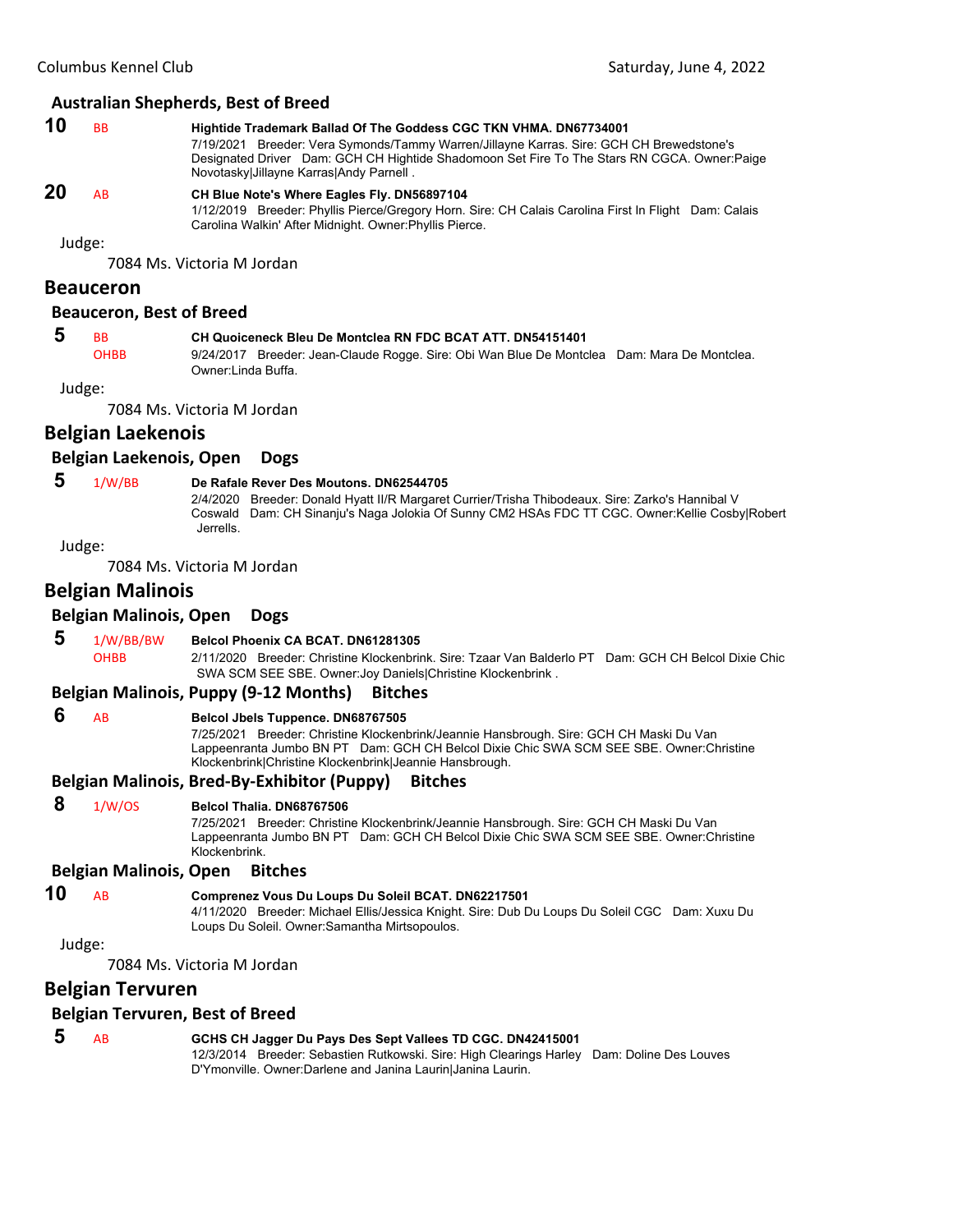#### **Australian Shepherds, Best of Breed**

| 10 | <b>BB</b> | Hightide Trademark Ballad Of The Goddess CGC TKN VHMA. DN67734001                                                                                                                        |
|----|-----------|------------------------------------------------------------------------------------------------------------------------------------------------------------------------------------------|
|    |           | 7/19/2021 Breeder: Vera Symonds/Tammy Warren/Jillayne Karras, Sire: GCH CH Brewedstone's<br>Designated Driver Dam: GCH CH Hightide Shadomoon Set Fire To The Stars RN CGCA. Owner: Paige |
|    |           | Novotasky Jillayne Karras Andy Parnell.                                                                                                                                                  |
| 20 | AR        | CH Blue Note's Where Eagles Fly. DN56897104                                                                                                                                              |

1/12/2019 Breeder: Phyllis Pierce/Gregory Horn. Sire: CH Calais Carolina First In Flight Dam: Calais Carolina Walkin' After Midnight. Owner:Phyllis Pierce.

Judge:

7084 Ms. Victoria M Jordan

#### **Beauceron**

#### **Beauceron, Best of Breed**

#### **5** BB **CH Quoiceneck Bleu De Montclea RN FDC BCAT ATT. DN54151401**

OHBB 9/24/2017 Breeder: Jean-Claude Rogge. Sire: Obi Wan Blue De Montclea Dam: Mara De Montclea. Owner:Linda Buffa.

Judge:

7084 Ms. Victoria M Jordan

## **Belgian Laekenois**

#### **Belgian Laekenois, Open Dogs**

#### **5** 1/W/BB **De Rafale Rever Des Moutons. DN62544705**

2/4/2020 Breeder: Donald Hyatt II/R Margaret Currier/Trisha Thibodeaux. Sire: Zarko's Hannibal V Coswald Dam: CH Sinanju's Naga Jolokia Of Sunny CM2 HSAs FDC TT CGC. Owner:Kellie Cosby|Robert Jerrells.

Judge:

7084 Ms. Victoria M Jordan

## **Belgian Malinois**

#### **Belgian Malinois, Open Dogs**

#### **5** 1/W/BB/BW **Belcol Phoenix CA BCAT. DN61281305**

OHBB 2/11/2020 Breeder: Christine Klockenbrink. Sire: Tzaar Van Balderlo PT Dam: GCH CH Belcol Dixie Chic SWA SCM SEE SBE. Owner:Joy Daniels|Christine Klockenbrink .

#### **Belgian Malinois, Puppy (9‐12 Months) Bitches**

#### **6** AB **Belcol Jbels Tuppence. DN68767505**

7/25/2021 Breeder: Christine Klockenbrink/Jeannie Hansbrough. Sire: GCH CH Maski Du Van Lappeenranta Jumbo BN PT Dam: GCH CH Belcol Dixie Chic SWA SCM SEE SBE. Owner:Christine Klockenbrink|Christine Klockenbrink|Jeannie Hansbrough.

#### **Belgian Malinois, Bred‐By‐Exhibitor (Puppy) Bitches**

#### **8** 1/W/OS **Belcol Thalia. DN68767506**

7/25/2021 Breeder: Christine Klockenbrink/Jeannie Hansbrough. Sire: GCH CH Maski Du Van Lappeenranta Jumbo BN PT Dam: GCH CH Belcol Dixie Chic SWA SCM SEE SBE. Owner:Christine Klockenbrink.

#### **Belgian Malinois, Open Bitches**

## **10** AB **Comprenez Vous Du Loups Du Soleil BCAT. DN62217501**

4/11/2020 Breeder: Michael Ellis/Jessica Knight. Sire: Dub Du Loups Du Soleil CGC Dam: Xuxu Du Loups Du Soleil. Owner:Samantha Mirtsopoulos.

Judge:

7084 Ms. Victoria M Jordan

# **Belgian Tervuren**

#### **Belgian Tervuren, Best of Breed**

| - 5 | GCHS CH Jagger Du Pays Des Sept Vallees TD CGC. DN42415001                                 |
|-----|--------------------------------------------------------------------------------------------|
|     | 12/3/2014 Breeder: Sebastien Rutkowski. Sire: High Clearings Harley Dam: Doline Des Louves |
|     | D'Ymonville. Owner:Darlene and Janina LaurinlJanina Laurin.                                |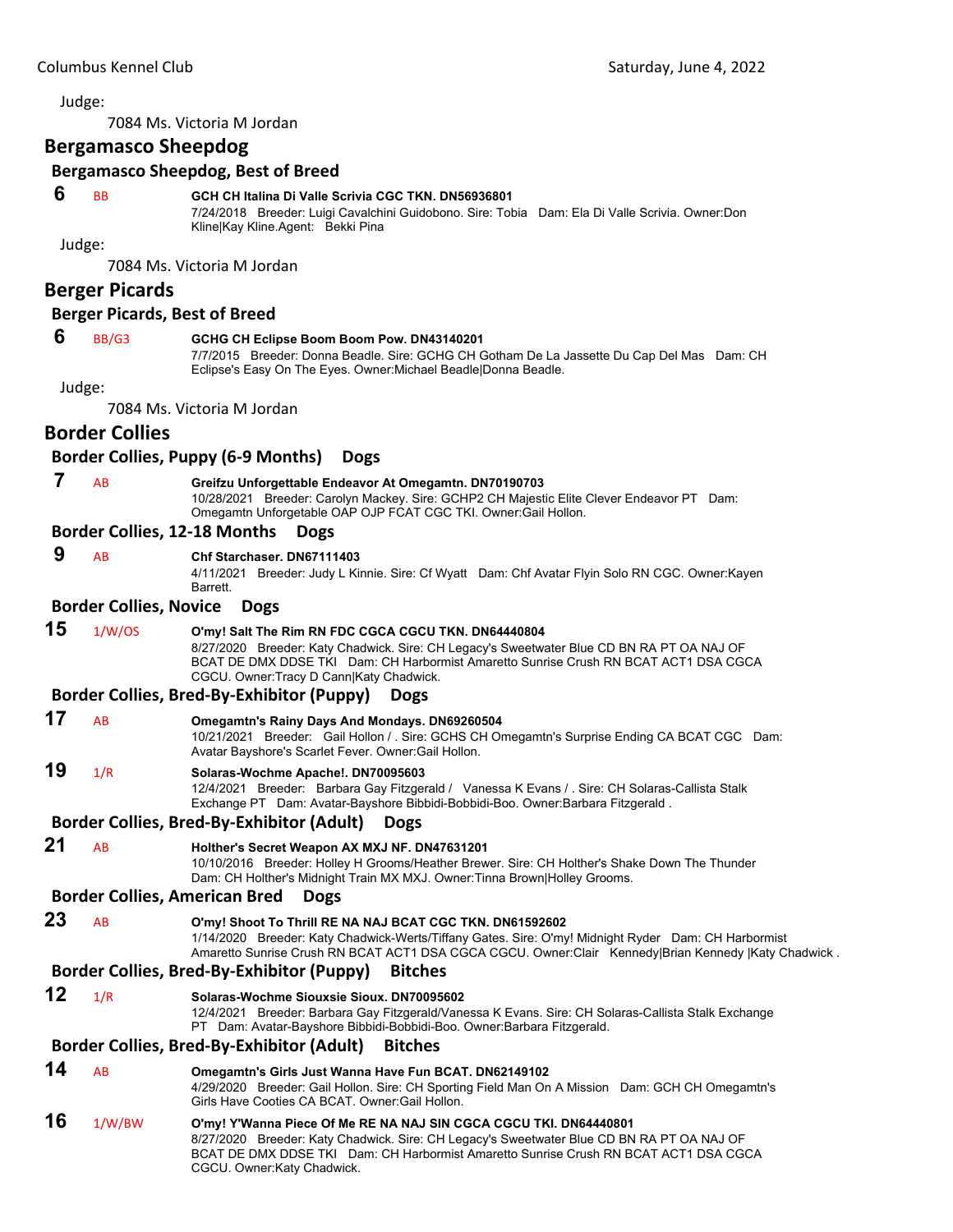7084 Ms. Victoria M Jordan

# **Bergamasco Sheepdog**

#### **Bergamasco Sheepdog, Best of Breed**

#### **6** BB **GCH CH Italina Di Valle Scrivia CGC TKN. DN56936801**

7/24/2018 Breeder: Luigi Cavalchini Guidobono. Sire: Tobia Dam: Ela Di Valle Scrivia. Owner:Don Kline|Kay Kline.Agent: Bekki Pina

Judge:

7084 Ms. Victoria M Jordan

# **Berger Picards**

#### **Berger Picards, Best of Breed**

#### **6** BB/G3 **GCHG CH Eclipse Boom Boom Pow. DN43140201**

7/7/2015 Breeder: Donna Beadle. Sire: GCHG CH Gotham De La Jassette Du Cap Del Mas Dam: CH Eclipse's Easy On The Eyes. Owner:Michael Beadle|Donna Beadle.

Judge:

7084 Ms. Victoria M Jordan

## **Border Collies**

#### **Border Collies, Puppy (6‐9 Months) Dogs**

 **7** AB **Greifzu Unforgettable Endeavor At Omegamtn. DN70190703** 10/28/2021 Breeder: Carolyn Mackey. Sire: GCHP2 CH Majestic Elite Clever Endeavor PT Dam: Omegamtn Unforgetable OAP OJP FCAT CGC TKI. Owner:Gail Hollon.

#### **Border Collies, 12‐18 Months Dogs**

 **9** AB **Chf Starchaser. DN67111403**

4/11/2021 Breeder: Judy L Kinnie. Sire: Cf Wyatt Dam: Chf Avatar Flyin Solo RN CGC. Owner:Kayen Barrett.

#### **Border Collies, Novice Dogs**

#### **15** 1/W/OS **O'my! Salt The Rim RN FDC CGCA CGCU TKN. DN64440804**

8/27/2020 Breeder: Katy Chadwick. Sire: CH Legacy's Sweetwater Blue CD BN RA PT OA NAJ OF BCAT DE DMX DDSE TKI Dam: CH Harbormist Amaretto Sunrise Crush RN BCAT ACT1 DSA CGCA CGCU. Owner:Tracy D Cann|Katy Chadwick.

#### **Border Collies, Bred‐By‐Exhibitor (Puppy) Dogs**

#### **17** AB **Omegamtn's Rainy Days And Mondays. DN69260504**

10/21/2021 Breeder: Gail Hollon / . Sire: GCHS CH Omegamtn's Surprise Ending CA BCAT CGC Dam: Avatar Bayshore's Scarlet Fever. Owner:Gail Hollon.

# **19** 1/R **Solaras-Wochme Apache!. DN70095603**

12/4/2021 Breeder: Barbara Gay Fitzgerald / Vanessa K Evans / . Sire: CH Solaras-Callista Stalk Exchange PT Dam: Avatar-Bayshore Bibbidi-Bobbidi-Boo. Owner:Barbara Fitzgerald .

## **Border Collies, Bred‐By‐Exhibitor (Adult) Dogs**

**21** AB **Holther's Secret Weapon AX MXJ NF. DN47631201**

10/10/2016 Breeder: Holley H Grooms/Heather Brewer. Sire: CH Holther's Shake Down The Thunder Dam: CH Holther's Midnight Train MX MXJ. Owner:Tinna Brown|Holley Grooms.

#### **Border Collies, American Bred Dogs**

#### **23** AB **O'my! Shoot To Thrill RE NA NAJ BCAT CGC TKN. DN61592602**

1/14/2020 Breeder: Katy Chadwick-Werts/Tiffany Gates. Sire: O'my! Midnight Ryder Dam: CH Harbormist Amaretto Sunrise Crush RN BCAT ACT1 DSA CGCA CGCU. Owner:Clair Kennedy|Brian Kennedy |Katy Chadwick.

#### **Border Collies, Bred‐By‐Exhibitor (Puppy) Bitches**

# **12** 1/R **Solaras-Wochme Siouxsie Sioux. DN70095602**

12/4/2021 Breeder: Barbara Gay Fitzgerald/Vanessa K Evans. Sire: CH Solaras-Callista Stalk Exchange PT Dam: Avatar-Bayshore Bibbidi-Bobbidi-Boo. Owner:Barbara Fitzgerald.

## **Border Collies, Bred‐By‐Exhibitor (Adult) Bitches**

**14** AB **Omegamtn's Girls Just Wanna Have Fun BCAT. DN62149102** 4/29/2020 Breeder: Gail Hollon. Sire: CH Sporting Field Man On A Mission Dam: GCH CH Omegamtn's Girls Have Cooties CA BCAT. Owner:Gail Hollon. **16** 1/W/BW **O'my! Y'Wanna Piece Of Me RE NA NAJ SIN CGCA CGCU TKI. DN64440801**

8/27/2020 Breeder: Katy Chadwick. Sire: CH Legacy's Sweetwater Blue CD BN RA PT OA NAJ OF BCAT DE DMX DDSE TKI Dam: CH Harbormist Amaretto Sunrise Crush RN BCAT ACT1 DSA CGCA CGCU. Owner:Katy Chadwick.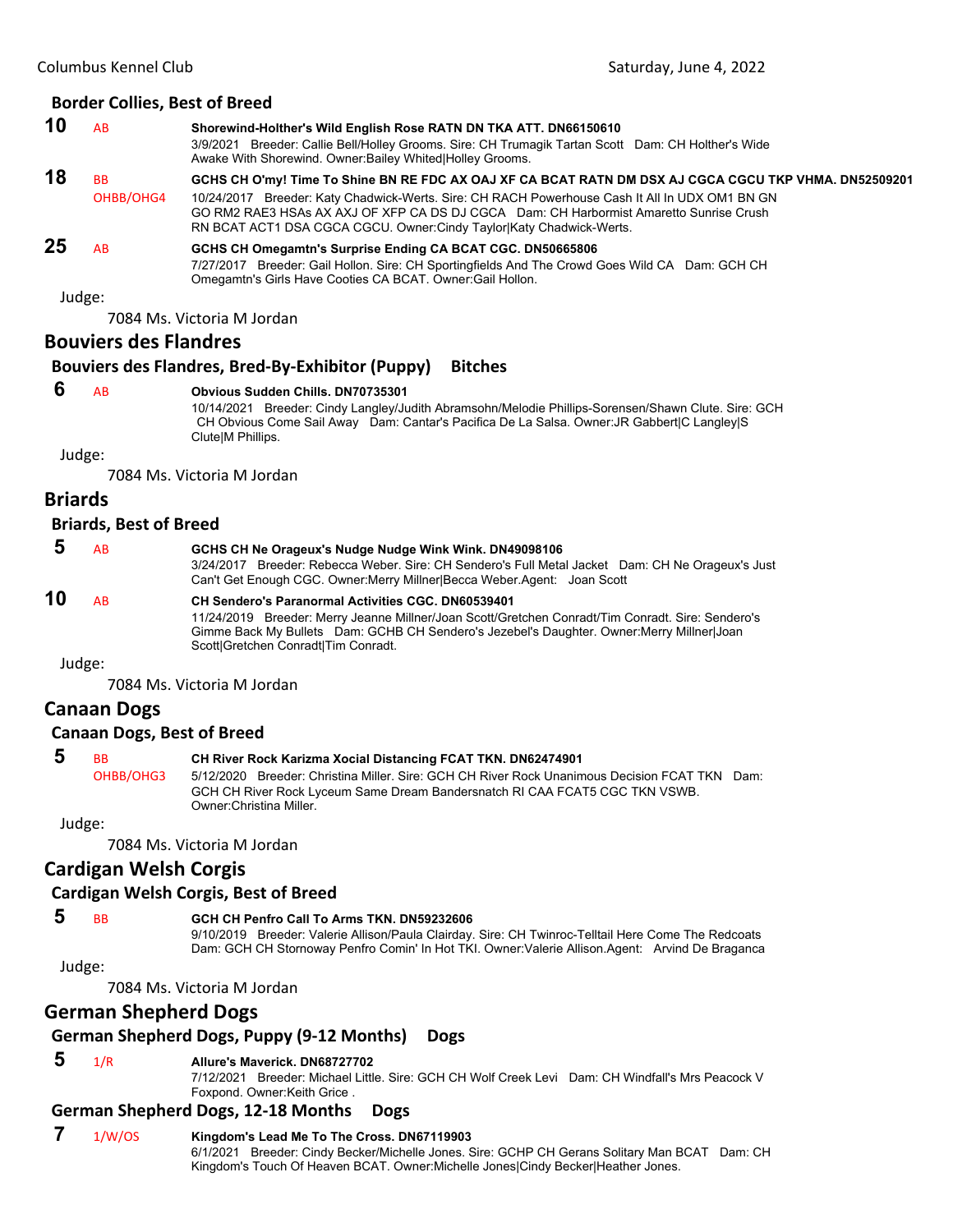#### **Border Collies, Best of Breed**

**10** AB **Shorewind-Holther's Wild English Rose RATN DN TKA ATT. DN66150610** 3/9/2021 Breeder: Callie Bell/Holley Grooms. Sire: CH Trumagik Tartan Scott Dam: CH Holther's Wide Awake With Shorewind. Owner:Bailey Whited|Holley Grooms. **18** BB **GCHS CH O'my! Time To Shine BN RE FDC AX OAJ XF CA BCAT RATN DM DSX AJ CGCA CGCU TKP VHMA. DN52509201** OHBB/OHG4 10/24/2017 Breeder: Katy Chadwick-Werts. Sire: CH RACH Powerhouse Cash It All In UDX OM1 BN GN GO RM2 RAE3 HSAs AX AXJ OF XFP CA DS DJ CGCA Dam: CH Harbormist Amaretto Sunrise Crush RN BCAT ACT1 DSA CGCA CGCU. Owner:Cindy Taylor|Katy Chadwick-Werts. **25** AB **GCHS CH Omegamtn's Surprise Ending CA BCAT CGC. DN50665806** 7/27/2017 Breeder: Gail Hollon. Sire: CH Sportingfields And The Crowd Goes Wild CA Dam: GCH CH Omegamtn's Girls Have Cooties CA BCAT. Owner:Gail Hollon.

#### Judge:

7084 Ms. Victoria M Jordan

## **Bouviers des Flandres**

# **Bouviers des Flandres, Bred‐By‐Exhibitor (Puppy) Bitches**

 **6** AB **Obvious Sudden Chills. DN70735301**

10/14/2021 Breeder: Cindy Langley/Judith Abramsohn/Melodie Phillips-Sorensen/Shawn Clute. Sire: GCH CH Obvious Come Sail Away Dam: Cantar's Pacifica De La Salsa. Owner:JR Gabbert|C Langley|S Clute|M Phillips.

Judge:

7084 Ms. Victoria M Jordan

#### **Briards**

#### **Briards, Best of Breed**

|    | AB  | GCHS CH Ne Orageux's Nudge Nudge Wink Wink. DN49098106<br>3/24/2017 Breeder: Rebecca Weber. Sire: CH Sendero's Full Metal Jacket Dam: CH Ne Orageux's Just<br>Can't Get Enough CGC. Owner: Merry Millner Becca Weber Agent: Joan Scott                                                              |
|----|-----|-----------------------------------------------------------------------------------------------------------------------------------------------------------------------------------------------------------------------------------------------------------------------------------------------------|
| 10 | AB. | <b>CH Sendero's Paranormal Activities CGC, DN60539401</b><br>11/24/2019 Breeder: Merry Jeanne Millner/Joan Scott/Gretchen Conradt/Tim Conradt. Sire: Sendero's<br>Gimme Back My Bullets Dam: GCHB CH Sendero's Jezebel's Daughter. Owner: Merry Millner Joan<br>Scott Gretchen Conradt Tim Conradt. |

Judge:

7084 Ms. Victoria M Jordan

# **Canaan Dogs**

#### **Canaan Dogs, Best of Breed**

| <b>BB</b> | <b>CH River Rock Karizma Xocial Distancing FCAT TKN. DN62474901</b>                           |  |
|-----------|-----------------------------------------------------------------------------------------------|--|
| OHBB/OHG3 | 5/12/2020 Breeder: Christina Miller. Sire: GCH CH River Rock Unanimous Decision FCAT TKN Dam: |  |
|           | GCH CH River Rock Lyceum Same Dream Bandersnatch RI CAA FCAT5 CGC TKN VSWB.                   |  |
|           | Owner: Christina Miller.                                                                      |  |

Judge:

7084 Ms. Victoria M Jordan

# **Cardigan Welsh Corgis**

#### **Cardigan Welsh Corgis, Best of Breed**

 **5** BB **GCH CH Penfro Call To Arms TKN. DN59232606**

9/10/2019 Breeder: Valerie Allison/Paula Clairday. Sire: CH Twinroc-Telltail Here Come The Redcoats Dam: GCH CH Stornoway Penfro Comin' In Hot TKI. Owner:Valerie Allison.Agent: Arvind De Braganca

Judge:

7084 Ms. Victoria M Jordan

# **German Shepherd Dogs**

#### **German Shepherd Dogs, Puppy (9‐12 Months) Dogs**

#### **5** 1/R **Allure's Maverick. DN68727702**

7/12/2021 Breeder: Michael Little. Sire: GCH CH Wolf Creek Levi Dam: CH Windfall's Mrs Peacock V Foxpond. Owner:Keith Grice .

#### **German Shepherd Dogs, 12‐18 Months Dogs**

#### **7** 1/W/OS **Kingdom's Lead Me To The Cross. DN67119903**

6/1/2021 Breeder: Cindy Becker/Michelle Jones. Sire: GCHP CH Gerans Solitary Man BCAT Dam: CH Kingdom's Touch Of Heaven BCAT. Owner:Michelle Jones|Cindy Becker|Heather Jones.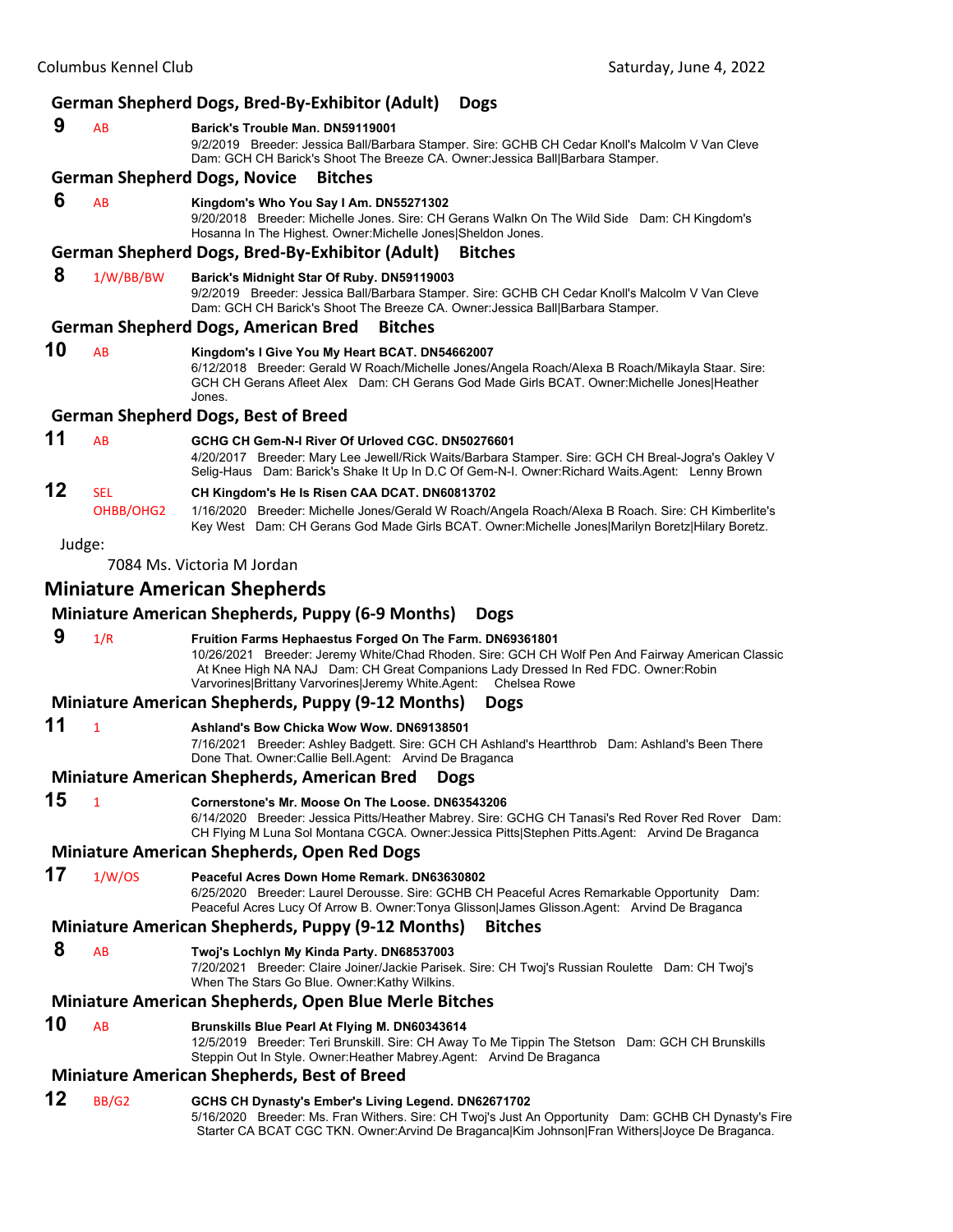#### **German Shepherd Dogs, Bred‐By‐Exhibitor (Adult) Dogs 9** AB **Barick's Trouble Man. DN59119001** 9/2/2019 Breeder: Jessica Ball/Barbara Stamper. Sire: GCHB CH Cedar Knoll's Malcolm V Van Cleve Dam: GCH CH Barick's Shoot The Breeze CA. Owner:Jessica Ball|Barbara Stamper. **German Shepherd Dogs, Novice Bitches 6** AB **Kingdom's Who You Say I Am. DN55271302** 9/20/2018 Breeder: Michelle Jones. Sire: CH Gerans Walkn On The Wild Side Dam: CH Kingdom's Hosanna In The Highest. Owner:Michelle Jones|Sheldon Jones. **German Shepherd Dogs, Bred‐By‐Exhibitor (Adult) Bitches 8** 1/W/BB/BW **Barick's Midnight Star Of Ruby. DN59119003** 9/2/2019 Breeder: Jessica Ball/Barbara Stamper. Sire: GCHB CH Cedar Knoll's Malcolm V Van Cleve Dam: GCH CH Barick's Shoot The Breeze CA. Owner:Jessica Ball|Barbara Stamper. **German Shepherd Dogs, American Bred Bitches 10** AB **Kingdom's I Give You My Heart BCAT. DN54662007** 6/12/2018 Breeder: Gerald W Roach/Michelle Jones/Angela Roach/Alexa B Roach/Mikayla Staar. Sire: GCH CH Gerans Afleet Alex Dam: CH Gerans God Made Girls BCAT. Owner:Michelle Jones|Heather Jones. **German Shepherd Dogs, Best of Breed 11** AB **GCHG CH Gem-N-I River Of Urloved CGC. DN50276601** 4/20/2017 Breeder: Mary Lee Jewell/Rick Waits/Barbara Stamper. Sire: GCH CH Breal-Jogra's Oakley V Selig-Haus Dam: Barick's Shake It Up In D.C Of Gem-N-I. Owner:Richard Waits.Agent: Lenny Brown **12** SEL **CH Kingdom's He Is Risen CAA DCAT. DN60813702** OHBB/OHG2 1/16/2020 Breeder: Michelle Jones/Gerald W Roach/Angela Roach/Alexa B Roach. Sire: CH Kimberlite's Key West Dam: CH Gerans God Made Girls BCAT. Owner:Michelle Jones|Marilyn Boretz|Hilary Boretz. Judge: 7084 Ms. Victoria M Jordan **Miniature American Shepherds Miniature American Shepherds, Puppy (6‐9 Months) Dogs 9** 1/R **Fruition Farms Hephaestus Forged On The Farm. DN69361801** 10/26/2021 Breeder: Jeremy White/Chad Rhoden. Sire: GCH CH Wolf Pen And Fairway American Classic At Knee High NA NAJ Dam: CH Great Companions Lady Dressed In Red FDC. Owner:Robin Varvorines|Brittany Varvorines|Jeremy White.Agent: Chelsea Rowe **Miniature American Shepherds, Puppy (9‐12 Months) Dogs 11** <sup>1</sup> **Ashland's Bow Chicka Wow Wow. DN69138501** 7/16/2021 Breeder: Ashley Badgett. Sire: GCH CH Ashland's Heartthrob Dam: Ashland's Been There Done That. Owner:Callie Bell.Agent: Arvind De Braganca **Miniature American Shepherds, American Bred Dogs 15** <sup>1</sup> **Cornerstone's Mr. Moose On The Loose. DN63543206** 6/14/2020 Breeder: Jessica Pitts/Heather Mabrey. Sire: GCHG CH Tanasi's Red Rover Red Rover Dam: CH Flying M Luna Sol Montana CGCA. Owner:Jessica Pitts|Stephen Pitts.Agent: Arvind De Braganca **Miniature American Shepherds, Open Red Dogs 17** 1/W/OS **Peaceful Acres Down Home Remark. DN63630802** 6/25/2020 Breeder: Laurel Derousse. Sire: GCHB CH Peaceful Acres Remarkable Opportunity Dam: Peaceful Acres Lucy Of Arrow B. Owner:Tonya Glisson|James Glisson.Agent: Arvind De Braganca **Miniature American Shepherds, Puppy (9‐12 Months) Bitches 8** AB **Twoj's Lochlyn My Kinda Party. DN68537003** 7/20/2021 Breeder: Claire Joiner/Jackie Parisek. Sire: CH Twoj's Russian Roulette Dam: CH Twoj's When The Stars Go Blue. Owner:Kathy Wilkins. **Miniature American Shepherds, Open Blue Merle Bitches 10** AB **Brunskills Blue Pearl At Flying M. DN60343614** 12/5/2019 Breeder: Teri Brunskill. Sire: CH Away To Me Tippin The Stetson Dam: GCH CH Brunskills Steppin Out In Style. Owner:Heather Mabrey.Agent: Arvind De Braganca **Miniature American Shepherds, Best of Breed**

**12** BB/G2 **GCHS CH Dynasty's Ember's Living Legend. DN62671702** 5/16/2020 Breeder: Ms. Fran Withers. Sire: CH Twoj's Just An Opportunity Dam: GCHB CH Dynasty's Fire Starter CA BCAT CGC TKN. Owner:Arvind De Braganca|Kim Johnson|Fran Withers|Joyce De Braganca.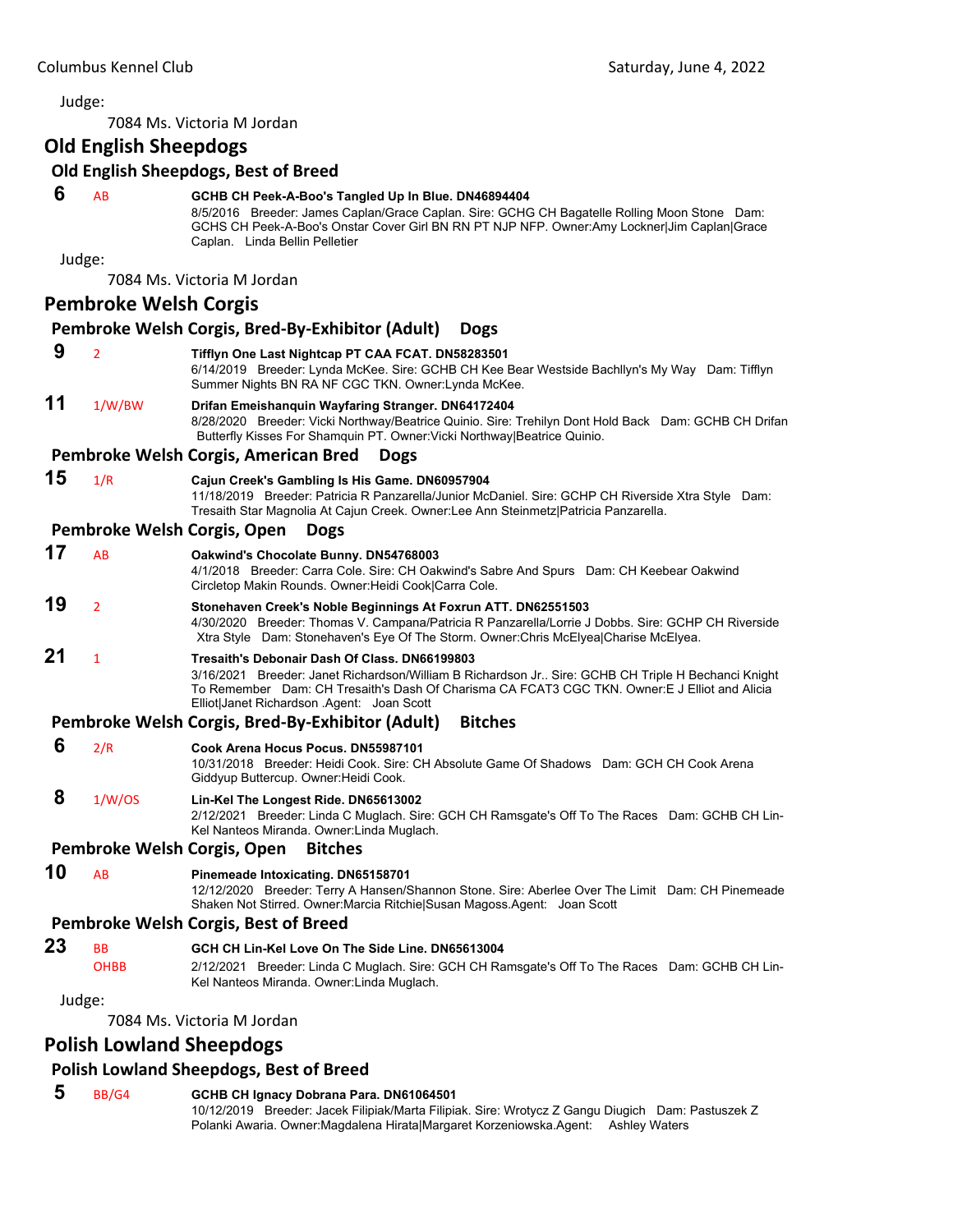7084 Ms. Victoria M Jordan

# **Old English Sheepdogs**

#### **Old English Sheepdogs, Best of Breed**

# **6** AB **GCHB CH Peek-A-Boo's Tangled Up In Blue. DN46894404**

8/5/2016 Breeder: James Caplan/Grace Caplan. Sire: GCHG CH Bagatelle Rolling Moon Stone Dam: GCHS CH Peek-A-Boo's Onstar Cover Girl BN RN PT NJP NFP. Owner:Amy Lockner|Jim Caplan|Grace Caplan. Linda Bellin Pelletier

Judge:

7084 Ms. Victoria M Jordan

#### **Pembroke Welsh Corgis**

#### **Pembroke Welsh Corgis, Bred‐By‐Exhibitor (Adult) Dogs 9** <sup>2</sup> **Tifflyn One Last Nightcap PT CAA FCAT. DN58283501** 6/14/2019 Breeder: Lynda McKee. Sire: GCHB CH Kee Bear Westside Bachllyn's My Way Dam: Tifflyn Summer Nights BN RA NF CGC TKN. Owner:Lynda McKee. **11** 1/W/BW **Drifan Emeishanquin Wayfaring Stranger. DN64172404** 8/28/2020 Breeder: Vicki Northway/Beatrice Quinio. Sire: Trehilyn Dont Hold Back Dam: GCHB CH Drifan Butterfly Kisses For Shamquin PT. Owner:Vicki Northway|Beatrice Quinio. **Pembroke Welsh Corgis, American Bred Dogs 15** 1/R **Cajun Creek's Gambling Is His Game. DN60957904** 11/18/2019 Breeder: Patricia R Panzarella/Junior McDaniel. Sire: GCHP CH Riverside Xtra Style Dam: Tresaith Star Magnolia At Cajun Creek. Owner:Lee Ann Steinmetz|Patricia Panzarella. **Pembroke Welsh Corgis, Open Dogs 17** AB **Oakwind's Chocolate Bunny. DN54768003** 4/1/2018 Breeder: Carra Cole. Sire: CH Oakwind's Sabre And Spurs Dam: CH Keebear Oakwind Circletop Makin Rounds. Owner:Heidi Cook|Carra Cole. **19** <sup>2</sup> **Stonehaven Creek's Noble Beginnings At Foxrun ATT. DN62551503** 4/30/2020 Breeder: Thomas V. Campana/Patricia R Panzarella/Lorrie J Dobbs. Sire: GCHP CH Riverside Xtra Style Dam: Stonehaven's Eye Of The Storm. Owner:Chris McElyea|Charise McElyea. **21** <sup>1</sup> **Tresaith's Debonair Dash Of Class. DN66199803** 3/16/2021 Breeder: Janet Richardson/William B Richardson Jr.. Sire: GCHB CH Triple H Bechanci Knight To Remember Dam: CH Tresaith's Dash Of Charisma CA FCAT3 CGC TKN. Owner:E J Elliot and Alicia Elliot|Janet Richardson .Agent: Joan Scott **Pembroke Welsh Corgis, Bred‐By‐Exhibitor (Adult) Bitches 6** 2/R **Cook Arena Hocus Pocus. DN55987101** 10/31/2018 Breeder: Heidi Cook. Sire: CH Absolute Game Of Shadows Dam: GCH CH Cook Arena Giddyup Buttercup. Owner:Heidi Cook.  **8** 1/W/OS **Lin-Kel The Longest Ride. DN65613002** 2/12/2021 Breeder: Linda C Muglach. Sire: GCH CH Ramsgate's Off To The Races Dam: GCHB CH Lin-Kel Nanteos Miranda. Owner:Linda Muglach. **Pembroke Welsh Corgis, Open Bitches 10** AB **Pinemeade Intoxicating. DN65158701** 12/12/2020 Breeder: Terry A Hansen/Shannon Stone. Sire: Aberlee Over The Limit Dam: CH Pinemeade Shaken Not Stirred. Owner:Marcia Ritchie|Susan Magoss.Agent: Joan Scott **Pembroke Welsh Corgis, Best of Breed 23** BB **GCH CH Lin-Kel Love On The Side Line. DN65613004**

OHBB 2/12/2021 Breeder: Linda C Muglach. Sire: GCH CH Ramsgate's Off To The Races Dam: GCHB CH Lin-Kel Nanteos Miranda. Owner:Linda Muglach.

Judge:

7084 Ms. Victoria M Jordan

# **Polish Lowland Sheepdogs**

## **Polish Lowland Sheepdogs, Best of Breed**

#### **5** BB/G4 **GCHB CH Ignacy Dobrana Para. DN61064501**

10/12/2019 Breeder: Jacek Filipiak/Marta Filipiak. Sire: Wrotycz Z Gangu Diugich Dam: Pastuszek Z Polanki Awaria. Owner:Magdalena Hirata|Margaret Korzeniowska.Agent: Ashley Waters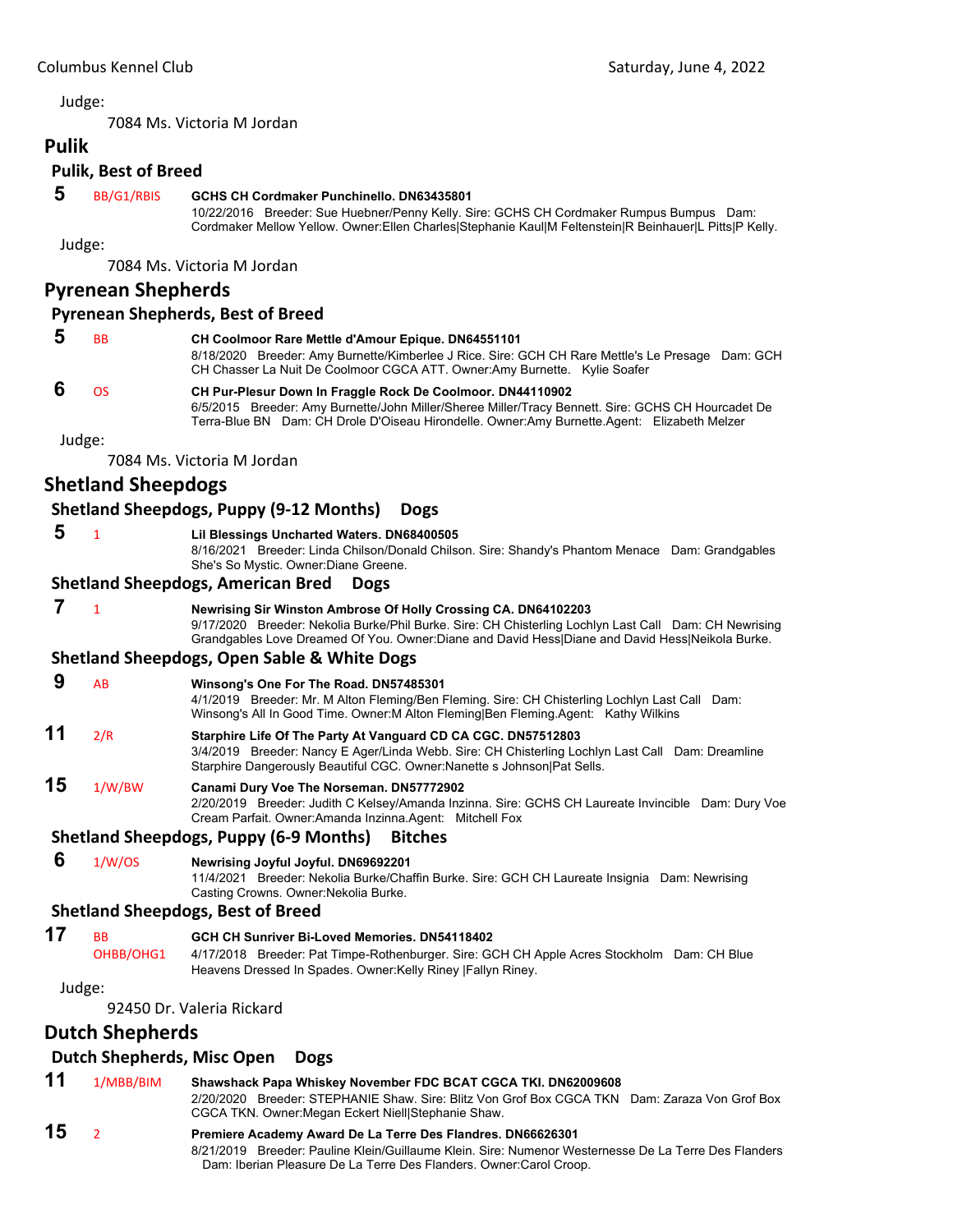7084 Ms. Victoria M Jordan

| <b>Pulik</b> |                             |                                                                                                                                                                                                                                                                            |
|--------------|-----------------------------|----------------------------------------------------------------------------------------------------------------------------------------------------------------------------------------------------------------------------------------------------------------------------|
|              | <b>Pulik, Best of Breed</b> |                                                                                                                                                                                                                                                                            |
| 5            | BB/G1/RBIS                  | GCHS CH Cordmaker Punchinello. DN63435801<br>10/22/2016 Breeder: Sue Huebner/Penny Kelly. Sire: GCHS CH Cordmaker Rumpus Bumpus Dam:<br>Cordmaker Mellow Yellow. Owner: Ellen Charles Stephanie Kaul M Feltenstein R Beinhauer L Pitts P Kelly.                            |
|              | Judge:                      |                                                                                                                                                                                                                                                                            |
|              |                             | 7084 Ms. Victoria M Jordan                                                                                                                                                                                                                                                 |
|              | <b>Pyrenean Shepherds</b>   |                                                                                                                                                                                                                                                                            |
|              |                             | <b>Pyrenean Shepherds, Best of Breed</b>                                                                                                                                                                                                                                   |
| 5            | <b>BB</b>                   | CH Coolmoor Rare Mettle d'Amour Epique. DN64551101<br>8/18/2020 Breeder: Amy Burnette/Kimberlee J Rice. Sire: GCH CH Rare Mettle's Le Presage Dam: GCH<br>CH Chasser La Nuit De Coolmoor CGCA ATT. Owner: Amy Burnette. Kylie Soafer                                       |
| 6            | <b>OS</b>                   | CH Pur-Plesur Down In Fraggle Rock De Coolmoor. DN44110902<br>6/5/2015 Breeder: Amy Burnette/John Miller/Sheree Miller/Tracy Bennett. Sire: GCHS CH Hourcadet De<br>Terra-Blue BN Dam: CH Drole D'Oiseau Hirondelle. Owner:Amy Burnette.Agent: Elizabeth Melzer            |
|              | Judge:                      |                                                                                                                                                                                                                                                                            |
|              |                             | 7084 Ms. Victoria M Jordan                                                                                                                                                                                                                                                 |
|              | <b>Shetland Sheepdogs</b>   |                                                                                                                                                                                                                                                                            |
|              |                             | <b>Shetland Sheepdogs, Puppy (9-12 Months)</b><br><b>Dogs</b>                                                                                                                                                                                                              |
| 5            | $\mathbf{1}$                | Lil Blessings Uncharted Waters. DN68400505<br>8/16/2021 Breeder: Linda Chilson/Donald Chilson. Sire: Shandy's Phantom Menace Dam: Grandgables<br>She's So Mystic. Owner: Diane Greene.                                                                                     |
|              |                             | <b>Shetland Sheepdogs, American Bred</b><br><b>Dogs</b>                                                                                                                                                                                                                    |
| 7            | $\mathbf{1}$                | Newrising Sir Winston Ambrose Of Holly Crossing CA. DN64102203<br>9/17/2020 Breeder: Nekolia Burke/Phil Burke. Sire: CH Chisterling Lochlyn Last Call Dam: CH Newrising<br>Grandgables Love Dreamed Of You. Owner:Diane and David Hess Diane and David Hess Neikola Burke. |
|              |                             | <b>Shetland Sheepdogs, Open Sable &amp; White Dogs</b>                                                                                                                                                                                                                     |
| 9            | AB                          | Winsong's One For The Road. DN57485301<br>4/1/2019 Breeder: Mr. M Alton Fleming/Ben Fleming. Sire: CH Chisterling Lochlyn Last Call Dam:<br>Winsong's All In Good Time. Owner: M Alton Fleming Ben Fleming. Agent: Kathy Wilkins                                           |
| 11           | 2/R                         | Starphire Life Of The Party At Vanguard CD CA CGC. DN57512803<br>3/4/2019 Breeder: Nancy E Ager/Linda Webb. Sire: CH Chisterling Lochlyn Last Call Dam: Dreamline<br>Starphire Dangerously Beautiful CGC. Owner: Nanette s Johnson   Pat Sells.                            |
| 15           | 1/W/BW                      | Canami Dury Voe The Norseman. DN57772902<br>2/20/2019 Breeder: Judith C Kelsey/Amanda Inzinna. Sire: GCHS CH Laureate Invincible Dam: Dury Voe<br>Cream Parfait. Owner: Amanda Inzinna. Agent: Mitchell Fox                                                                |
|              |                             | Shetland Sheepdogs, Puppy (6-9 Months) Bitches                                                                                                                                                                                                                             |
| 6            | 1/W/OS                      | Newrising Joyful Joyful. DN69692201<br>11/4/2021 Breeder: Nekolia Burke/Chaffin Burke. Sire: GCH CH Laureate Insignia Dam: Newrising<br>Casting Crowns. Owner: Nekolia Burke.                                                                                              |
|              |                             | <b>Shetland Sheepdogs, Best of Breed</b>                                                                                                                                                                                                                                   |
| 17           | <b>BB</b><br>OHBB/OHG1      | GCH CH Sunriver Bi-Loved Memories, DN54118402<br>4/17/2018 Breeder: Pat Timpe-Rothenburger. Sire: GCH CH Apple Acres Stockholm Dam: CH Blue<br>Heavens Dressed In Spades. Owner: Kelly Riney   Fallyn Riney.                                                               |
|              | Judge:                      |                                                                                                                                                                                                                                                                            |
|              |                             | 92450 Dr. Valeria Rickard                                                                                                                                                                                                                                                  |
|              | <b>Dutch Shepherds</b>      |                                                                                                                                                                                                                                                                            |
|              |                             | <b>Dutch Shepherds, Misc Open</b><br><b>Dogs</b>                                                                                                                                                                                                                           |
| 11           | 1/MBB/BIM                   | Shawshack Papa Whiskey November FDC BCAT CGCA TKI. DN62009608<br>2/20/2020 Breeder: STEPHANIE Shaw, Sire: Blitz Von Grof Box CGCA TKN Dam: Zaraza Von Grof Box<br>CGCA TKN. Owner: Megan Eckert Niell Stephanie Shaw.                                                      |
| 15           | 2                           | Premiere Academy Award De La Terre Des Flandres. DN66626301<br>8/21/2019 Breeder: Pauline Klein/Guillaume Klein. Sire: Numenor Westernesse De La Terre Des Flanders                                                                                                        |

Dam: Iberian Pleasure De La Terre Des Flanders. Owner:Carol Croop.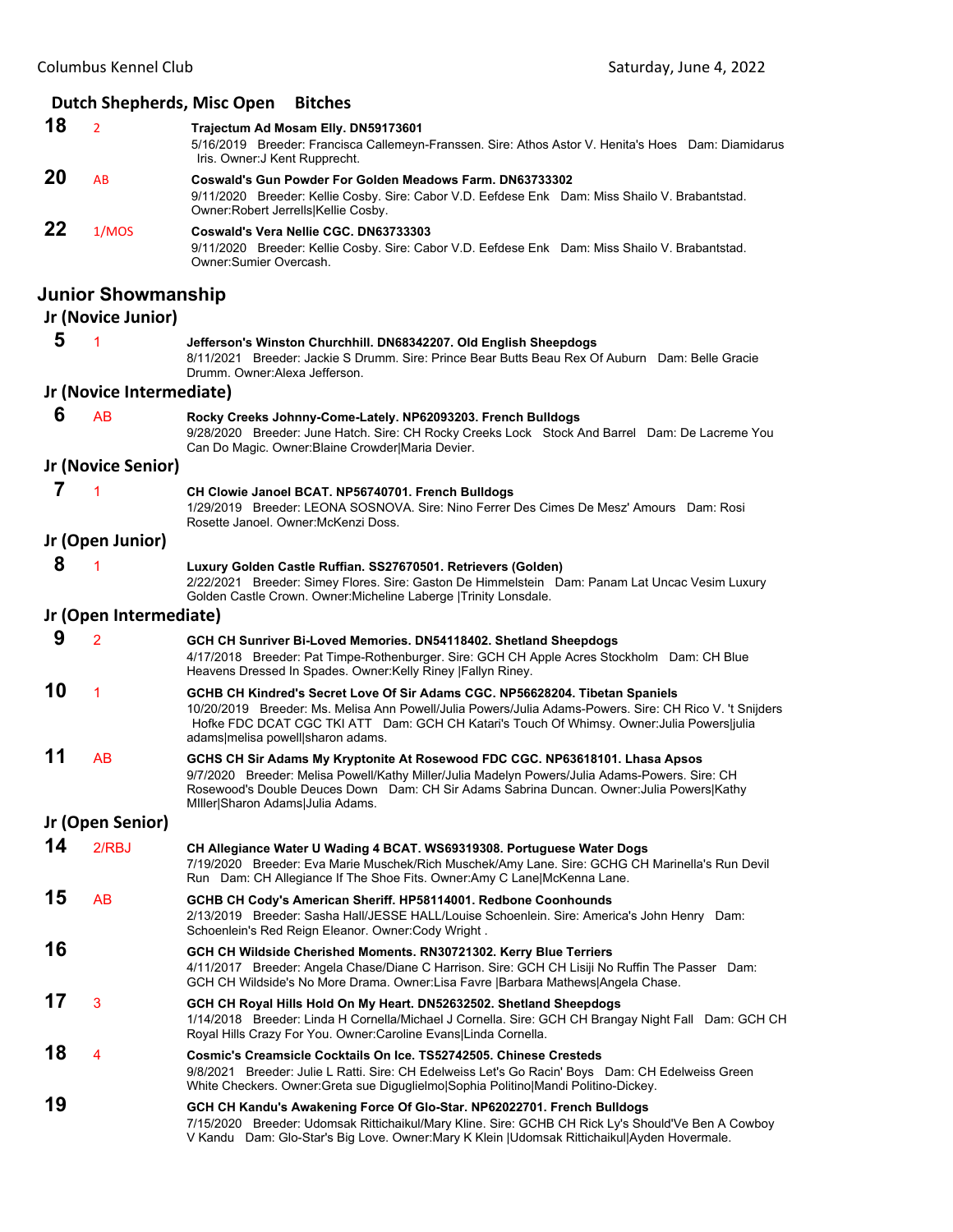|    |                           | Dutch Shepherds, Misc Open<br><b>Bitches</b>                                                                                                                                                                                                                                                                               |
|----|---------------------------|----------------------------------------------------------------------------------------------------------------------------------------------------------------------------------------------------------------------------------------------------------------------------------------------------------------------------|
| 18 | $\overline{2}$            | Trajectum Ad Mosam Elly. DN59173601<br>5/16/2019 Breeder: Francisca Callemeyn-Franssen. Sire: Athos Astor V. Henita's Hoes Dam: Diamidarus<br>Iris. Owner: J Kent Rupprecht.                                                                                                                                               |
| 20 | AB                        | <b>Coswald's Gun Powder For Golden Meadows Farm. DN63733302</b><br>9/11/2020 Breeder: Kellie Cosby. Sire: Cabor V.D. Eefdese Enk Dam: Miss Shailo V. Brabantstad.<br>Owner:Robert Jerrells Kellie Cosby.                                                                                                                   |
| 22 | 1/MOS                     | Coswald's Vera Nellie CGC, DN63733303<br>9/11/2020 Breeder: Kellie Cosby. Sire: Cabor V.D. Eefdese Enk Dam: Miss Shailo V. Brabantstad.<br>Owner:Sumier Overcash.                                                                                                                                                          |
|    | <b>Junior Showmanship</b> |                                                                                                                                                                                                                                                                                                                            |
|    | Jr (Novice Junior)        |                                                                                                                                                                                                                                                                                                                            |
| 5  | 1                         | Jefferson's Winston Churchhill. DN68342207. Old English Sheepdogs<br>8/11/2021 Breeder: Jackie S Drumm. Sire: Prince Bear Butts Beau Rex Of Auburn Dam: Belle Gracie<br>Drumm. Owner: Alexa Jefferson.                                                                                                                     |
|    | Jr (Novice Intermediate)  |                                                                                                                                                                                                                                                                                                                            |
| 6  | AB                        | Rocky Creeks Johnny-Come-Lately. NP62093203. French Bulldogs<br>9/28/2020 Breeder: June Hatch. Sire: CH Rocky Creeks Lock Stock And Barrel Dam: De Lacreme You<br>Can Do Magic. Owner: Blaine Crowder Maria Devier.                                                                                                        |
|    | Jr (Novice Senior)        |                                                                                                                                                                                                                                                                                                                            |
| 7  | 1                         | CH Clowie Janoel BCAT. NP56740701. French Bulldogs<br>1/29/2019 Breeder: LEONA SOSNOVA. Sire: Nino Ferrer Des Cimes De Mesz' Amours Dam: Rosi<br>Rosette Janoel. Owner: McKenzi Doss.                                                                                                                                      |
|    | Jr (Open Junior)          |                                                                                                                                                                                                                                                                                                                            |
| 8  |                           | Luxury Golden Castle Ruffian. SS27670501. Retrievers (Golden)<br>2/22/2021 Breeder: Simey Flores. Sire: Gaston De Himmelstein Dam: Panam Lat Uncac Vesim Luxury<br>Golden Castle Crown. Owner: Micheline Laberge   Trinity Lonsdale.                                                                                       |
|    | Jr (Open Intermediate)    |                                                                                                                                                                                                                                                                                                                            |
| 9  | $\overline{2}$            | GCH CH Sunriver Bi-Loved Memories. DN54118402. Shetland Sheepdogs<br>4/17/2018 Breeder: Pat Timpe-Rothenburger. Sire: GCH CH Apple Acres Stockholm Dam: CH Blue<br>Heavens Dressed In Spades. Owner: Kelly Riney   Fallyn Riney.                                                                                           |
| 10 | 1                         | GCHB CH Kindred's Secret Love Of Sir Adams CGC. NP56628204. Tibetan Spaniels<br>10/20/2019 Breeder: Ms. Melisa Ann Powell/Julia Powers/Julia Adams-Powers, Sire: CH Rico V, 't Sniiders<br>Hofke FDC DCAT CGC TKI ATT Dam: GCH CH Katari's Touch Of Whimsy. Owner: Julia Powers julia<br>adams melisa powell sharon adams. |
| 11 | AB                        | GCHS CH Sir Adams My Kryptonite At Rosewood FDC CGC. NP63618101. Lhasa Apsos<br>9/7/2020 Breeder: Melisa Powell/Kathy Miller/Julia Madelyn Powers/Julia Adams-Powers. Sire: CH<br>Rosewood's Double Deuces Down Dam: CH Sir Adams Sabrina Duncan. Owner: Julia Powers Kathy<br>Miller Sharon Adams Julia Adams.            |
|    | Jr (Open Senior)          |                                                                                                                                                                                                                                                                                                                            |
| 14 | 2/RBJ                     | CH Allegiance Water U Wading 4 BCAT. WS69319308. Portuguese Water Dogs<br>7/19/2020 Breeder: Eva Marie Muschek/Rich Muschek/Amy Lane. Sire: GCHG CH Marinella's Run Devil<br>Run Dam: CH Allegiance If The Shoe Fits. Owner: Amy C Lane McKenna Lane.                                                                      |
| 15 | AB                        | GCHB CH Cody's American Sheriff. HP58114001. Redbone Coonhounds<br>2/13/2019 Breeder: Sasha Hall/JESSE HALL/Louise Schoenlein. Sire: America's John Henry Dam:<br>Schoenlein's Red Reign Eleanor. Owner: Cody Wright.                                                                                                      |
| 16 |                           | GCH CH Wildside Cherished Moments. RN30721302. Kerry Blue Terriers<br>4/11/2017 Breeder: Angela Chase/Diane C Harrison. Sire: GCH CH Lisiji No Ruffin The Passer Dam:<br>GCH CH Wildside's No More Drama. Owner:Lisa Favre   Barbara Mathews  Angela Chase.                                                                |
| 17 | 3                         | GCH CH Royal Hills Hold On My Heart. DN52632502. Shetland Sheepdogs<br>1/14/2018 Breeder: Linda H Cornella/Michael J Cornella. Sire: GCH CH Brangay Night Fall Dam: GCH CH<br>Royal Hills Crazy For You. Owner: Caroline Evans Linda Cornella.                                                                             |
| 18 | 4                         | Cosmic's Creamsicle Cocktails On Ice. TS52742505. Chinese Cresteds<br>9/8/2021 Breeder: Julie L Ratti. Sire: CH Edelweiss Let's Go Racin' Boys Dam: CH Edelweiss Green<br>White Checkers. Owner: Greta sue Diguglielmo Sophia Politino   Mandi Politino-Dickey.                                                            |
| 19 |                           | GCH CH Kandu's Awakening Force Of Glo-Star. NP62022701. French Bulldogs<br>7/15/2020 Breeder: Udomsak Rittichaikul/Mary Kline. Sire: GCHB CH Rick Ly's Should'Ve Ben A Cowboy<br>V Kandu Dam: Glo-Star's Big Love. Owner:Mary K Klein  Udomsak Rittichaikul Ayden Hovermale.                                               |